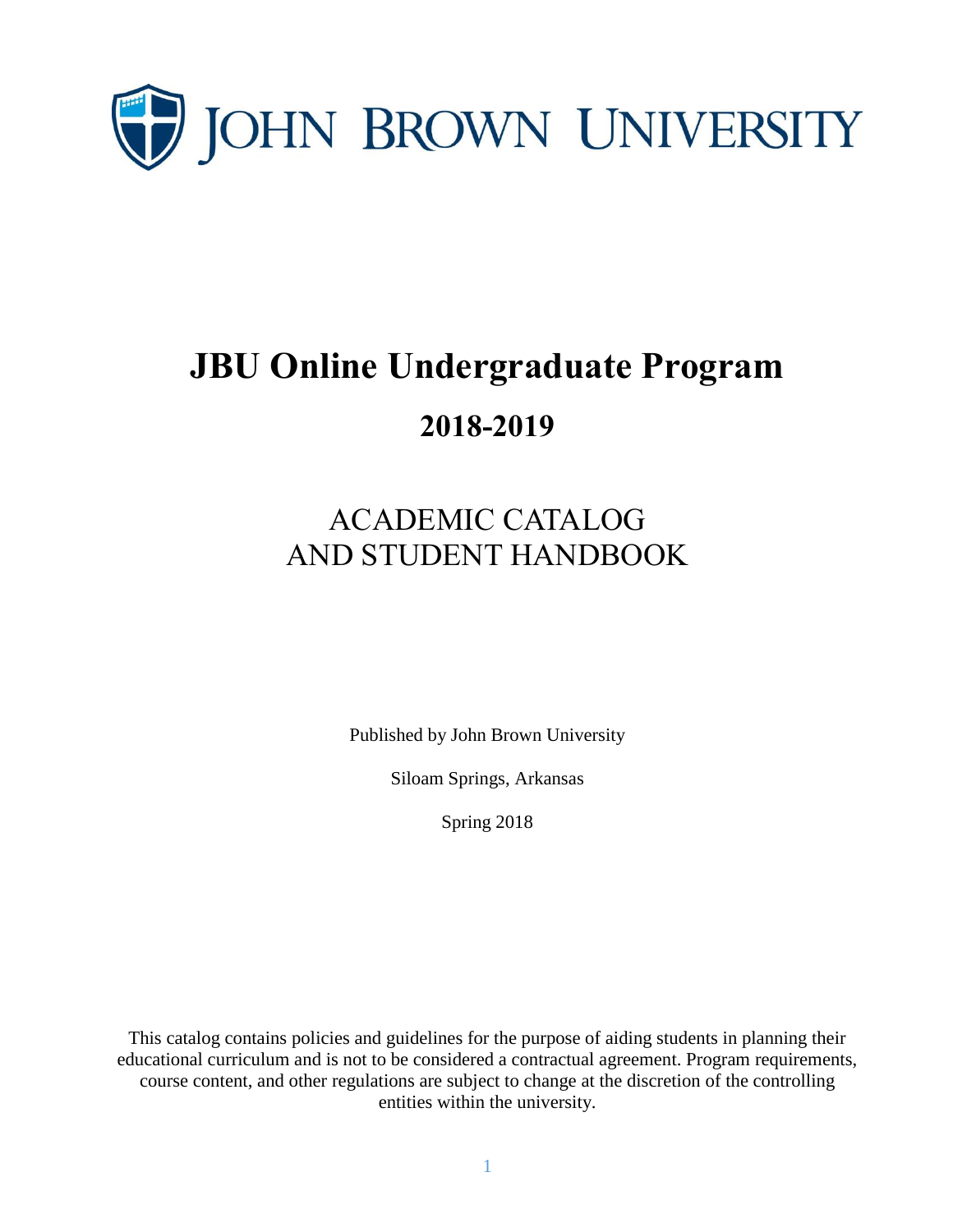

# **JBU Online Undergraduate Program 2018-2019**

# ACADEMIC CATALOG AND STUDENT HANDBOOK

Published by John Brown University

Siloam Springs, Arkansas

Spring 2018

This catalog contains policies and guidelines for the purpose of aiding students in planning their educational curriculum and is not to be considered a contractual agreement. Program requirements, course content, and other regulations are subject to change at the discretion of the controlling entities within the university.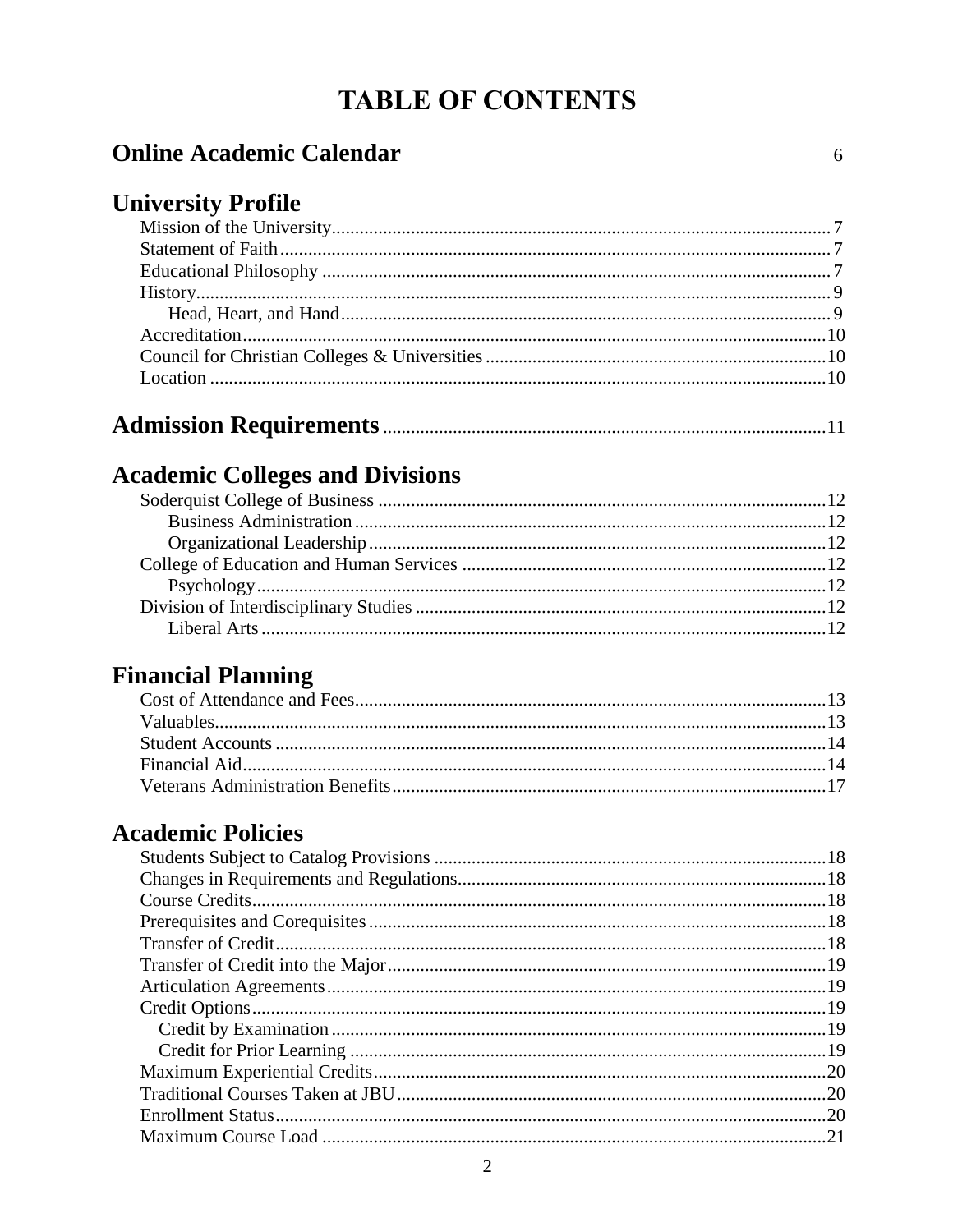### **TABLE OF CONTENTS**

#### **Online Academic Calendar**

#### **University Profile**

|--|--|--|

#### **Academic Colleges and Divisions**

#### **Financial Planning**

#### **Academic Policies**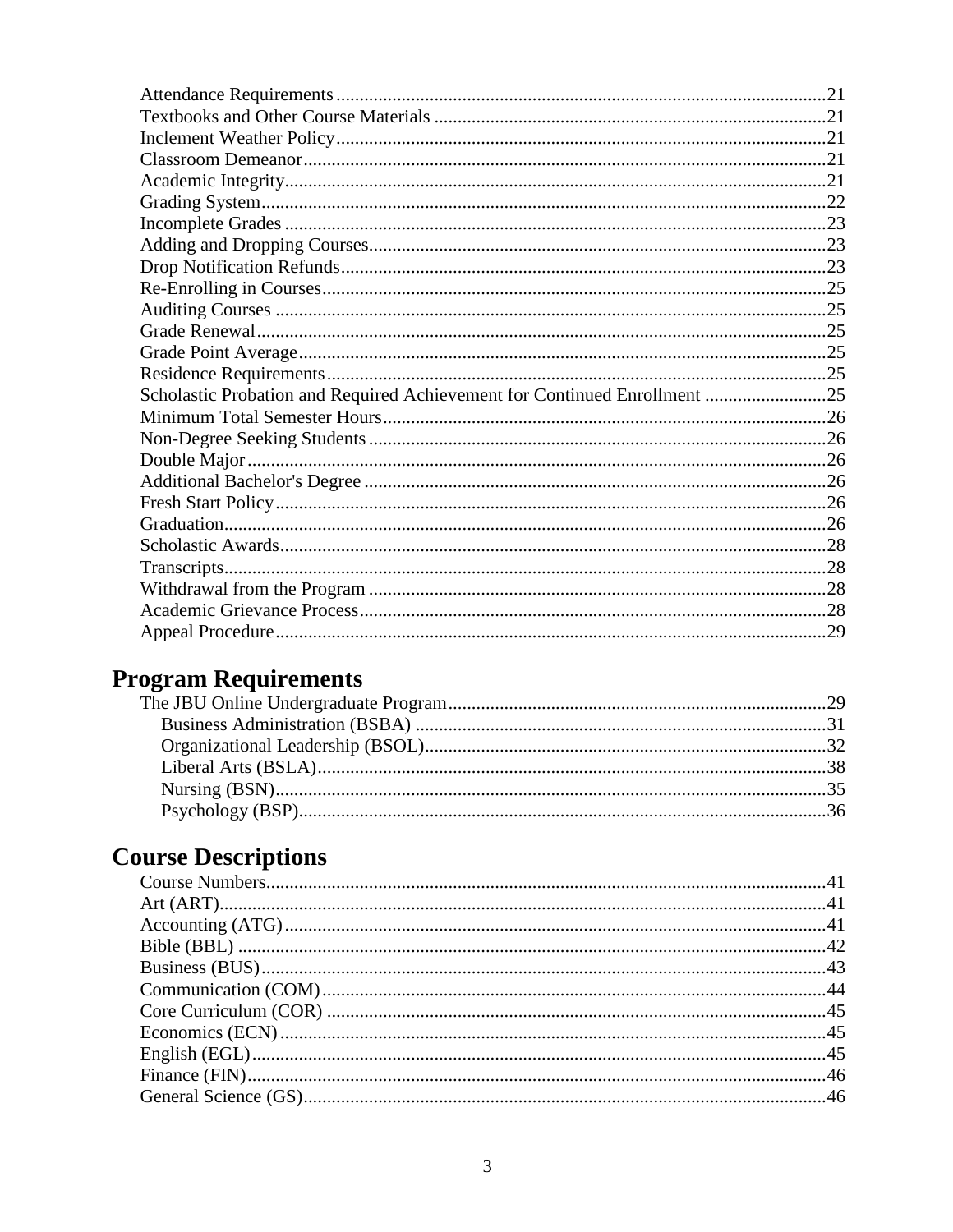| Scholastic Probation and Required Achievement for Continued Enrollment 25 |  |
|---------------------------------------------------------------------------|--|
|                                                                           |  |
|                                                                           |  |
|                                                                           |  |
|                                                                           |  |
|                                                                           |  |
|                                                                           |  |
|                                                                           |  |
|                                                                           |  |
|                                                                           |  |
|                                                                           |  |
|                                                                           |  |

### **Program Requirements**

## **Course Descriptions**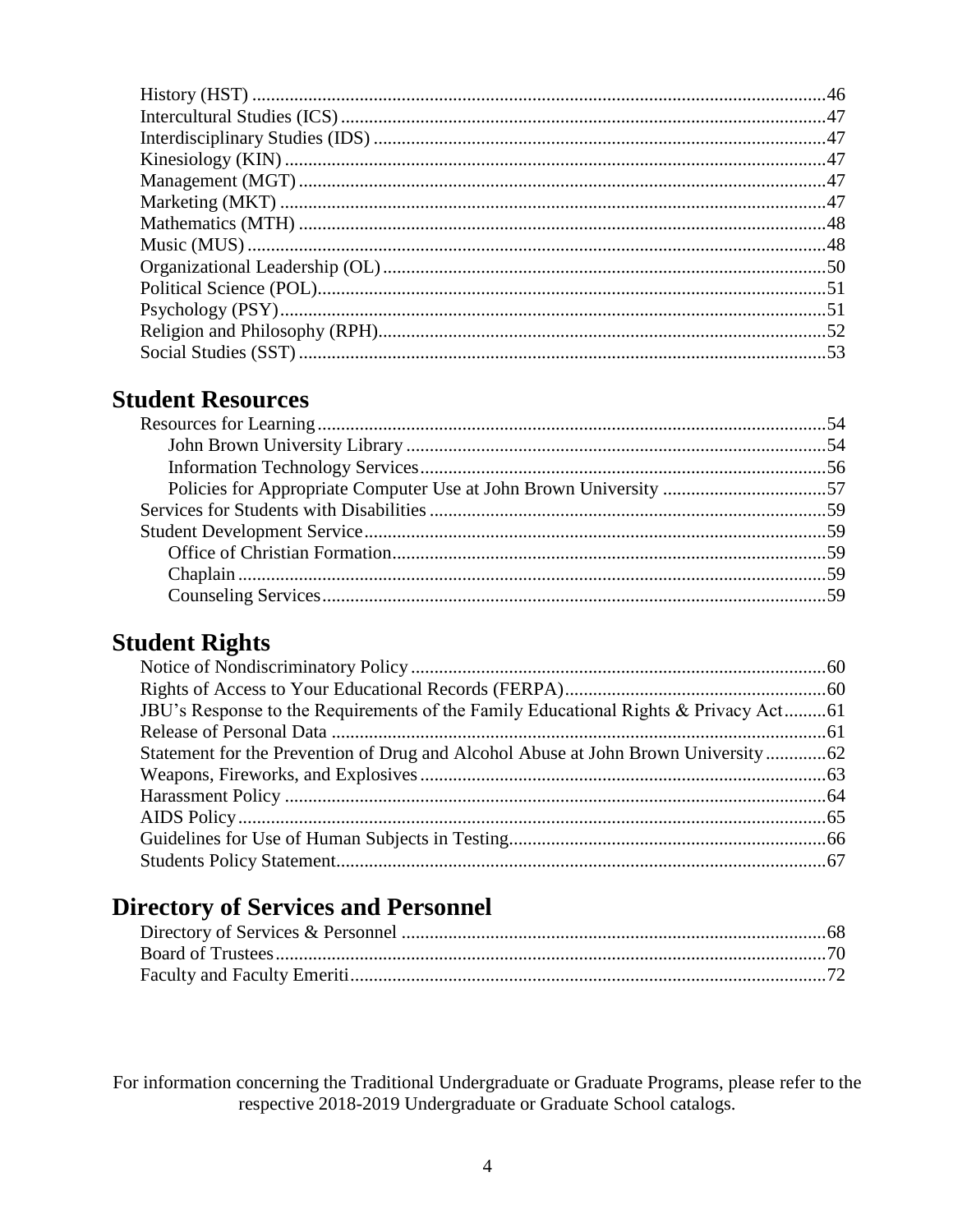#### **Student Resources**

#### **Student Rights**

| JBU's Response to the Requirements of the Family Educational Rights & Privacy Act61 |  |
|-------------------------------------------------------------------------------------|--|
|                                                                                     |  |
|                                                                                     |  |
|                                                                                     |  |
|                                                                                     |  |
|                                                                                     |  |
|                                                                                     |  |
|                                                                                     |  |

#### **Directory of Services and Personnel**

For information concerning the Traditional Undergraduate or Graduate Programs, please refer to the respective 2018-2019 Undergraduate or Graduate School catalogs.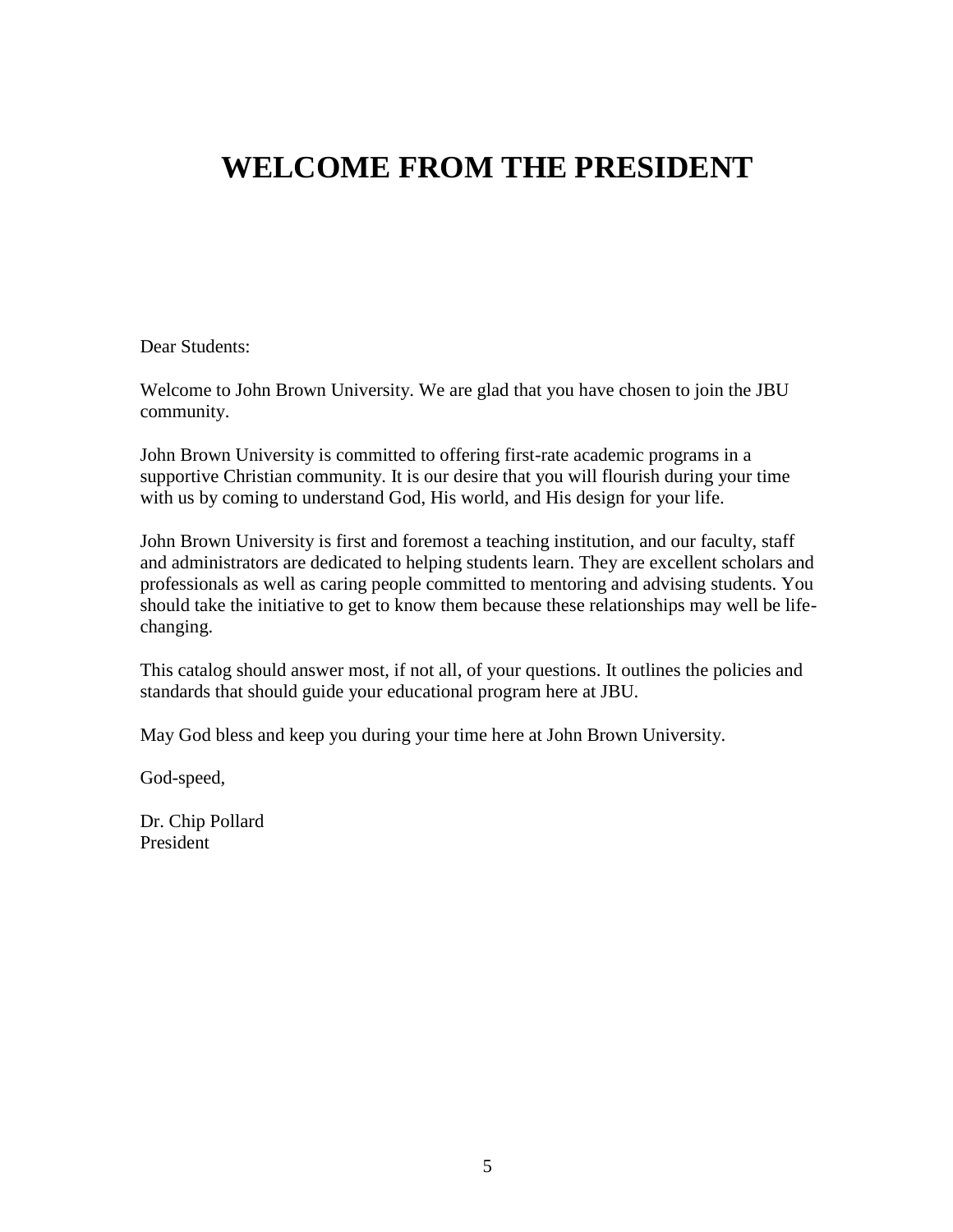## **WELCOME FROM THE PRESIDENT**

Dear Students:

Welcome to John Brown University. We are glad that you have chosen to join the JBU community.

John Brown University is committed to offering first-rate academic programs in a supportive Christian community. It is our desire that you will flourish during your time with us by coming to understand God, His world, and His design for your life.

John Brown University is first and foremost a teaching institution, and our faculty, staff and administrators are dedicated to helping students learn. They are excellent scholars and professionals as well as caring people committed to mentoring and advising students. You should take the initiative to get to know them because these relationships may well be lifechanging.

This catalog should answer most, if not all, of your questions. It outlines the policies and standards that should guide your educational program here at JBU.

May God bless and keep you during your time here at John Brown University.

God-speed,

Dr. Chip Pollard President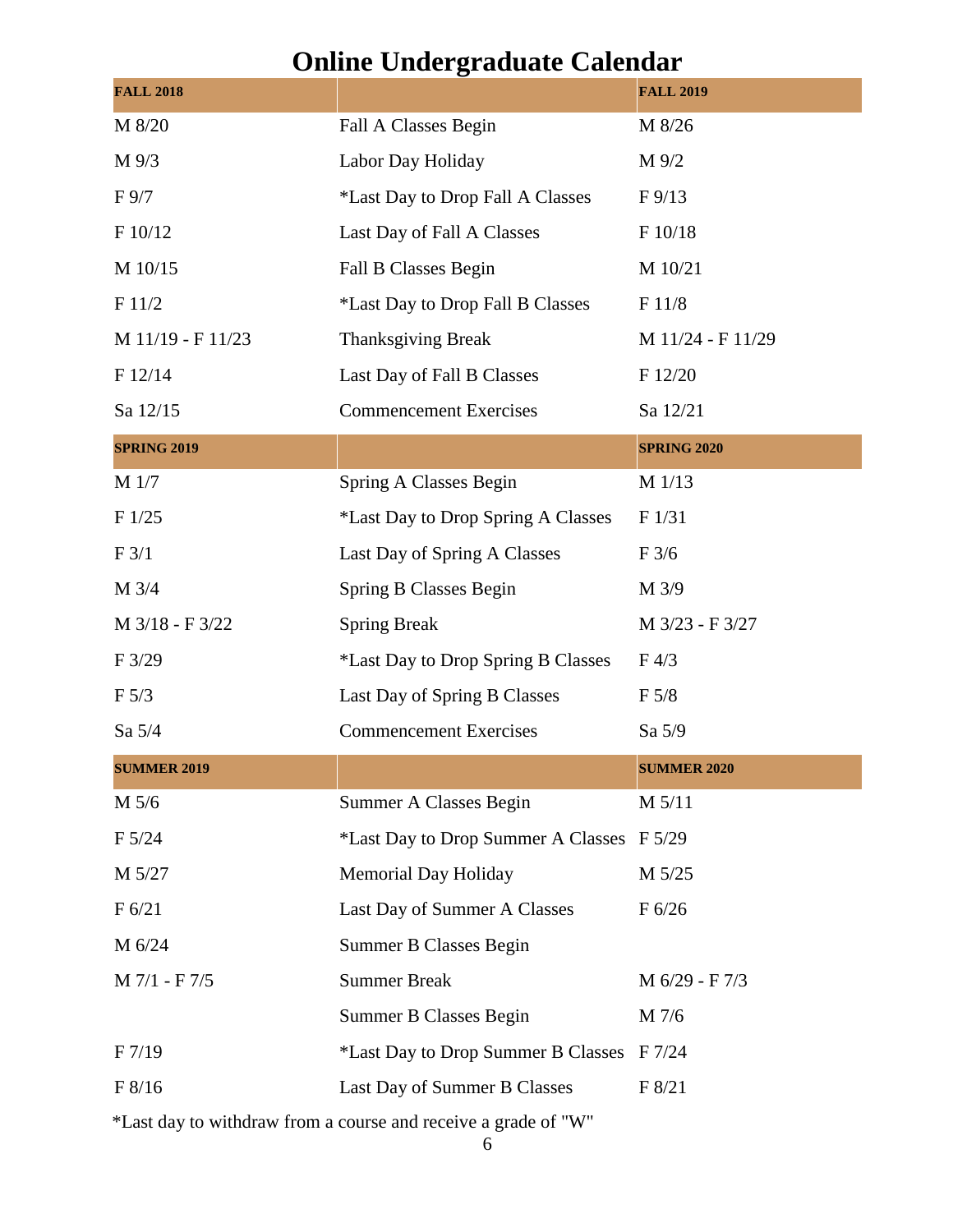## **Online Undergraduate Calendar**

| <b>FALL 2018</b>   | o                                         | <b>FALL 2019</b>   |
|--------------------|-------------------------------------------|--------------------|
| M 8/20             | Fall A Classes Begin                      | M 8/26             |
| M 9/3              | Labor Day Holiday                         | M 9/2              |
| F 9/7              | *Last Day to Drop Fall A Classes          | $F\frac{9}{13}$    |
| F 10/12            | Last Day of Fall A Classes                | F 10/18            |
| M 10/15            | Fall B Classes Begin                      | M 10/21            |
| F 11/2             | *Last Day to Drop Fall B Classes          | F11/8              |
| M 11/19 - F 11/23  | <b>Thanksgiving Break</b>                 | M 11/24 - F 11/29  |
| F 12/14            | Last Day of Fall B Classes                | F 12/20            |
| Sa 12/15           | <b>Commencement Exercises</b><br>Sa 12/21 |                    |
| <b>SPRING 2019</b> |                                           | <b>SPRING 2020</b> |
| M 1/7              | Spring A Classes Begin                    | M 1/13             |
| F1/25              | <i>*Last Day to Drop Spring A Classes</i> | F 1/31             |
| F 3/1              | Last Day of Spring A Classes              | $F\frac{3}{6}$     |
| M 3/4              | Spring B Classes Begin                    | M 3/9              |
| M 3/18 - F 3/22    | <b>Spring Break</b>                       | M 3/23 - F 3/27    |
| $F\frac{3}{29}$    | <i>*Last Day to Drop Spring B Classes</i> | $F\,4/3$           |
| $F\,5/3$           | Last Day of Spring B Classes              | F 5/8              |
| Sa 5/4             | <b>Commencement Exercises</b>             | Sa 5/9             |
| <b>SUMMER 2019</b> |                                           | <b>SUMMER 2020</b> |
| M 5/6              | Summer A Classes Begin                    | M 5/11             |
| F 5/24             | *Last Day to Drop Summer A Classes F 5/29 |                    |
| M 5/27             | <b>Memorial Day Holiday</b>               | M 5/25             |
| F 6/21             | Last Day of Summer A Classes              | F 6/26             |
| M 6/24             | <b>Summer B Classes Begin</b>             |                    |
| M 7/1 - F 7/5      | <b>Summer Break</b>                       | M 6/29 - F 7/3     |
|                    | <b>Summer B Classes Begin</b>             | M 7/6              |
| F 7/19             | *Last Day to Drop Summer B Classes F 7/24 |                    |
| F 8/16             | Last Day of Summer B Classes              | F 8/21             |
|                    |                                           |                    |

\*Last day to withdraw from a course and receive a grade of "W"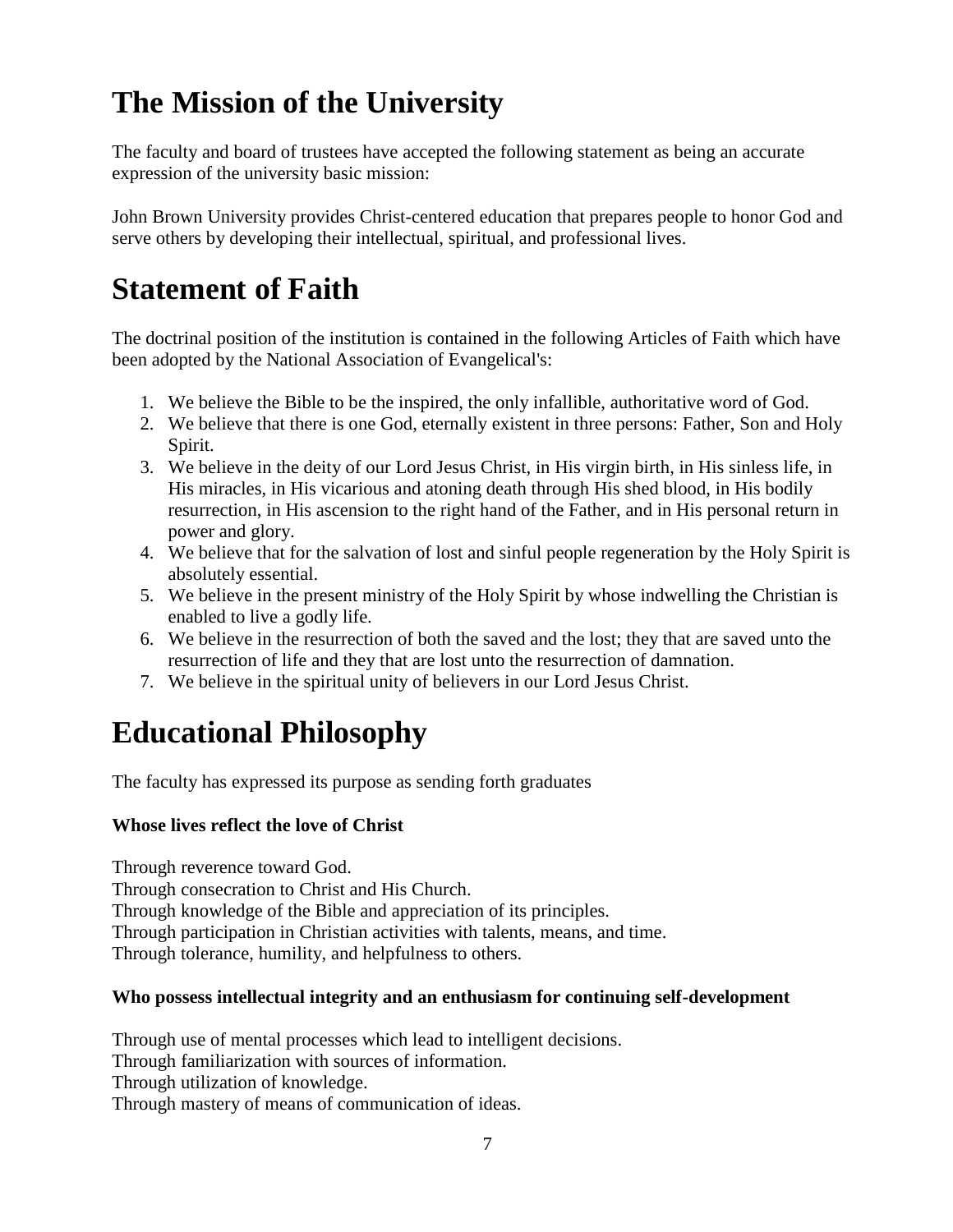# **The Mission of the University**

The faculty and board of trustees have accepted the following statement as being an accurate expression of the university basic mission:

John Brown University provides Christ-centered education that prepares people to honor God and serve others by developing their intellectual, spiritual, and professional lives.

# **Statement of Faith**

The doctrinal position of the institution is contained in the following Articles of Faith which have been adopted by the National Association of Evangelical's:

- 1. We believe the Bible to be the inspired, the only infallible, authoritative word of God.
- 2. We believe that there is one God, eternally existent in three persons: Father, Son and Holy Spirit.
- 3. We believe in the deity of our Lord Jesus Christ, in His virgin birth, in His sinless life, in His miracles, in His vicarious and atoning death through His shed blood, in His bodily resurrection, in His ascension to the right hand of the Father, and in His personal return in power and glory.
- 4. We believe that for the salvation of lost and sinful people regeneration by the Holy Spirit is absolutely essential.
- 5. We believe in the present ministry of the Holy Spirit by whose indwelling the Christian is enabled to live a godly life.
- 6. We believe in the resurrection of both the saved and the lost; they that are saved unto the resurrection of life and they that are lost unto the resurrection of damnation.
- 7. We believe in the spiritual unity of believers in our Lord Jesus Christ.

# **Educational Philosophy**

The faculty has expressed its purpose as sending forth graduates

#### **Whose lives reflect the love of Christ**

Through reverence toward God.

Through consecration to Christ and His Church.

Through knowledge of the Bible and appreciation of its principles.

Through participation in Christian activities with talents, means, and time.

Through tolerance, humility, and helpfulness to others.

#### **Who possess intellectual integrity and an enthusiasm for continuing self-development**

Through use of mental processes which lead to intelligent decisions.

Through familiarization with sources of information.

Through utilization of knowledge.

Through mastery of means of communication of ideas.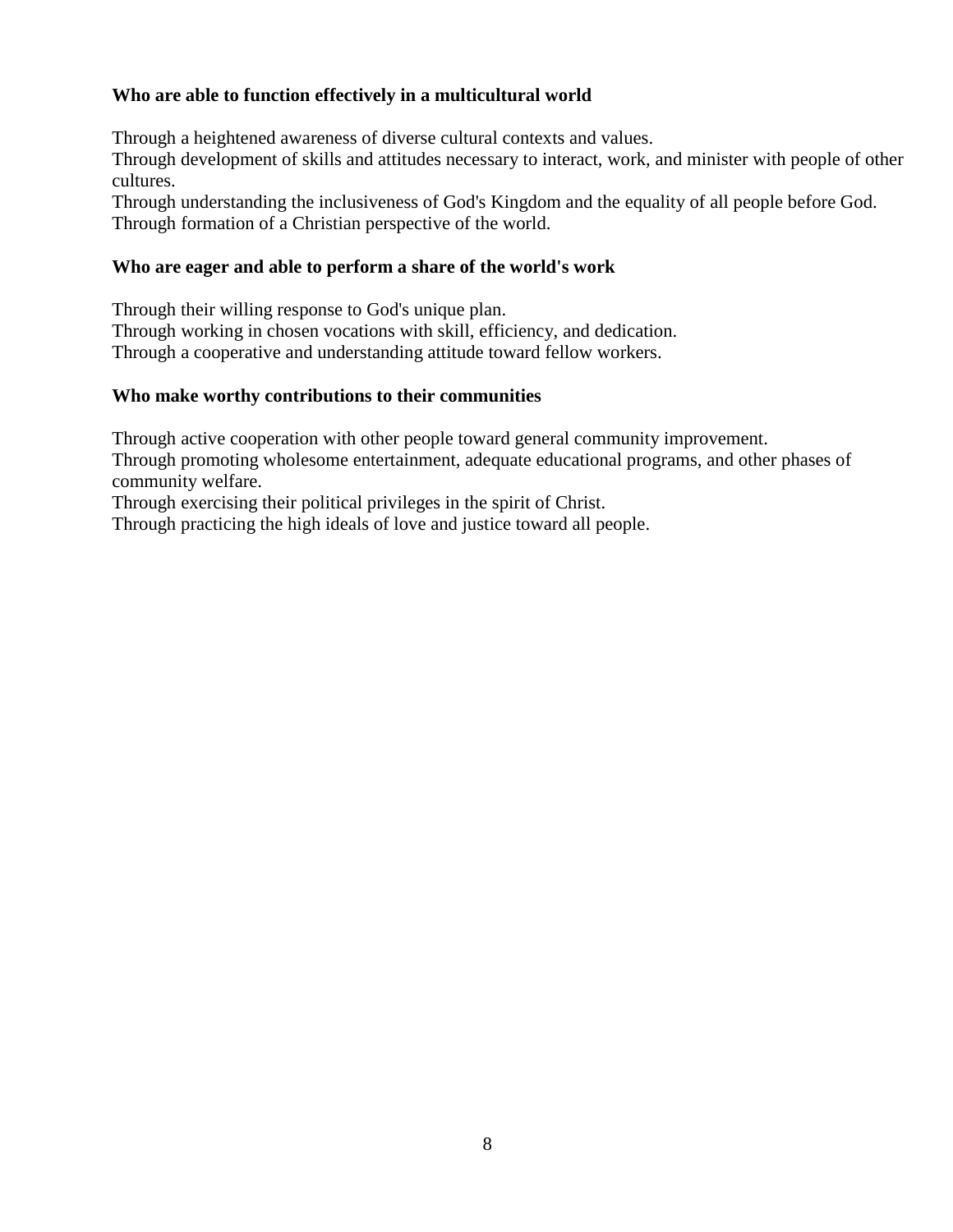#### **Who are able to function effectively in a multicultural world**

Through a heightened awareness of diverse cultural contexts and values.

Through development of skills and attitudes necessary to interact, work, and minister with people of other cultures.

Through understanding the inclusiveness of God's Kingdom and the equality of all people before God. Through formation of a Christian perspective of the world.

#### **Who are eager and able to perform a share of the world's work**

Through their willing response to God's unique plan.

Through working in chosen vocations with skill, efficiency, and dedication. Through a cooperative and understanding attitude toward fellow workers.

#### **Who make worthy contributions to their communities**

Through active cooperation with other people toward general community improvement.

Through promoting wholesome entertainment, adequate educational programs, and other phases of community welfare.

Through exercising their political privileges in the spirit of Christ.

Through practicing the high ideals of love and justice toward all people.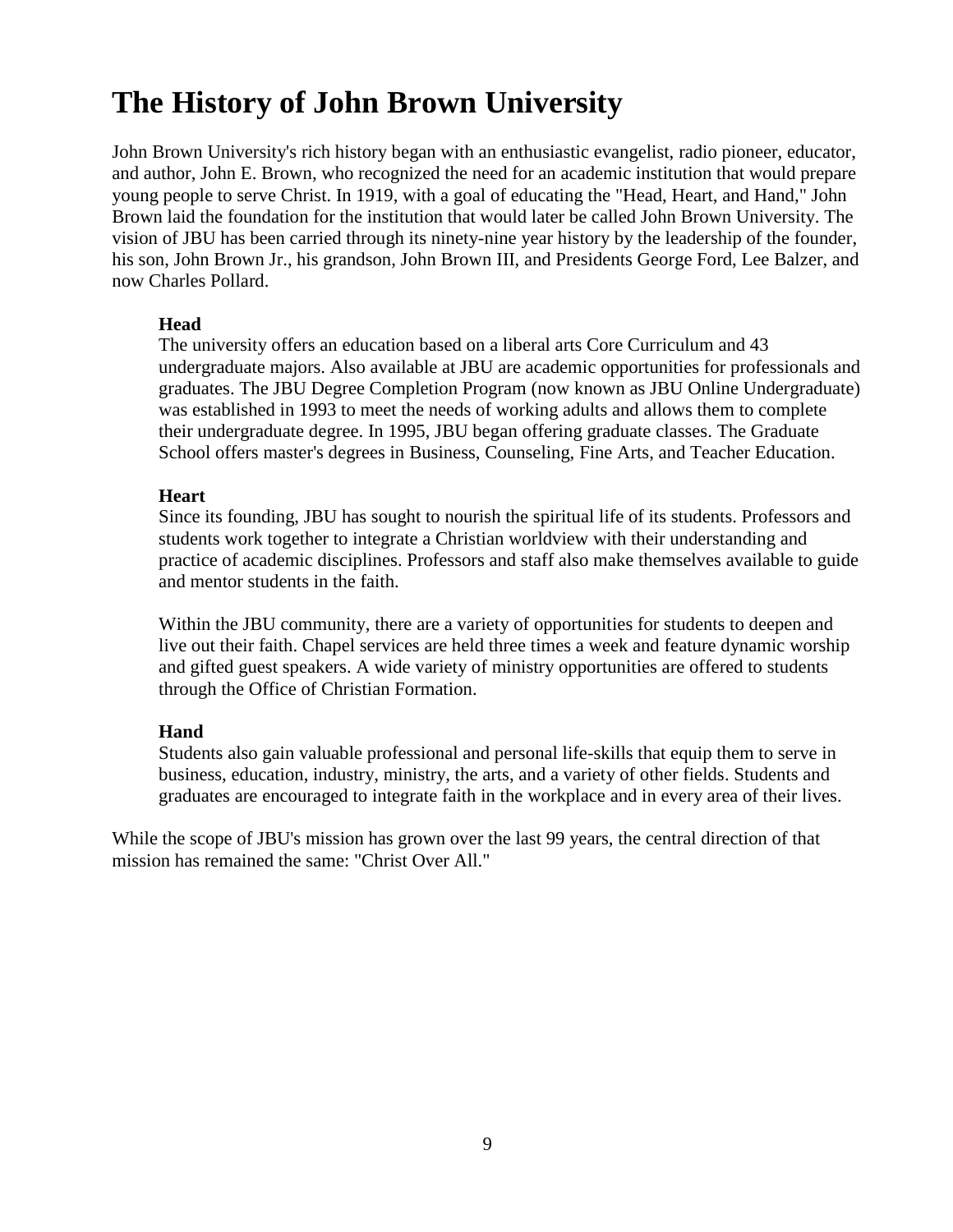# **The History of John Brown University**

John Brown University's rich history began with an enthusiastic evangelist, radio pioneer, educator, and author, John E. Brown, who recognized the need for an academic institution that would prepare young people to serve Christ. In 1919, with a goal of educating the "Head, Heart, and Hand," John Brown laid the foundation for the institution that would later be called John Brown University. The vision of JBU has been carried through its ninety-nine year history by the leadership of the founder, his son, John Brown Jr., his grandson, John Brown III, and Presidents George Ford, Lee Balzer, and now Charles Pollard.

#### **Head**

The university offers an education based on a liberal arts Core Curriculum and 43 undergraduate majors. Also available at JBU are academic opportunities for professionals and graduates. The JBU Degree Completion Program (now known as JBU Online Undergraduate) was established in 1993 to meet the needs of working adults and allows them to complete their undergraduate degree. In 1995, JBU began offering graduate classes. The Graduate School offers master's degrees in Business, Counseling, Fine Arts, and Teacher Education.

#### **Heart**

Since its founding, JBU has sought to nourish the spiritual life of its students. Professors and students work together to integrate a Christian worldview with their understanding and practice of academic disciplines. Professors and staff also make themselves available to guide and mentor students in the faith.

Within the JBU community, there are a variety of opportunities for students to deepen and live out their faith. Chapel services are held three times a week and feature dynamic worship and gifted guest speakers. A wide variety of ministry opportunities are offered to students through the Office of Christian Formation.

#### **Hand**

Students also gain valuable professional and personal life-skills that equip them to serve in business, education, industry, ministry, the arts, and a variety of other fields. Students and graduates are encouraged to integrate faith in the workplace and in every area of their lives.

While the scope of JBU's mission has grown over the last 99 years, the central direction of that mission has remained the same: "Christ Over All."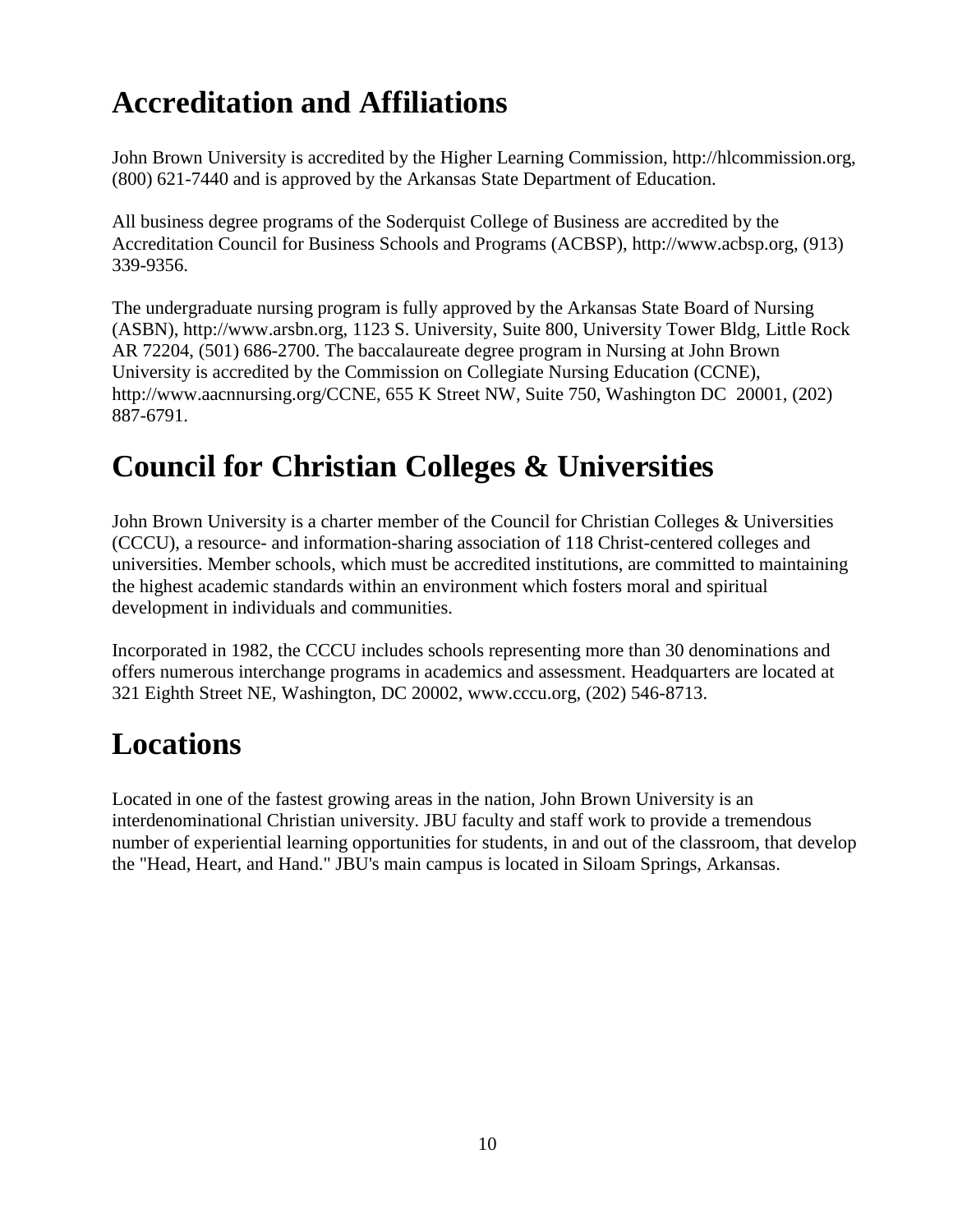# **Accreditation and Affiliations**

John Brown University is accredited by the Higher Learning Commission, http://hlcommission.org, (800) 621-7440 and is approved by the Arkansas State Department of Education.

All business degree programs of the Soderquist College of Business are accredited by the Accreditation Council for Business Schools and Programs (ACBSP), http://www.acbsp.org, (913) 339-9356.

The undergraduate nursing program is fully approved by the Arkansas State Board of Nursing (ASBN), http://www.arsbn.org, 1123 S. University, Suite 800, University Tower Bldg, Little Rock AR 72204, (501) 686-2700. The baccalaureate degree program in Nursing at John Brown University is accredited by the Commission on Collegiate Nursing Education (CCNE), http://www.aacnnursing.org/CCNE, 655 K Street NW, Suite 750, Washington DC 20001, (202) 887-6791.

# **Council for Christian Colleges & Universities**

John Brown University is a charter member of the Council for Christian Colleges & Universities (CCCU), a resource- and information-sharing association of 118 Christ-centered colleges and universities. Member schools, which must be accredited institutions, are committed to maintaining the highest academic standards within an environment which fosters moral and spiritual development in individuals and communities.

Incorporated in 1982, the CCCU includes schools representing more than 30 denominations and offers numerous interchange programs in academics and assessment. Headquarters are located at 321 Eighth Street NE, Washington, DC 20002, www.cccu.org, (202) 546-8713.

# **Locations**

Located in one of the fastest growing areas in the nation, John Brown University is an interdenominational Christian university. JBU faculty and staff work to provide a tremendous number of experiential learning opportunities for students, in and out of the classroom, that develop the "Head, Heart, and Hand." JBU's main campus is located in Siloam Springs, Arkansas.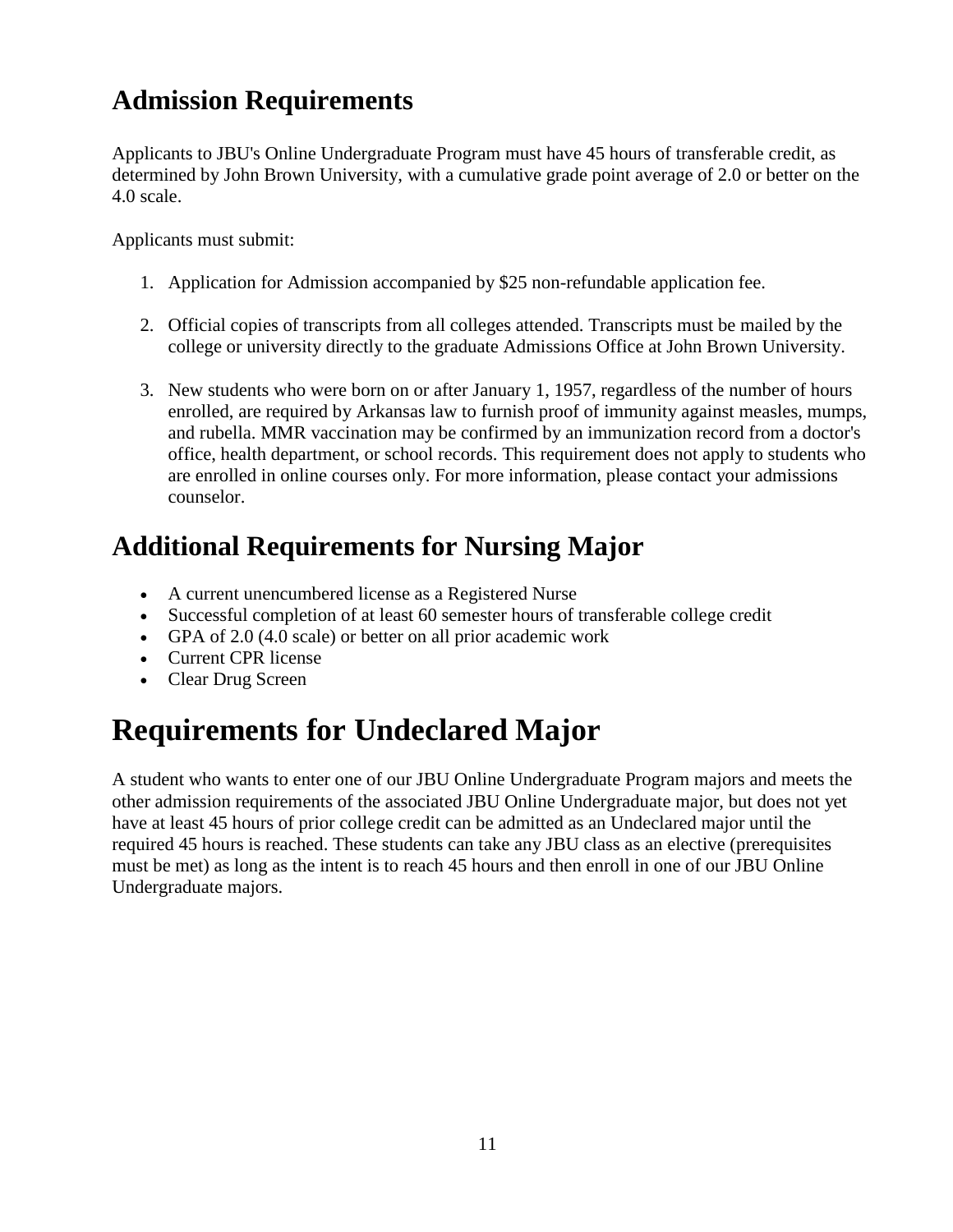### **Admission Requirements**

Applicants to JBU's Online Undergraduate Program must have 45 hours of transferable credit, as determined by John Brown University, with a cumulative grade point average of 2.0 or better on the 4.0 scale.

Applicants must submit:

- 1. Application for Admission accompanied by \$25 non-refundable application fee.
- 2. Official copies of transcripts from all colleges attended. Transcripts must be mailed by the college or university directly to the graduate Admissions Office at John Brown University.
- 3. New students who were born on or after January 1, 1957, regardless of the number of hours enrolled, are required by Arkansas law to furnish proof of immunity against measles, mumps, and rubella. MMR vaccination may be confirmed by an immunization record from a doctor's office, health department, or school records. This requirement does not apply to students who are enrolled in online courses only. For more information, please contact your admissions counselor.

### **Additional Requirements for Nursing Major**

- A current unencumbered license as a Registered Nurse
- Successful completion of at least 60 semester hours of transferable college credit
- GPA of 2.0 (4.0 scale) or better on all prior academic work
- Current CPR license
- Clear Drug Screen

# **Requirements for Undeclared Major**

A student who wants to enter one of our JBU Online Undergraduate Program majors and meets the other admission requirements of the associated JBU Online Undergraduate major, but does not yet have at least 45 hours of prior college credit can be admitted as an Undeclared major until the required 45 hours is reached. These students can take any JBU class as an elective (prerequisites must be met) as long as the intent is to reach 45 hours and then enroll in one of our JBU Online Undergraduate majors.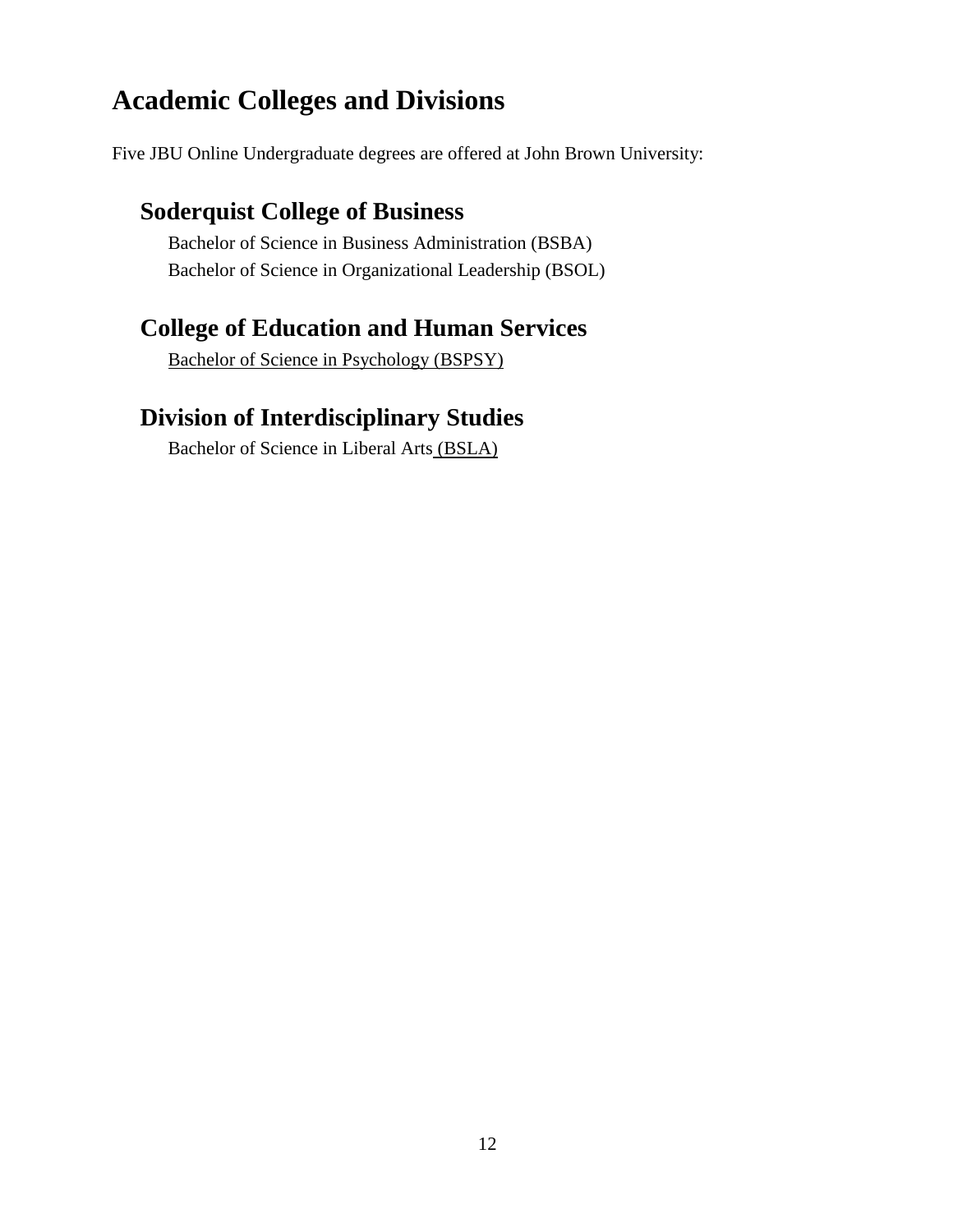#### **Academic Colleges and Divisions**

Five JBU Online Undergraduate degrees are offered at John Brown University:

#### **Soderquist College of Business**

Bachelor of Science in Business Administration (BSBA) Bachelor of Science in Organizational Leadership (BSOL)

#### **College of Education and Human Services**

Bachelor of Science in Psychology (BSPSY)

#### **Division of Interdisciplinary Studies**

Bachelor of Science in Liberal Arts (BSLA)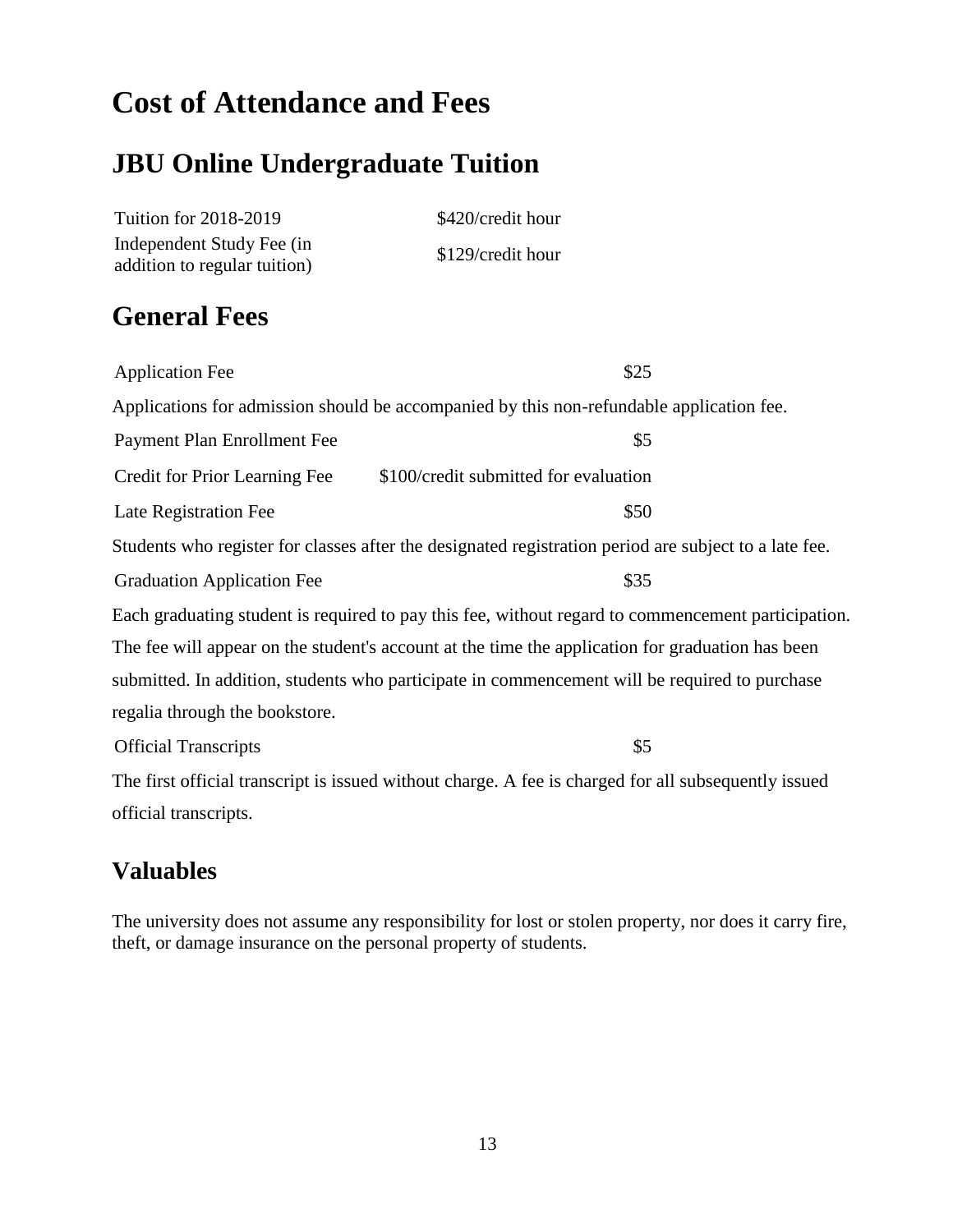## **Cost of Attendance and Fees**

#### **JBU Online Undergraduate Tuition**

| <b>Tuition for 2018-2019</b> | \$420/credit hour |
|------------------------------|-------------------|
| Independent Study Fee (in    | \$129/credit hour |
| addition to regular tuition) |                   |

#### **General Fees**

Application Fee \$25 Applications for admission should be accompanied by this non-refundable application fee. Payment Plan Enrollment Fee  $$5$ Credit for Prior Learning Fee \$100/credit submitted for evaluation Late Registration Fee  $\$50$ Students who register for classes after the designated registration period are subject to a late fee. Graduation Application Fee  $$35$ Each graduating student is required to pay this fee, without regard to commencement participation. The fee will appear on the student's account at the time the application for graduation has been submitted. In addition, students who participate in commencement will be required to purchase regalia through the bookstore. Official Transcripts \$5 The first official transcript is issued without charge. A fee is charged for all subsequently issued official transcripts.

#### **Valuables**

The university does not assume any responsibility for lost or stolen property, nor does it carry fire, theft, or damage insurance on the personal property of students.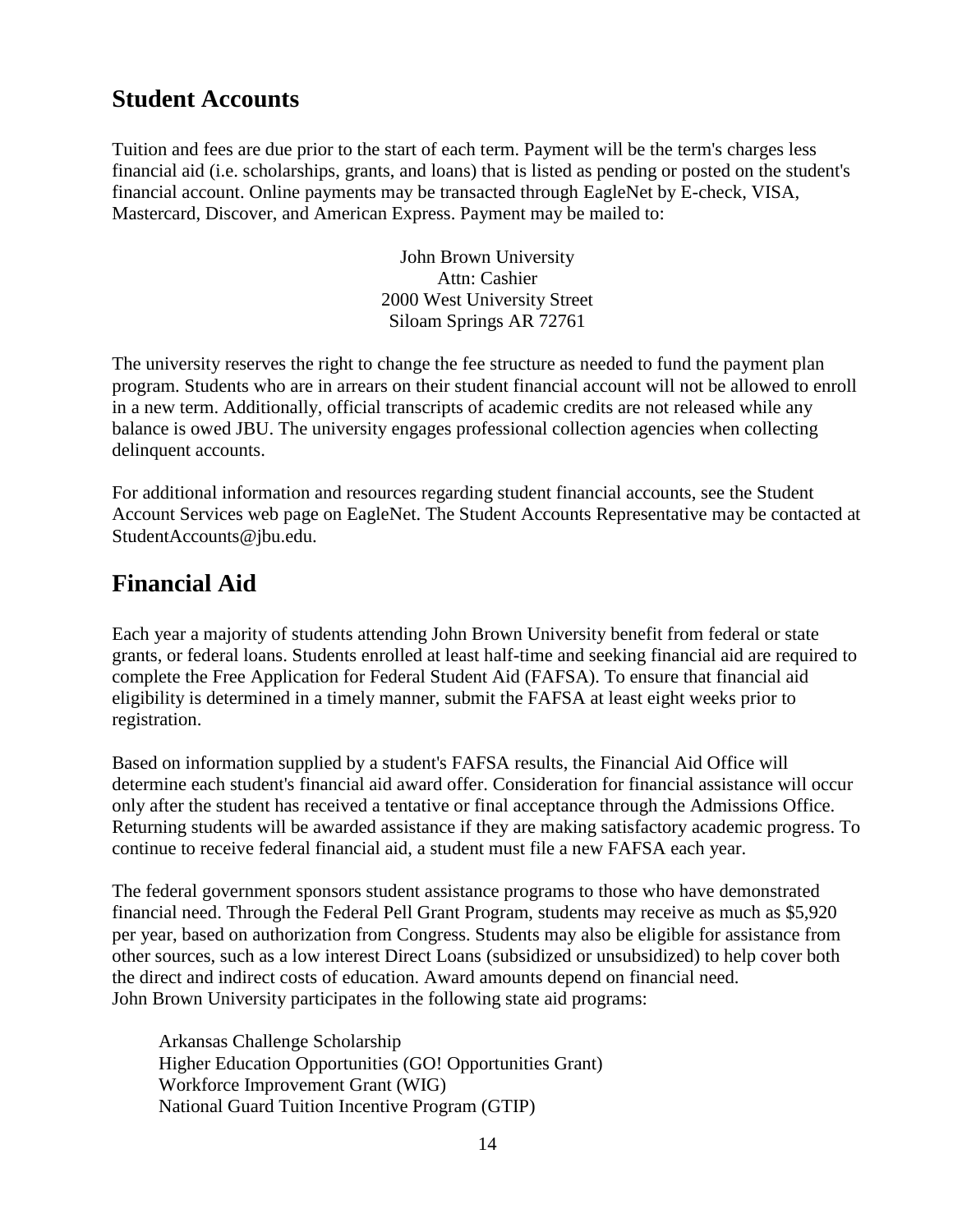#### **Student Accounts**

Tuition and fees are due prior to the start of each term. Payment will be the term's charges less financial aid (i.e. scholarships, grants, and loans) that is listed as pending or posted on the student's financial account. Online payments may be transacted through EagleNet by E-check, VISA, Mastercard, Discover, and American Express. Payment may be mailed to:

> John Brown University Attn: Cashier 2000 West University Street Siloam Springs AR 72761

The university reserves the right to change the fee structure as needed to fund the payment plan program. Students who are in arrears on their student financial account will not be allowed to enroll in a new term. Additionally, official transcripts of academic credits are not released while any balance is owed JBU. The university engages professional collection agencies when collecting delinquent accounts.

For additional information and resources regarding student financial accounts, see the Student Account Services web page on EagleNet. The Student Accounts Representative may be contacted at StudentAccounts@jbu.edu.

#### **Financial Aid**

Each year a majority of students attending John Brown University benefit from federal or state grants, or federal loans. Students enrolled at least half-time and seeking financial aid are required to complete the Free Application for Federal Student Aid (FAFSA). To ensure that financial aid eligibility is determined in a timely manner, submit the FAFSA at least eight weeks prior to registration.

Based on information supplied by a student's FAFSA results, the Financial Aid Office will determine each student's financial aid award offer. Consideration for financial assistance will occur only after the student has received a tentative or final acceptance through the Admissions Office. Returning students will be awarded assistance if they are making satisfactory academic progress. To continue to receive federal financial aid, a student must file a new FAFSA each year.

The federal government sponsors student assistance programs to those who have demonstrated financial need. Through the Federal Pell Grant Program, students may receive as much as \$5,920 per year, based on authorization from Congress. Students may also be eligible for assistance from other sources, such as a low interest Direct Loans (subsidized or unsubsidized) to help cover both the direct and indirect costs of education. Award amounts depend on financial need. John Brown University participates in the following state aid programs:

Arkansas Challenge Scholarship Higher Education Opportunities (GO! Opportunities Grant) Workforce Improvement Grant (WIG) National Guard Tuition Incentive Program (GTIP)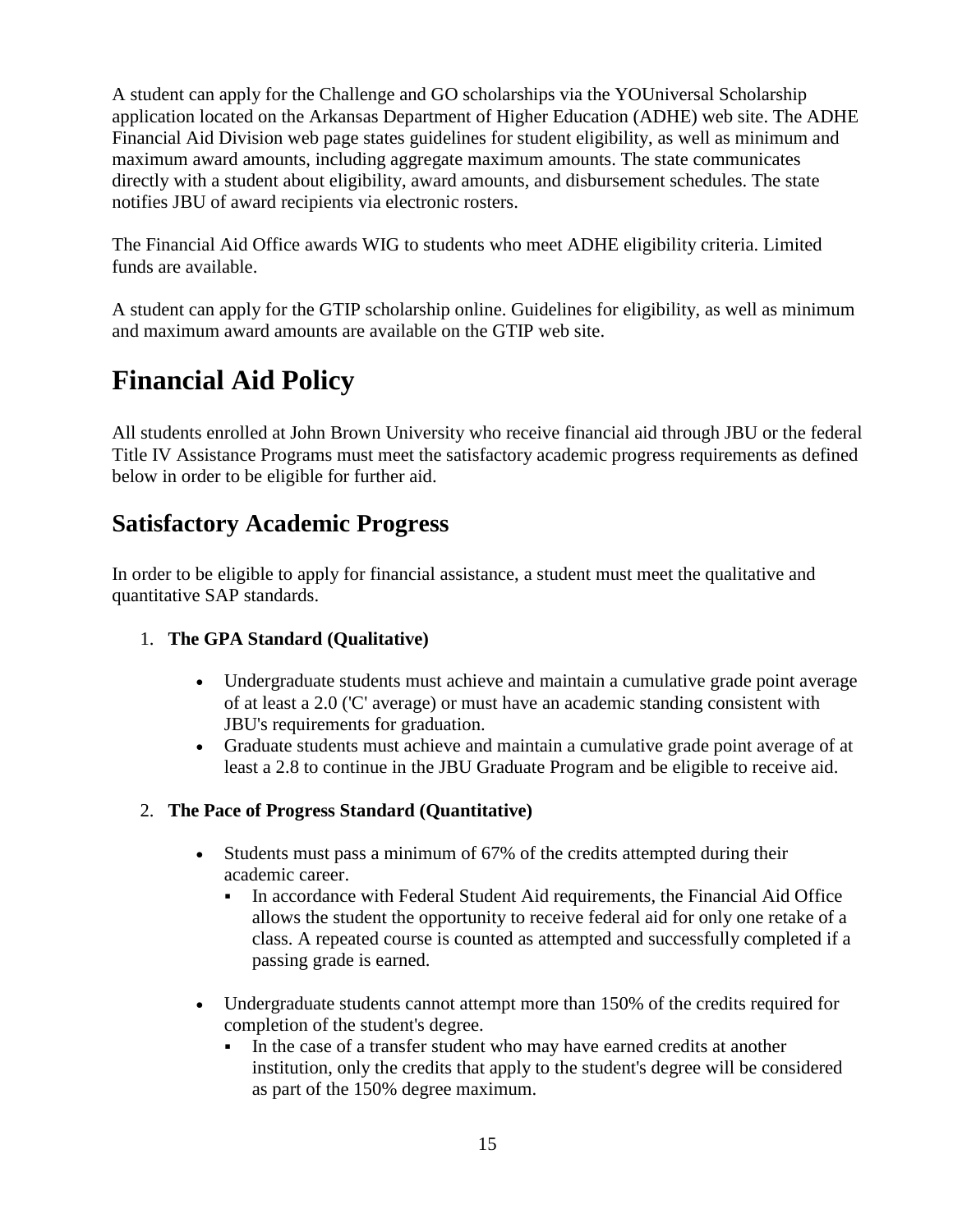A student can apply for the Challenge and GO scholarships via the YOUniversal Scholarship application located on the Arkansas Department of Higher Education (ADHE) web site. The ADHE Financial Aid Division web page states guidelines for student eligibility, as well as minimum and maximum award amounts, including aggregate maximum amounts. The state communicates directly with a student about eligibility, award amounts, and disbursement schedules. The state notifies JBU of award recipients via electronic rosters.

The Financial Aid Office awards WIG to students who meet ADHE eligibility criteria. Limited funds are available.

A student can apply for the GTIP scholarship online. Guidelines for eligibility, as well as minimum and maximum award amounts are available on the GTIP web site.

### **Financial Aid Policy**

All students enrolled at John Brown University who receive financial aid through JBU or the federal Title IV Assistance Programs must meet the satisfactory academic progress requirements as defined below in order to be eligible for further aid.

#### **Satisfactory Academic Progress**

In order to be eligible to apply for financial assistance, a student must meet the qualitative and quantitative SAP standards.

#### 1. **The GPA Standard (Qualitative)**

- Undergraduate students must achieve and maintain a cumulative grade point average of at least a 2.0 ('C' average) or must have an academic standing consistent with JBU's requirements for graduation.
- Graduate students must achieve and maintain a cumulative grade point average of at least a 2.8 to continue in the JBU Graduate Program and be eligible to receive aid.

#### 2. **The Pace of Progress Standard (Quantitative)**

- Students must pass a minimum of 67% of the credits attempted during their academic career.
	- In accordance with Federal Student Aid requirements, the Financial Aid Office allows the student the opportunity to receive federal aid for only one retake of a class. A repeated course is counted as attempted and successfully completed if a passing grade is earned.
- Undergraduate students cannot attempt more than 150% of the credits required for completion of the student's degree.
	- In the case of a transfer student who may have earned credits at another institution, only the credits that apply to the student's degree will be considered as part of the 150% degree maximum.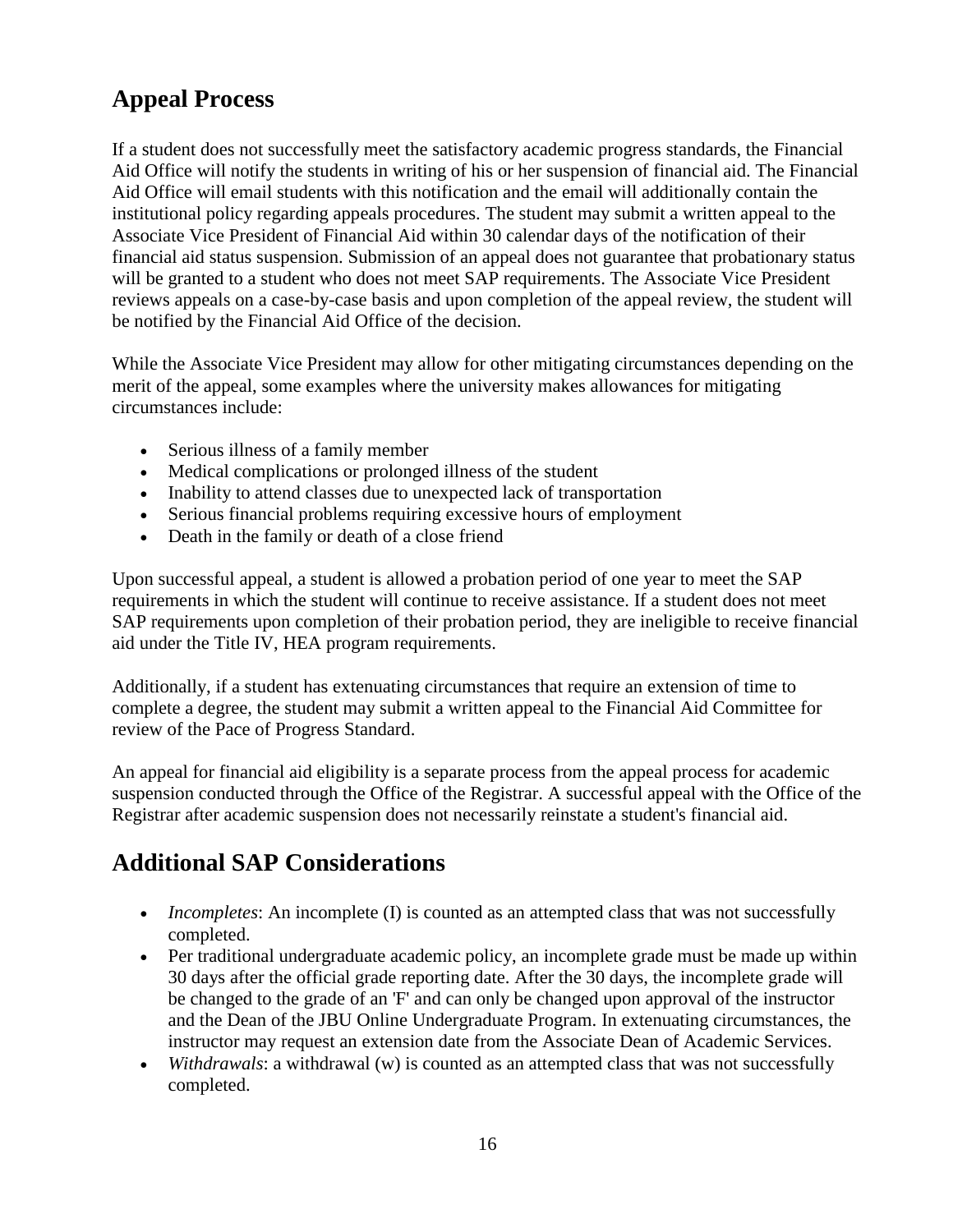#### **Appeal Process**

If a student does not successfully meet the satisfactory academic progress standards, the Financial Aid Office will notify the students in writing of his or her suspension of financial aid. The Financial Aid Office will email students with this notification and the email will additionally contain the institutional policy regarding appeals procedures. The student may submit a written appeal to the Associate Vice President of Financial Aid within 30 calendar days of the notification of their financial aid status suspension. Submission of an appeal does not guarantee that probationary status will be granted to a student who does not meet SAP requirements. The Associate Vice President reviews appeals on a case-by-case basis and upon completion of the appeal review, the student will be notified by the Financial Aid Office of the decision.

While the Associate Vice President may allow for other mitigating circumstances depending on the merit of the appeal, some examples where the university makes allowances for mitigating circumstances include:

- Serious illness of a family member
- Medical complications or prolonged illness of the student
- Inability to attend classes due to unexpected lack of transportation
- Serious financial problems requiring excessive hours of employment
- Death in the family or death of a close friend

Upon successful appeal, a student is allowed a probation period of one year to meet the SAP requirements in which the student will continue to receive assistance. If a student does not meet SAP requirements upon completion of their probation period, they are ineligible to receive financial aid under the Title IV, HEA program requirements.

Additionally, if a student has extenuating circumstances that require an extension of time to complete a degree, the student may submit a written appeal to the Financial Aid Committee for review of the Pace of Progress Standard.

An appeal for financial aid eligibility is a separate process from the appeal process for academic suspension conducted through the Office of the Registrar. A successful appeal with the Office of the Registrar after academic suspension does not necessarily reinstate a student's financial aid.

#### **Additional SAP Considerations**

- *Incompletes*: An incomplete (I) is counted as an attempted class that was not successfully completed.
- Per traditional undergraduate academic policy, an incomplete grade must be made up within 30 days after the official grade reporting date. After the 30 days, the incomplete grade will be changed to the grade of an 'F' and can only be changed upon approval of the instructor and the Dean of the JBU Online Undergraduate Program. In extenuating circumstances, the instructor may request an extension date from the Associate Dean of Academic Services.
- *Withdrawals*: a withdrawal (w) is counted as an attempted class that was not successfully completed.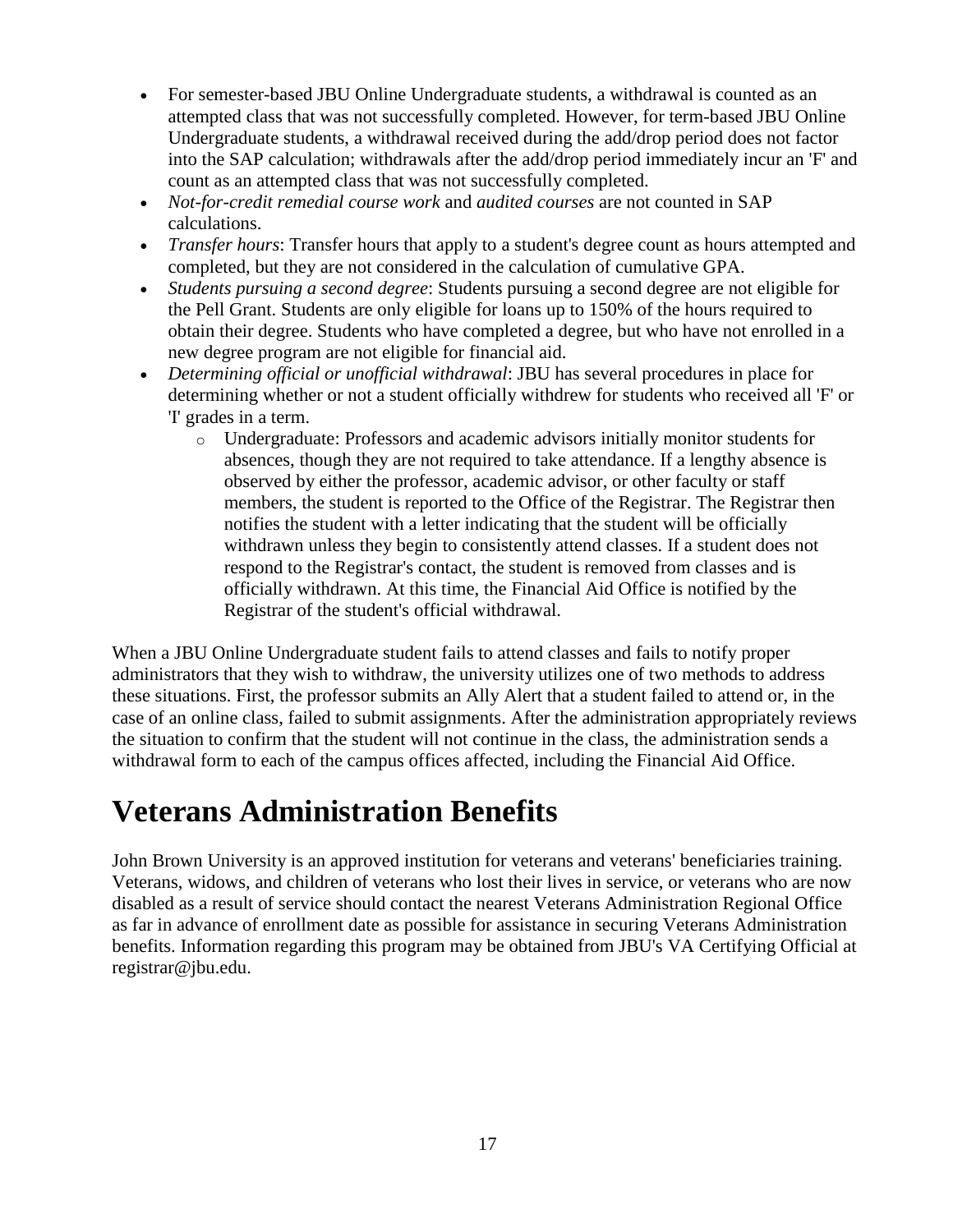- For semester-based JBU Online Undergraduate students, a withdrawal is counted as an attempted class that was not successfully completed. However, for term-based JBU Online Undergraduate students, a withdrawal received during the add/drop period does not factor into the SAP calculation; withdrawals after the add/drop period immediately incur an 'F' and count as an attempted class that was not successfully completed.
- *Not-for-credit remedial course work* and *audited courses* are not counted in SAP calculations.
- *Transfer hours*: Transfer hours that apply to a student's degree count as hours attempted and completed, but they are not considered in the calculation of cumulative GPA.
- *Students pursuing a second degree*: Students pursuing a second degree are not eligible for the Pell Grant. Students are only eligible for loans up to 150% of the hours required to obtain their degree. Students who have completed a degree, but who have not enrolled in a new degree program are not eligible for financial aid.
- *Determining official or unofficial withdrawal*: JBU has several procedures in place for determining whether or not a student officially withdrew for students who received all 'F' or 'I' grades in a term.
	- o Undergraduate: Professors and academic advisors initially monitor students for absences, though they are not required to take attendance. If a lengthy absence is observed by either the professor, academic advisor, or other faculty or staff members, the student is reported to the Office of the Registrar. The Registrar then notifies the student with a letter indicating that the student will be officially withdrawn unless they begin to consistently attend classes. If a student does not respond to the Registrar's contact, the student is removed from classes and is officially withdrawn. At this time, the Financial Aid Office is notified by the Registrar of the student's official withdrawal.

When a JBU Online Undergraduate student fails to attend classes and fails to notify proper administrators that they wish to withdraw, the university utilizes one of two methods to address these situations. First, the professor submits an Ally Alert that a student failed to attend or, in the case of an online class, failed to submit assignments. After the administration appropriately reviews the situation to confirm that the student will not continue in the class, the administration sends a withdrawal form to each of the campus offices affected, including the Financial Aid Office.

## **Veterans Administration Benefits**

John Brown University is an approved institution for veterans and veterans' beneficiaries training. Veterans, widows, and children of veterans who lost their lives in service, or veterans who are now disabled as a result of service should contact the nearest Veterans Administration Regional Office as far in advance of enrollment date as possible for assistance in securing Veterans Administration benefits. Information regarding this program may be obtained from JBU's VA Certifying Official at registrar@jbu.edu.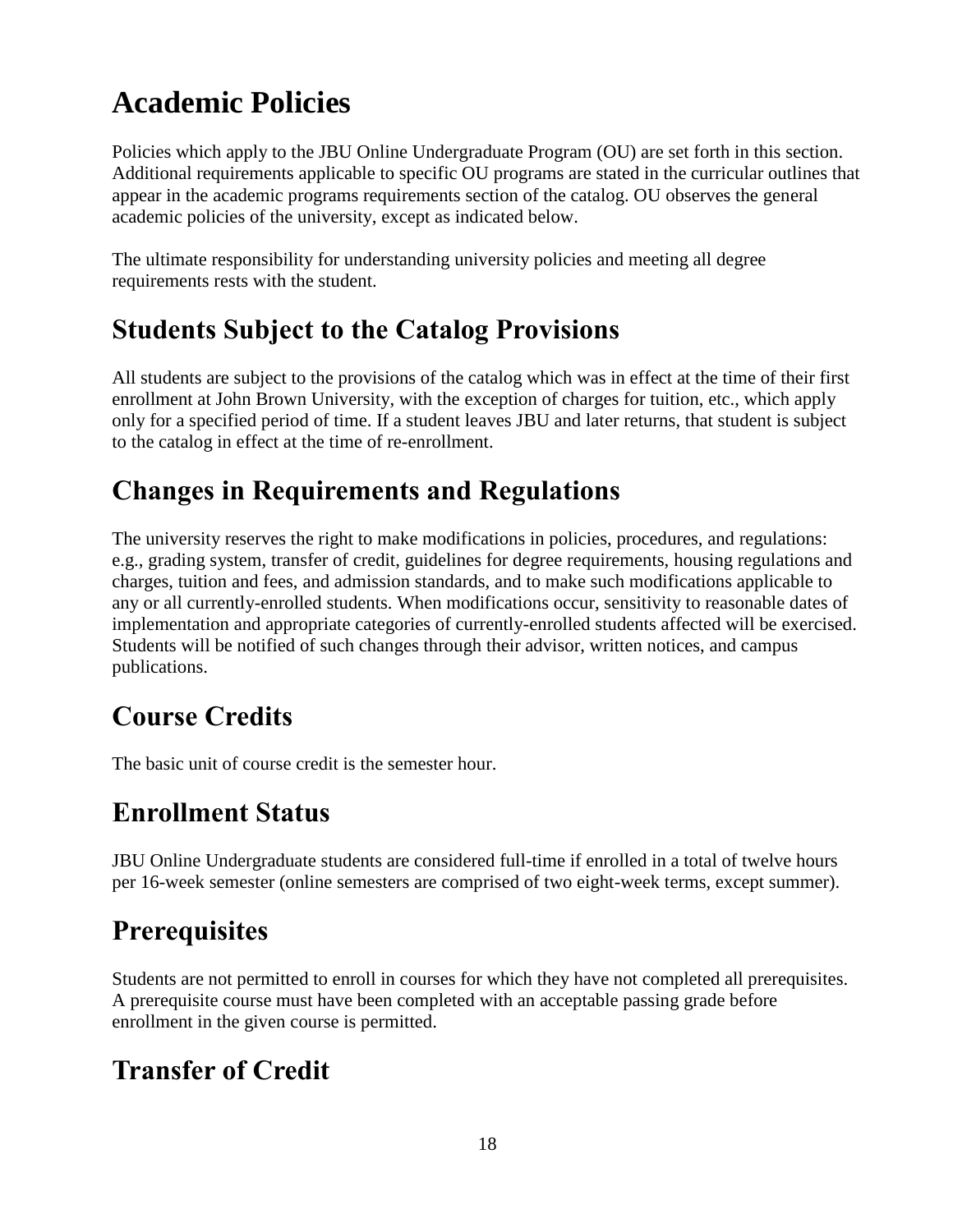# **Academic Policies**

Policies which apply to the JBU Online Undergraduate Program (OU) are set forth in this section. Additional requirements applicable to specific OU programs are stated in the curricular outlines that appear in the academic programs requirements section of the catalog. OU observes the general academic policies of the university, except as indicated below.

The ultimate responsibility for understanding university policies and meeting all degree requirements rests with the student.

### **Students Subject to the Catalog Provisions**

All students are subject to the provisions of the catalog which was in effect at the time of their first enrollment at John Brown University, with the exception of charges for tuition, etc., which apply only for a specified period of time. If a student leaves JBU and later returns, that student is subject to the catalog in effect at the time of re-enrollment.

### **Changes in Requirements and Regulations**

The university reserves the right to make modifications in policies, procedures, and regulations: e.g., grading system, transfer of credit, guidelines for degree requirements, housing regulations and charges, tuition and fees, and admission standards, and to make such modifications applicable to any or all currently-enrolled students. When modifications occur, sensitivity to reasonable dates of implementation and appropriate categories of currently-enrolled students affected will be exercised. Students will be notified of such changes through their advisor, written notices, and campus publications.

## **Course Credits**

The basic unit of course credit is the semester hour.

### **Enrollment Status**

JBU Online Undergraduate students are considered full-time if enrolled in a total of twelve hours per 16-week semester (online semesters are comprised of two eight-week terms, except summer).

### **Prerequisites**

Students are not permitted to enroll in courses for which they have not completed all prerequisites. A prerequisite course must have been completed with an acceptable passing grade before enrollment in the given course is permitted.

## **Transfer of Credit**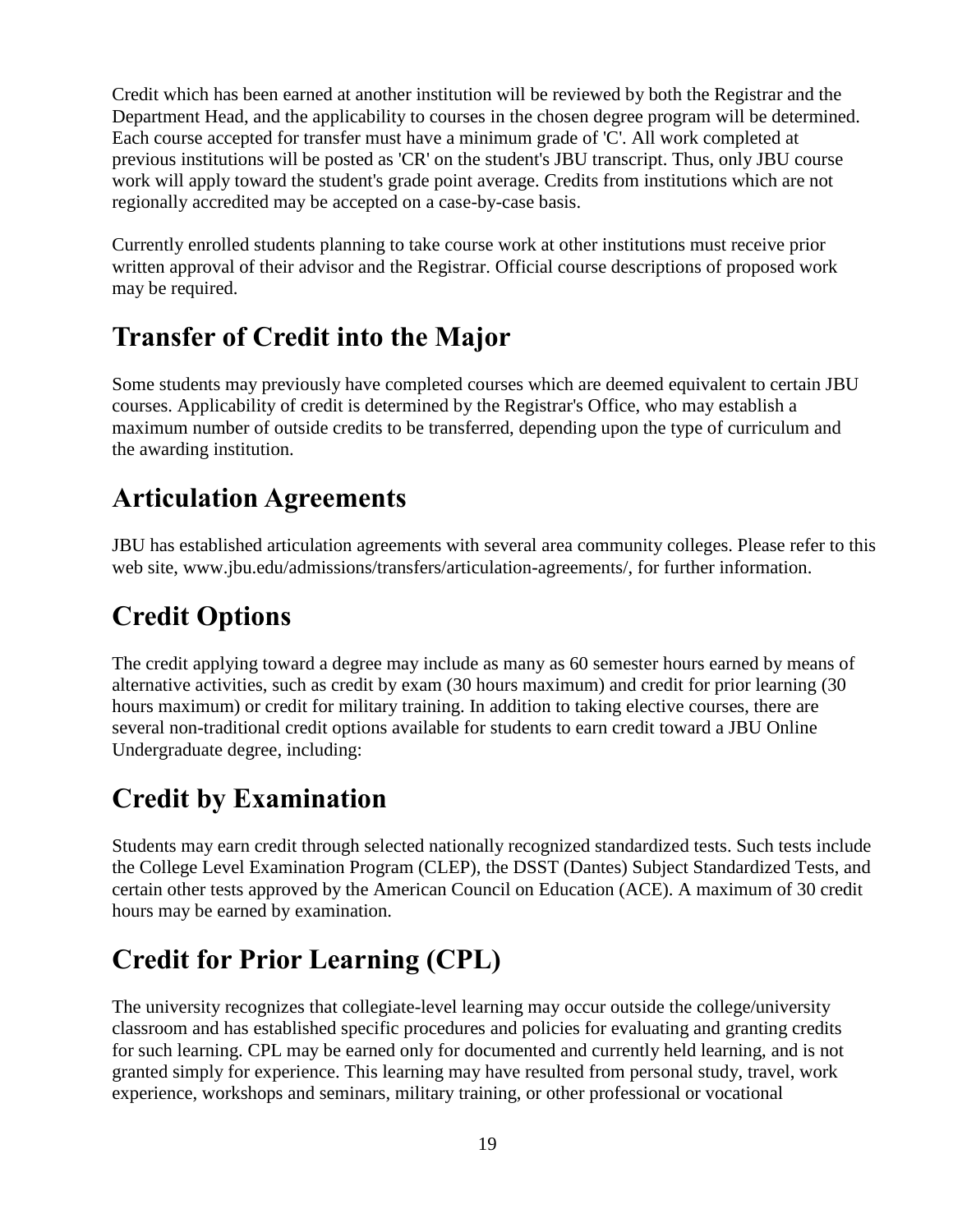Credit which has been earned at another institution will be reviewed by both the Registrar and the Department Head, and the applicability to courses in the chosen degree program will be determined. Each course accepted for transfer must have a minimum grade of 'C'. All work completed at previous institutions will be posted as 'CR' on the student's JBU transcript. Thus, only JBU course work will apply toward the student's grade point average. Credits from institutions which are not regionally accredited may be accepted on a case-by-case basis.

Currently enrolled students planning to take course work at other institutions must receive prior written approval of their advisor and the Registrar. Official course descriptions of proposed work may be required.

### **Transfer of Credit into the Major**

Some students may previously have completed courses which are deemed equivalent to certain JBU courses. Applicability of credit is determined by the Registrar's Office, who may establish a maximum number of outside credits to be transferred, depending upon the type of curriculum and the awarding institution.

#### **Articulation Agreements**

JBU has established articulation agreements with several area community colleges. Please refer to this web site, www.jbu.edu/admissions/transfers/articulation-agreements/, for further information.

# **Credit Options**

The credit applying toward a degree may include as many as 60 semester hours earned by means of alternative activities, such as credit by exam (30 hours maximum) and credit for prior learning (30 hours maximum) or credit for military training. In addition to taking elective courses, there are several non-traditional credit options available for students to earn credit toward a JBU Online Undergraduate degree, including:

## **Credit by Examination**

Students may earn credit through selected nationally recognized standardized tests. Such tests include the College Level Examination Program (CLEP), the DSST (Dantes) Subject Standardized Tests, and certain other tests approved by the American Council on Education (ACE). A maximum of 30 credit hours may be earned by examination.

## **Credit for Prior Learning (CPL)**

The university recognizes that collegiate-level learning may occur outside the college/university classroom and has established specific procedures and policies for evaluating and granting credits for such learning. CPL may be earned only for documented and currently held learning, and is not granted simply for experience. This learning may have resulted from personal study, travel, work experience, workshops and seminars, military training, or other professional or vocational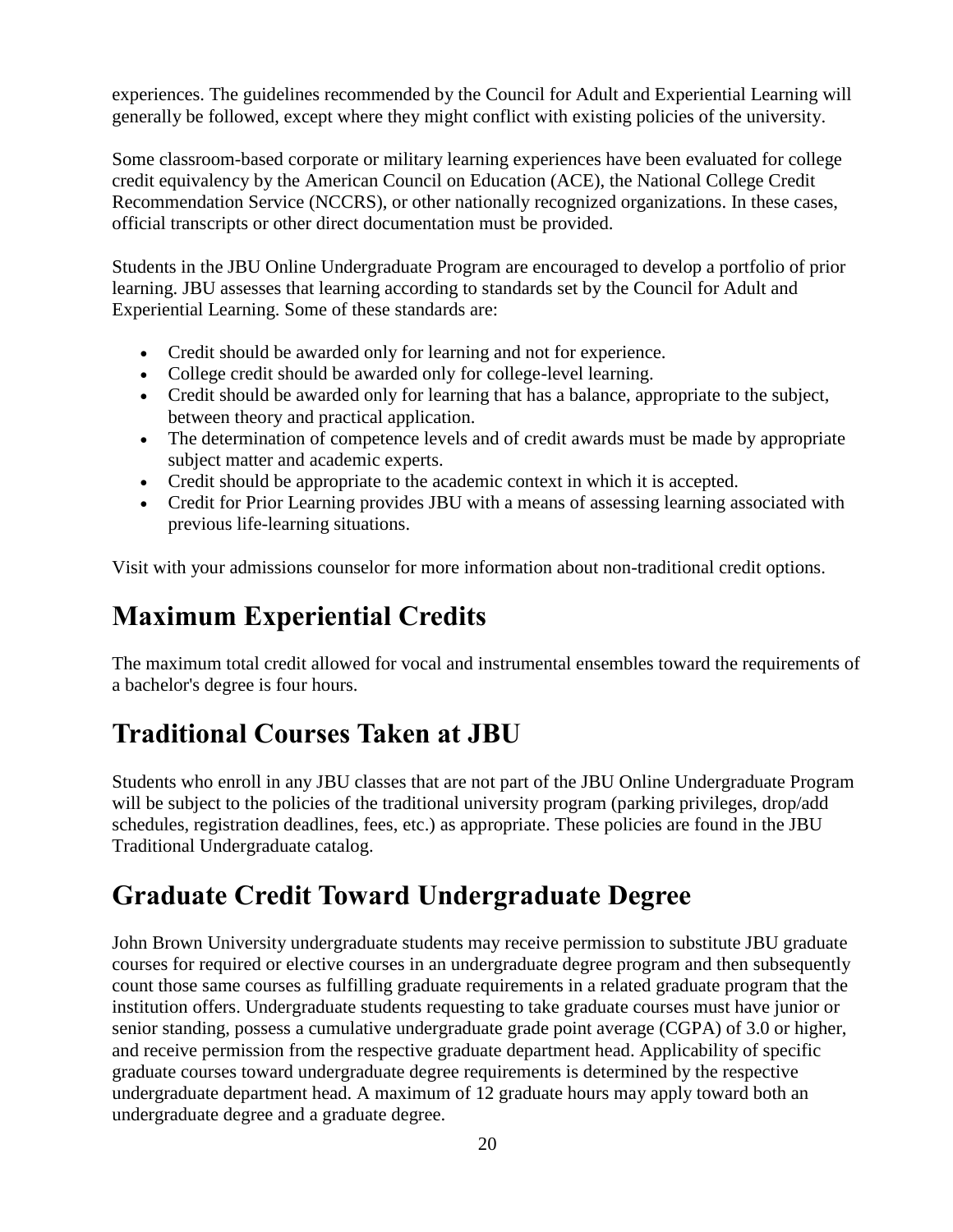experiences. The guidelines recommended by the Council for Adult and Experiential Learning will generally be followed, except where they might conflict with existing policies of the university.

Some classroom-based corporate or military learning experiences have been evaluated for college credit equivalency by the American Council on Education (ACE), the National College Credit Recommendation Service (NCCRS), or other nationally recognized organizations. In these cases, official transcripts or other direct documentation must be provided.

Students in the JBU Online Undergraduate Program are encouraged to develop a portfolio of prior learning. JBU assesses that learning according to standards set by the Council for Adult and Experiential Learning. Some of these standards are:

- Credit should be awarded only for learning and not for experience.
- College credit should be awarded only for college-level learning.
- Credit should be awarded only for learning that has a balance, appropriate to the subject, between theory and practical application.
- The determination of competence levels and of credit awards must be made by appropriate subject matter and academic experts.
- Credit should be appropriate to the academic context in which it is accepted.
- Credit for Prior Learning provides JBU with a means of assessing learning associated with previous life-learning situations.

Visit with your admissions counselor for more information about non-traditional credit options.

## **Maximum Experiential Credits**

The maximum total credit allowed for vocal and instrumental ensembles toward the requirements of a bachelor's degree is four hours.

### **Traditional Courses Taken at JBU**

Students who enroll in any JBU classes that are not part of the JBU Online Undergraduate Program will be subject to the policies of the traditional university program (parking privileges, drop/add schedules, registration deadlines, fees, etc.) as appropriate. These policies are found in the JBU Traditional Undergraduate catalog.

### **Graduate Credit Toward Undergraduate Degree**

John Brown University undergraduate students may receive permission to substitute JBU graduate courses for required or elective courses in an undergraduate degree program and then subsequently count those same courses as fulfilling graduate requirements in a related graduate program that the institution offers. Undergraduate students requesting to take graduate courses must have junior or senior standing, possess a cumulative undergraduate grade point average (CGPA) of 3.0 or higher, and receive permission from the respective graduate department head. Applicability of specific graduate courses toward undergraduate degree requirements is determined by the respective undergraduate department head. A maximum of 12 graduate hours may apply toward both an undergraduate degree and a graduate degree.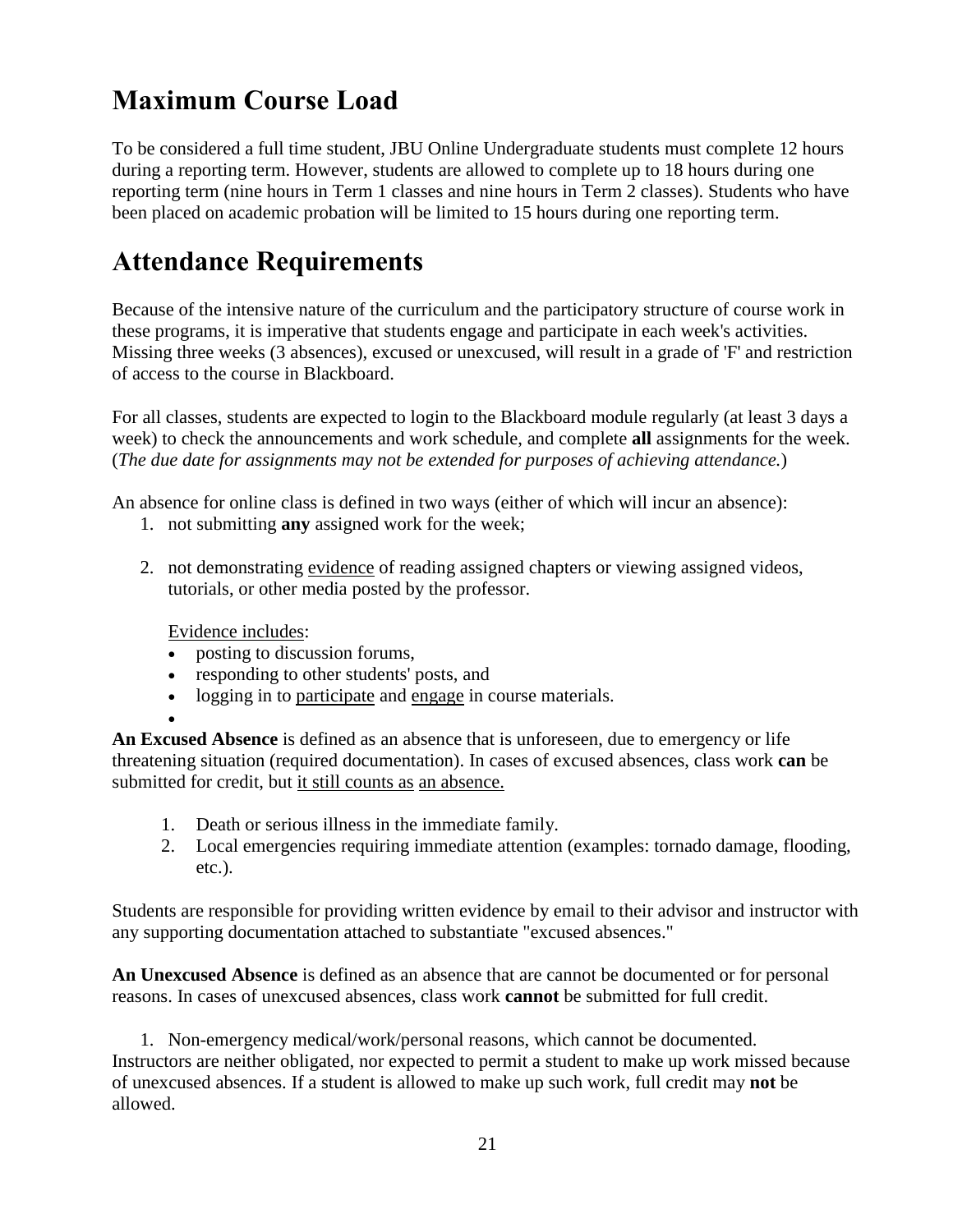### **Maximum Course Load**

To be considered a full time student, JBU Online Undergraduate students must complete 12 hours during a reporting term. However, students are allowed to complete up to 18 hours during one reporting term (nine hours in Term 1 classes and nine hours in Term 2 classes). Students who have been placed on academic probation will be limited to 15 hours during one reporting term.

#### **Attendance Requirements**

Because of the intensive nature of the curriculum and the participatory structure of course work in these programs, it is imperative that students engage and participate in each week's activities. Missing three weeks (3 absences), excused or unexcused, will result in a grade of 'F' and restriction of access to the course in Blackboard.

For all classes, students are expected to login to the Blackboard module regularly (at least 3 days a week) to check the announcements and work schedule, and complete **all** assignments for the week. (*The due date for assignments may not be extended for purposes of achieving attendance.*)

An absence for online class is defined in two ways (either of which will incur an absence):

- 1. not submitting **any** assigned work for the week;
- 2. not demonstrating evidence of reading assigned chapters or viewing assigned videos, tutorials, or other media posted by the professor.

Evidence includes:

- posting to discussion forums,
- responding to other students' posts, and
- logging in to participate and engage in course materials.

 $\bullet$ 

**An Excused Absence** is defined as an absence that is unforeseen, due to emergency or life threatening situation (required documentation). In cases of excused absences, class work **can** be submitted for credit, but it still counts as an absence.

- 1. Death or serious illness in the immediate family.
- 2. Local emergencies requiring immediate attention (examples: tornado damage, flooding, etc.).

Students are responsible for providing written evidence by email to their advisor and instructor with any supporting documentation attached to substantiate "excused absences."

**An Unexcused Absence** is defined as an absence that are cannot be documented or for personal reasons. In cases of unexcused absences, class work **cannot** be submitted for full credit.

1. Non-emergency medical/work/personal reasons, which cannot be documented. Instructors are neither obligated, nor expected to permit a student to make up work missed because of unexcused absences. If a student is allowed to make up such work, full credit may **not** be allowed.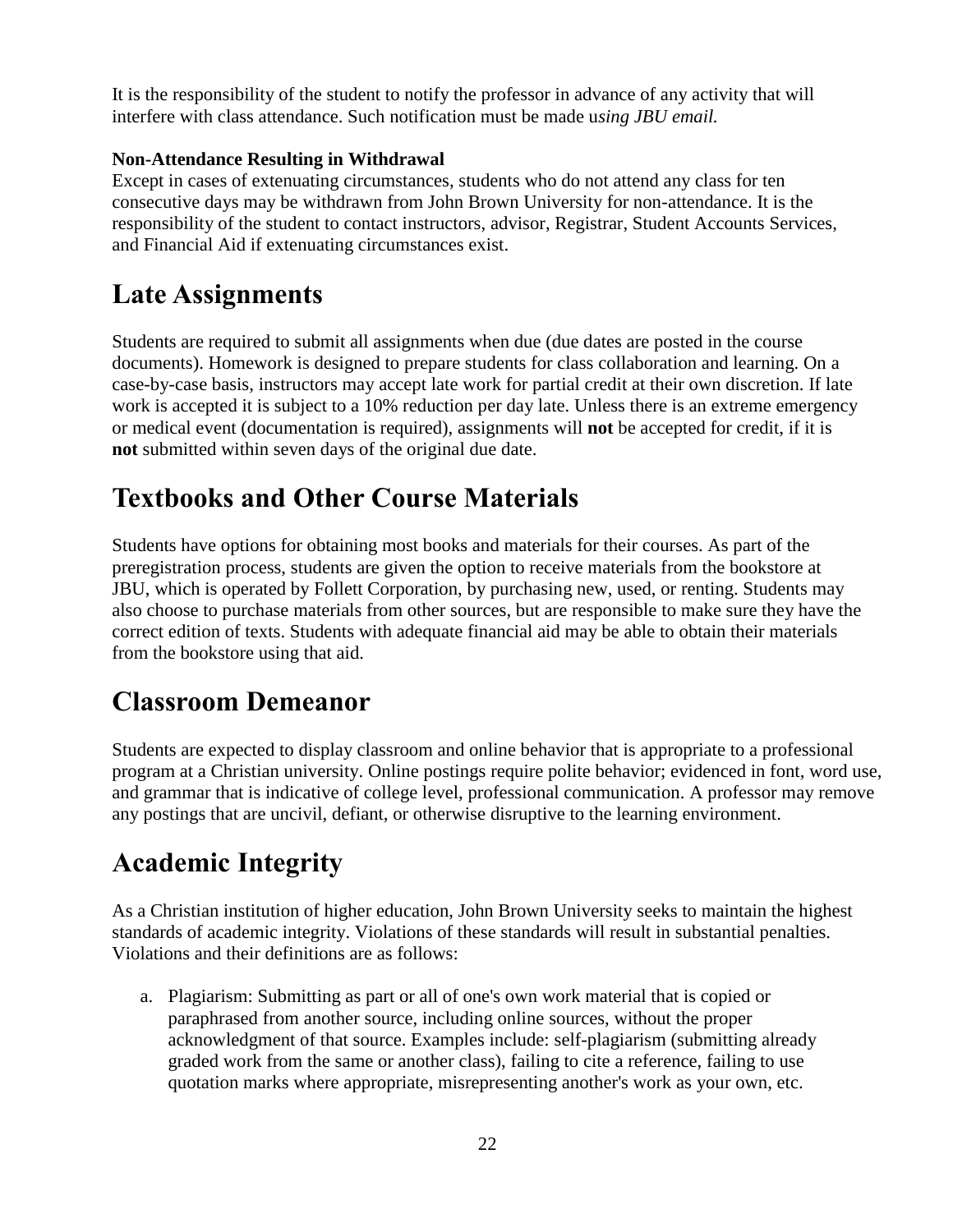It is the responsibility of the student to notify the professor in advance of any activity that will interfere with class attendance. Such notification must be made u*sing JBU email.*

#### **Non-Attendance Resulting in Withdrawal**

Except in cases of extenuating circumstances, students who do not attend any class for ten consecutive days may be withdrawn from John Brown University for non-attendance. It is the responsibility of the student to contact instructors, advisor, Registrar, Student Accounts Services, and Financial Aid if extenuating circumstances exist.

#### **Late Assignments**

Students are required to submit all assignments when due (due dates are posted in the course documents). Homework is designed to prepare students for class collaboration and learning. On a case-by-case basis, instructors may accept late work for partial credit at their own discretion. If late work is accepted it is subject to a 10% reduction per day late. Unless there is an extreme emergency or medical event (documentation is required), assignments will **not** be accepted for credit, if it is **not** submitted within seven days of the original due date.

#### **Textbooks and Other Course Materials**

Students have options for obtaining most books and materials for their courses. As part of the preregistration process, students are given the option to receive materials from the bookstore at JBU, which is operated by Follett Corporation, by purchasing new, used, or renting. Students may also choose to purchase materials from other sources, but are responsible to make sure they have the correct edition of texts. Students with adequate financial aid may be able to obtain their materials from the bookstore using that aid.

#### **Classroom Demeanor**

Students are expected to display classroom and online behavior that is appropriate to a professional program at a Christian university. Online postings require polite behavior; evidenced in font, word use, and grammar that is indicative of college level, professional communication. A professor may remove any postings that are uncivil, defiant, or otherwise disruptive to the learning environment.

### **Academic Integrity**

As a Christian institution of higher education, John Brown University seeks to maintain the highest standards of academic integrity. Violations of these standards will result in substantial penalties. Violations and their definitions are as follows:

a. Plagiarism: Submitting as part or all of one's own work material that is copied or paraphrased from another source, including online sources, without the proper acknowledgment of that source. Examples include: self-plagiarism (submitting already graded work from the same or another class), failing to cite a reference, failing to use quotation marks where appropriate, misrepresenting another's work as your own, etc.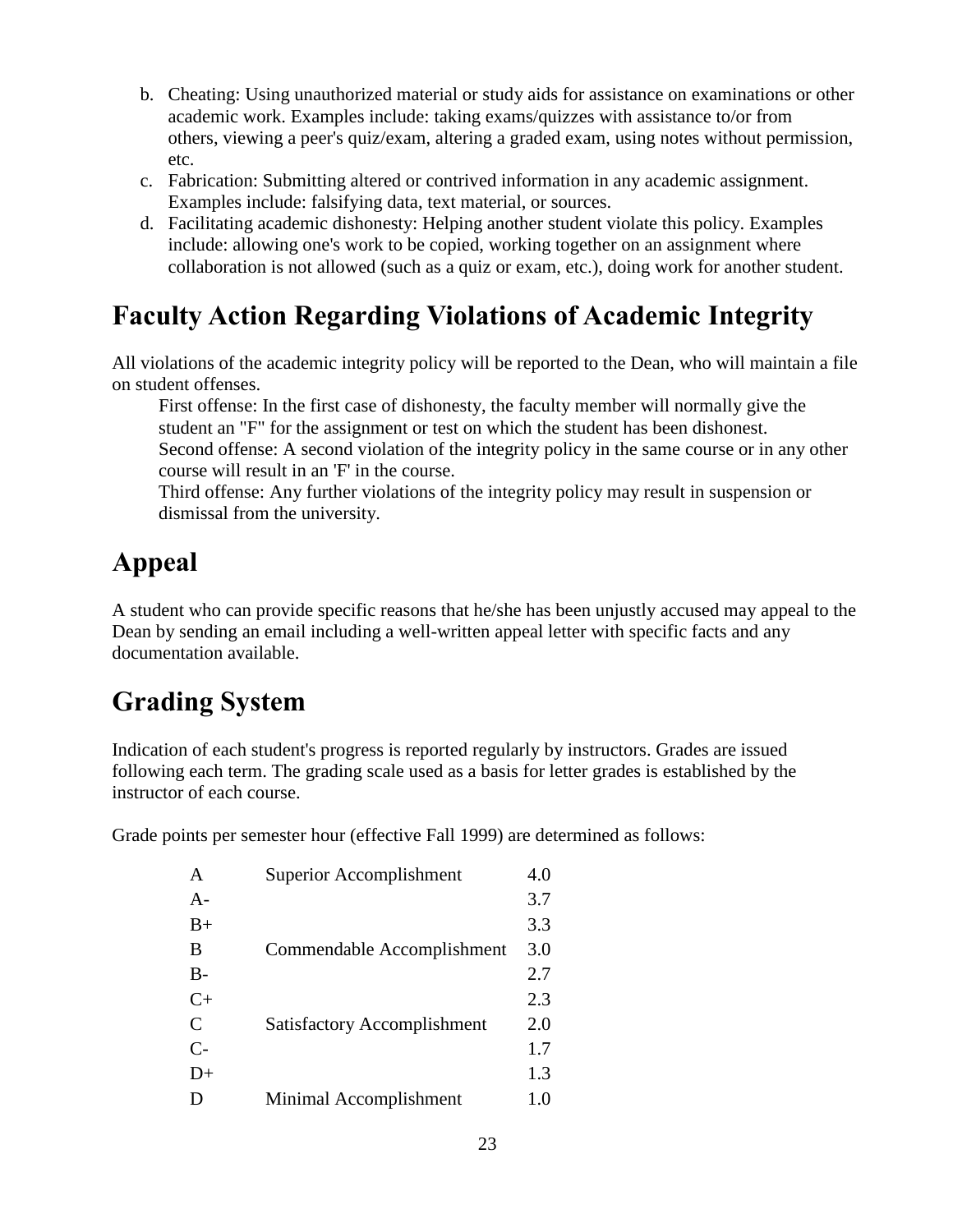- b. Cheating: Using unauthorized material or study aids for assistance on examinations or other academic work. Examples include: taking exams/quizzes with assistance to/or from others, viewing a peer's quiz/exam, altering a graded exam, using notes without permission, etc.
- c. Fabrication: Submitting altered or contrived information in any academic assignment. Examples include: falsifying data, text material, or sources.
- d. Facilitating academic dishonesty: Helping another student violate this policy. Examples include: allowing one's work to be copied, working together on an assignment where collaboration is not allowed (such as a quiz or exam, etc.), doing work for another student.

#### **Faculty Action Regarding Violations of Academic Integrity**

All violations of the academic integrity policy will be reported to the Dean, who will maintain a file on student offenses.

First offense: In the first case of dishonesty, the faculty member will normally give the student an "F" for the assignment or test on which the student has been dishonest.

Second offense: A second violation of the integrity policy in the same course or in any other course will result in an 'F' in the course.

Third offense: Any further violations of the integrity policy may result in suspension or dismissal from the university.

## **Appeal**

A student who can provide specific reasons that he/she has been unjustly accused may appeal to the Dean by sending an email including a well-written appeal letter with specific facts and any documentation available.

## **Grading System**

Indication of each student's progress is reported regularly by instructors. Grades are issued following each term. The grading scale used as a basis for letter grades is established by the instructor of each course.

Grade points per semester hour (effective Fall 1999) are determined as follows:

| A             | Superior Accomplishment            | 4.0 |
|---------------|------------------------------------|-----|
| $A-$          |                                    | 3.7 |
| $B+$          |                                    | 3.3 |
| B             | Commendable Accomplishment         | 3.0 |
| $B-$          |                                    | 2.7 |
| $C+$          |                                    | 2.3 |
| $\mathcal{C}$ | <b>Satisfactory Accomplishment</b> | 2.0 |
| $C-$          |                                    | 1.7 |
| $D+$          |                                    | 1.3 |
| D             | Minimal Accomplishment             | 1.0 |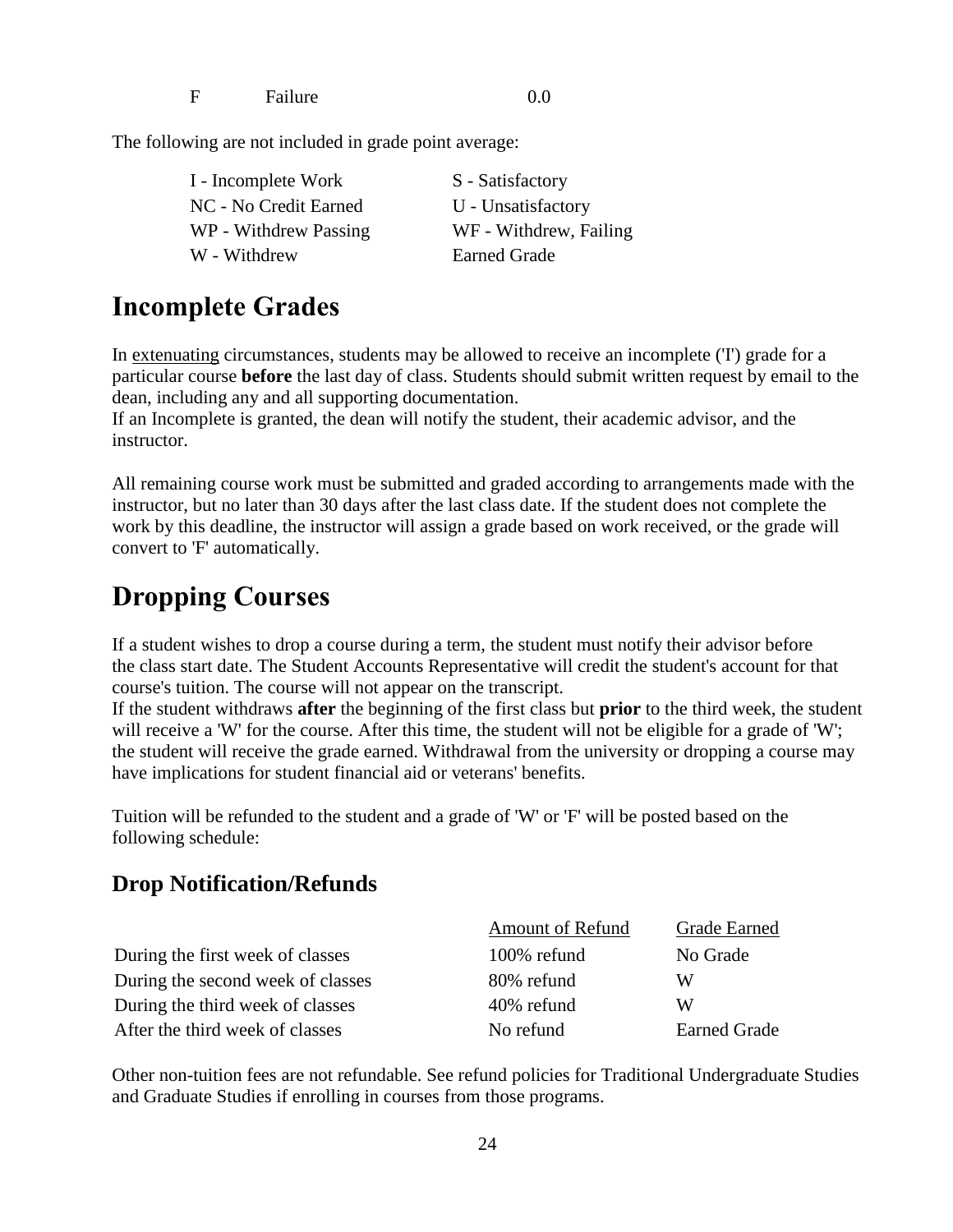F Failure 0.0

The following are not included in grade point average:

| I - Incomplete Work   | S - Satisfactory       |
|-----------------------|------------------------|
| NC - No Credit Earned | U - Unsatisfactory     |
| WP - Withdrew Passing | WF - Withdrew, Failing |
| W - Withdrew          | <b>Earned Grade</b>    |

#### **Incomplete Grades**

In extenuating circumstances, students may be allowed to receive an incomplete ('I') grade for a particular course **before** the last day of class. Students should submit written request by email to the dean, including any and all supporting documentation.

If an Incomplete is granted, the dean will notify the student, their academic advisor, and the instructor.

All remaining course work must be submitted and graded according to arrangements made with the instructor, but no later than 30 days after the last class date. If the student does not complete the work by this deadline, the instructor will assign a grade based on work received, or the grade will convert to 'F' automatically.

#### **Dropping Courses**

If a student wishes to drop a course during a term, the student must notify their advisor before the class start date. The Student Accounts Representative will credit the student's account for that course's tuition. The course will not appear on the transcript.

If the student withdraws **after** the beginning of the first class but **prior** to the third week, the student will receive a 'W' for the course. After this time, the student will not be eligible for a grade of 'W'; the student will receive the grade earned. Withdrawal from the university or dropping a course may have implications for student financial aid or veterans' benefits.

Tuition will be refunded to the student and a grade of 'W' or 'F' will be posted based on the following schedule:

#### **Drop Notification/Refunds**

|                                   | <b>Amount of Refund</b> | <b>Grade Earned</b> |
|-----------------------------------|-------------------------|---------------------|
| During the first week of classes  | 100% refund             | No Grade            |
| During the second week of classes | 80% refund              | W                   |
| During the third week of classes  | 40% refund              | W                   |
| After the third week of classes   | No refund               | <b>Earned Grade</b> |

Other non-tuition fees are not refundable. See refund policies for Traditional Undergraduate Studies and Graduate Studies if enrolling in courses from those programs.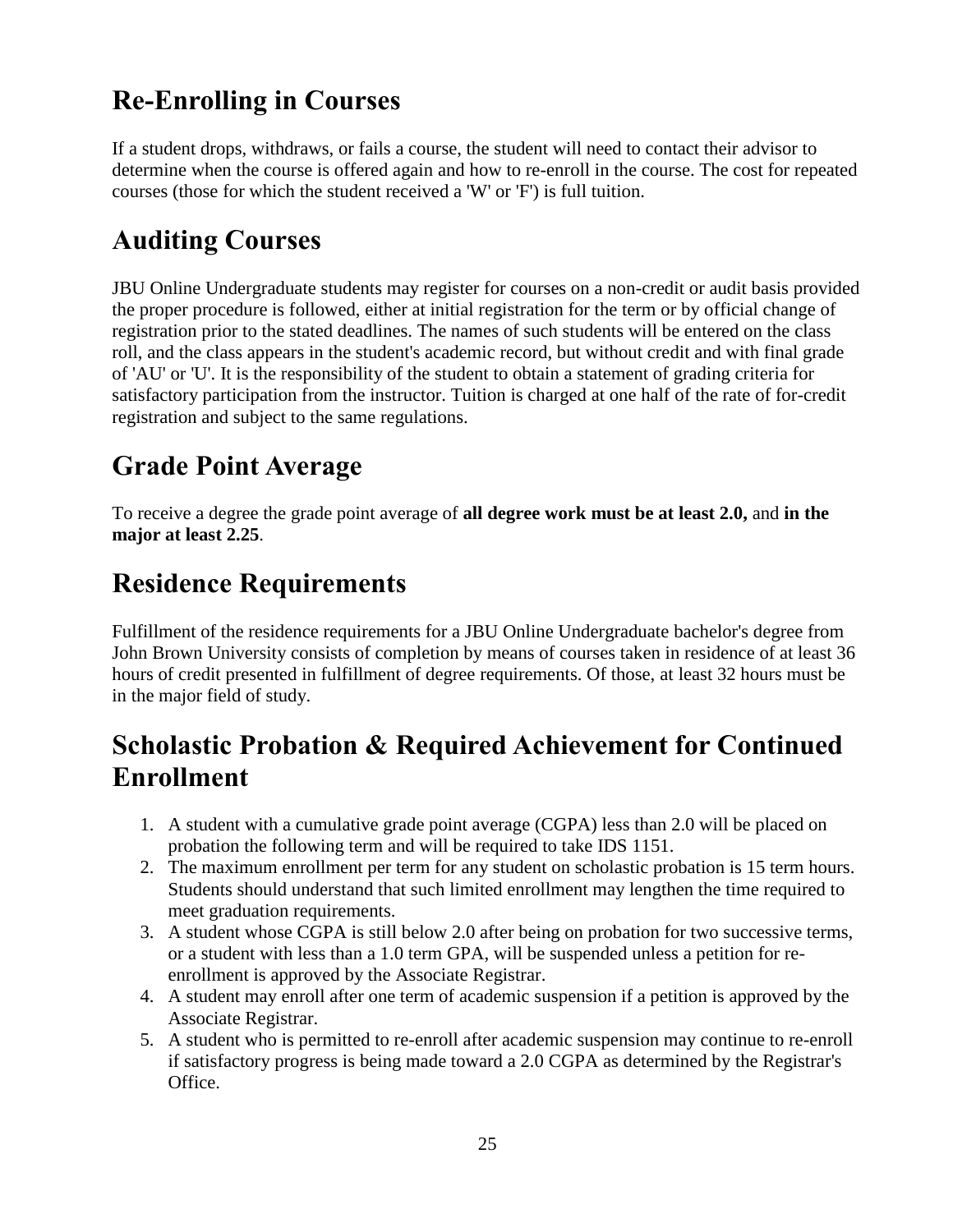## **Re-Enrolling in Courses**

If a student drops, withdraws, or fails a course, the student will need to contact their advisor to determine when the course is offered again and how to re-enroll in the course. The cost for repeated courses (those for which the student received a 'W' or 'F') is full tuition.

### **Auditing Courses**

JBU Online Undergraduate students may register for courses on a non-credit or audit basis provided the proper procedure is followed, either at initial registration for the term or by official change of registration prior to the stated deadlines. The names of such students will be entered on the class roll, and the class appears in the student's academic record, but without credit and with final grade of 'AU' or 'U'. It is the responsibility of the student to obtain a statement of grading criteria for satisfactory participation from the instructor. Tuition is charged at one half of the rate of for-credit registration and subject to the same regulations.

### **Grade Point Average**

To receive a degree the grade point average of **all degree work must be at least 2.0,** and **in the major at least 2.25**.

### **Residence Requirements**

Fulfillment of the residence requirements for a JBU Online Undergraduate bachelor's degree from John Brown University consists of completion by means of courses taken in residence of at least 36 hours of credit presented in fulfillment of degree requirements. Of those, at least 32 hours must be in the major field of study.

### **Scholastic Probation & Required Achievement for Continued Enrollment**

- 1. A student with a cumulative grade point average (CGPA) less than 2.0 will be placed on probation the following term and will be required to take IDS 1151.
- 2. The maximum enrollment per term for any student on scholastic probation is 15 term hours. Students should understand that such limited enrollment may lengthen the time required to meet graduation requirements.
- 3. A student whose CGPA is still below 2.0 after being on probation for two successive terms, or a student with less than a 1.0 term GPA, will be suspended unless a petition for reenrollment is approved by the Associate Registrar.
- 4. A student may enroll after one term of academic suspension if a petition is approved by the Associate Registrar.
- 5. A student who is permitted to re-enroll after academic suspension may continue to re-enroll if satisfactory progress is being made toward a 2.0 CGPA as determined by the Registrar's Office.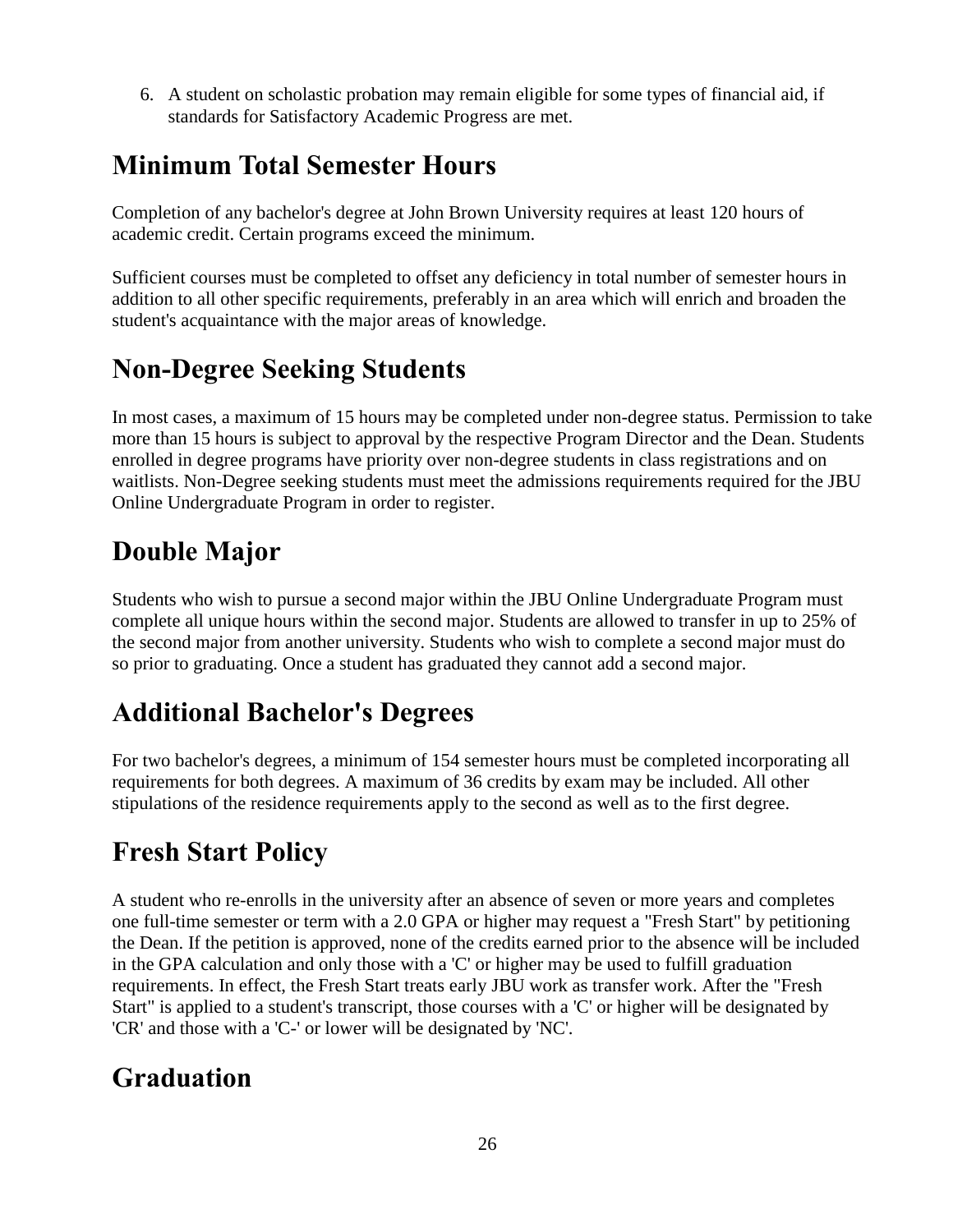6. A student on scholastic probation may remain eligible for some types of financial aid, if standards for Satisfactory Academic Progress are met.

#### **Minimum Total Semester Hours**

Completion of any bachelor's degree at John Brown University requires at least 120 hours of academic credit. Certain programs exceed the minimum.

Sufficient courses must be completed to offset any deficiency in total number of semester hours in addition to all other specific requirements, preferably in an area which will enrich and broaden the student's acquaintance with the major areas of knowledge.

#### **Non-Degree Seeking Students**

In most cases, a maximum of 15 hours may be completed under non-degree status. Permission to take more than 15 hours is subject to approval by the respective Program Director and the Dean. Students enrolled in degree programs have priority over non-degree students in class registrations and on waitlists. Non-Degree seeking students must meet the admissions requirements required for the JBU Online Undergraduate Program in order to register.

### **Double Major**

Students who wish to pursue a second major within the JBU Online Undergraduate Program must complete all unique hours within the second major. Students are allowed to transfer in up to 25% of the second major from another university. Students who wish to complete a second major must do so prior to graduating. Once a student has graduated they cannot add a second major.

### **Additional Bachelor's Degrees**

For two bachelor's degrees, a minimum of 154 semester hours must be completed incorporating all requirements for both degrees. A maximum of 36 credits by exam may be included. All other stipulations of the residence requirements apply to the second as well as to the first degree.

## **Fresh Start Policy**

A student who re-enrolls in the university after an absence of seven or more years and completes one full-time semester or term with a 2.0 GPA or higher may request a "Fresh Start" by petitioning the Dean. If the petition is approved, none of the credits earned prior to the absence will be included in the GPA calculation and only those with a 'C' or higher may be used to fulfill graduation requirements. In effect, the Fresh Start treats early JBU work as transfer work. After the "Fresh Start" is applied to a student's transcript, those courses with a 'C' or higher will be designated by 'CR' and those with a 'C-' or lower will be designated by 'NC'.

### **Graduation**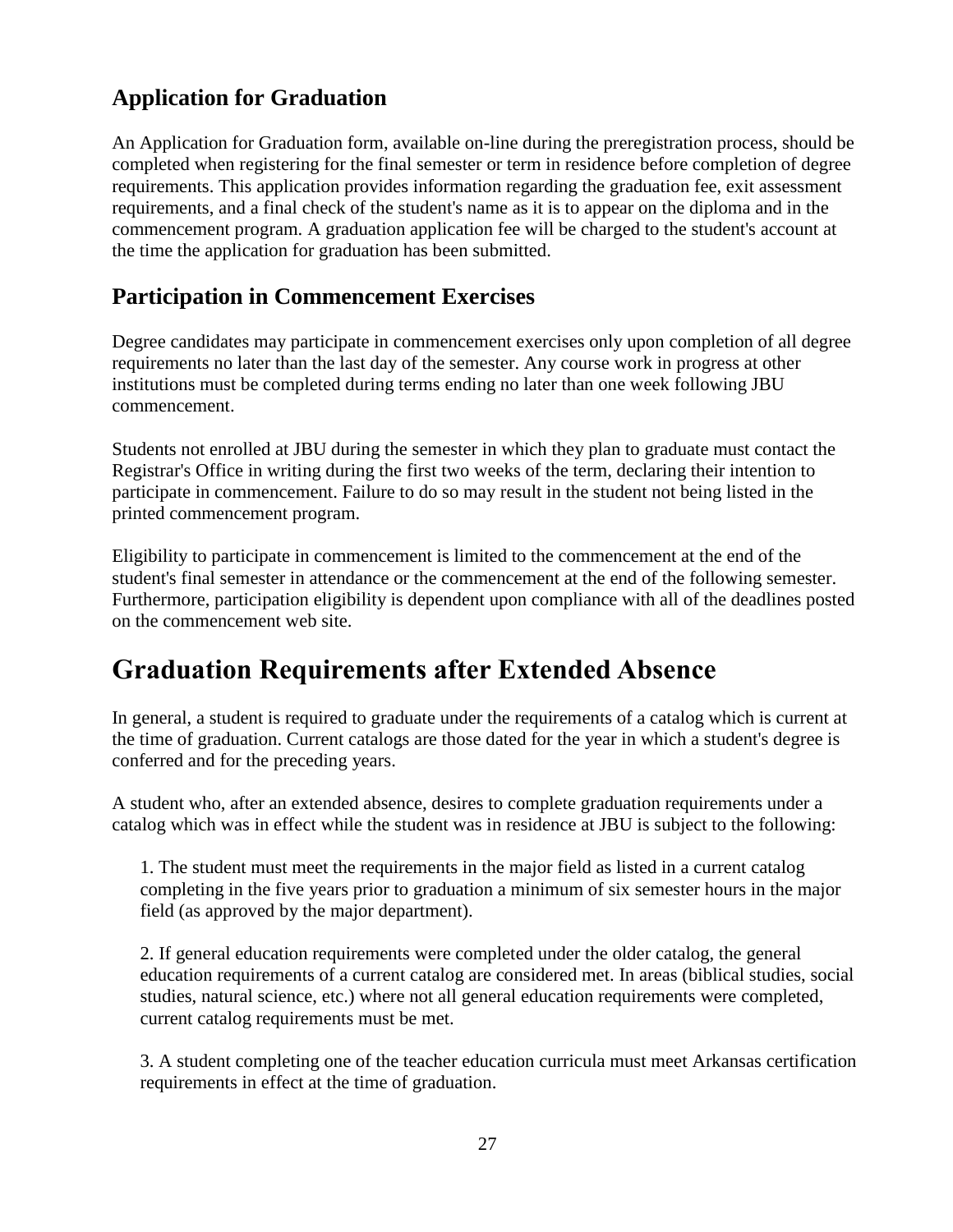#### **Application for Graduation**

An Application for Graduation form, available on-line during the preregistration process, should be completed when registering for the final semester or term in residence before completion of degree requirements. This application provides information regarding the graduation fee, exit assessment requirements, and a final check of the student's name as it is to appear on the diploma and in the commencement program. A graduation application fee will be charged to the student's account at the time the application for graduation has been submitted.

#### **Participation in Commencement Exercises**

Degree candidates may participate in commencement exercises only upon completion of all degree requirements no later than the last day of the semester. Any course work in progress at other institutions must be completed during terms ending no later than one week following JBU commencement.

Students not enrolled at JBU during the semester in which they plan to graduate must contact the Registrar's Office in writing during the first two weeks of the term, declaring their intention to participate in commencement. Failure to do so may result in the student not being listed in the printed commencement program.

Eligibility to participate in commencement is limited to the commencement at the end of the student's final semester in attendance or the commencement at the end of the following semester. Furthermore, participation eligibility is dependent upon compliance with all of the deadlines posted on the commencement web site.

#### **Graduation Requirements after Extended Absence**

In general, a student is required to graduate under the requirements of a catalog which is current at the time of graduation. Current catalogs are those dated for the year in which a student's degree is conferred and for the preceding years.

A student who, after an extended absence, desires to complete graduation requirements under a catalog which was in effect while the student was in residence at JBU is subject to the following:

1. The student must meet the requirements in the major field as listed in a current catalog completing in the five years prior to graduation a minimum of six semester hours in the major field (as approved by the major department).

2. If general education requirements were completed under the older catalog, the general education requirements of a current catalog are considered met. In areas (biblical studies, social studies, natural science, etc.) where not all general education requirements were completed, current catalog requirements must be met.

3. A student completing one of the teacher education curricula must meet Arkansas certification requirements in effect at the time of graduation.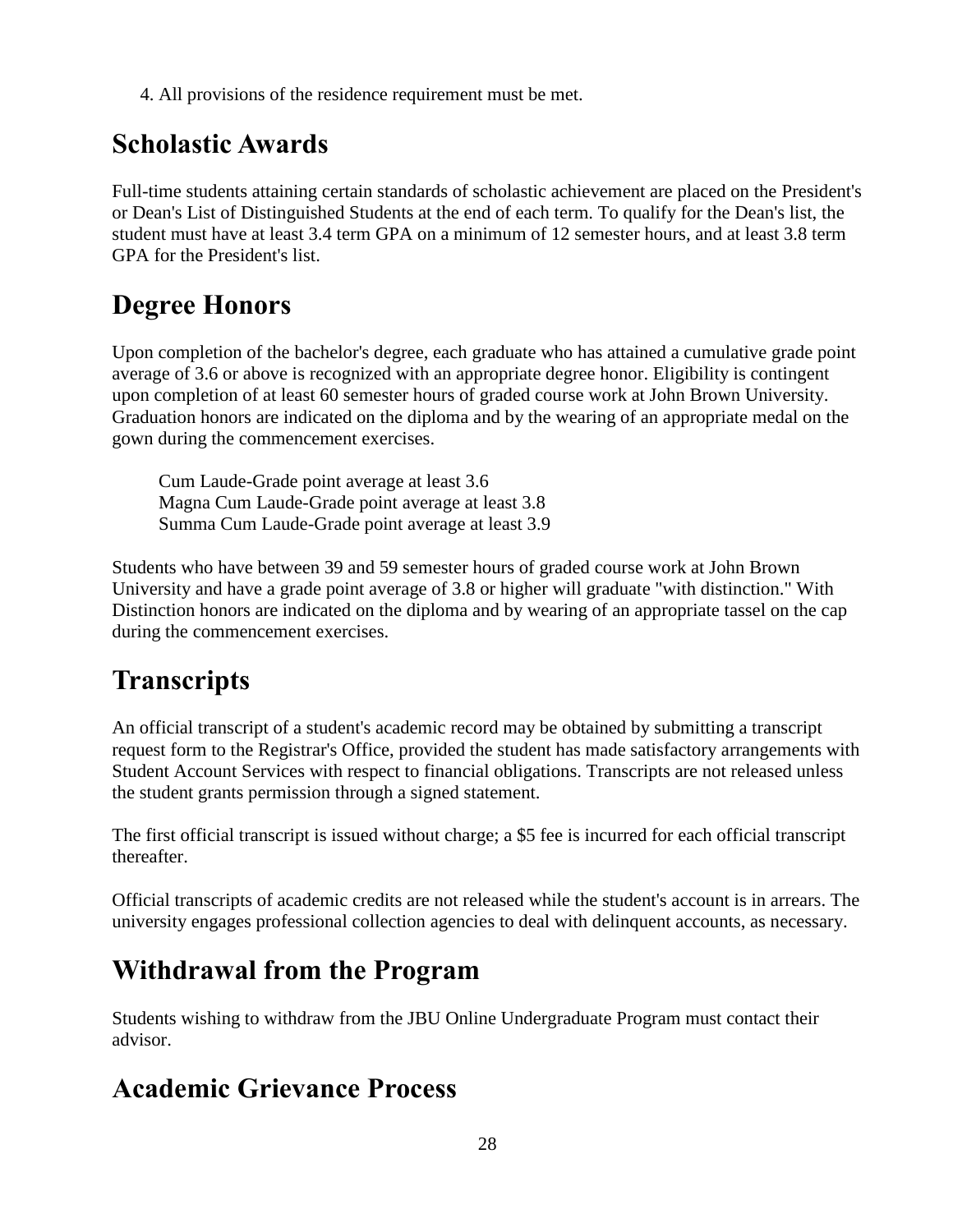4. All provisions of the residence requirement must be met.

#### **Scholastic Awards**

Full-time students attaining certain standards of scholastic achievement are placed on the President's or Dean's List of Distinguished Students at the end of each term. To qualify for the Dean's list, the student must have at least 3.4 term GPA on a minimum of 12 semester hours, and at least 3.8 term GPA for the President's list.

### **Degree Honors**

Upon completion of the bachelor's degree, each graduate who has attained a cumulative grade point average of 3.6 or above is recognized with an appropriate degree honor. Eligibility is contingent upon completion of at least 60 semester hours of graded course work at John Brown University. Graduation honors are indicated on the diploma and by the wearing of an appropriate medal on the gown during the commencement exercises.

Cum Laude-Grade point average at least 3.6 Magna Cum Laude-Grade point average at least 3.8 Summa Cum Laude-Grade point average at least 3.9

Students who have between 39 and 59 semester hours of graded course work at John Brown University and have a grade point average of 3.8 or higher will graduate "with distinction." With Distinction honors are indicated on the diploma and by wearing of an appropriate tassel on the cap during the commencement exercises.

## **Transcripts**

An official transcript of a student's academic record may be obtained by submitting a transcript request form to the Registrar's Office, provided the student has made satisfactory arrangements with Student Account Services with respect to financial obligations. Transcripts are not released unless the student grants permission through a signed statement.

The first official transcript is issued without charge; a \$5 fee is incurred for each official transcript thereafter.

Official transcripts of academic credits are not released while the student's account is in arrears. The university engages professional collection agencies to deal with delinquent accounts, as necessary.

## **Withdrawal from the Program**

Students wishing to withdraw from the JBU Online Undergraduate Program must contact their advisor.

#### **Academic Grievance Process**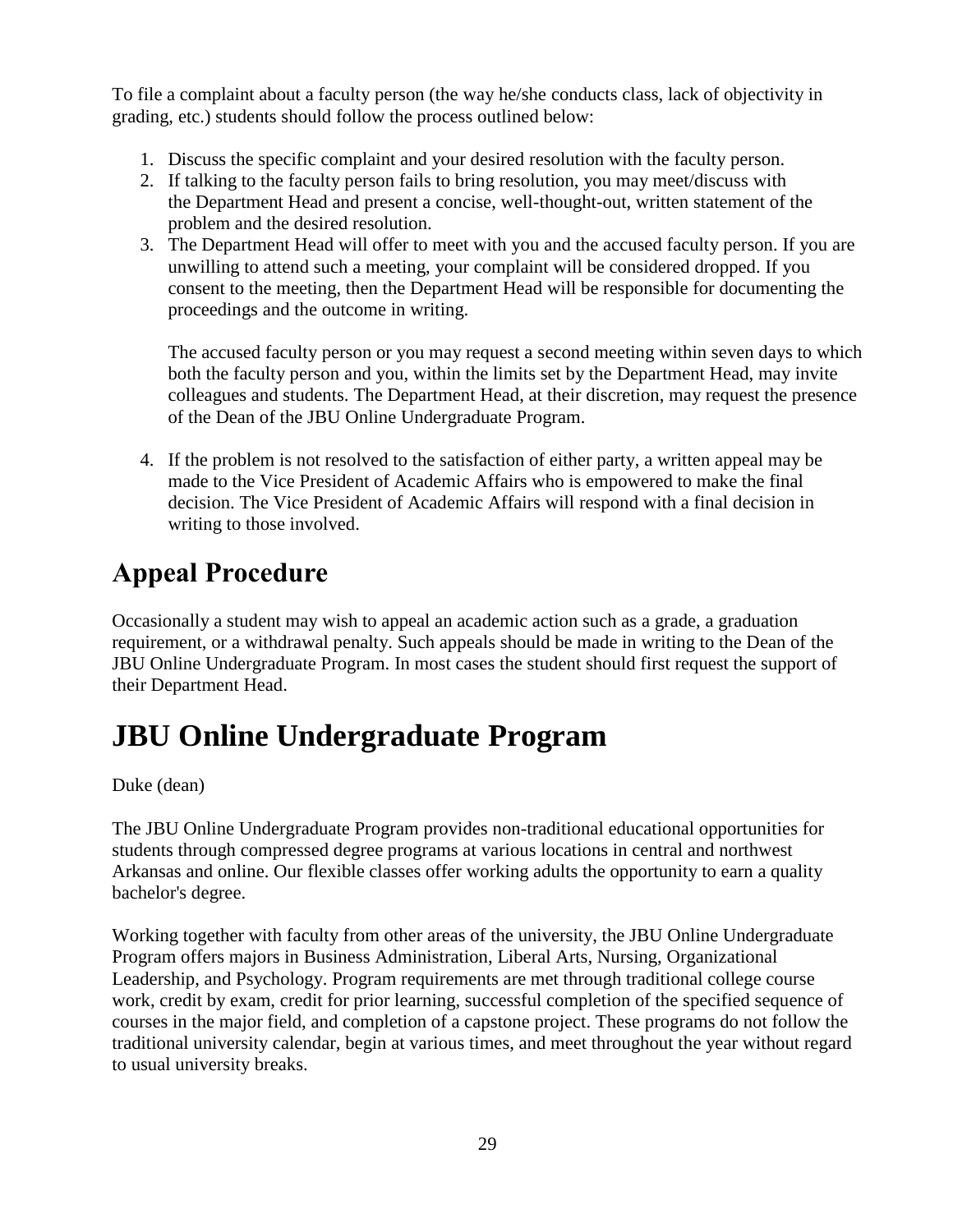To file a complaint about a faculty person (the way he/she conducts class, lack of objectivity in grading, etc.) students should follow the process outlined below:

- 1. Discuss the specific complaint and your desired resolution with the faculty person.
- 2. If talking to the faculty person fails to bring resolution, you may meet/discuss with the Department Head and present a concise, well-thought-out, written statement of the problem and the desired resolution.
- 3. The Department Head will offer to meet with you and the accused faculty person. If you are unwilling to attend such a meeting, your complaint will be considered dropped. If you consent to the meeting, then the Department Head will be responsible for documenting the proceedings and the outcome in writing.

The accused faculty person or you may request a second meeting within seven days to which both the faculty person and you, within the limits set by the Department Head, may invite colleagues and students. The Department Head, at their discretion, may request the presence of the Dean of the JBU Online Undergraduate Program.

4. If the problem is not resolved to the satisfaction of either party, a written appeal may be made to the Vice President of Academic Affairs who is empowered to make the final decision. The Vice President of Academic Affairs will respond with a final decision in writing to those involved.

### **Appeal Procedure**

Occasionally a student may wish to appeal an academic action such as a grade, a graduation requirement, or a withdrawal penalty. Such appeals should be made in writing to the Dean of the JBU Online Undergraduate Program. In most cases the student should first request the support of their Department Head.

# **JBU Online Undergraduate Program**

Duke (dean)

The JBU Online Undergraduate Program provides non-traditional educational opportunities for students through compressed degree programs at various locations in central and northwest Arkansas and online. Our flexible classes offer working adults the opportunity to earn a quality bachelor's degree.

Working together with faculty from other areas of the university, the JBU Online Undergraduate Program offers majors in Business Administration, Liberal Arts, Nursing, Organizational Leadership, and Psychology. Program requirements are met through traditional college course work, credit by exam, credit for prior learning, successful completion of the specified sequence of courses in the major field, and completion of a capstone project. These programs do not follow the traditional university calendar, begin at various times, and meet throughout the year without regard to usual university breaks.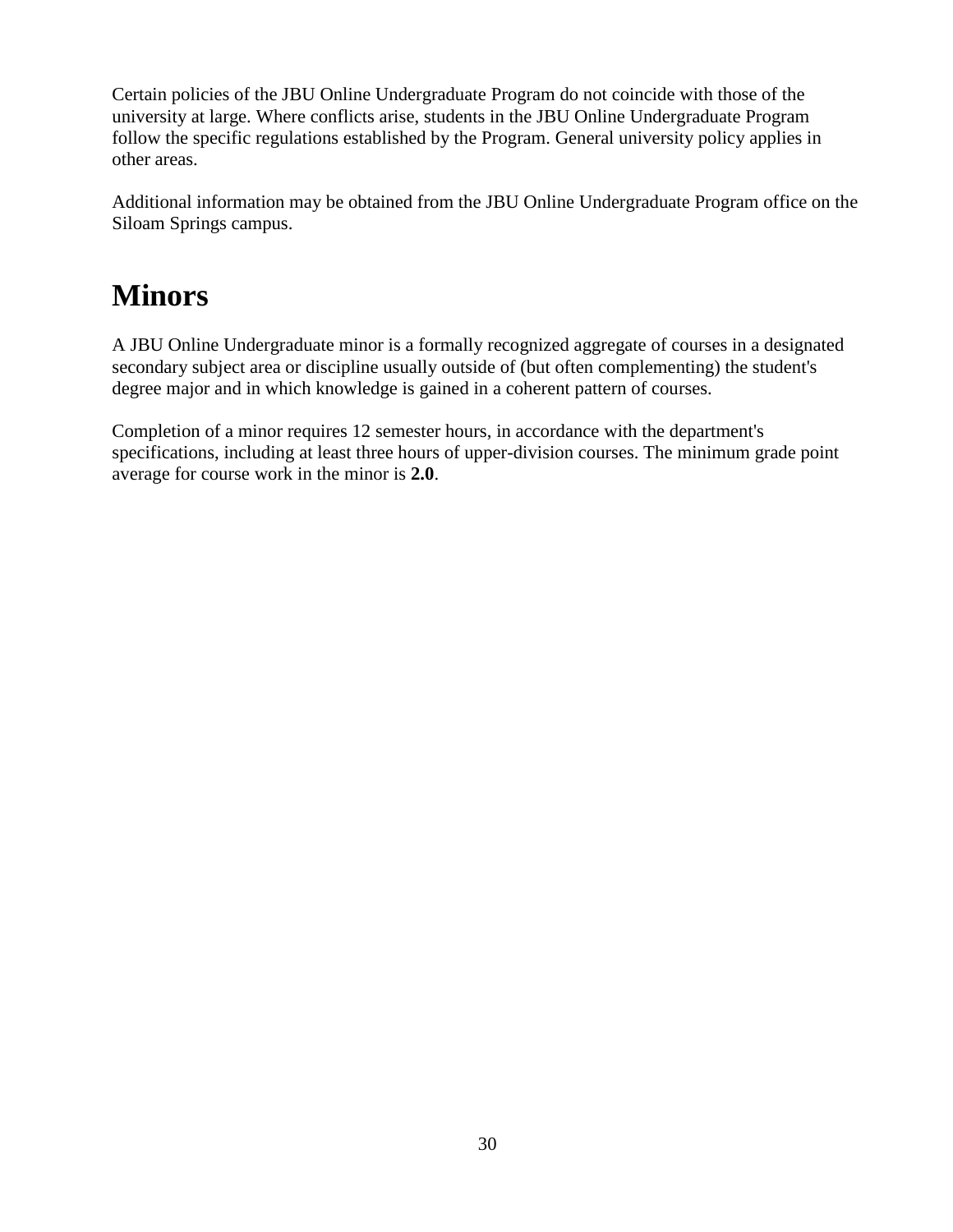Certain policies of the JBU Online Undergraduate Program do not coincide with those of the university at large. Where conflicts arise, students in the JBU Online Undergraduate Program follow the specific regulations established by the Program. General university policy applies in other areas.

Additional information may be obtained from the JBU Online Undergraduate Program office on the Siloam Springs campus.

## **Minors**

A JBU Online Undergraduate minor is a formally recognized aggregate of courses in a designated secondary subject area or discipline usually outside of (but often complementing) the student's degree major and in which knowledge is gained in a coherent pattern of courses.

Completion of a minor requires 12 semester hours, in accordance with the department's specifications, including at least three hours of upper-division courses. The minimum grade point average for course work in the minor is **2.0**.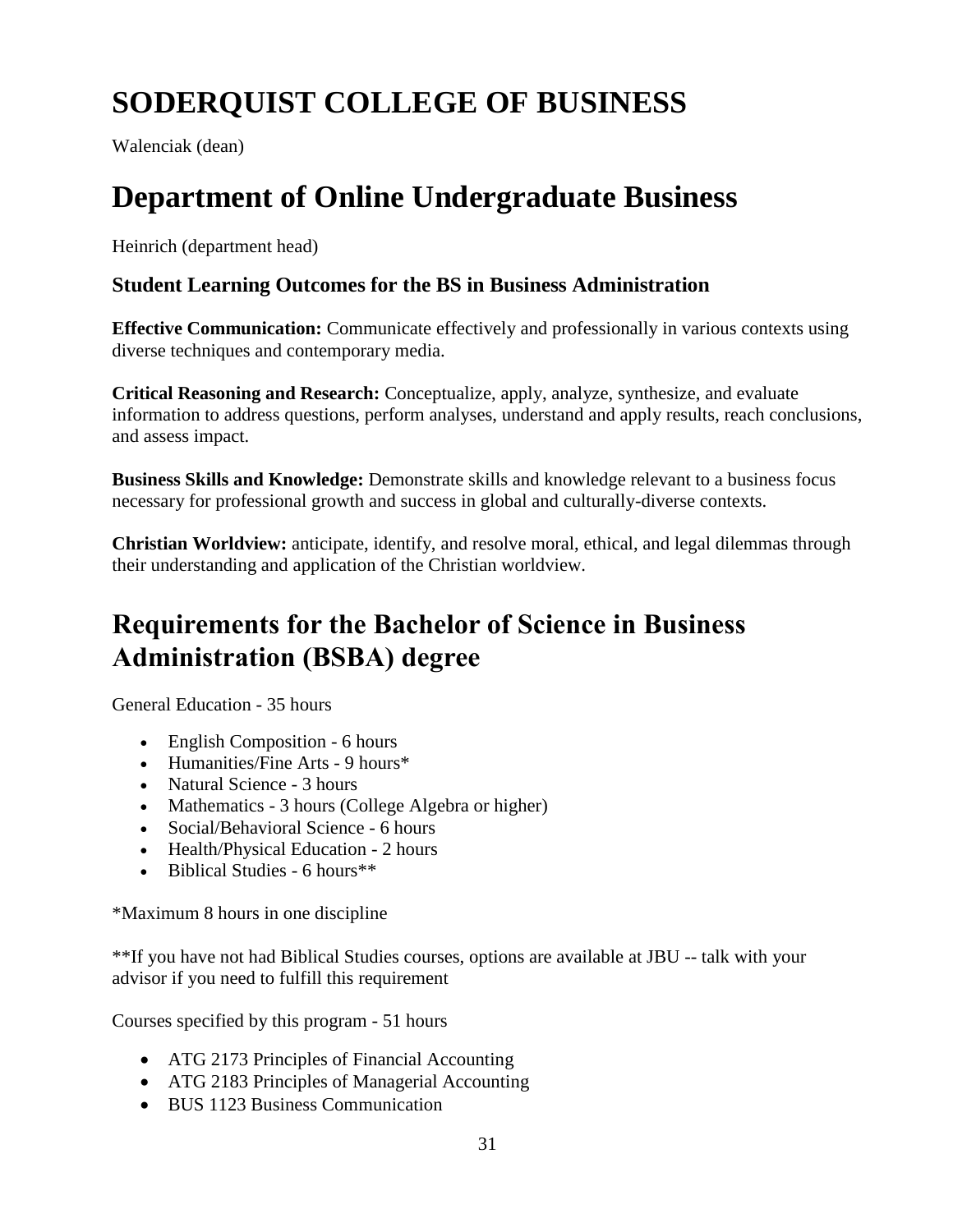# **SODERQUIST COLLEGE OF BUSINESS**

Walenciak (dean)

# **Department of Online Undergraduate Business**

Heinrich (department head)

#### **Student Learning Outcomes for the BS in Business Administration**

**Effective Communication:** Communicate effectively and professionally in various contexts using diverse techniques and contemporary media.

**Critical Reasoning and Research:** Conceptualize, apply, analyze, synthesize, and evaluate information to address questions, perform analyses, understand and apply results, reach conclusions, and assess impact.

**Business Skills and Knowledge:** Demonstrate skills and knowledge relevant to a business focus necessary for professional growth and success in global and culturally-diverse contexts.

**Christian Worldview:** anticipate, identify, and resolve moral, ethical, and legal dilemmas through their understanding and application of the Christian worldview.

### **Requirements for the Bachelor of Science in Business Administration (BSBA) degree**

General Education - 35 hours

- English Composition 6 hours
- Humanities/Fine Arts 9 hours\*
- Natural Science 3 hours
- Mathematics 3 hours (College Algebra or higher)
- Social/Behavioral Science 6 hours
- Health/Physical Education 2 hours
- $\bullet$  Biblical Studies 6 hours<sup>\*\*</sup>

\*Maximum 8 hours in one discipline

\*\*If you have not had Biblical Studies courses, options are available at JBU -- talk with your advisor if you need to fulfill this requirement

Courses specified by this program - 51 hours

- ATG 2173 Principles of Financial Accounting
- ATG 2183 Principles of Managerial Accounting
- BUS 1123 Business Communication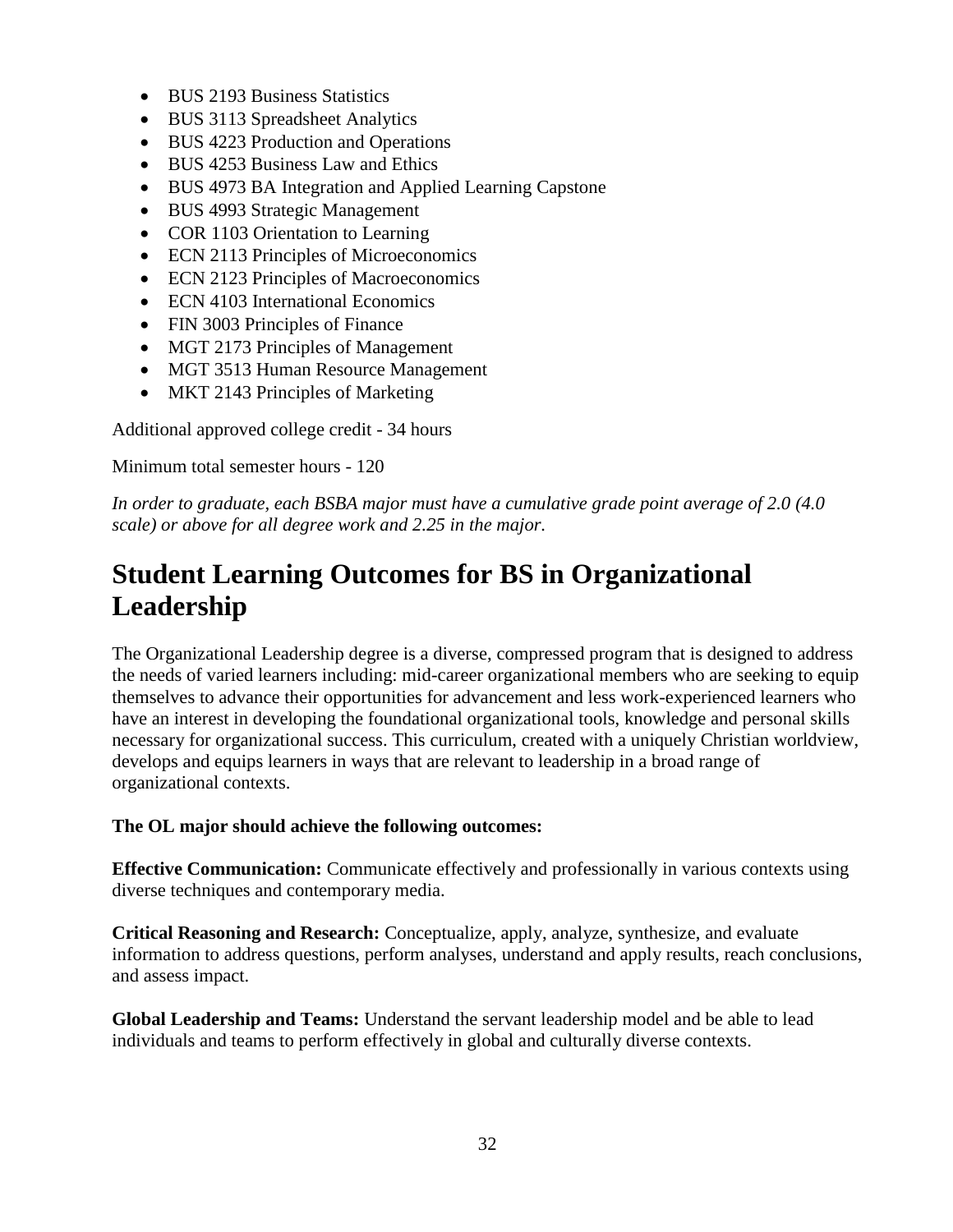- BUS 2193 Business Statistics
- BUS 3113 Spreadsheet Analytics
- BUS 4223 Production and Operations
- BUS 4253 Business Law and Ethics
- BUS 4973 BA Integration and Applied Learning Capstone
- BUS 4993 Strategic Management
- COR 1103 Orientation to Learning
- ECN 2113 Principles of Microeconomics
- ECN 2123 Principles of Macroeconomics
- ECN 4103 International Economics
- FIN 3003 Principles of Finance
- MGT 2173 Principles of Management
- MGT 3513 Human Resource Management
- MKT 2143 Principles of Marketing

Additional approved college credit - 34 hours

Minimum total semester hours - 120

*In order to graduate, each BSBA major must have a cumulative grade point average of 2.0 (4.0 scale) or above for all degree work and 2.25 in the major.*

#### **Student Learning Outcomes for BS in Organizational Leadership**

The Organizational Leadership degree is a diverse, compressed program that is designed to address the needs of varied learners including: mid-career organizational members who are seeking to equip themselves to advance their opportunities for advancement and less work-experienced learners who have an interest in developing the foundational organizational tools, knowledge and personal skills necessary for organizational success. This curriculum, created with a uniquely Christian worldview, develops and equips learners in ways that are relevant to leadership in a broad range of organizational contexts.

#### **The OL major should achieve the following outcomes:**

**Effective Communication:** Communicate effectively and professionally in various contexts using diverse techniques and contemporary media.

**Critical Reasoning and Research:** Conceptualize, apply, analyze, synthesize, and evaluate information to address questions, perform analyses, understand and apply results, reach conclusions, and assess impact.

**Global Leadership and Teams:** Understand the servant leadership model and be able to lead individuals and teams to perform effectively in global and culturally diverse contexts.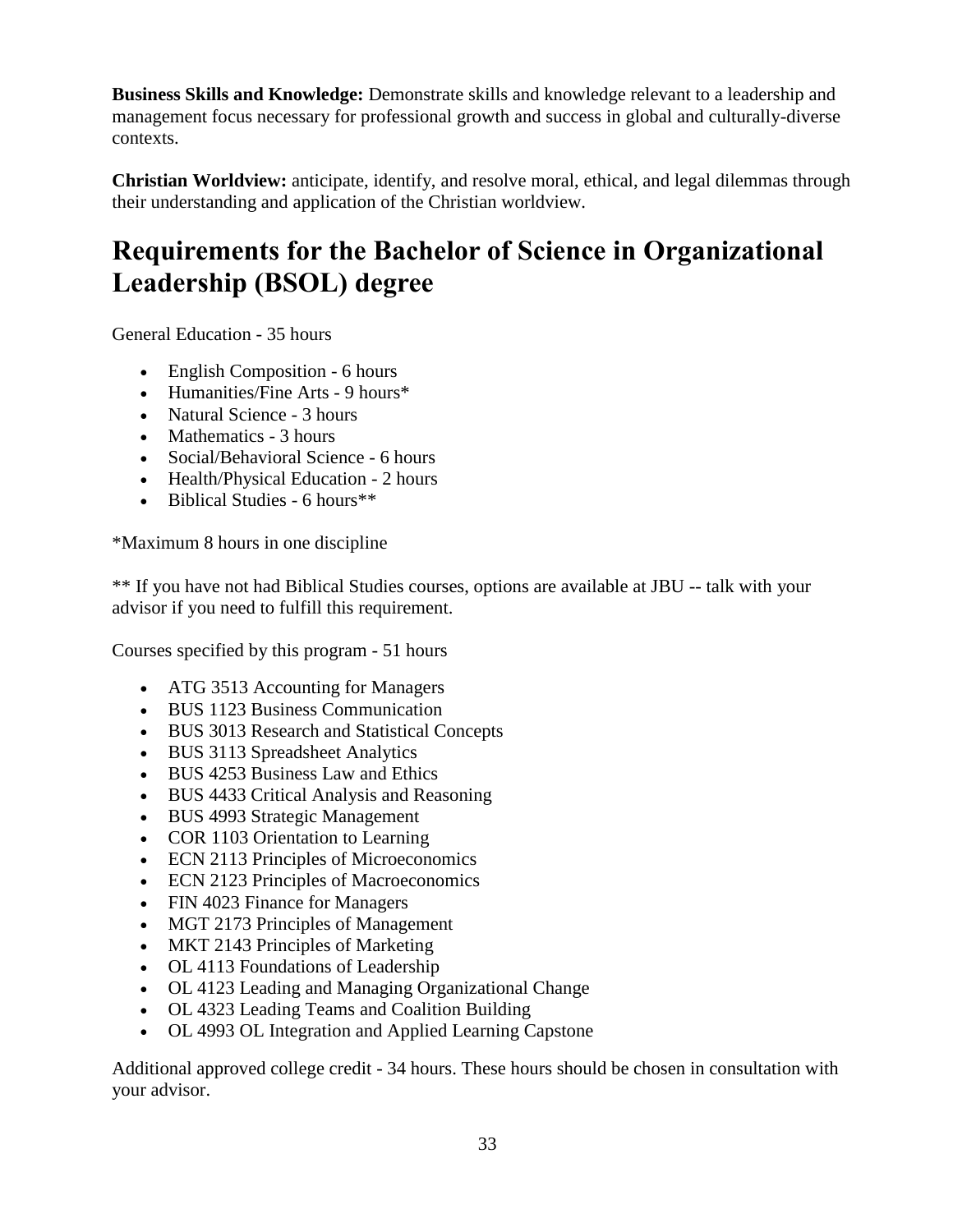**Business Skills and Knowledge:** Demonstrate skills and knowledge relevant to a leadership and management focus necessary for professional growth and success in global and culturally-diverse contexts.

**Christian Worldview:** anticipate, identify, and resolve moral, ethical, and legal dilemmas through their understanding and application of the Christian worldview.

### **Requirements for the Bachelor of Science in Organizational Leadership (BSOL) degree**

General Education - 35 hours

- English Composition 6 hours
- Humanities/Fine Arts 9 hours\*
- Natural Science 3 hours
- Mathematics 3 hours
- Social/Behavioral Science 6 hours
- Health/Physical Education 2 hours
- $\bullet$  Biblical Studies 6 hours<sup>\*\*</sup>

\*Maximum 8 hours in one discipline

\*\* If you have not had Biblical Studies courses, options are available at JBU -- talk with your advisor if you need to fulfill this requirement.

Courses specified by this program - 51 hours

- ATG 3513 Accounting for Managers
- BUS 1123 Business Communication
- BUS 3013 Research and Statistical Concepts
- BUS 3113 Spreadsheet Analytics
- BUS 4253 Business Law and Ethics
- BUS 4433 Critical Analysis and Reasoning
- BUS 4993 Strategic Management
- COR 1103 Orientation to Learning
- ECN 2113 Principles of Microeconomics
- ECN 2123 Principles of Macroeconomics
- FIN 4023 Finance for Managers
- MGT 2173 Principles of Management
- MKT 2143 Principles of Marketing
- OL 4113 Foundations of Leadership
- OL 4123 Leading and Managing Organizational Change
- OL 4323 Leading Teams and Coalition Building
- OL 4993 OL Integration and Applied Learning Capstone

Additional approved college credit - 34 hours. These hours should be chosen in consultation with your advisor.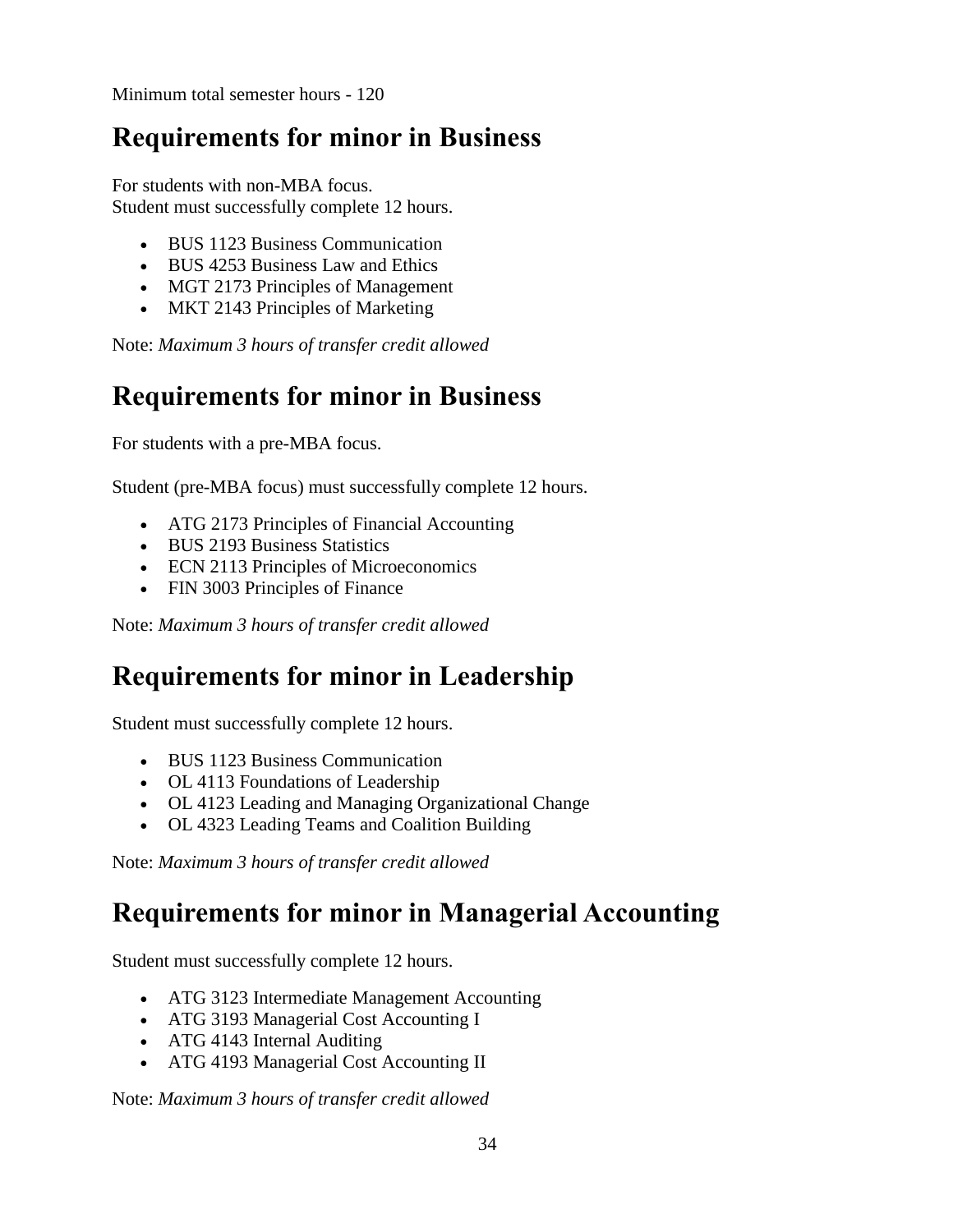Minimum total semester hours - 120

#### **Requirements for minor in Business**

For students with non-MBA focus. Student must successfully complete 12 hours.

- BUS 1123 Business Communication
- BUS 4253 Business Law and Ethics
- MGT 2173 Principles of Management
- MKT 2143 Principles of Marketing

Note: *Maximum 3 hours of transfer credit allowed*

#### **Requirements for minor in Business**

For students with a pre-MBA focus.

Student (pre-MBA focus) must successfully complete 12 hours.

- ATG 2173 Principles of Financial Accounting
- BUS 2193 Business Statistics
- ECN 2113 Principles of Microeconomics
- FIN 3003 Principles of Finance

Note: *Maximum 3 hours of transfer credit allowed*

#### **Requirements for minor in Leadership**

Student must successfully complete 12 hours.

- BUS 1123 Business Communication
- OL 4113 Foundations of Leadership
- OL 4123 Leading and Managing Organizational Change
- OL 4323 Leading Teams and Coalition Building

Note: *Maximum 3 hours of transfer credit allowed*

#### **Requirements for minor in Managerial Accounting**

Student must successfully complete 12 hours.

- ATG 3123 Intermediate Management Accounting
- ATG 3193 Managerial Cost Accounting I
- ATG 4143 Internal Auditing
- ATG 4193 Managerial Cost Accounting II

Note: *Maximum 3 hours of transfer credit allowed*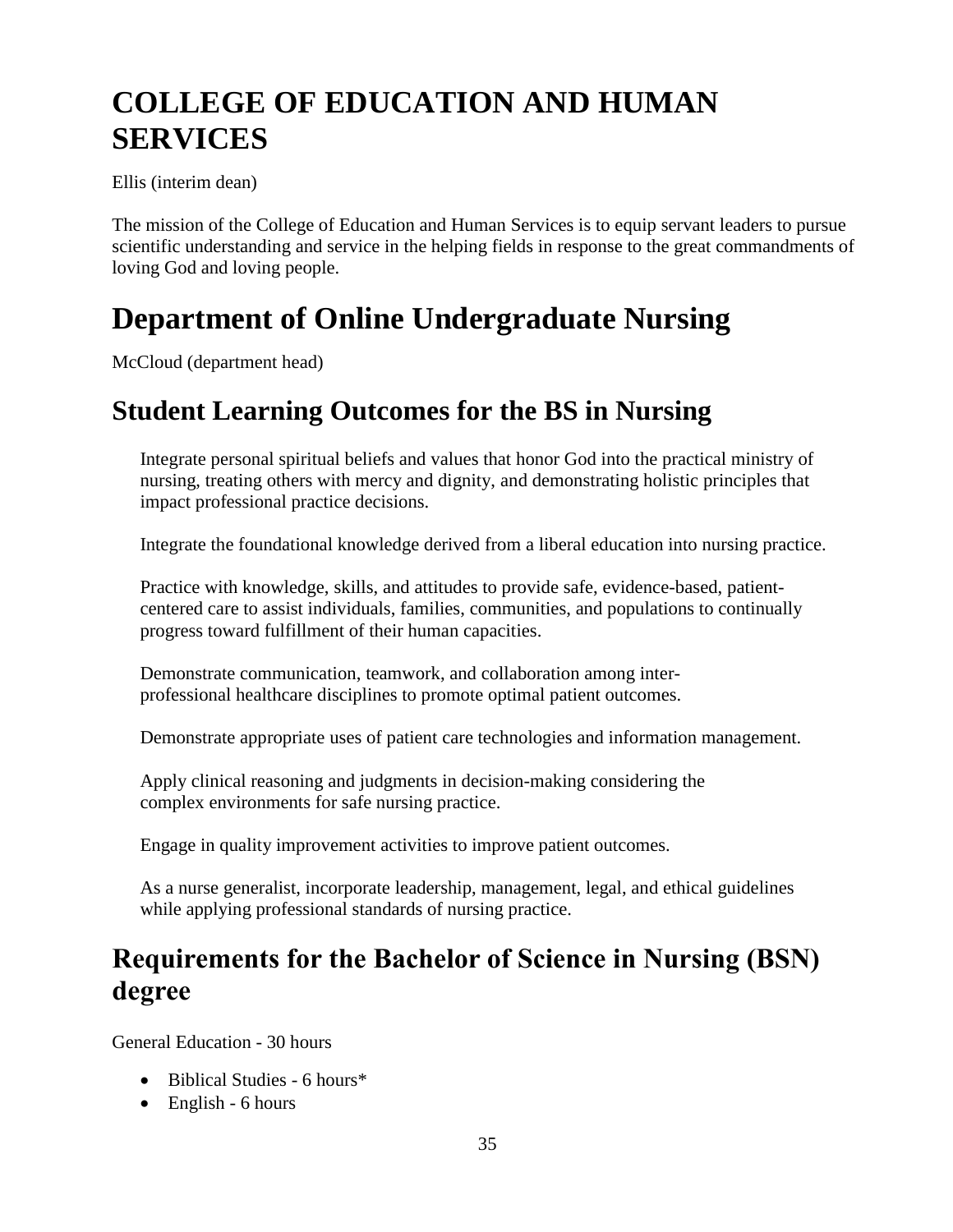# **COLLEGE OF EDUCATION AND HUMAN SERVICES**

Ellis (interim dean)

The mission of the College of Education and Human Services is to equip servant leaders to pursue scientific understanding and service in the helping fields in response to the great commandments of loving God and loving people.

## **Department of Online Undergraduate Nursing**

McCloud (department head)

#### **Student Learning Outcomes for the BS in Nursing**

Integrate personal spiritual beliefs and values that honor God into the practical ministry of nursing, treating others with mercy and dignity, and demonstrating holistic principles that impact professional practice decisions.

Integrate the foundational knowledge derived from a liberal education into nursing practice.

Practice with knowledge, skills, and attitudes to provide safe, evidence-based, patientcentered care to assist individuals, families, communities, and populations to continually progress toward fulfillment of their human capacities.

Demonstrate communication, teamwork, and collaboration among interprofessional healthcare disciplines to promote optimal patient outcomes.

Demonstrate appropriate uses of patient care technologies and information management.

Apply clinical reasoning and judgments in decision-making considering the complex environments for safe nursing practice.

Engage in quality improvement activities to improve patient outcomes.

As a nurse generalist, incorporate leadership, management, legal, and ethical guidelines while applying professional standards of nursing practice.

#### **Requirements for the Bachelor of Science in Nursing (BSN) degree**

General Education - 30 hours

- Biblical Studies 6 hours\*
- $\bullet$  English 6 hours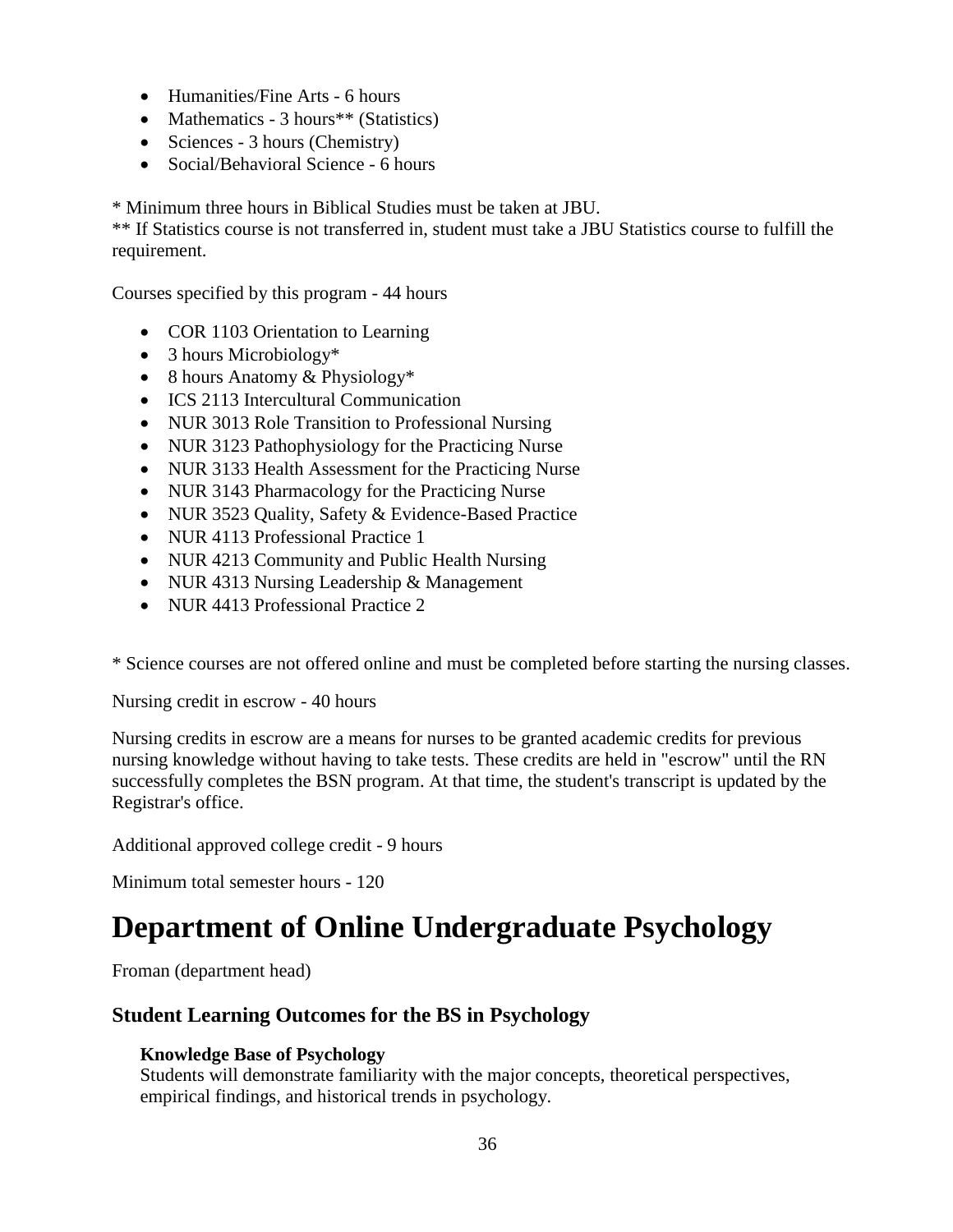- Humanities/Fine Arts 6 hours
- Mathematics 3 hours<sup>\*\*</sup> (Statistics)
- Sciences 3 hours (Chemistry)
- Social/Behavioral Science 6 hours

\* Minimum three hours in Biblical Studies must be taken at JBU.

\*\* If Statistics course is not transferred in, student must take a JBU Statistics course to fulfill the requirement.

Courses specified by this program - 44 hours

- COR 1103 Orientation to Learning
- 3 hours Microbiology\*
- 8 hours Anatomy & Physiology\*
- ICS 2113 Intercultural Communication
- NUR 3013 Role Transition to Professional Nursing
- NUR 3123 Pathophysiology for the Practicing Nurse
- NUR 3133 Health Assessment for the Practicing Nurse
- NUR 3143 Pharmacology for the Practicing Nurse
- NUR 3523 Quality, Safety & Evidence-Based Practice
- NUR 4113 Professional Practice 1
- NUR 4213 Community and Public Health Nursing
- NUR 4313 Nursing Leadership & Management
- NUR 4413 Professional Practice 2

\* Science courses are not offered online and must be completed before starting the nursing classes.

Nursing credit in escrow - 40 hours

Nursing credits in escrow are a means for nurses to be granted academic credits for previous nursing knowledge without having to take tests. These credits are held in "escrow" until the RN successfully completes the BSN program. At that time, the student's transcript is updated by the Registrar's office.

Additional approved college credit - 9 hours

Minimum total semester hours - 120

### **Department of Online Undergraduate Psychology**

Froman (department head)

#### **Student Learning Outcomes for the BS in Psychology**

#### **Knowledge Base of Psychology**

Students will demonstrate familiarity with the major concepts, theoretical perspectives, empirical findings, and historical trends in psychology.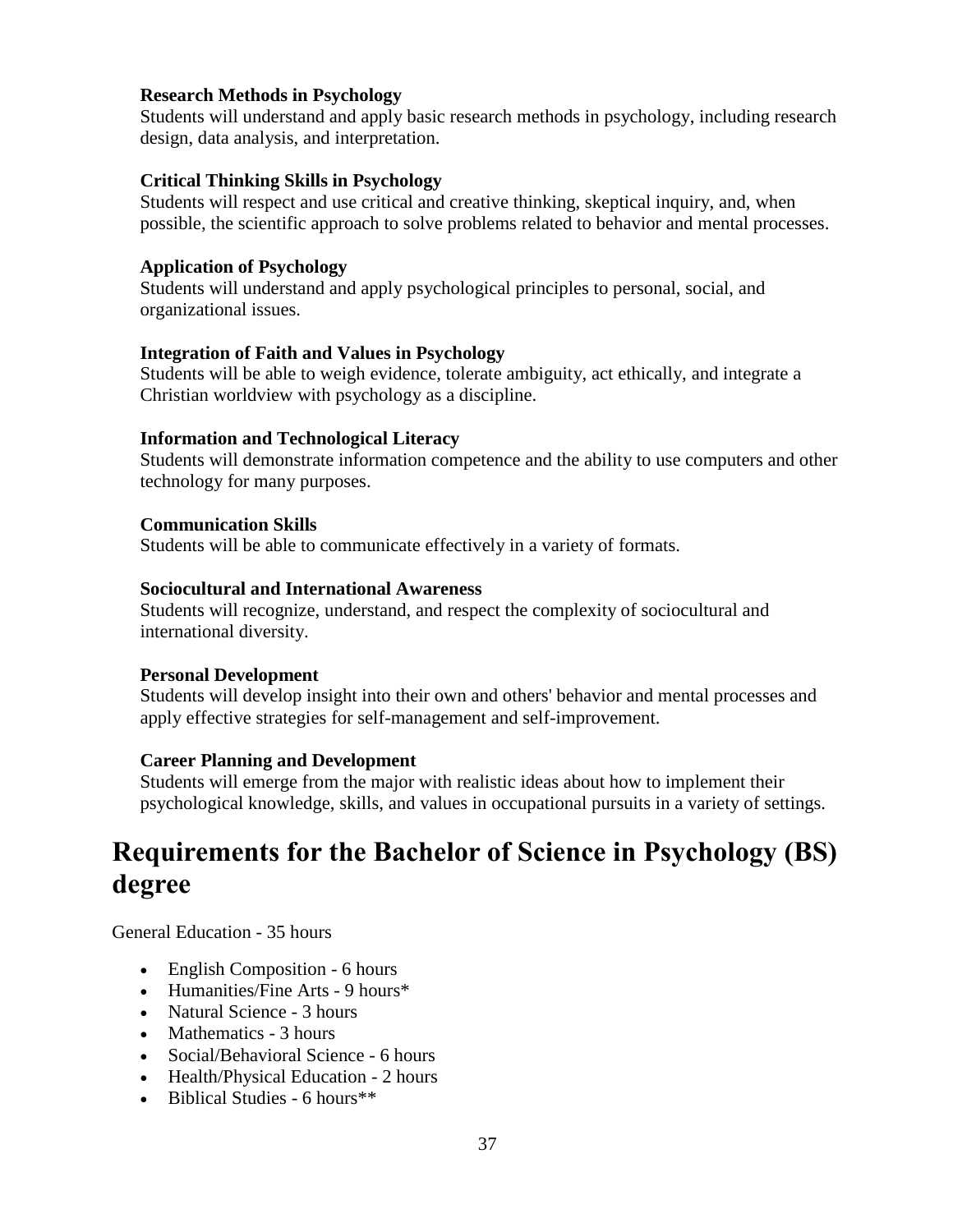#### **Research Methods in Psychology**

Students will understand and apply basic research methods in psychology, including research design, data analysis, and interpretation.

#### **Critical Thinking Skills in Psychology**

Students will respect and use critical and creative thinking, skeptical inquiry, and, when possible, the scientific approach to solve problems related to behavior and mental processes.

#### **Application of Psychology**

Students will understand and apply psychological principles to personal, social, and organizational issues.

#### **Integration of Faith and Values in Psychology**

Students will be able to weigh evidence, tolerate ambiguity, act ethically, and integrate a Christian worldview with psychology as a discipline.

#### **Information and Technological Literacy**

Students will demonstrate information competence and the ability to use computers and other technology for many purposes.

#### **Communication Skills**

Students will be able to communicate effectively in a variety of formats.

#### **Sociocultural and International Awareness**

Students will recognize, understand, and respect the complexity of sociocultural and international diversity.

#### **Personal Development**

Students will develop insight into their own and others' behavior and mental processes and apply effective strategies for self-management and self-improvement.

#### **Career Planning and Development**

Students will emerge from the major with realistic ideas about how to implement their psychological knowledge, skills, and values in occupational pursuits in a variety of settings.

# **Requirements for the Bachelor of Science in Psychology (BS) degree**

General Education - 35 hours

- English Composition 6 hours
- Humanities/Fine Arts 9 hours<sup>\*</sup>
- Natural Science 3 hours
- Mathematics 3 hours
- Social/Behavioral Science 6 hours
- Health/Physical Education 2 hours
- $\bullet$  Biblical Studies 6 hours<sup>\*\*</sup>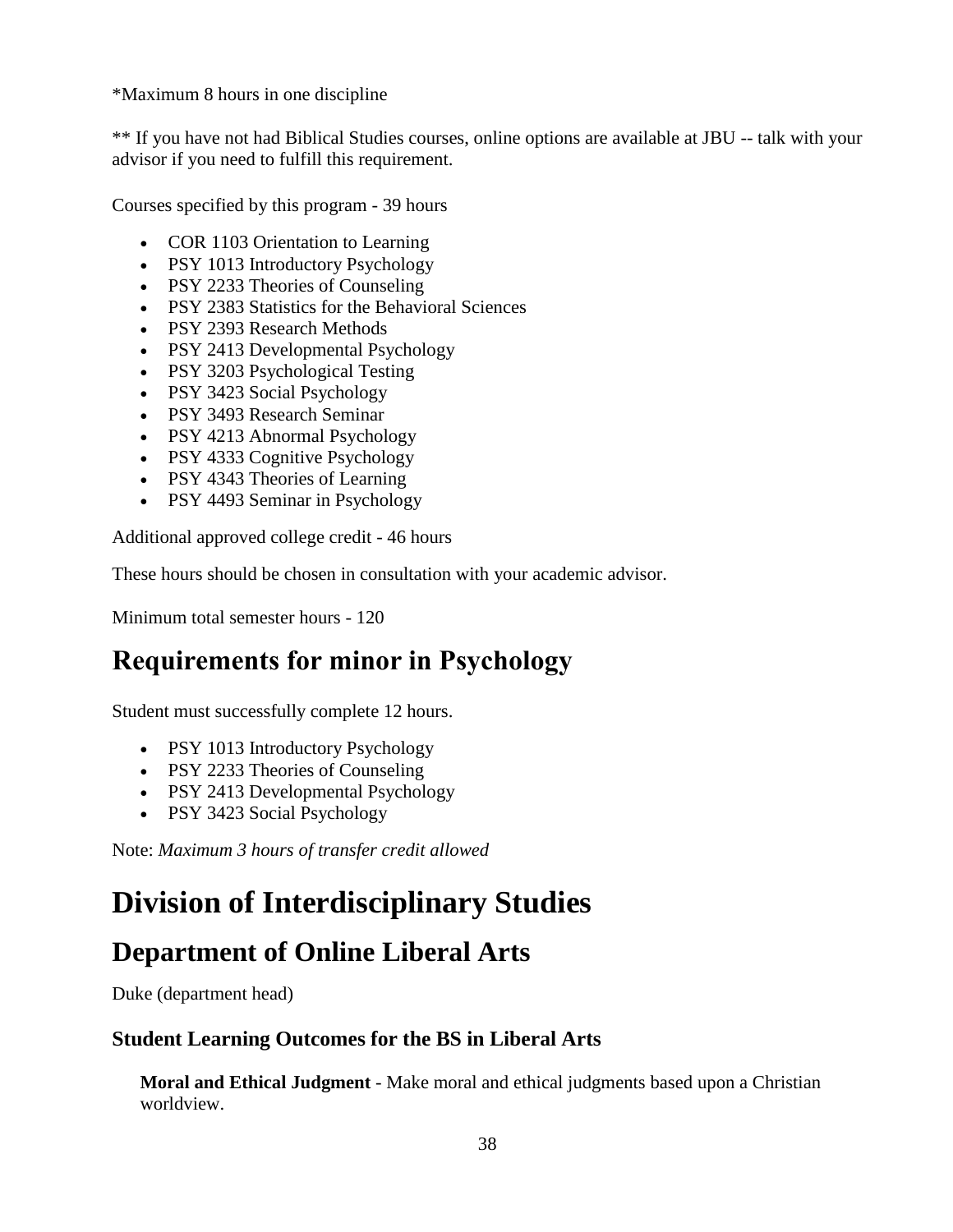\*Maximum 8 hours in one discipline

\*\* If you have not had Biblical Studies courses, online options are available at JBU -- talk with your advisor if you need to fulfill this requirement.

Courses specified by this program - 39 hours

- COR 1103 Orientation to Learning
- PSY 1013 Introductory Psychology
- PSY 2233 Theories of Counseling
- PSY 2383 Statistics for the Behavioral Sciences
- PSY 2393 Research Methods
- PSY 2413 Developmental Psychology
- PSY 3203 Psychological Testing
- PSY 3423 Social Psychology
- PSY 3493 Research Seminar
- PSY 4213 Abnormal Psychology
- PSY 4333 Cognitive Psychology
- PSY 4343 Theories of Learning
- PSY 4493 Seminar in Psychology

Additional approved college credit - 46 hours

These hours should be chosen in consultation with your academic advisor.

Minimum total semester hours - 120

# **Requirements for minor in Psychology**

Student must successfully complete 12 hours.

- PSY 1013 Introductory Psychology
- PSY 2233 Theories of Counseling
- PSY 2413 Developmental Psychology
- PSY 3423 Social Psychology

Note: *Maximum 3 hours of transfer credit allowed*

# **Division of Interdisciplinary Studies**

# **Department of Online Liberal Arts**

Duke (department head)

#### **Student Learning Outcomes for the BS in Liberal Arts**

**Moral and Ethical Judgment** - Make moral and ethical judgments based upon a Christian worldview.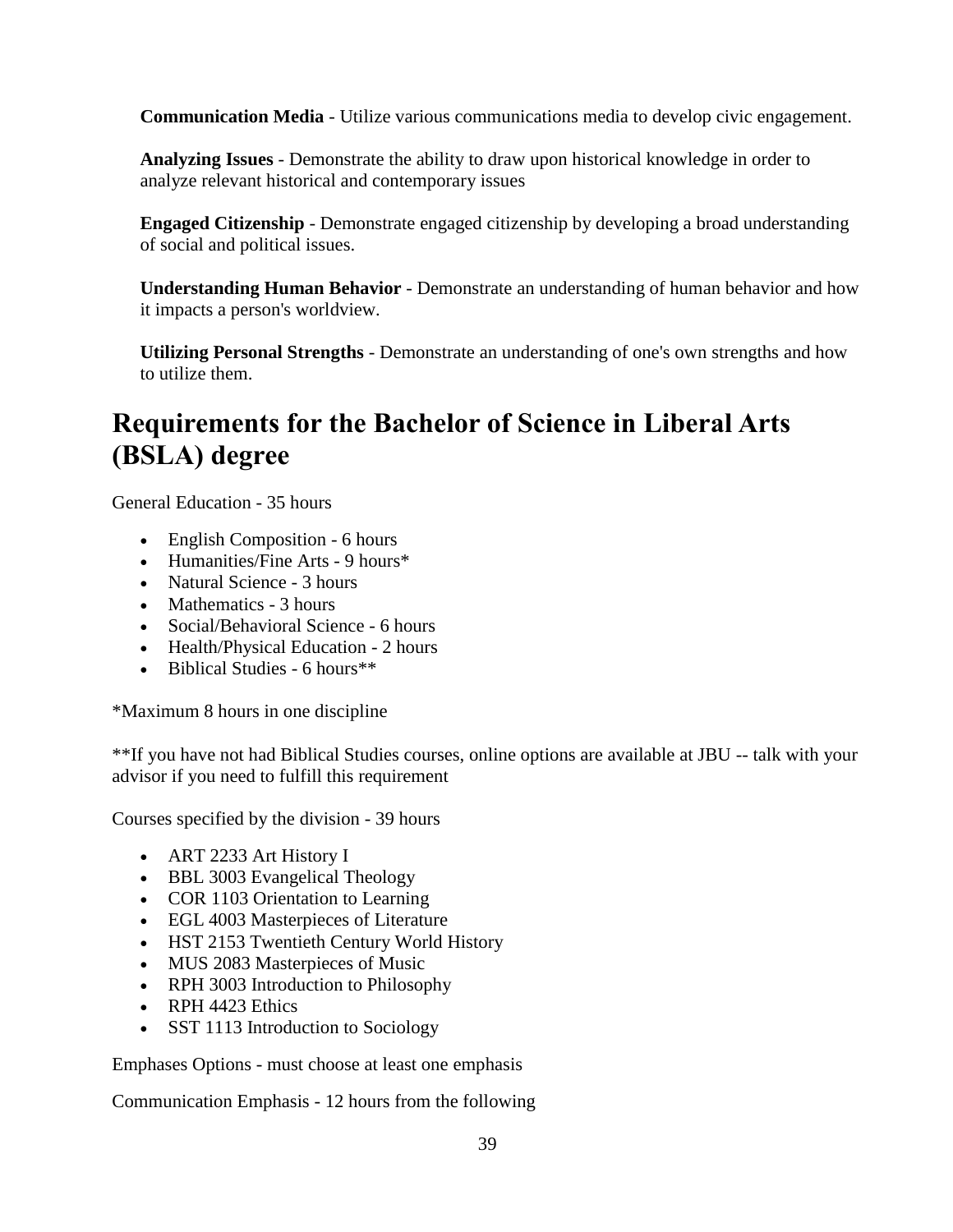**Communication Media** - Utilize various communications media to develop civic engagement.

**Analyzing Issues** - Demonstrate the ability to draw upon historical knowledge in order to analyze relevant historical and contemporary issues

**Engaged Citizenship** - Demonstrate engaged citizenship by developing a broad understanding of social and political issues.

**Understanding Human Behavior** - Demonstrate an understanding of human behavior and how it impacts a person's worldview.

**Utilizing Personal Strengths** - Demonstrate an understanding of one's own strengths and how to utilize them.

# **Requirements for the Bachelor of Science in Liberal Arts (BSLA) degree**

General Education - 35 hours

- English Composition 6 hours
- Humanities/Fine Arts 9 hours\*
- Natural Science 3 hours
- Mathematics 3 hours
- Social/Behavioral Science 6 hours
- Health/Physical Education 2 hours
- Biblical Studies 6 hours\*\*

\*Maximum 8 hours in one discipline

\*\*If you have not had Biblical Studies courses, online options are available at JBU -- talk with your advisor if you need to fulfill this requirement

Courses specified by the division - 39 hours

- ART 2233 Art History I
- BBL 3003 Evangelical Theology
- COR 1103 Orientation to Learning
- EGL 4003 Masterpieces of Literature
- HST 2153 Twentieth Century World History
- MUS 2083 Masterpieces of Music
- RPH 3003 Introduction to Philosophy
- RPH 4423 Ethics
- SST 1113 Introduction to Sociology

Emphases Options - must choose at least one emphasis

Communication Emphasis - 12 hours from the following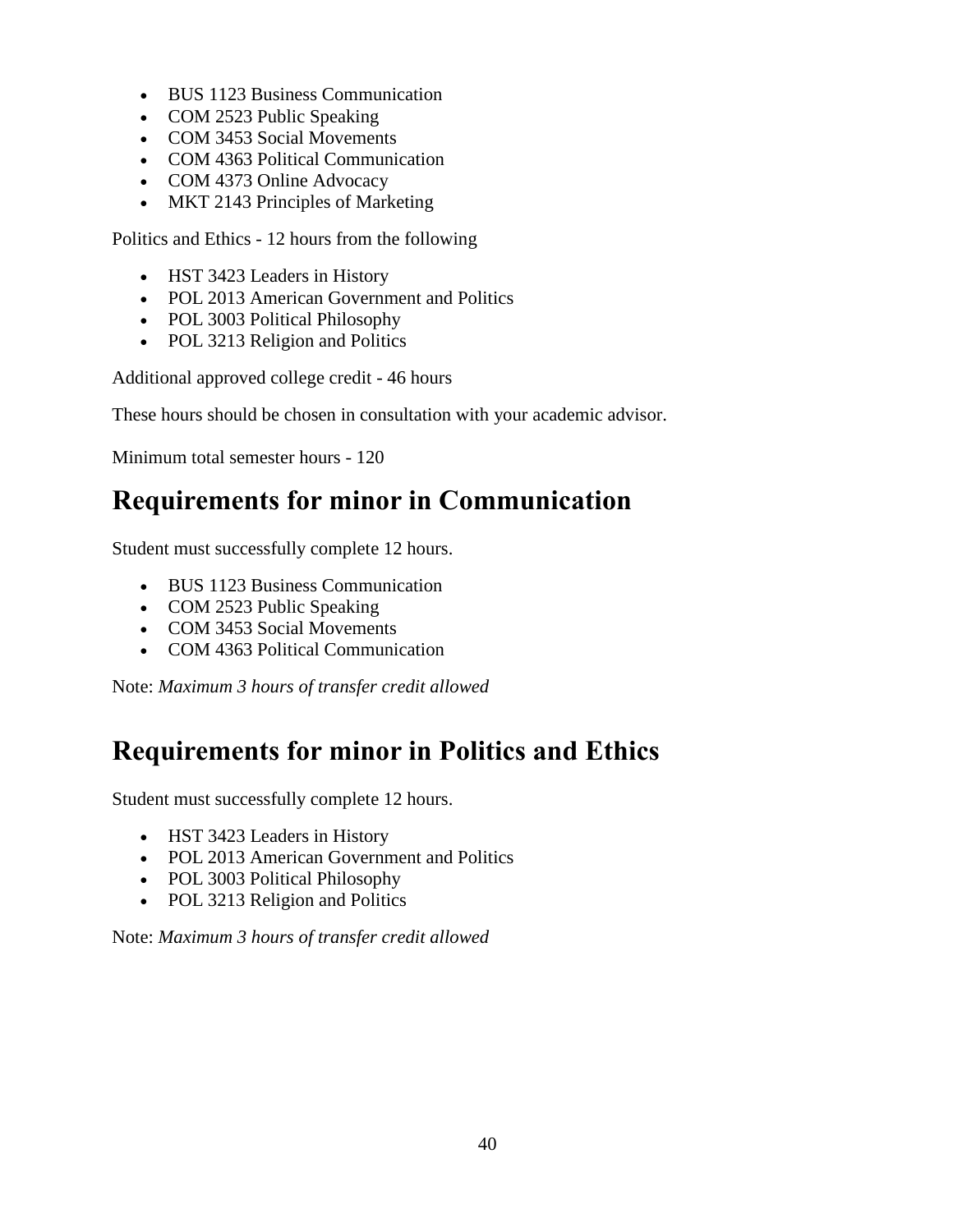- BUS 1123 Business Communication
- COM 2523 Public Speaking
- COM 3453 Social Movements
- COM 4363 Political Communication
- COM 4373 Online Advocacy
- MKT 2143 Principles of Marketing

Politics and Ethics - 12 hours from the following

- HST 3423 Leaders in History
- POL 2013 American Government and Politics
- POL 3003 Political Philosophy
- POL 3213 Religion and Politics

Additional approved college credit - 46 hours

These hours should be chosen in consultation with your academic advisor.

Minimum total semester hours - 120

# **Requirements for minor in Communication**

Student must successfully complete 12 hours.

- BUS 1123 Business Communication
- COM 2523 Public Speaking
- COM 3453 Social Movements
- COM 4363 Political Communication

Note: *Maximum 3 hours of transfer credit allowed*

# **Requirements for minor in Politics and Ethics**

Student must successfully complete 12 hours.

- HST 3423 Leaders in History
- POL 2013 American Government and Politics
- POL 3003 Political Philosophy
- POL 3213 Religion and Politics

Note: *Maximum 3 hours of transfer credit allowed*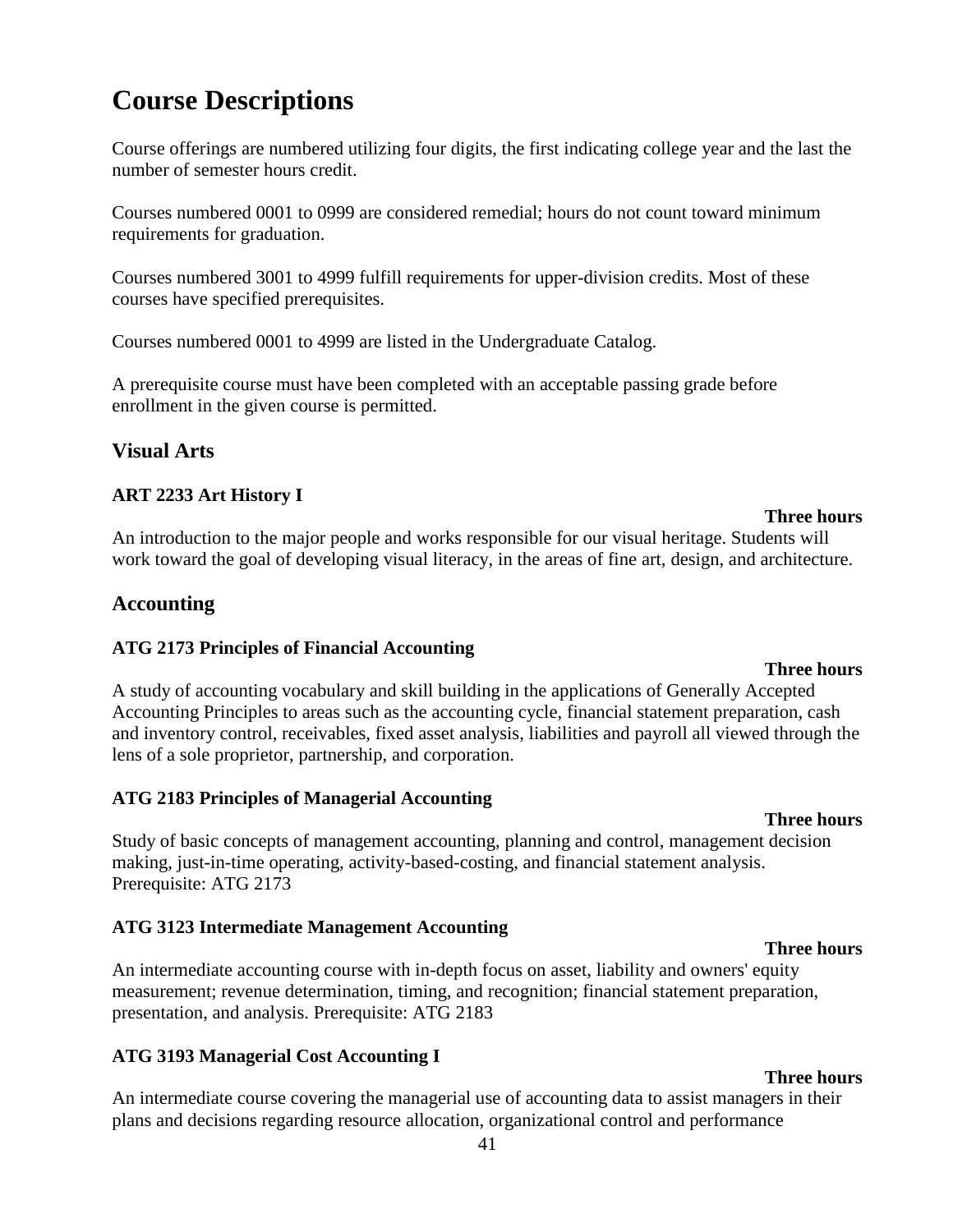# **Course Descriptions**

Course offerings are numbered utilizing four digits, the first indicating college year and the last the number of semester hours credit.

Courses numbered 0001 to 0999 are considered remedial; hours do not count toward minimum requirements for graduation.

Courses numbered 3001 to 4999 fulfill requirements for upper-division credits. Most of these courses have specified prerequisites.

Courses numbered 0001 to 4999 are listed in the Undergraduate Catalog.

A prerequisite course must have been completed with an acceptable passing grade before enrollment in the given course is permitted.

### **Visual Arts**

### **ART 2233 Art History I**

An introduction to the major people and works responsible for our visual heritage. Students will work toward the goal of developing visual literacy, in the areas of fine art, design, and architecture.

### **Accounting**

#### **ATG 2173 Principles of Financial Accounting**

**Three hours** A study of accounting vocabulary and skill building in the applications of Generally Accepted Accounting Principles to areas such as the accounting cycle, financial statement preparation, cash and inventory control, receivables, fixed asset analysis, liabilities and payroll all viewed through the lens of a sole proprietor, partnership, and corporation.

#### **ATG 2183 Principles of Managerial Accounting**

Study of basic concepts of management accounting, planning and control, management decision making, just-in-time operating, activity-based-costing, and financial statement analysis. Prerequisite: ATG 2173

#### **ATG 3123 Intermediate Management Accounting**

**Three hours** An intermediate accounting course with in-depth focus on asset, liability and owners' equity measurement; revenue determination, timing, and recognition; financial statement preparation, presentation, and analysis. Prerequisite: ATG 2183

### **ATG 3193 Managerial Cost Accounting I**

An intermediate course covering the managerial use of accounting data to assist managers in their plans and decisions regarding resource allocation, organizational control and performance

#### **Three hours**

# **Three hours**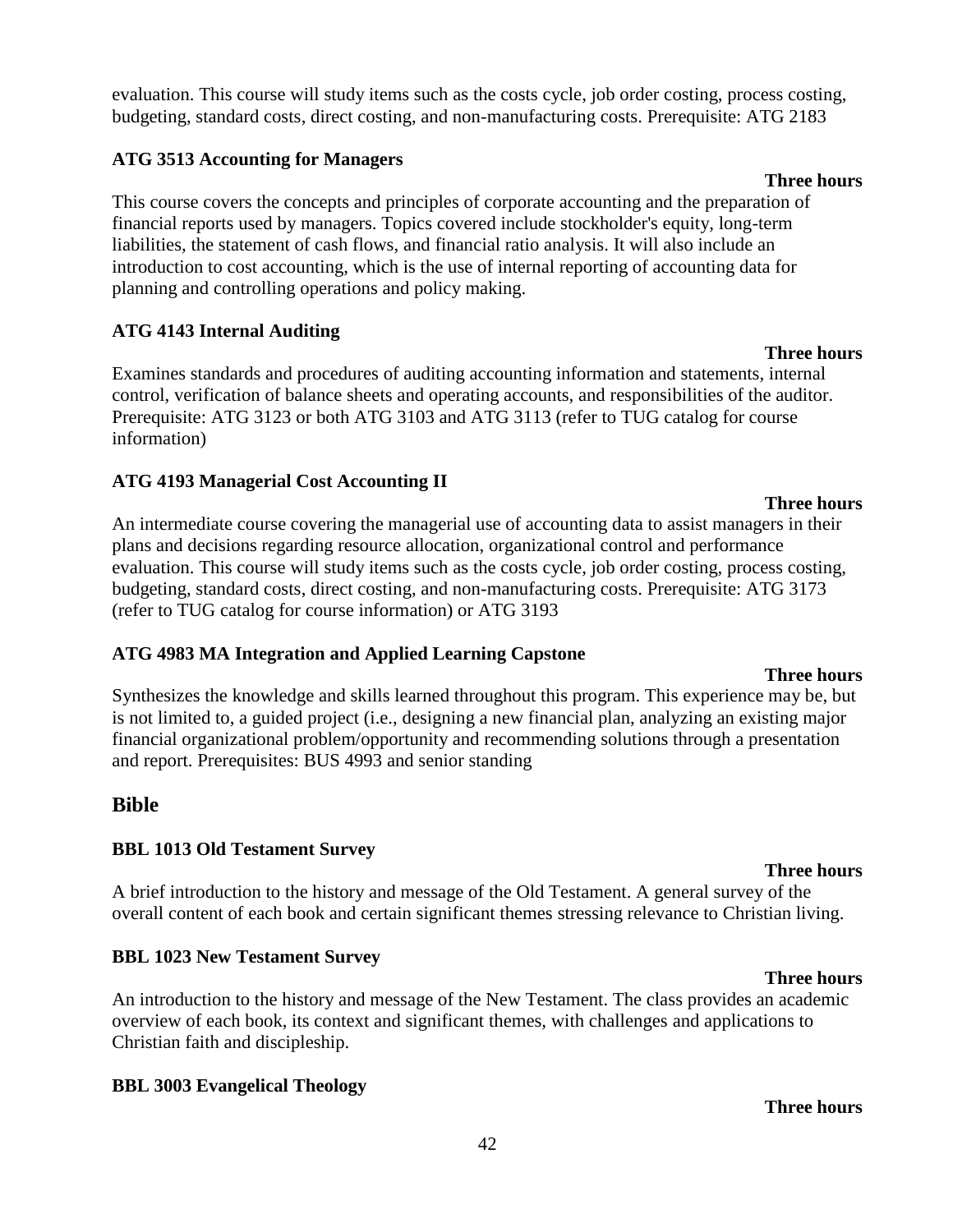evaluation. This course will study items such as the costs cycle, job order costing, process costing, budgeting, standard costs, direct costing, and non-manufacturing costs. Prerequisite: ATG 2183

#### **ATG 3513 Accounting for Managers**

This course covers the concepts and principles of corporate accounting and the preparation of financial reports used by managers. Topics covered include stockholder's equity, long-term liabilities, the statement of cash flows, and financial ratio analysis. It will also include an introduction to cost accounting, which is the use of internal reporting of accounting data for planning and controlling operations and policy making.

### **ATG 4143 Internal Auditing**

Examines standards and procedures of auditing accounting information and statements, internal control, verification of balance sheets and operating accounts, and responsibilities of the auditor. Prerequisite: ATG 3123 or both ATG 3103 and ATG 3113 (refer to TUG catalog for course information)

### **ATG 4193 Managerial Cost Accounting II**

An intermediate course covering the managerial use of accounting data to assist managers in their plans and decisions regarding resource allocation, organizational control and performance evaluation. This course will study items such as the costs cycle, job order costing, process costing, budgeting, standard costs, direct costing, and non-manufacturing costs. Prerequisite: ATG 3173 (refer to TUG catalog for course information) or ATG 3193

#### **ATG 4983 MA Integration and Applied Learning Capstone**

Synthesizes the knowledge and skills learned throughout this program. This experience may be, but is not limited to, a guided project (i.e., designing a new financial plan, analyzing an existing major financial organizational problem/opportunity and recommending solutions through a presentation and report. Prerequisites: BUS 4993 and senior standing

### **Bible**

### **BBL 1013 Old Testament Survey**

A brief introduction to the history and message of the Old Testament. A general survey of the overall content of each book and certain significant themes stressing relevance to Christian living.

#### **BBL 1023 New Testament Survey**

An introduction to the history and message of the New Testament. The class provides an academic overview of each book, its context and significant themes, with challenges and applications to Christian faith and discipleship.

#### **BBL 3003 Evangelical Theology**

#### **Three hours**

#### **Three hours**

**Three hours**

#### **Three hours**

# **Three hours**

**Three hours**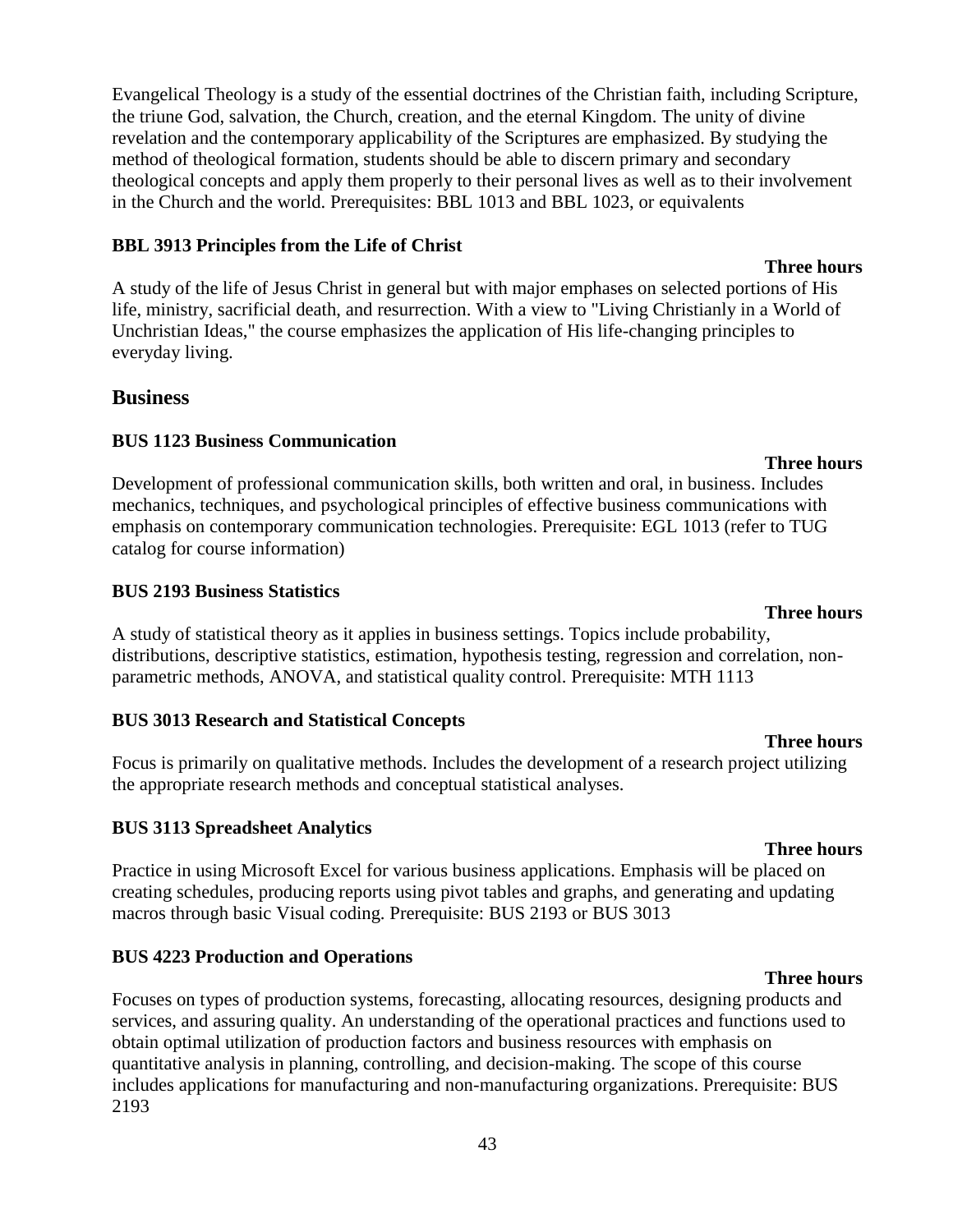43

Evangelical Theology is a study of the essential doctrines of the Christian faith, including Scripture, the triune God, salvation, the Church, creation, and the eternal Kingdom. The unity of divine revelation and the contemporary applicability of the Scriptures are emphasized. By studying the method of theological formation, students should be able to discern primary and secondary theological concepts and apply them properly to their personal lives as well as to their involvement in the Church and the world. Prerequisites: BBL 1013 and BBL 1023, or equivalents

### **BBL 3913 Principles from the Life of Christ**

A study of the life of Jesus Christ in general but with major emphases on selected portions of His life, ministry, sacrificial death, and resurrection. With a view to "Living Christianly in a World of Unchristian Ideas," the course emphasizes the application of His life-changing principles to everyday living.

## **Business**

## **BUS 1123 Business Communication**

**Three hours** Development of professional communication skills, both written and oral, in business. Includes mechanics, techniques, and psychological principles of effective business communications with emphasis on contemporary communication technologies. Prerequisite: EGL 1013 (refer to TUG catalog for course information)

## **BUS 2193 Business Statistics**

A study of statistical theory as it applies in business settings. Topics include probability, distributions, descriptive statistics, estimation, hypothesis testing, regression and correlation, nonparametric methods, ANOVA, and statistical quality control. Prerequisite: MTH 1113

### **BUS 3013 Research and Statistical Concepts**

Focus is primarily on qualitative methods. Includes the development of a research project utilizing the appropriate research methods and conceptual statistical analyses.

### **BUS 3113 Spreadsheet Analytics**

Practice in using Microsoft Excel for various business applications. Emphasis will be placed on creating schedules, producing reports using pivot tables and graphs, and generating and updating macros through basic Visual coding. Prerequisite: BUS 2193 or BUS 3013

## **BUS 4223 Production and Operations**

Focuses on types of production systems, forecasting, allocating resources, designing products and services, and assuring quality. An understanding of the operational practices and functions used to obtain optimal utilization of production factors and business resources with emphasis on quantitative analysis in planning, controlling, and decision-making. The scope of this course includes applications for manufacturing and non-manufacturing organizations. Prerequisite: BUS 2193

### **Three hours**

## **Three hours**

### **Three hours**

# **Three hours**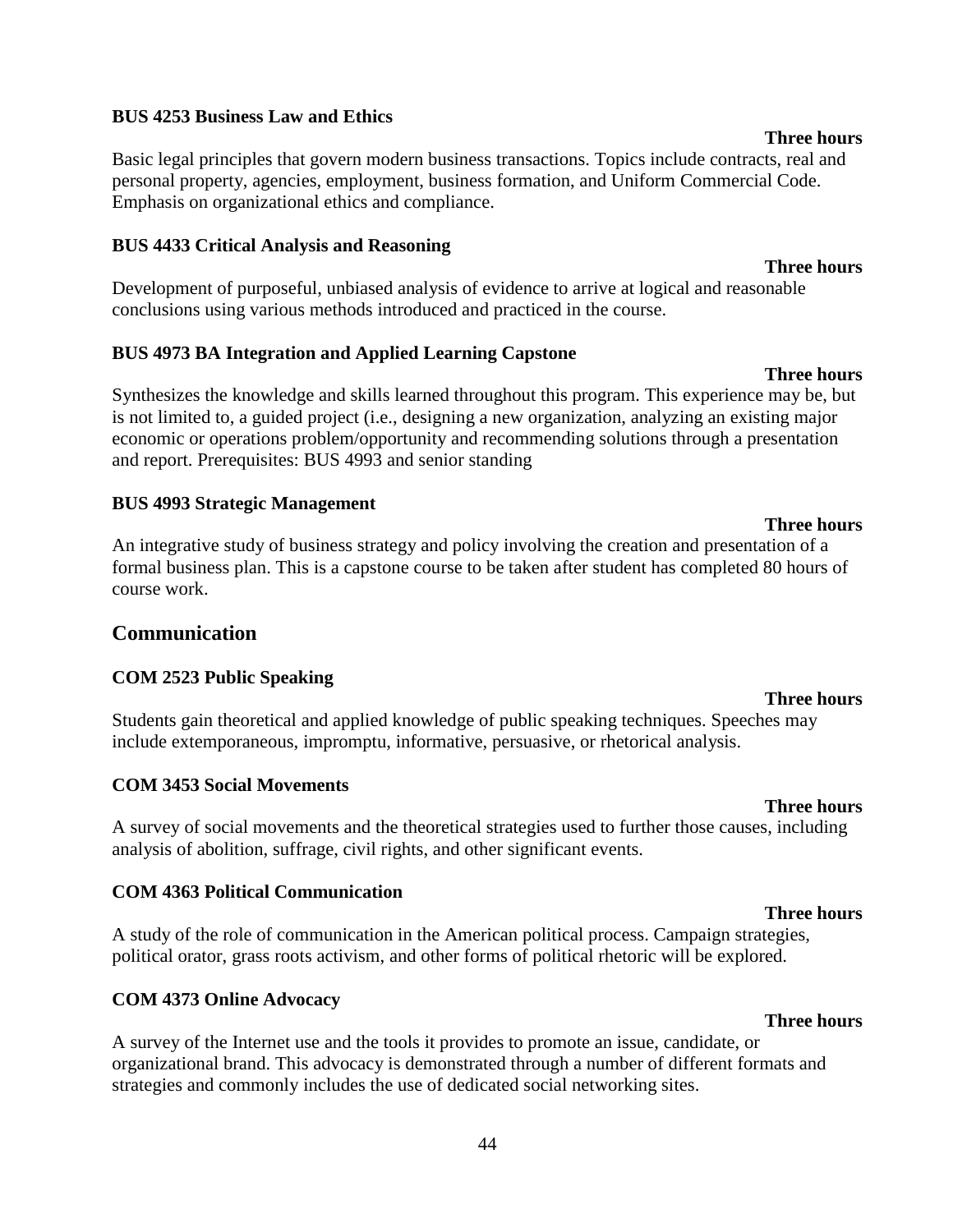#### **BUS 4253 Business Law and Ethics**

Basic legal principles that govern modern business transactions. Topics include contracts, real and personal property, agencies, employment, business formation, and Uniform Commercial Code. Emphasis on organizational ethics and compliance.

#### **BUS 4433 Critical Analysis and Reasoning**

Development of purposeful, unbiased analysis of evidence to arrive at logical and reasonable conclusions using various methods introduced and practiced in the course.

#### **BUS 4973 BA Integration and Applied Learning Capstone**

Synthesizes the knowledge and skills learned throughout this program. This experience may be, but is not limited to, a guided project (i.e., designing a new organization, analyzing an existing major economic or operations problem/opportunity and recommending solutions through a presentation and report. Prerequisites: BUS 4993 and senior standing

#### **BUS 4993 Strategic Management**

An integrative study of business strategy and policy involving the creation and presentation of a formal business plan. This is a capstone course to be taken after student has completed 80 hours of course work.

#### **Communication**

#### **COM 2523 Public Speaking**

Students gain theoretical and applied knowledge of public speaking techniques. Speeches may include extemporaneous, impromptu, informative, persuasive, or rhetorical analysis.

#### **COM 3453 Social Movements**

A survey of social movements and the theoretical strategies used to further those causes, including analysis of abolition, suffrage, civil rights, and other significant events.

#### **COM 4363 Political Communication**

A study of the role of communication in the American political process. Campaign strategies, political orator, grass roots activism, and other forms of political rhetoric will be explored.

#### **COM 4373 Online Advocacy**

A survey of the Internet use and the tools it provides to promote an issue, candidate, or organizational brand. This advocacy is demonstrated through a number of different formats and strategies and commonly includes the use of dedicated social networking sites.

#### **Three hours**

#### **Three hours**

**Three hours**

**Three hours**

#### **Three hours**

**Three hours**

#### **Three hours**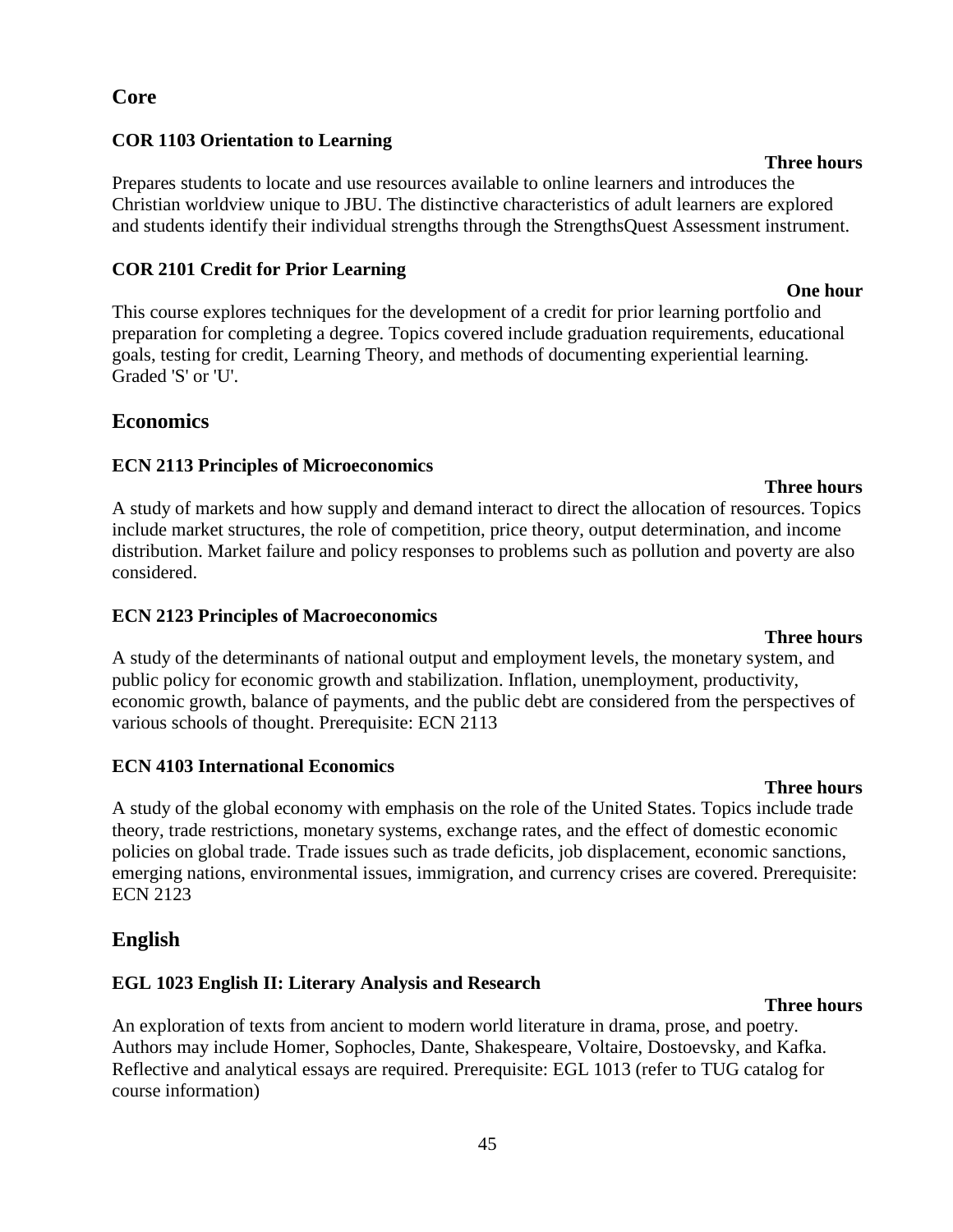### **Core**

#### **COR 1103 Orientation to Learning**

Prepares students to locate and use resources available to online learners and introduces the Christian worldview unique to JBU. The distinctive characteristics of adult learners are explored and students identify their individual strengths through the StrengthsQuest Assessment instrument.

#### **COR 2101 Credit for Prior Learning**

This course explores techniques for the development of a credit for prior learning portfolio and preparation for completing a degree. Topics covered include graduation requirements, educational goals, testing for credit, Learning Theory, and methods of documenting experiential learning. Graded 'S' or 'U'.

### **Economics**

### **ECN 2113 Principles of Microeconomics**

**Three hours** A study of markets and how supply and demand interact to direct the allocation of resources. Topics include market structures, the role of competition, price theory, output determination, and income distribution. Market failure and policy responses to problems such as pollution and poverty are also considered.

#### **ECN 2123 Principles of Macroeconomics**

A study of the determinants of national output and employment levels, the monetary system, and public policy for economic growth and stabilization. Inflation, unemployment, productivity, economic growth, balance of payments, and the public debt are considered from the perspectives of various schools of thought. Prerequisite: ECN 2113

#### **ECN 4103 International Economics**

A study of the global economy with emphasis on the role of the United States. Topics include trade theory, trade restrictions, monetary systems, exchange rates, and the effect of domestic economic policies on global trade. Trade issues such as trade deficits, job displacement, economic sanctions, emerging nations, environmental issues, immigration, and currency crises are covered. Prerequisite: ECN 2123

### **English**

### **EGL 1023 English II: Literary Analysis and Research**

An exploration of texts from ancient to modern world literature in drama, prose, and poetry. Authors may include Homer, Sophocles, Dante, Shakespeare, Voltaire, Dostoevsky, and Kafka. Reflective and analytical essays are required. Prerequisite: EGL 1013 (refer to TUG catalog for course information)

#### 45

#### **Three hours**

# **Three hours**

## **One hour**

# **Three hours**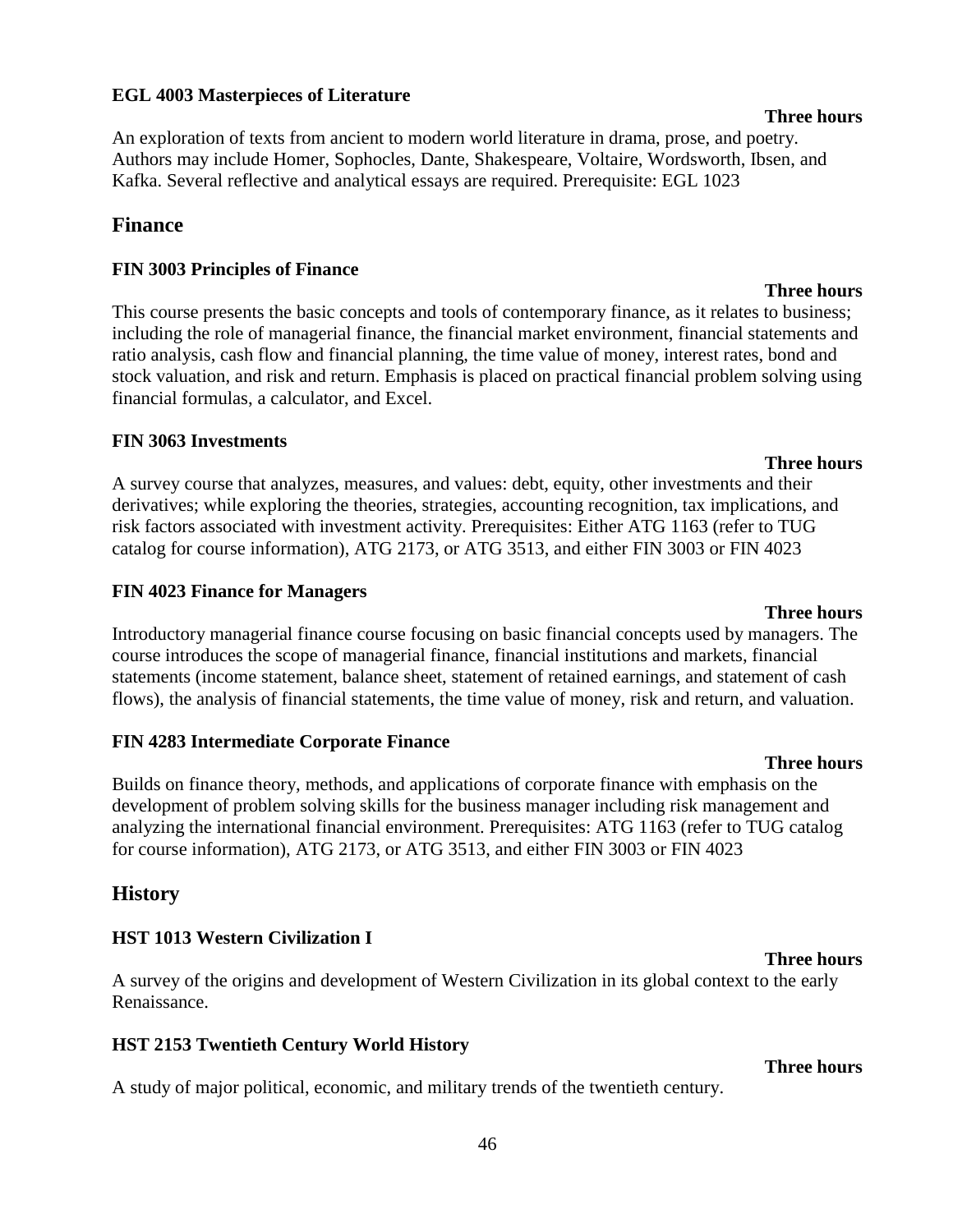#### **EGL 4003 Masterpieces of Literature**

An exploration of texts from ancient to modern world literature in drama, prose, and poetry. Authors may include Homer, Sophocles, Dante, Shakespeare, Voltaire, Wordsworth, Ibsen, and Kafka. Several reflective and analytical essays are required. Prerequisite: EGL 1023

#### **Finance**

#### **FIN 3003 Principles of Finance**

This course presents the basic concepts and tools of contemporary finance, as it relates to business; including the role of managerial finance, the financial market environment, financial statements and ratio analysis, cash flow and financial planning, the time value of money, interest rates, bond and stock valuation, and risk and return. Emphasis is placed on practical financial problem solving using financial formulas, a calculator, and Excel.

#### **FIN 3063 Investments**

**Three hours** A survey course that analyzes, measures, and values: debt, equity, other investments and their derivatives; while exploring the theories, strategies, accounting recognition, tax implications, and risk factors associated with investment activity. Prerequisites: Either ATG 1163 (refer to TUG catalog for course information), ATG 2173, or ATG 3513, and either FIN 3003 or FIN 4023

#### **FIN 4023 Finance for Managers**

Introductory managerial finance course focusing on basic financial concepts used by managers. The course introduces the scope of managerial finance, financial institutions and markets, financial statements (income statement, balance sheet, statement of retained earnings, and statement of cash flows), the analysis of financial statements, the time value of money, risk and return, and valuation.

#### **FIN 4283 Intermediate Corporate Finance**

Builds on finance theory, methods, and applications of corporate finance with emphasis on the development of problem solving skills for the business manager including risk management and analyzing the international financial environment. Prerequisites: ATG 1163 (refer to TUG catalog for course information), ATG 2173, or ATG 3513, and either FIN 3003 or FIN 4023

#### **History**

#### **HST 1013 Western Civilization I**

A survey of the origins and development of Western Civilization in its global context to the early Renaissance.

#### **HST 2153 Twentieth Century World History**

A study of major political, economic, and military trends of the twentieth century.

#### **Three hours**

### **Three hours**

#### **Three hours**

**Three hours**

#### **Three hours**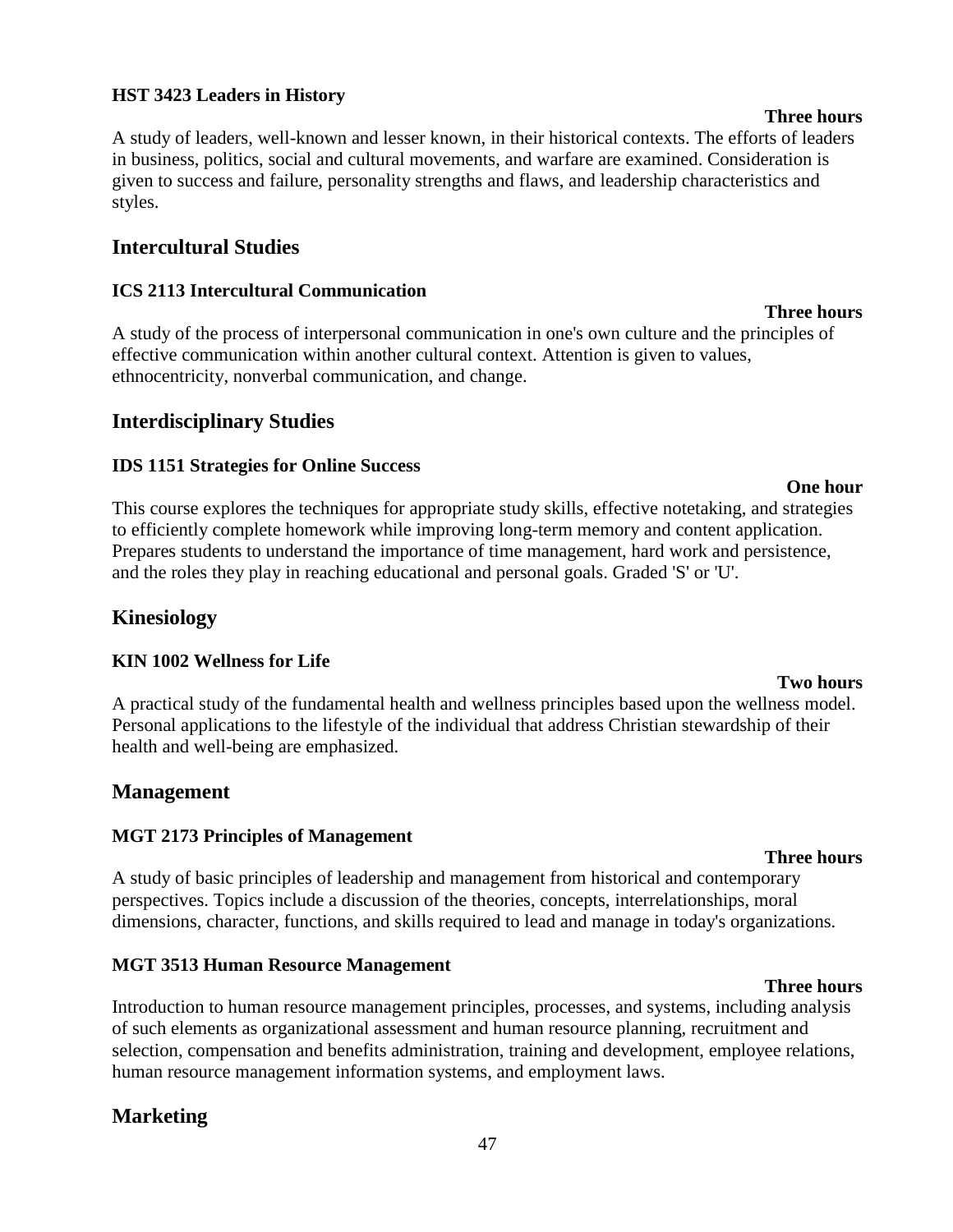#### **HST 3423 Leaders in History**

A study of leaders, well-known and lesser known, in their historical contexts. The efforts of leaders in business, politics, social and cultural movements, and warfare are examined. Consideration is given to success and failure, personality strengths and flaws, and leadership characteristics and styles.

### **Intercultural Studies**

#### **ICS 2113 Intercultural Communication**

A study of the process of interpersonal communication in one's own culture and the principles of effective communication within another cultural context. Attention is given to values, ethnocentricity, nonverbal communication, and change.

#### **Interdisciplinary Studies**

#### **IDS 1151 Strategies for Online Success**

This course explores the techniques for appropriate study skills, effective notetaking, and strategies to efficiently complete homework while improving long-term memory and content application. Prepares students to understand the importance of time management, hard work and persistence, and the roles they play in reaching educational and personal goals. Graded 'S' or 'U'.

#### **Kinesiology**

#### **KIN 1002 Wellness for Life**

A practical study of the fundamental health and wellness principles based upon the wellness model. Personal applications to the lifestyle of the individual that address Christian stewardship of their health and well-being are emphasized.

#### **Management**

#### **MGT 2173 Principles of Management**

A study of basic principles of leadership and management from historical and contemporary perspectives. Topics include a discussion of the theories, concepts, interrelationships, moral dimensions, character, functions, and skills required to lead and manage in today's organizations.

#### **MGT 3513 Human Resource Management**

Introduction to human resource management principles, processes, and systems, including analysis of such elements as organizational assessment and human resource planning, recruitment and selection, compensation and benefits administration, training and development, employee relations, human resource management information systems, and employment laws.

47

### **Marketing**

**Three hours**

**Two hours**

# **Three hours**

#### **One hour**

#### **Three hours**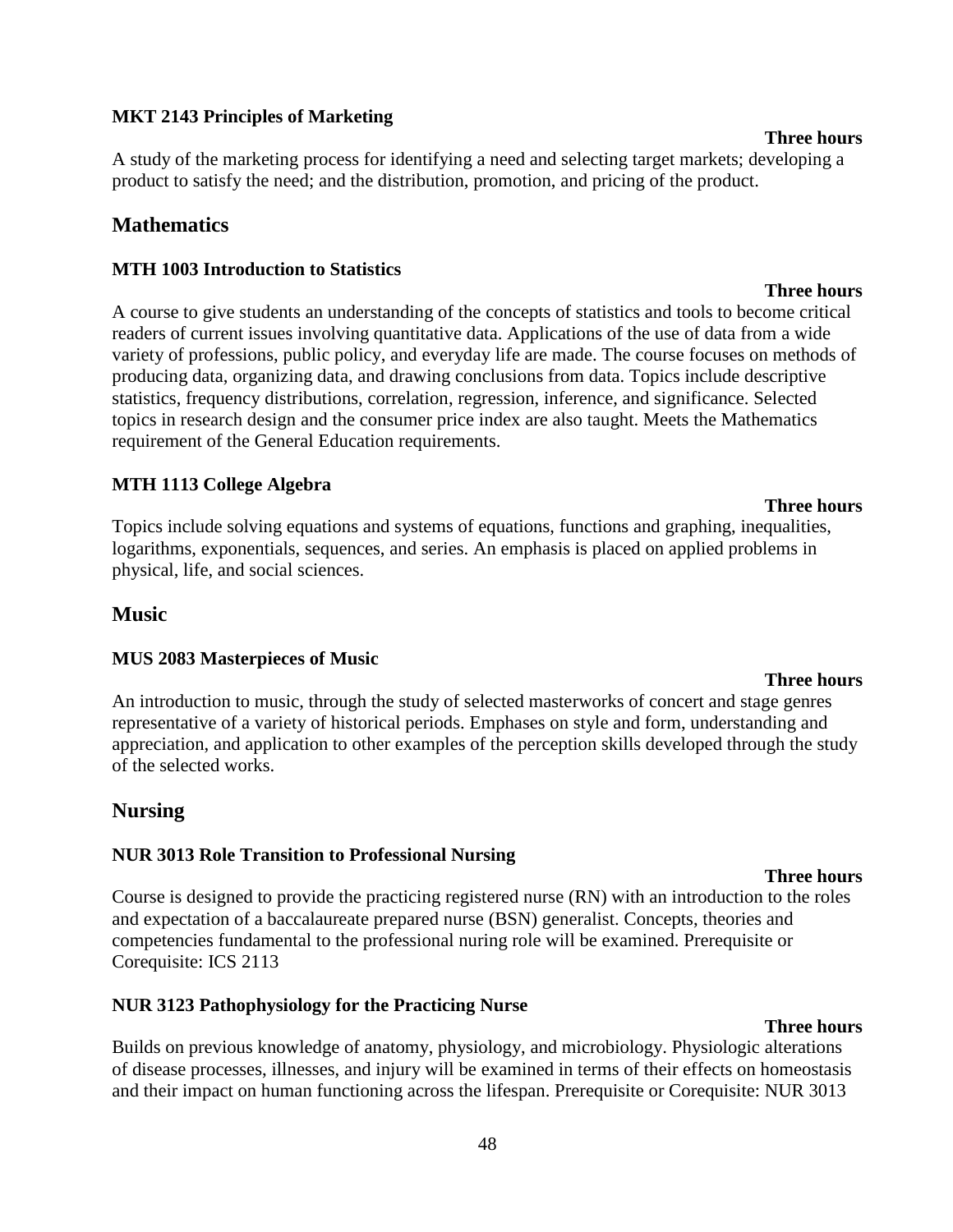#### **MKT 2143 Principles of Marketing**

A study of the marketing process for identifying a need and selecting target markets; developing a product to satisfy the need; and the distribution, promotion, and pricing of the product.

### **Mathematics**

#### **MTH 1003 Introduction to Statistics**

**Three hours** A course to give students an understanding of the concepts of statistics and tools to become critical readers of current issues involving quantitative data. Applications of the use of data from a wide variety of professions, public policy, and everyday life are made. The course focuses on methods of producing data, organizing data, and drawing conclusions from data. Topics include descriptive statistics, frequency distributions, correlation, regression, inference, and significance. Selected topics in research design and the consumer price index are also taught. Meets the Mathematics requirement of the General Education requirements.

#### **MTH 1113 College Algebra**

Topics include solving equations and systems of equations, functions and graphing, inequalities, logarithms, exponentials, sequences, and series. An emphasis is placed on applied problems in physical, life, and social sciences.

#### **Music**

#### **MUS 2083 Masterpieces of Music**

An introduction to music, through the study of selected masterworks of concert and stage genres representative of a variety of historical periods. Emphases on style and form, understanding and appreciation, and application to other examples of the perception skills developed through the study of the selected works.

#### **Nursing**

#### **NUR 3013 Role Transition to Professional Nursing**

#### **Three hours**

Course is designed to provide the practicing registered nurse (RN) with an introduction to the roles and expectation of a baccalaureate prepared nurse (BSN) generalist. Concepts, theories and competencies fundamental to the professional nuring role will be examined. Prerequisite or Corequisite: ICS 2113

#### **NUR 3123 Pathophysiology for the Practicing Nurse**

#### **Three hours**

Builds on previous knowledge of anatomy, physiology, and microbiology. Physiologic alterations of disease processes, illnesses, and injury will be examined in terms of their effects on homeostasis and their impact on human functioning across the lifespan. Prerequisite or Corequisite: NUR 3013

#### 48

**Three hours**

## **Three hours**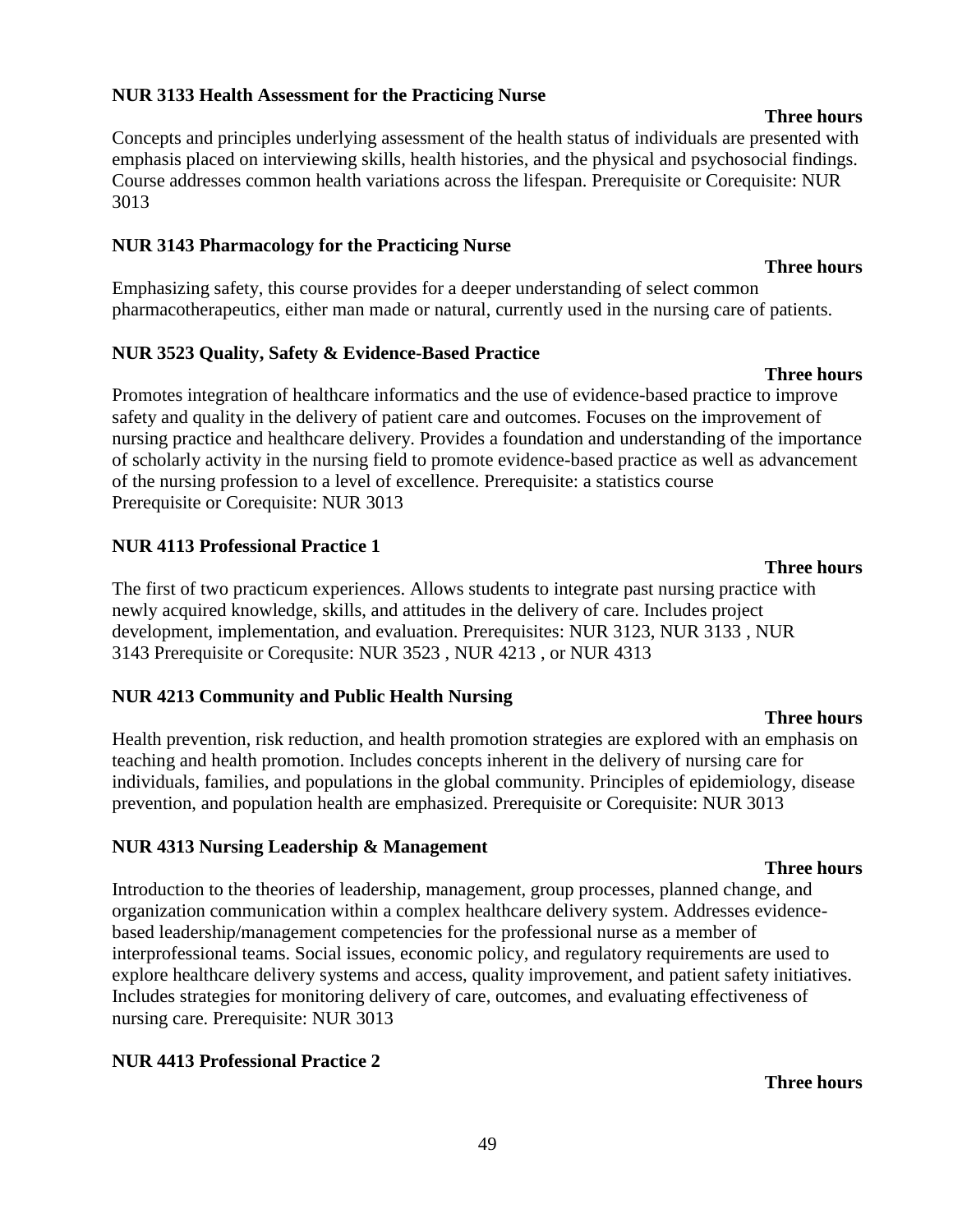Promotes integration of healthcare informatics and the use of evidence-based practice to improve safety and quality in the delivery of patient care and outcomes. Focuses on the improvement of nursing practice and healthcare delivery. Provides a foundation and understanding of the importance of scholarly activity in the nursing field to promote evidence-based practice as well as advancement of the nursing profession to a level of excellence. Prerequisite: a statistics course Prerequisite or Corequisite: NUR 3013

#### **NUR 4113 Professional Practice 1**

The first of two practicum experiences. Allows students to integrate past nursing practice with 3143 Prerequisite or Corequsite: NUR 3523 , NUR 4213 , or NUR 4313

#### **NUR 4213 Community and Public Health Nursing**

Health prevention, risk reduction, and health promotion strategies are explored with an emphasis on teaching and health promotion. Includes concepts inherent in the delivery of nursing care for individuals, families, and populations in the global community. Principles of epidemiology, disease prevention, and population health are emphasized. Prerequisite or Corequisite: NUR 3013

#### **NUR 4313 Nursing Leadership & Management**

Introduction to the theories of leadership, management, group processes, planned change, and organization communication within a complex healthcare delivery system. Addresses evidencebased leadership/management competencies for the professional nurse as a member of interprofessional teams. Social issues, economic policy, and regulatory requirements are used to explore healthcare delivery systems and access, quality improvement, and patient safety initiatives. Includes strategies for monitoring delivery of care, outcomes, and evaluating effectiveness of nursing care. Prerequisite: NUR 3013

#### **NUR 4413 Professional Practice 2**

#### **NUR 3133 Health Assessment for the Practicing Nurse**

Concepts and principles underlying assessment of the health status of individuals are presented with emphasis placed on interviewing skills, health histories, and the physical and psychosocial findings. Course addresses common health variations across the lifespan. Prerequisite or Corequisite: NUR 3013

#### **NUR 3143 Pharmacology for the Practicing Nurse**

Emphasizing safety, this course provides for a deeper understanding of select common pharmacotherapeutics, either man made or natural, currently used in the nursing care of patients.

#### **NUR 3523 Quality, Safety & Evidence-Based Practice**

# newly acquired knowledge, skills, and attitudes in the delivery of care. Includes project development, implementation, and evaluation. Prerequisites: NUR 3123, NUR 3133 , NUR

#### **Three hours**

## **Three hours**

# **Three hours**

**Three hours**

#### **Three hours**

#### **Three hours**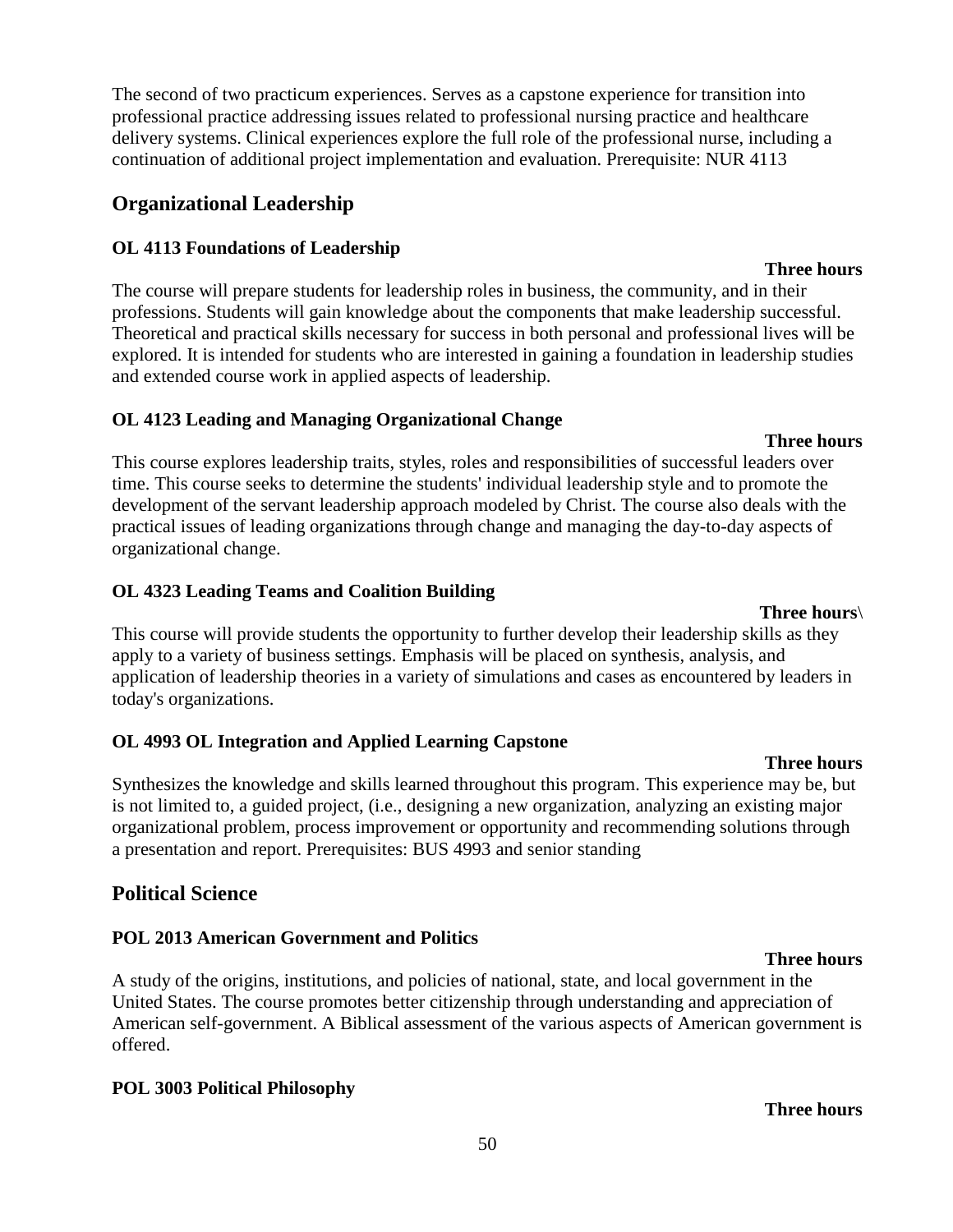**Three hours**

The second of two practicum experiences. Serves as a capstone experience for transition into professional practice addressing issues related to professional nursing practice and healthcare delivery systems. Clinical experiences explore the full role of the professional nurse, including a continuation of additional project implementation and evaluation. Prerequisite: NUR 4113

# **Organizational Leadership**

## **OL 4113 Foundations of Leadership**

The course will prepare students for leadership roles in business, the community, and in their professions. Students will gain knowledge about the components that make leadership successful. Theoretical and practical skills necessary for success in both personal and professional lives will be explored. It is intended for students who are interested in gaining a foundation in leadership studies and extended course work in applied aspects of leadership.

# **OL 4123 Leading and Managing Organizational Change**

**Three hours** This course explores leadership traits, styles, roles and responsibilities of successful leaders over time. This course seeks to determine the students' individual leadership style and to promote the development of the servant leadership approach modeled by Christ. The course also deals with the practical issues of leading organizations through change and managing the day-to-day aspects of organizational change.

# **OL 4323 Leading Teams and Coalition Building**

This course will provide students the opportunity to further develop their leadership skills as they apply to a variety of business settings. Emphasis will be placed on synthesis, analysis, and application of leadership theories in a variety of simulations and cases as encountered by leaders in today's organizations.

## **OL 4993 OL Integration and Applied Learning Capstone**

**Three hours** Synthesizes the knowledge and skills learned throughout this program. This experience may be, but is not limited to, a guided project, (i.e., designing a new organization, analyzing an existing major organizational problem, process improvement or opportunity and recommending solutions through a presentation and report. Prerequisites: BUS 4993 and senior standing

# **Political Science**

# **POL 2013 American Government and Politics**

A study of the origins, institutions, and policies of national, state, and local government in the United States. The course promotes better citizenship through understanding and appreciation of American self-government. A Biblical assessment of the various aspects of American government is offered.

## **POL 3003 Political Philosophy**

## 50

## **Three hours**\

#### **Three hours**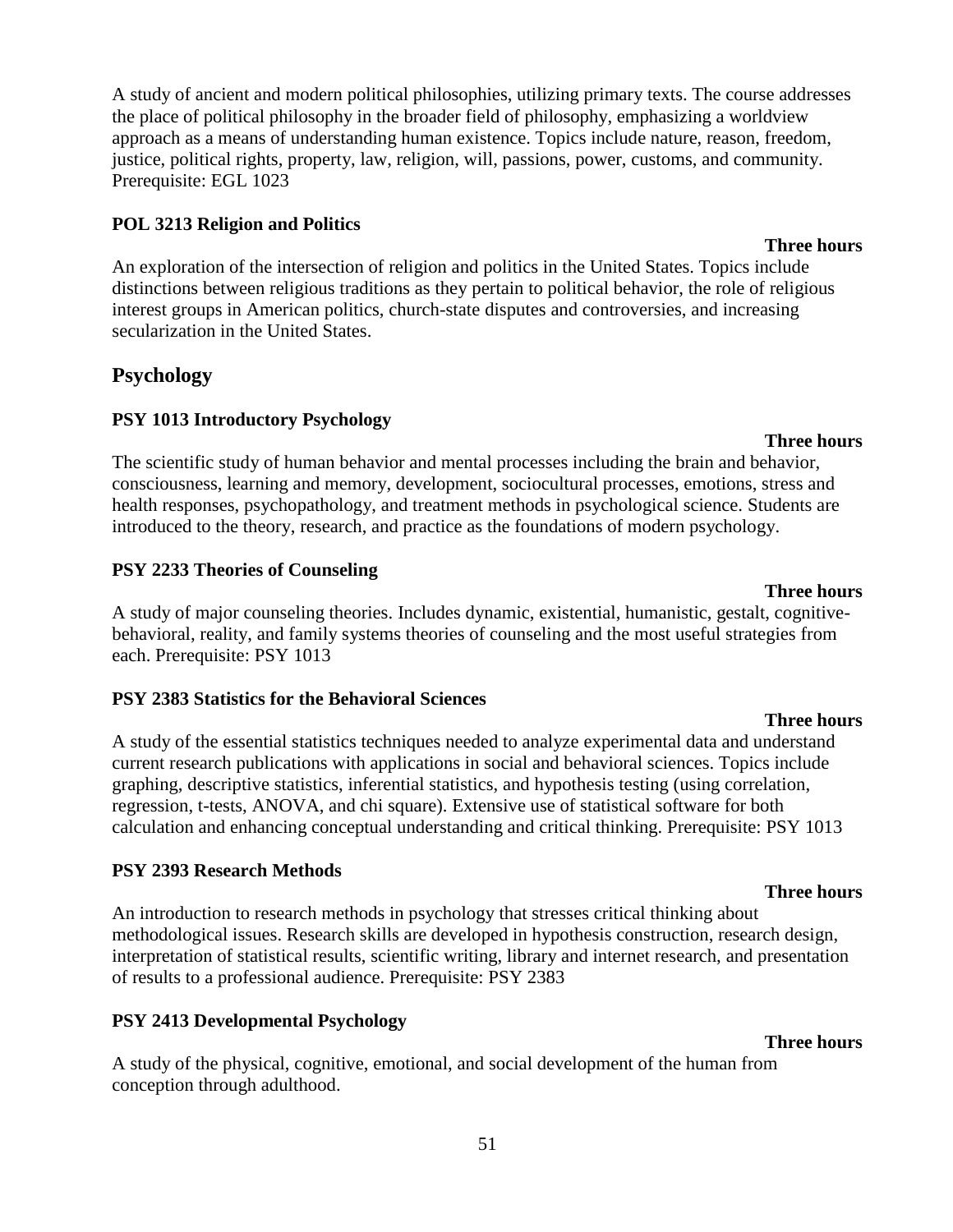51

A study of ancient and modern political philosophies, utilizing primary texts. The course addresses the place of political philosophy in the broader field of philosophy, emphasizing a worldview approach as a means of understanding human existence. Topics include nature, reason, freedom, justice, political rights, property, law, religion, will, passions, power, customs, and community. Prerequisite: EGL 1023

### **POL 3213 Religion and Politics**

An exploration of the intersection of religion and politics in the United States. Topics include distinctions between religious traditions as they pertain to political behavior, the role of religious interest groups in American politics, church-state disputes and controversies, and increasing secularization in the United States.

# **Psychology**

## **PSY 1013 Introductory Psychology**

The scientific study of human behavior and mental processes including the brain and behavior, consciousness, learning and memory, development, sociocultural processes, emotions, stress and health responses, psychopathology, and treatment methods in psychological science. Students are introduced to the theory, research, and practice as the foundations of modern psychology.

### **PSY 2233 Theories of Counseling**

**Three hours** A study of major counseling theories. Includes dynamic, existential, humanistic, gestalt, cognitivebehavioral, reality, and family systems theories of counseling and the most useful strategies from each. Prerequisite: PSY 1013

### **PSY 2383 Statistics for the Behavioral Sciences**

A study of the essential statistics techniques needed to analyze experimental data and understand current research publications with applications in social and behavioral sciences. Topics include graphing, descriptive statistics, inferential statistics, and hypothesis testing (using correlation, regression, t-tests, ANOVA, and chi square). Extensive use of statistical software for both calculation and enhancing conceptual understanding and critical thinking. Prerequisite: PSY 1013

## **PSY 2393 Research Methods**

An introduction to research methods in psychology that stresses critical thinking about methodological issues. Research skills are developed in hypothesis construction, research design, interpretation of statistical results, scientific writing, library and internet research, and presentation of results to a professional audience. Prerequisite: PSY 2383

## **PSY 2413 Developmental Psychology**

A study of the physical, cognitive, emotional, and social development of the human from conception through adulthood.

### **Three hours**

#### **Three hours**

#### **Three hours**

# **Three hours**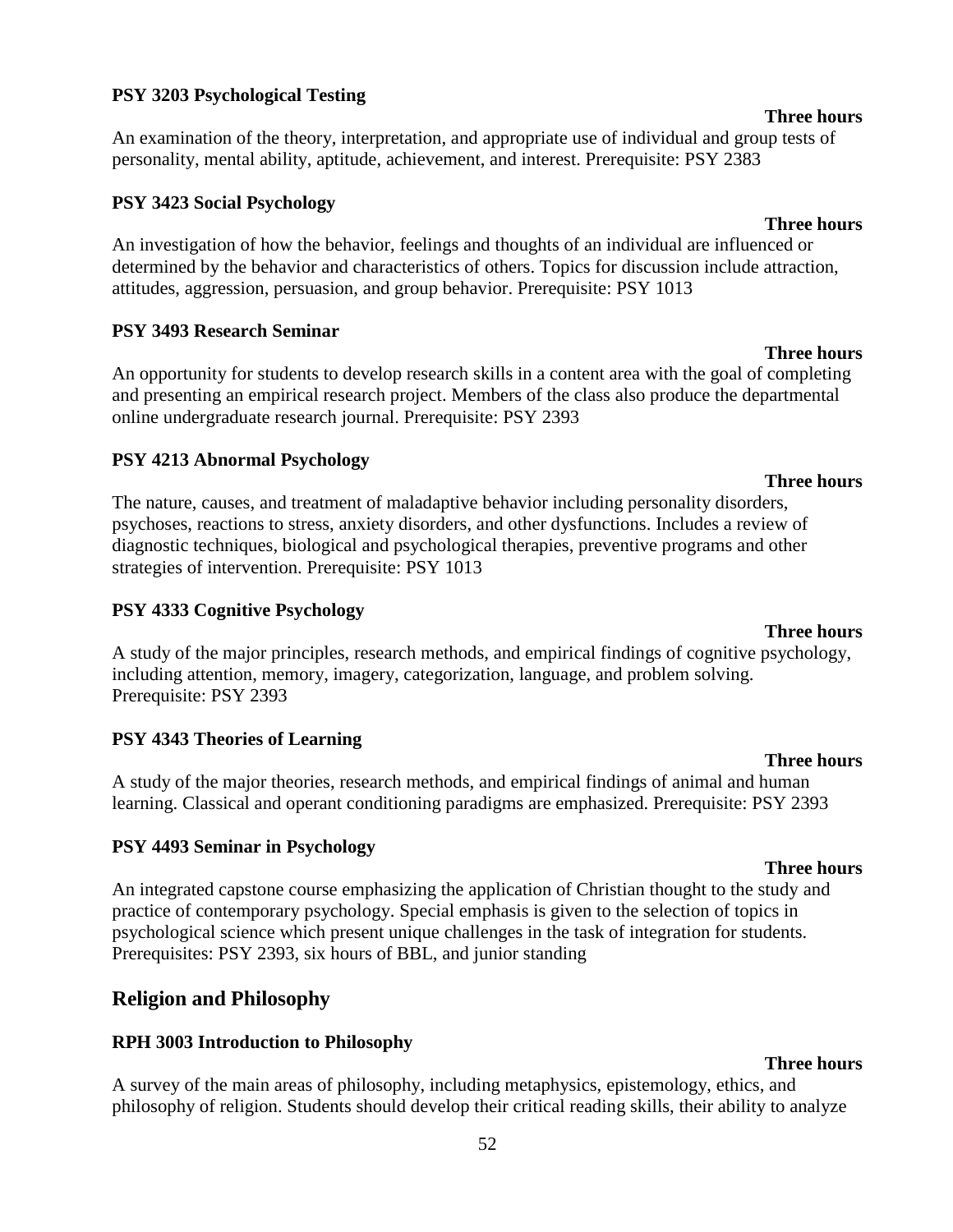#### **PSY 3203 Psychological Testing**

An examination of the theory, interpretation, and appropriate use of individual and group tests of personality, mental ability, aptitude, achievement, and interest. Prerequisite: PSY 2383

#### **PSY 3423 Social Psychology**

An investigation of how the behavior, feelings and thoughts of an individual are influenced or determined by the behavior and characteristics of others. Topics for discussion include attraction, attitudes, aggression, persuasion, and group behavior. Prerequisite: PSY 1013

#### **PSY 3493 Research Seminar**

An opportunity for students to develop research skills in a content area with the goal of completing and presenting an empirical research project. Members of the class also produce the departmental online undergraduate research journal. Prerequisite: PSY 2393

#### **PSY 4213 Abnormal Psychology**

The nature, causes, and treatment of maladaptive behavior including personality disorders, psychoses, reactions to stress, anxiety disorders, and other dysfunctions. Includes a review of diagnostic techniques, biological and psychological therapies, preventive programs and other strategies of intervention. Prerequisite: PSY 1013

#### **PSY 4333 Cognitive Psychology**

A study of the major principles, research methods, and empirical findings of cognitive psychology, including attention, memory, imagery, categorization, language, and problem solving. Prerequisite: PSY 2393

#### **PSY 4343 Theories of Learning**

A study of the major theories, research methods, and empirical findings of animal and human learning. Classical and operant conditioning paradigms are emphasized. Prerequisite: PSY 2393

#### **PSY 4493 Seminar in Psychology**

An integrated capstone course emphasizing the application of Christian thought to the study and practice of contemporary psychology. Special emphasis is given to the selection of topics in psychological science which present unique challenges in the task of integration for students. Prerequisites: PSY 2393, six hours of BBL, and junior standing

### **Religion and Philosophy**

#### **RPH 3003 Introduction to Philosophy**

A survey of the main areas of philosophy, including metaphysics, epistemology, ethics, and philosophy of religion. Students should develop their critical reading skills, their ability to analyze

#### **Three hours**

#### **Three hours**

## **Three hours**

**Three hours**

## **Three hours**

### **Three hours**

**Three hours**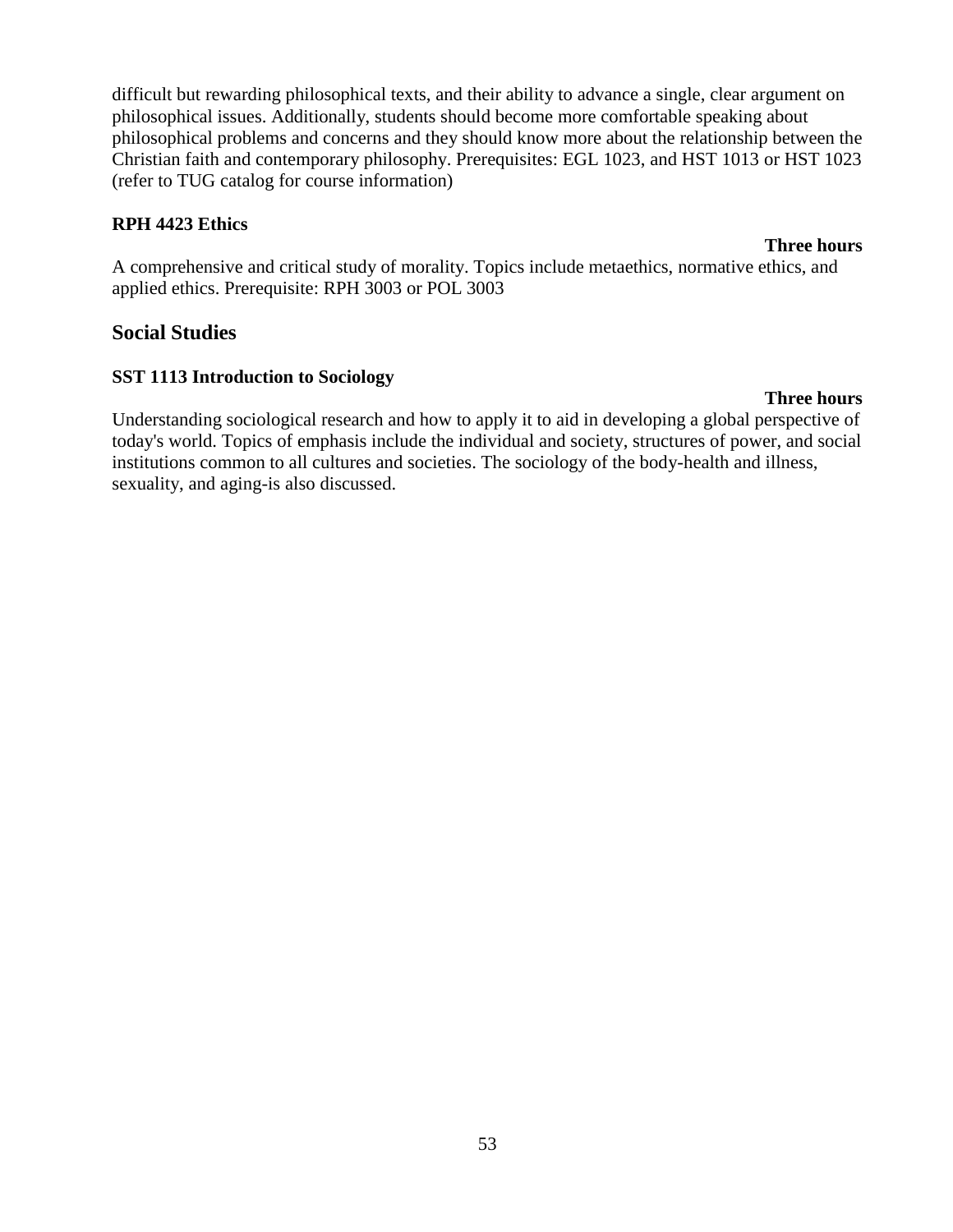difficult but rewarding philosophical texts, and their ability to advance a single, clear argument on philosophical issues. Additionally, students should become more comfortable speaking about philosophical problems and concerns and they should know more about the relationship between the Christian faith and contemporary philosophy. Prerequisites: EGL 1023, and HST 1013 or HST 1023 (refer to TUG catalog for course information)

#### **RPH 4423 Ethics**

A comprehensive and critical study of morality. Topics include metaethics, normative ethics, and applied ethics. Prerequisite: RPH 3003 or POL 3003

### **Social Studies**

#### **SST 1113 Introduction to Sociology**

#### **Three hours**

Understanding sociological research and how to apply it to aid in developing a global perspective of today's world. Topics of emphasis include the individual and society, structures of power, and social institutions common to all cultures and societies. The sociology of the body-health and illness, sexuality, and aging-is also discussed.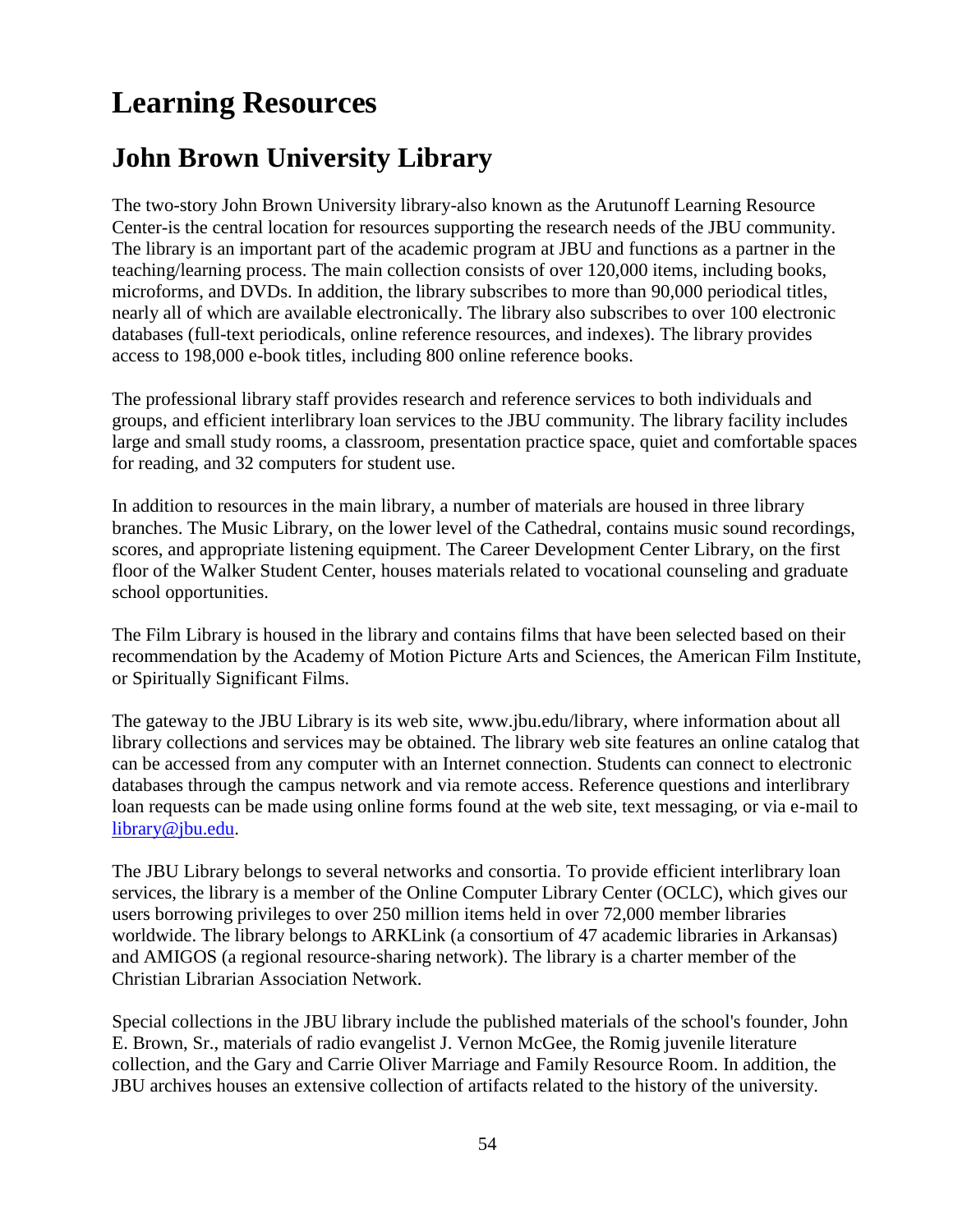# **Learning Resources**

# **John Brown University Library**

The two-story John Brown University library-also known as the Arutunoff Learning Resource Center-is the central location for resources supporting the research needs of the JBU community. The library is an important part of the academic program at JBU and functions as a partner in the teaching/learning process. The main collection consists of over 120,000 items, including books, microforms, and DVDs. In addition, the library subscribes to more than 90,000 periodical titles, nearly all of which are available electronically. The library also subscribes to over 100 electronic databases (full-text periodicals, online reference resources, and indexes). The library provides access to 198,000 e-book titles, including 800 online reference books.

The professional library staff provides research and reference services to both individuals and groups, and efficient interlibrary loan services to the JBU community. The library facility includes large and small study rooms, a classroom, presentation practice space, quiet and comfortable spaces for reading, and 32 computers for student use.

In addition to resources in the main library, a number of materials are housed in three library branches. The Music Library, on the lower level of the Cathedral, contains music sound recordings, scores, and appropriate listening equipment. The Career Development Center Library, on the first floor of the Walker Student Center, houses materials related to vocational counseling and graduate school opportunities.

The Film Library is housed in the library and contains films that have been selected based on their recommendation by the Academy of Motion Picture Arts and Sciences, the American Film Institute, or Spiritually Significant Films.

The gateway to the JBU Library is its web site, www.jbu.edu/library, where information about all library collections and services may be obtained. The library web site features an online catalog that can be accessed from any computer with an Internet connection. Students can connect to electronic databases through the campus network and via remote access. Reference questions and interlibrary loan requests can be made using online forms found at the web site, text messaging, or via e-mail to [library@jbu.edu.](mailto:library@jbu.edu)

The JBU Library belongs to several networks and consortia. To provide efficient interlibrary loan services, the library is a member of the Online Computer Library Center (OCLC), which gives our users borrowing privileges to over 250 million items held in over 72,000 member libraries worldwide. The library belongs to ARKLink (a consortium of 47 academic libraries in Arkansas) and AMIGOS (a regional resource-sharing network). The library is a charter member of the Christian Librarian Association Network.

Special collections in the JBU library include the published materials of the school's founder, John E. Brown, Sr., materials of radio evangelist J. Vernon McGee, the Romig juvenile literature collection, and the Gary and Carrie Oliver Marriage and Family Resource Room. In addition, the JBU archives houses an extensive collection of artifacts related to the history of the university.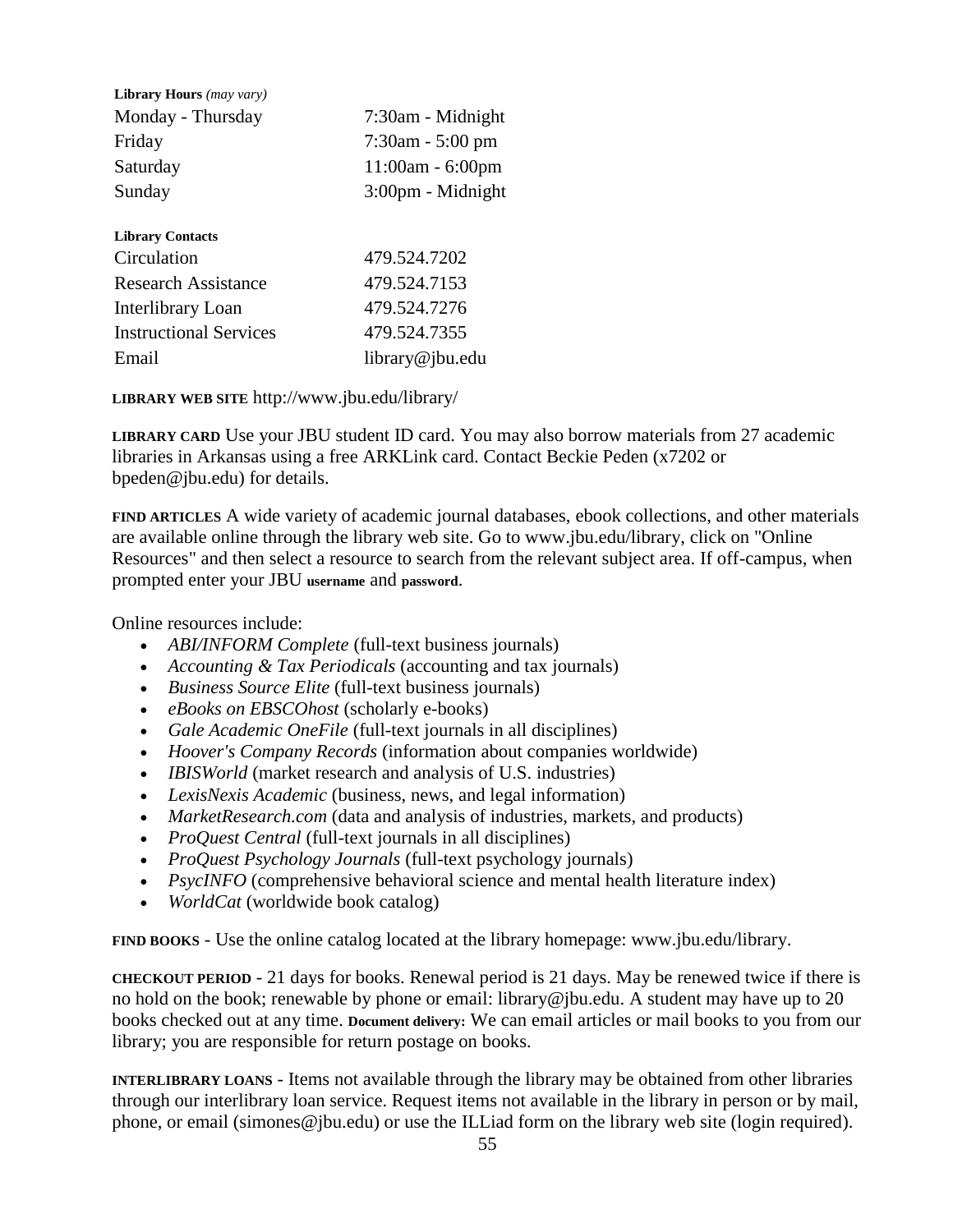| Library Hours (may vary)      |                     |  |
|-------------------------------|---------------------|--|
| Monday - Thursday             | 7:30am - Midnight   |  |
| Friday                        | $7:30$ am - 5:00 pm |  |
| Saturday                      | $11:00am - 6:00pm$  |  |
| Sunday                        | 3:00pm - Midnight   |  |
| <b>Library Contacts</b>       |                     |  |
| Circulation                   | 479.524.7202        |  |
| <b>Research Assistance</b>    | 479.524.7153        |  |
| Interlibrary Loan             | 479.524.7276        |  |
| <b>Instructional Services</b> | 479.524.7355        |  |
| Email                         | library@jbu.edu     |  |

**LIBRARY WEB SITE** http://www.jbu.edu/library/

**LIBRARY CARD** Use your JBU student ID card. You may also borrow materials from 27 academic libraries in Arkansas using a free ARKLink card. Contact Beckie Peden (x7202 or bpeden@jbu.edu) for details.

**FIND ARTICLES** A wide variety of academic journal databases, ebook collections, and other materials are available online through the library web site. Go to www.jbu.edu/library, click on "Online Resources" and then select a resource to search from the relevant subject area. If off-campus, when prompted enter your JBU **username** and **password**.

Online resources include:

- *ABI/INFORM Complete* (full-text business journals)
- *Accounting & Tax Periodicals* (accounting and tax journals)
- *Business Source Elite* (full-text business journals)
- *eBooks on EBSCOhost* (scholarly e-books)
- *Gale Academic OneFile* (full-text journals in all disciplines)
- *Hoover's Company Records* (information about companies worldwide)
- *IBISWorld* (market research and analysis of U.S. industries)
- *LexisNexis Academic* (business, news, and legal information)
- *MarketResearch.com* (data and analysis of industries, markets, and products)
- *ProQuest Central* (full-text journals in all disciplines)
- *ProQuest Psychology Journals* (full-text psychology journals)
- *PsycINFO* (comprehensive behavioral science and mental health literature index)
- *WorldCat* (worldwide book catalog)

**FIND BOOKS** - Use the online catalog located at the library homepage: www.jbu.edu/library.

**CHECKOUT PERIOD** - 21 days for books. Renewal period is 21 days. May be renewed twice if there is no hold on the book; renewable by phone or email: library@jbu.edu. A student may have up to 20 books checked out at any time. **Document delivery:** We can email articles or mail books to you from our library; you are responsible for return postage on books.

**INTERLIBRARY LOANS** - Items not available through the library may be obtained from other libraries through our interlibrary loan service. Request items not available in the library in person or by mail, phone, or email (simones@jbu.edu) or use the ILLiad form on the library web site (login required).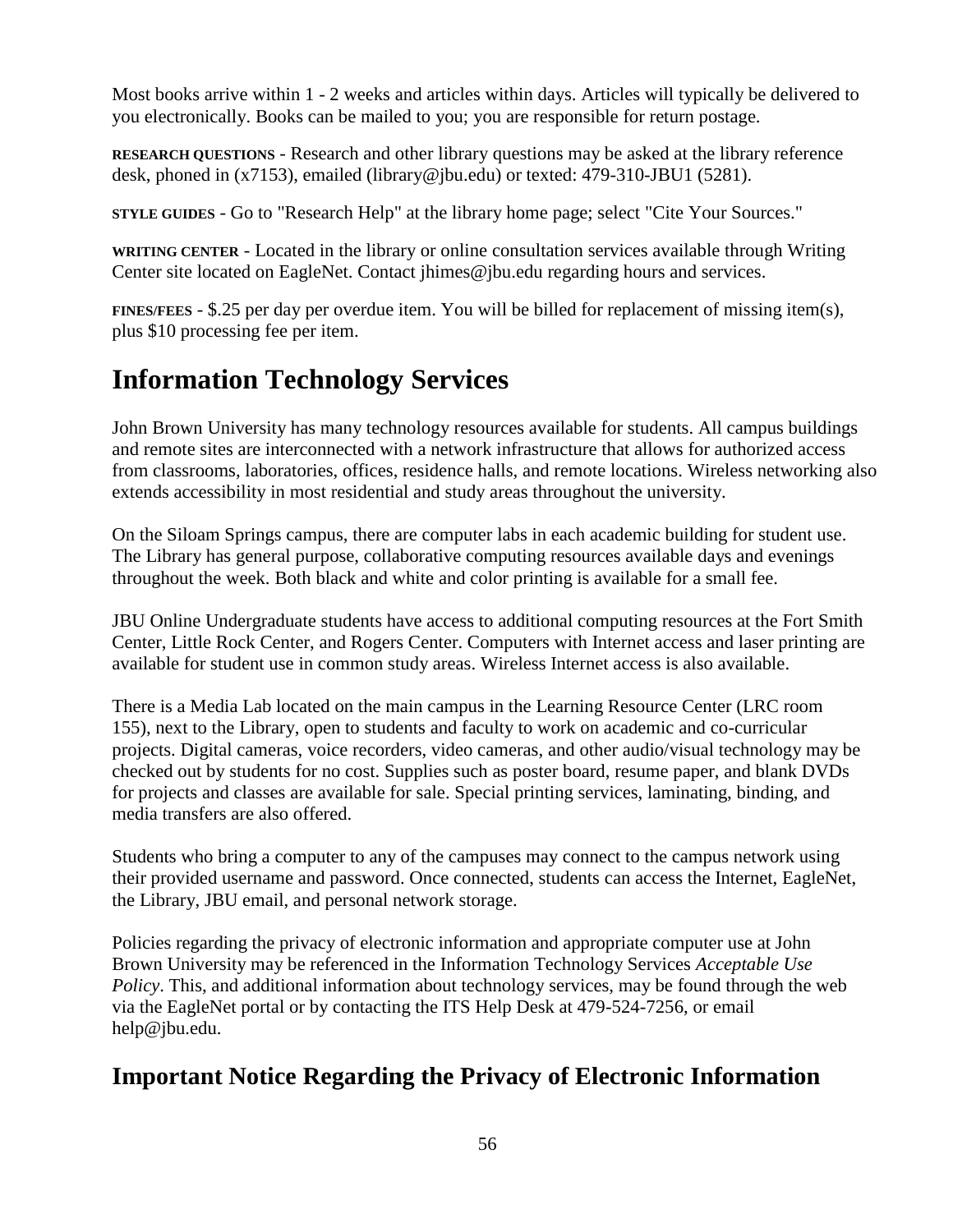Most books arrive within 1 - 2 weeks and articles within days. Articles will typically be delivered to you electronically. Books can be mailed to you; you are responsible for return postage.

**RESEARCH QUESTIONS** - Research and other library questions may be asked at the library reference desk, phoned in (x7153), emailed (library@jbu.edu) or texted: 479-310-JBU1 (5281).

**STYLE GUIDES** - Go to "Research Help" at the library home page; select "Cite Your Sources."

**WRITING CENTER** - Located in the library or online consultation services available through Writing Center site located on EagleNet. Contact jhimes@jbu.edu regarding hours and services.

**FINES/FEES** - \$.25 per day per overdue item. You will be billed for replacement of missing item(s), plus \$10 processing fee per item.

# **Information Technology Services**

John Brown University has many technology resources available for students. All campus buildings and remote sites are interconnected with a network infrastructure that allows for authorized access from classrooms, laboratories, offices, residence halls, and remote locations. Wireless networking also extends accessibility in most residential and study areas throughout the university.

On the Siloam Springs campus, there are computer labs in each academic building for student use. The Library has general purpose, collaborative computing resources available days and evenings throughout the week. Both black and white and color printing is available for a small fee.

JBU Online Undergraduate students have access to additional computing resources at the Fort Smith Center, Little Rock Center, and Rogers Center. Computers with Internet access and laser printing are available for student use in common study areas. Wireless Internet access is also available.

There is a Media Lab located on the main campus in the Learning Resource Center (LRC room 155), next to the Library, open to students and faculty to work on academic and co-curricular projects. Digital cameras, voice recorders, video cameras, and other audio/visual technology may be checked out by students for no cost. Supplies such as poster board, resume paper, and blank DVDs for projects and classes are available for sale. Special printing services, laminating, binding, and media transfers are also offered.

Students who bring a computer to any of the campuses may connect to the campus network using their provided username and password. Once connected, students can access the Internet, EagleNet, the Library, JBU email, and personal network storage.

Policies regarding the privacy of electronic information and appropriate computer use at John Brown University may be referenced in the Information Technology Services *Acceptable Use Policy*. This, and additional information about technology services, may be found through the web via the EagleNet portal or by contacting the ITS Help Desk at 479-524-7256, or email help@jbu.edu.

# **Important Notice Regarding the Privacy of Electronic Information**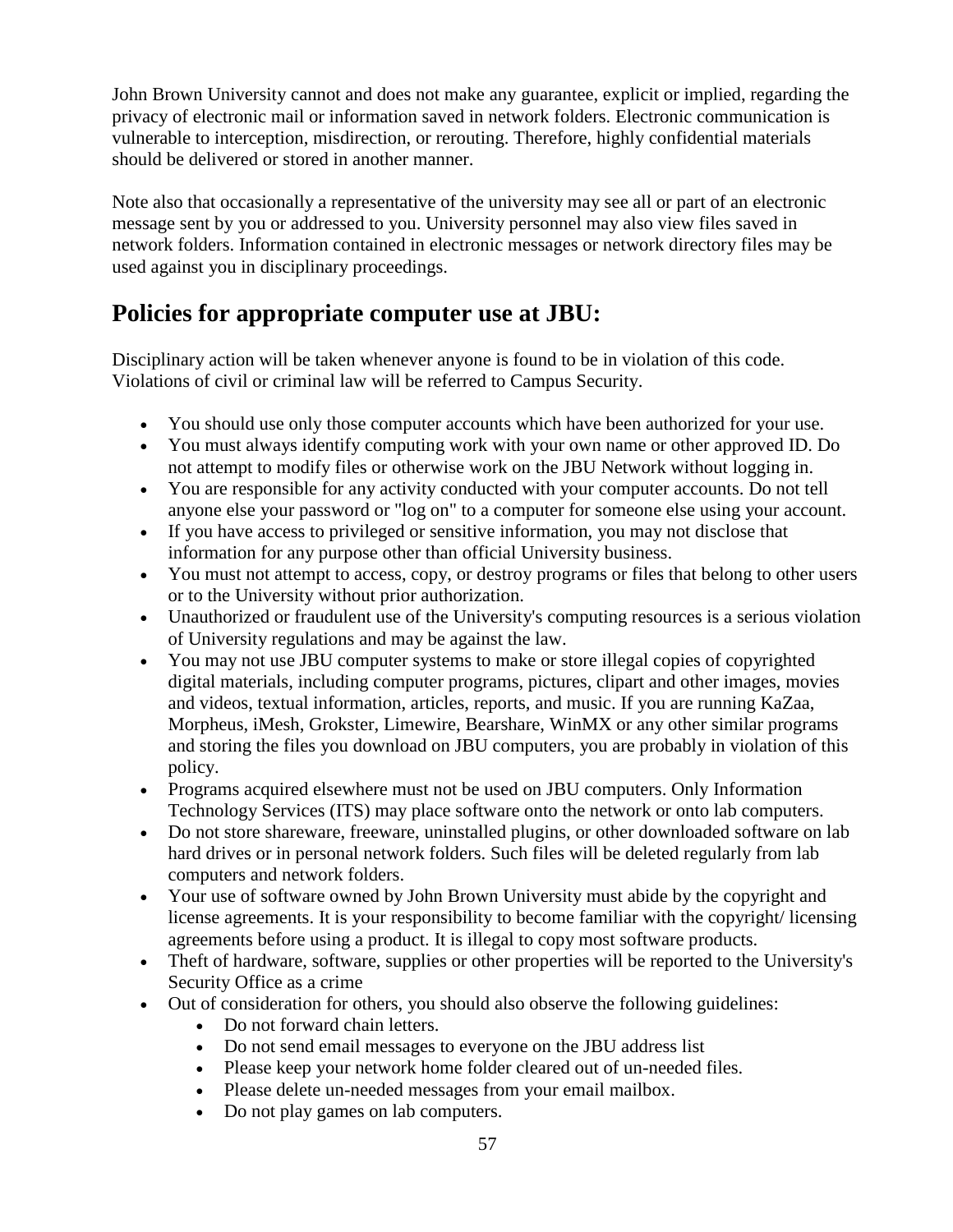John Brown University cannot and does not make any guarantee, explicit or implied, regarding the privacy of electronic mail or information saved in network folders. Electronic communication is vulnerable to interception, misdirection, or rerouting. Therefore, highly confidential materials should be delivered or stored in another manner.

Note also that occasionally a representative of the university may see all or part of an electronic message sent by you or addressed to you. University personnel may also view files saved in network folders. Information contained in electronic messages or network directory files may be used against you in disciplinary proceedings.

# **Policies for appropriate computer use at JBU:**

Disciplinary action will be taken whenever anyone is found to be in violation of this code. Violations of civil or criminal law will be referred to Campus Security.

- You should use only those computer accounts which have been authorized for your use.
- You must always identify computing work with your own name or other approved ID. Do not attempt to modify files or otherwise work on the JBU Network without logging in.
- You are responsible for any activity conducted with your computer accounts. Do not tell anyone else your password or "log on" to a computer for someone else using your account.
- If you have access to privileged or sensitive information, you may not disclose that information for any purpose other than official University business.
- You must not attempt to access, copy, or destroy programs or files that belong to other users or to the University without prior authorization.
- Unauthorized or fraudulent use of the University's computing resources is a serious violation of University regulations and may be against the law.
- You may not use JBU computer systems to make or store illegal copies of copyrighted digital materials, including computer programs, pictures, clipart and other images, movies and videos, textual information, articles, reports, and music. If you are running KaZaa, Morpheus, iMesh, Grokster, Limewire, Bearshare, WinMX or any other similar programs and storing the files you download on JBU computers, you are probably in violation of this policy.
- Programs acquired elsewhere must not be used on JBU computers. Only Information Technology Services (ITS) may place software onto the network or onto lab computers.
- Do not store shareware, freeware, uninstalled plugins, or other downloaded software on lab hard drives or in personal network folders. Such files will be deleted regularly from lab computers and network folders.
- Your use of software owned by John Brown University must abide by the copyright and license agreements. It is your responsibility to become familiar with the copyright/ licensing agreements before using a product. It is illegal to copy most software products.
- Theft of hardware, software, supplies or other properties will be reported to the University's Security Office as a crime
- Out of consideration for others, you should also observe the following guidelines:
	- Do not forward chain letters.
	- Do not send email messages to everyone on the JBU address list
	- Please keep your network home folder cleared out of un-needed files.
	- Please delete un-needed messages from your email mailbox.
	- Do not play games on lab computers.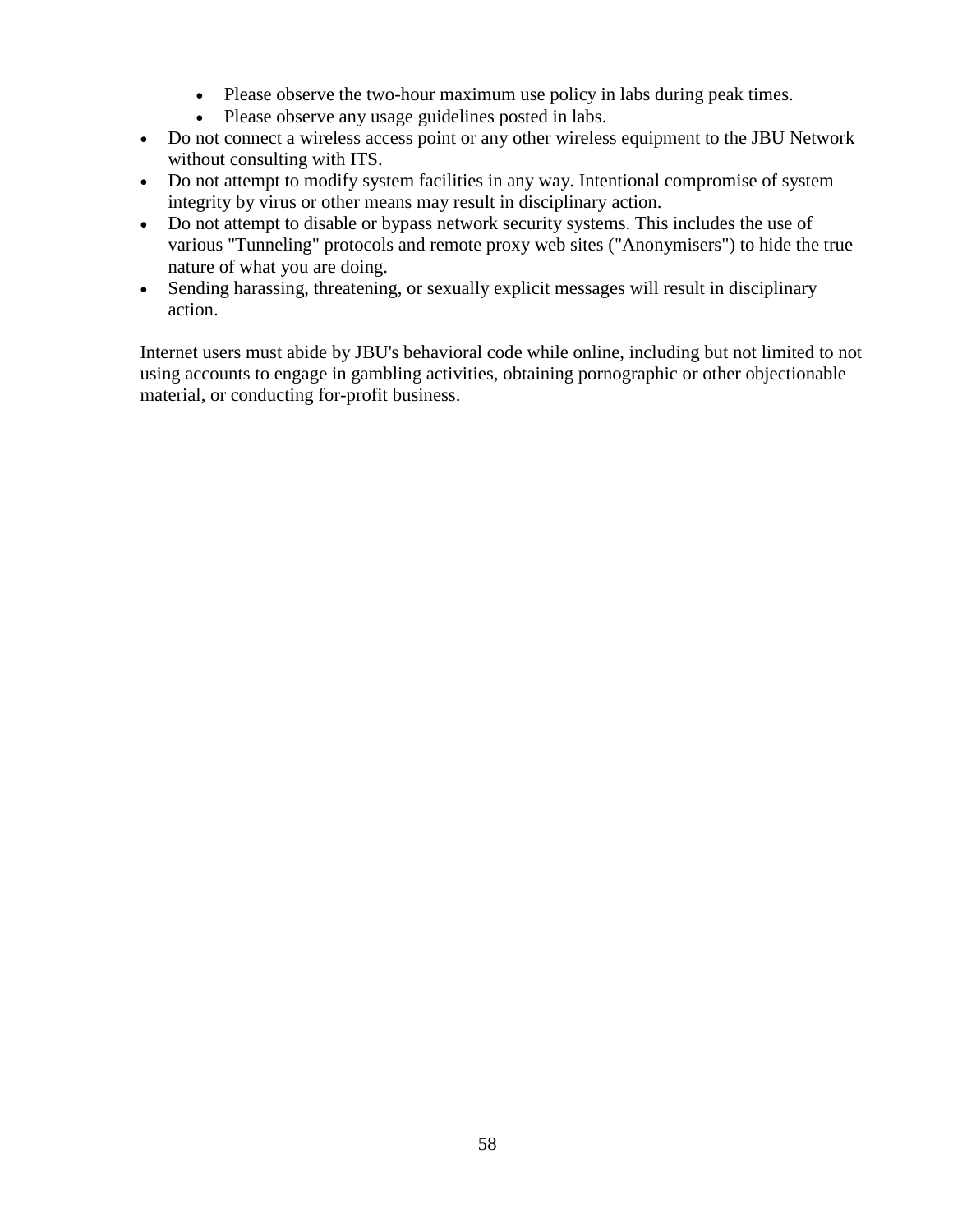- Please observe the two-hour maximum use policy in labs during peak times.
- Please observe any usage guidelines posted in labs.
- Do not connect a wireless access point or any other wireless equipment to the JBU Network without consulting with ITS.
- Do not attempt to modify system facilities in any way. Intentional compromise of system integrity by virus or other means may result in disciplinary action.
- Do not attempt to disable or bypass network security systems. This includes the use of various "Tunneling" protocols and remote proxy web sites ("Anonymisers") to hide the true nature of what you are doing.
- Sending harassing, threatening, or sexually explicit messages will result in disciplinary action.

Internet users must abide by JBU's behavioral code while online, including but not limited to not using accounts to engage in gambling activities, obtaining pornographic or other objectionable material, or conducting for-profit business.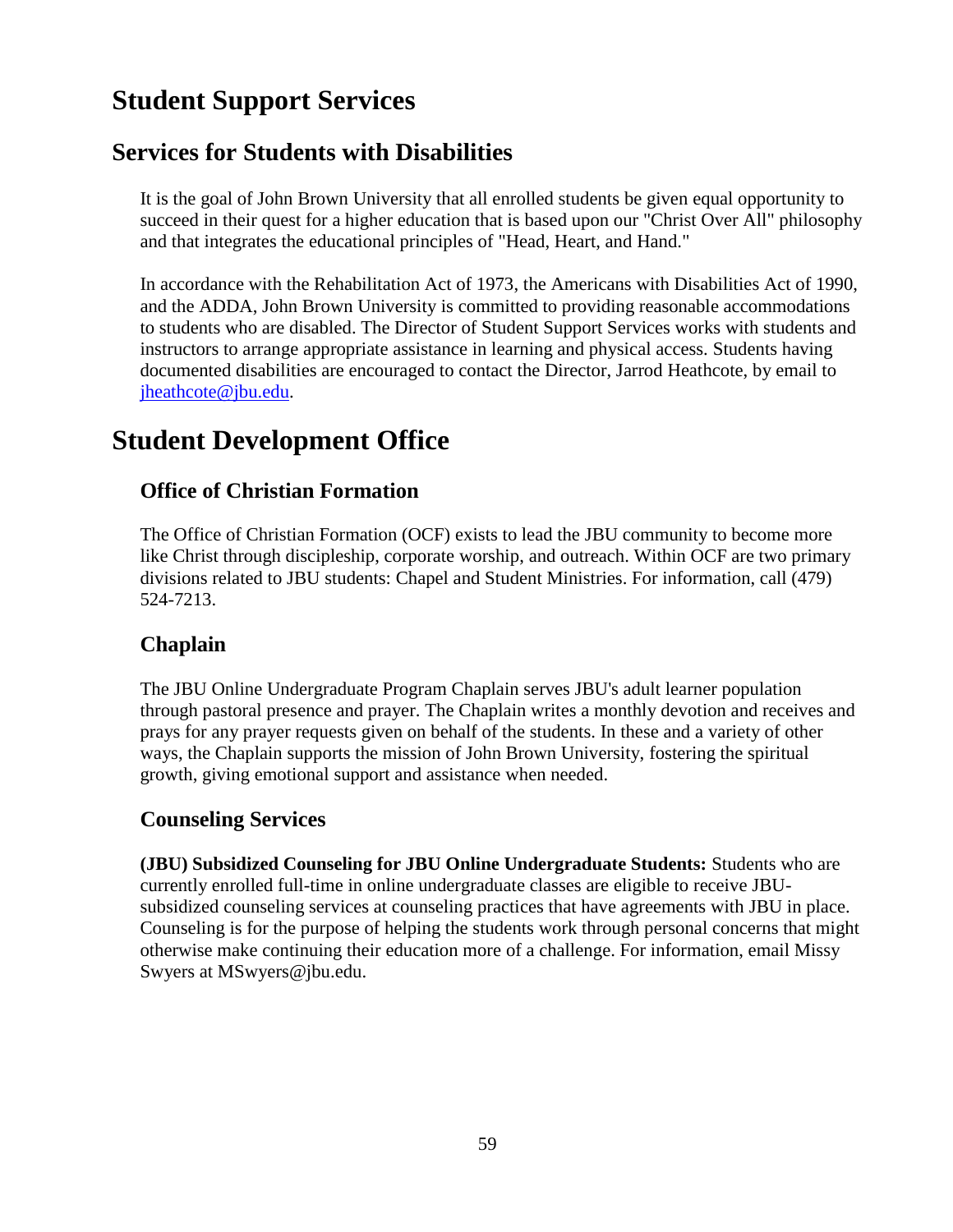# **Student Support Services**

# **Services for Students with Disabilities**

It is the goal of John Brown University that all enrolled students be given equal opportunity to succeed in their quest for a higher education that is based upon our "Christ Over All" philosophy and that integrates the educational principles of "Head, Heart, and Hand."

In accordance with the Rehabilitation Act of 1973, the Americans with Disabilities Act of 1990, and the ADDA, John Brown University is committed to providing reasonable accommodations to students who are disabled. The Director of Student Support Services works with students and instructors to arrange appropriate assistance in learning and physical access. Students having documented disabilities are encouraged to contact the Director, Jarrod Heathcote, by email to [jheathcote@jbu.edu.](mailto:jheathcote@jbu.edu)

# **Student Development Office**

# **Office of Christian Formation**

The Office of Christian Formation (OCF) exists to lead the JBU community to become more like Christ through discipleship, corporate worship, and outreach. Within OCF are two primary divisions related to JBU students: Chapel and Student Ministries. For information, call (479) 524-7213.

# **Chaplain**

The JBU Online Undergraduate Program Chaplain serves JBU's adult learner population through pastoral presence and prayer. The Chaplain writes a monthly devotion and receives and prays for any prayer requests given on behalf of the students. In these and a variety of other ways, the Chaplain supports the mission of John Brown University, fostering the spiritual growth, giving emotional support and assistance when needed.

# **Counseling Services**

**(JBU) Subsidized Counseling for JBU Online Undergraduate Students:** Students who are currently enrolled full-time in online undergraduate classes are eligible to receive JBUsubsidized counseling services at counseling practices that have agreements with JBU in place. Counseling is for the purpose of helping the students work through personal concerns that might otherwise make continuing their education more of a challenge. For information, email Missy Swyers at MSwyers@jbu.edu.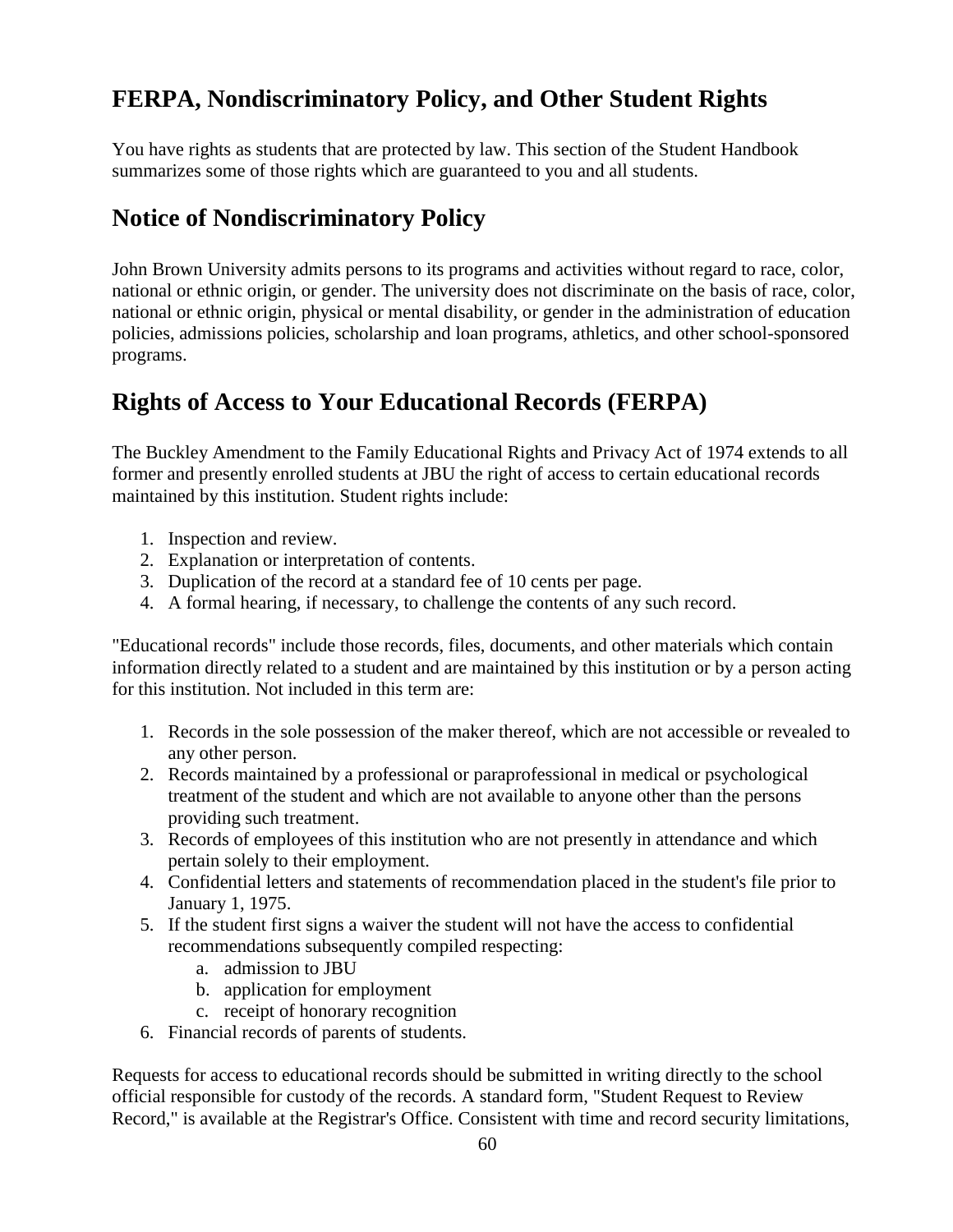# **FERPA, Nondiscriminatory Policy, and Other Student Rights**

You have rights as students that are protected by law. This section of the Student Handbook summarizes some of those rights which are guaranteed to you and all students.

# **Notice of Nondiscriminatory Policy**

John Brown University admits persons to its programs and activities without regard to race, color, national or ethnic origin, or gender. The university does not discriminate on the basis of race, color, national or ethnic origin, physical or mental disability, or gender in the administration of education policies, admissions policies, scholarship and loan programs, athletics, and other school-sponsored programs.

# **Rights of Access to Your Educational Records (FERPA)**

The Buckley Amendment to the Family Educational Rights and Privacy Act of 1974 extends to all former and presently enrolled students at JBU the right of access to certain educational records maintained by this institution. Student rights include:

- 1. Inspection and review.
- 2. Explanation or interpretation of contents.
- 3. Duplication of the record at a standard fee of 10 cents per page.
- 4. A formal hearing, if necessary, to challenge the contents of any such record.

"Educational records" include those records, files, documents, and other materials which contain information directly related to a student and are maintained by this institution or by a person acting for this institution. Not included in this term are:

- 1. Records in the sole possession of the maker thereof, which are not accessible or revealed to any other person.
- 2. Records maintained by a professional or paraprofessional in medical or psychological treatment of the student and which are not available to anyone other than the persons providing such treatment.
- 3. Records of employees of this institution who are not presently in attendance and which pertain solely to their employment.
- 4. Confidential letters and statements of recommendation placed in the student's file prior to January 1, 1975.
- 5. If the student first signs a waiver the student will not have the access to confidential recommendations subsequently compiled respecting:
	- a. admission to JBU
	- b. application for employment
	- c. receipt of honorary recognition
- 6. Financial records of parents of students.

Requests for access to educational records should be submitted in writing directly to the school official responsible for custody of the records. A standard form, "Student Request to Review Record," is available at the Registrar's Office. Consistent with time and record security limitations,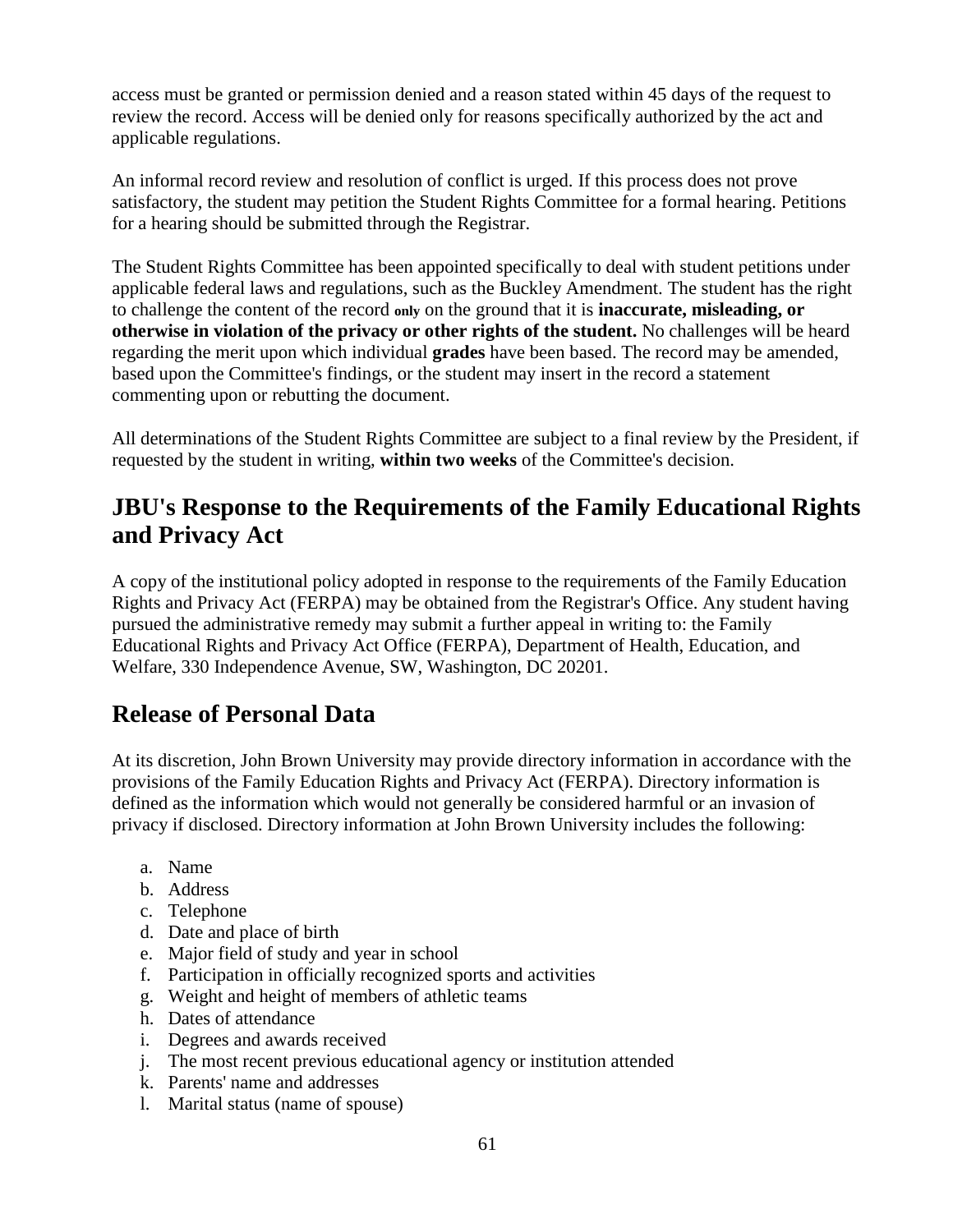access must be granted or permission denied and a reason stated within 45 days of the request to review the record. Access will be denied only for reasons specifically authorized by the act and applicable regulations.

An informal record review and resolution of conflict is urged. If this process does not prove satisfactory, the student may petition the Student Rights Committee for a formal hearing. Petitions for a hearing should be submitted through the Registrar.

The Student Rights Committee has been appointed specifically to deal with student petitions under applicable federal laws and regulations, such as the Buckley Amendment. The student has the right to challenge the content of the record **only** on the ground that it is **inaccurate, misleading, or otherwise in violation of the privacy or other rights of the student.** No challenges will be heard regarding the merit upon which individual **grades** have been based. The record may be amended, based upon the Committee's findings, or the student may insert in the record a statement commenting upon or rebutting the document.

All determinations of the Student Rights Committee are subject to a final review by the President, if requested by the student in writing, **within two weeks** of the Committee's decision.

# **JBU's Response to the Requirements of the Family Educational Rights and Privacy Act**

A copy of the institutional policy adopted in response to the requirements of the Family Education Rights and Privacy Act (FERPA) may be obtained from the Registrar's Office. Any student having pursued the administrative remedy may submit a further appeal in writing to: the Family Educational Rights and Privacy Act Office (FERPA), Department of Health, Education, and Welfare, 330 Independence Avenue, SW, Washington, DC 20201.

# **Release of Personal Data**

At its discretion, John Brown University may provide directory information in accordance with the provisions of the Family Education Rights and Privacy Act (FERPA). Directory information is defined as the information which would not generally be considered harmful or an invasion of privacy if disclosed. Directory information at John Brown University includes the following:

- a. Name
- b. Address
- c. Telephone
- d. Date and place of birth
- e. Major field of study and year in school
- f. Participation in officially recognized sports and activities
- g. Weight and height of members of athletic teams
- h. Dates of attendance
- i. Degrees and awards received
- j. The most recent previous educational agency or institution attended
- k. Parents' name and addresses
- l. Marital status (name of spouse)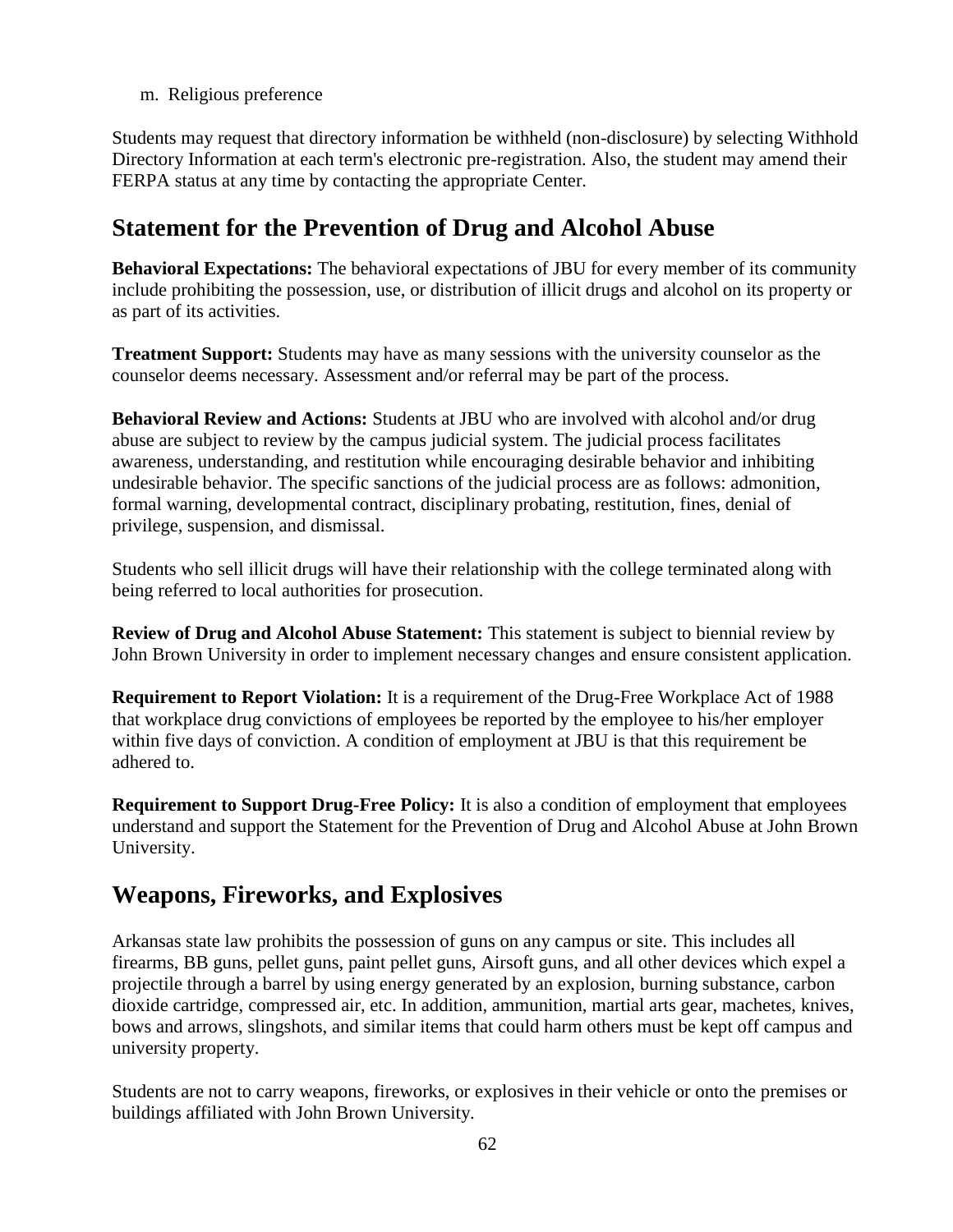m. Religious preference

Students may request that directory information be withheld (non-disclosure) by selecting Withhold Directory Information at each term's electronic pre-registration. Also, the student may amend their FERPA status at any time by contacting the appropriate Center.

# **Statement for the Prevention of Drug and Alcohol Abuse**

**Behavioral Expectations:** The behavioral expectations of JBU for every member of its community include prohibiting the possession, use, or distribution of illicit drugs and alcohol on its property or as part of its activities.

**Treatment Support:** Students may have as many sessions with the university counselor as the counselor deems necessary. Assessment and/or referral may be part of the process.

**Behavioral Review and Actions:** Students at JBU who are involved with alcohol and/or drug abuse are subject to review by the campus judicial system. The judicial process facilitates awareness, understanding, and restitution while encouraging desirable behavior and inhibiting undesirable behavior. The specific sanctions of the judicial process are as follows: admonition, formal warning, developmental contract, disciplinary probating, restitution, fines, denial of privilege, suspension, and dismissal.

Students who sell illicit drugs will have their relationship with the college terminated along with being referred to local authorities for prosecution.

**Review of Drug and Alcohol Abuse Statement:** This statement is subject to biennial review by John Brown University in order to implement necessary changes and ensure consistent application.

**Requirement to Report Violation:** It is a requirement of the Drug-Free Workplace Act of 1988 that workplace drug convictions of employees be reported by the employee to his/her employer within five days of conviction. A condition of employment at JBU is that this requirement be adhered to.

**Requirement to Support Drug-Free Policy:** It is also a condition of employment that employees understand and support the Statement for the Prevention of Drug and Alcohol Abuse at John Brown University.

# **Weapons, Fireworks, and Explosives**

Arkansas state law prohibits the possession of guns on any campus or site. This includes all firearms, BB guns, pellet guns, paint pellet guns, Airsoft guns, and all other devices which expel a projectile through a barrel by using energy generated by an explosion, burning substance, carbon dioxide cartridge, compressed air, etc. In addition, ammunition, martial arts gear, machetes, knives, bows and arrows, slingshots, and similar items that could harm others must be kept off campus and university property.

Students are not to carry weapons, fireworks, or explosives in their vehicle or onto the premises or buildings affiliated with John Brown University.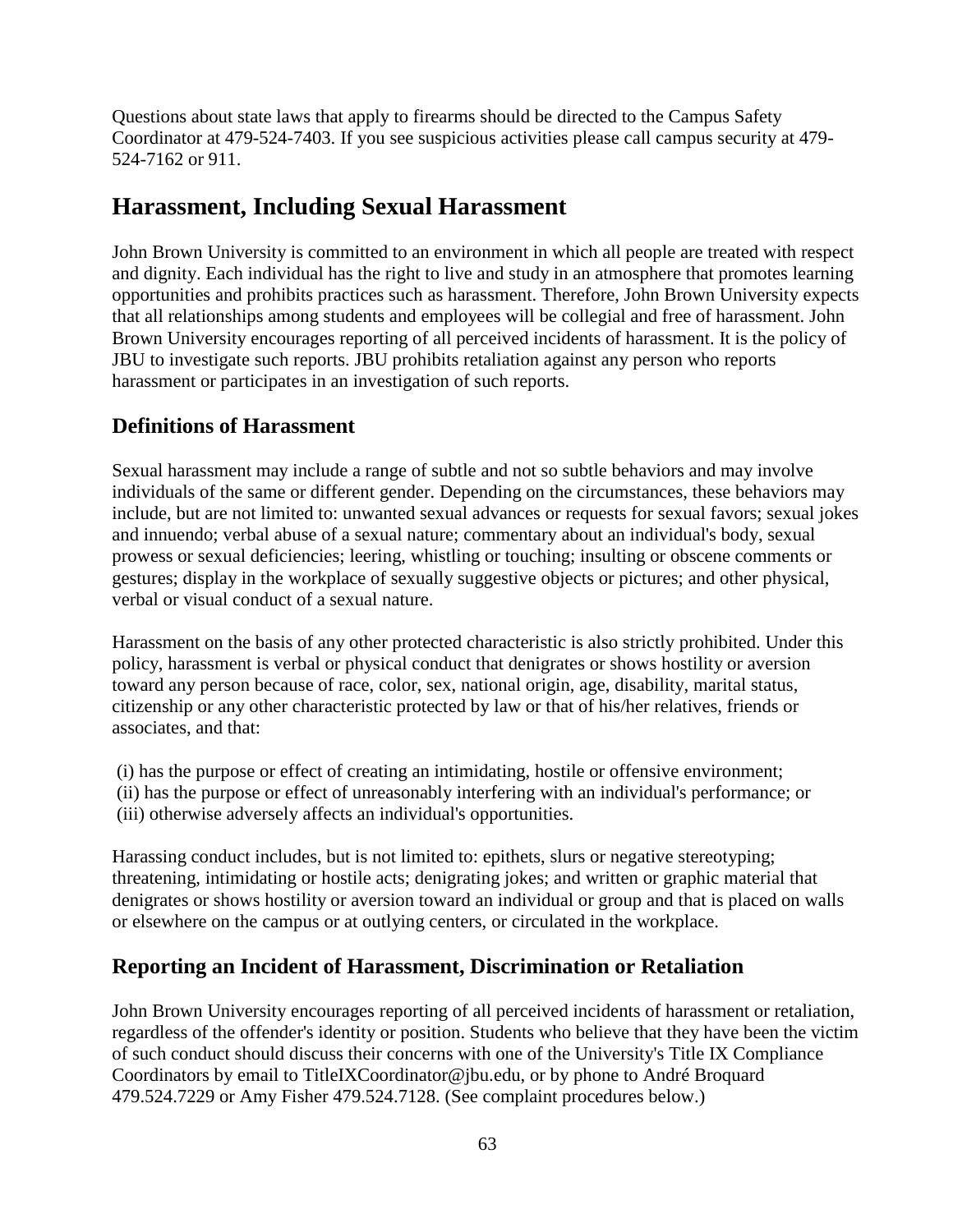Questions about state laws that apply to firearms should be directed to the Campus Safety Coordinator at 479-524-7403. If you see suspicious activities please call campus security at 479- 524-7162 or 911.

# **Harassment, Including Sexual Harassment**

John Brown University is committed to an environment in which all people are treated with respect and dignity. Each individual has the right to live and study in an atmosphere that promotes learning opportunities and prohibits practices such as harassment. Therefore, John Brown University expects that all relationships among students and employees will be collegial and free of harassment. John Brown University encourages reporting of all perceived incidents of harassment. It is the policy of JBU to investigate such reports. JBU prohibits retaliation against any person who reports harassment or participates in an investigation of such reports.

# **Definitions of Harassment**

Sexual harassment may include a range of subtle and not so subtle behaviors and may involve individuals of the same or different gender. Depending on the circumstances, these behaviors may include, but are not limited to: unwanted sexual advances or requests for sexual favors; sexual jokes and innuendo; verbal abuse of a sexual nature; commentary about an individual's body, sexual prowess or sexual deficiencies; leering, whistling or touching; insulting or obscene comments or gestures; display in the workplace of sexually suggestive objects or pictures; and other physical, verbal or visual conduct of a sexual nature.

Harassment on the basis of any other protected characteristic is also strictly prohibited. Under this policy, harassment is verbal or physical conduct that denigrates or shows hostility or aversion toward any person because of race, color, sex, national origin, age, disability, marital status, citizenship or any other characteristic protected by law or that of his/her relatives, friends or associates, and that:

(i) has the purpose or effect of creating an intimidating, hostile or offensive environment; (ii) has the purpose or effect of unreasonably interfering with an individual's performance; or (iii) otherwise adversely affects an individual's opportunities.

Harassing conduct includes, but is not limited to: epithets, slurs or negative stereotyping; threatening, intimidating or hostile acts; denigrating jokes; and written or graphic material that denigrates or shows hostility or aversion toward an individual or group and that is placed on walls or elsewhere on the campus or at outlying centers, or circulated in the workplace.

## **Reporting an Incident of Harassment, Discrimination or Retaliation**

John Brown University encourages reporting of all perceived incidents of harassment or retaliation, regardless of the offender's identity or position. Students who believe that they have been the victim of such conduct should discuss their concerns with one of the University's Title IX Compliance Coordinators by email to TitleIXCoordinator@jbu.edu, or by phone to André Broquard 479.524.7229 or Amy Fisher 479.524.7128. (See complaint procedures below.)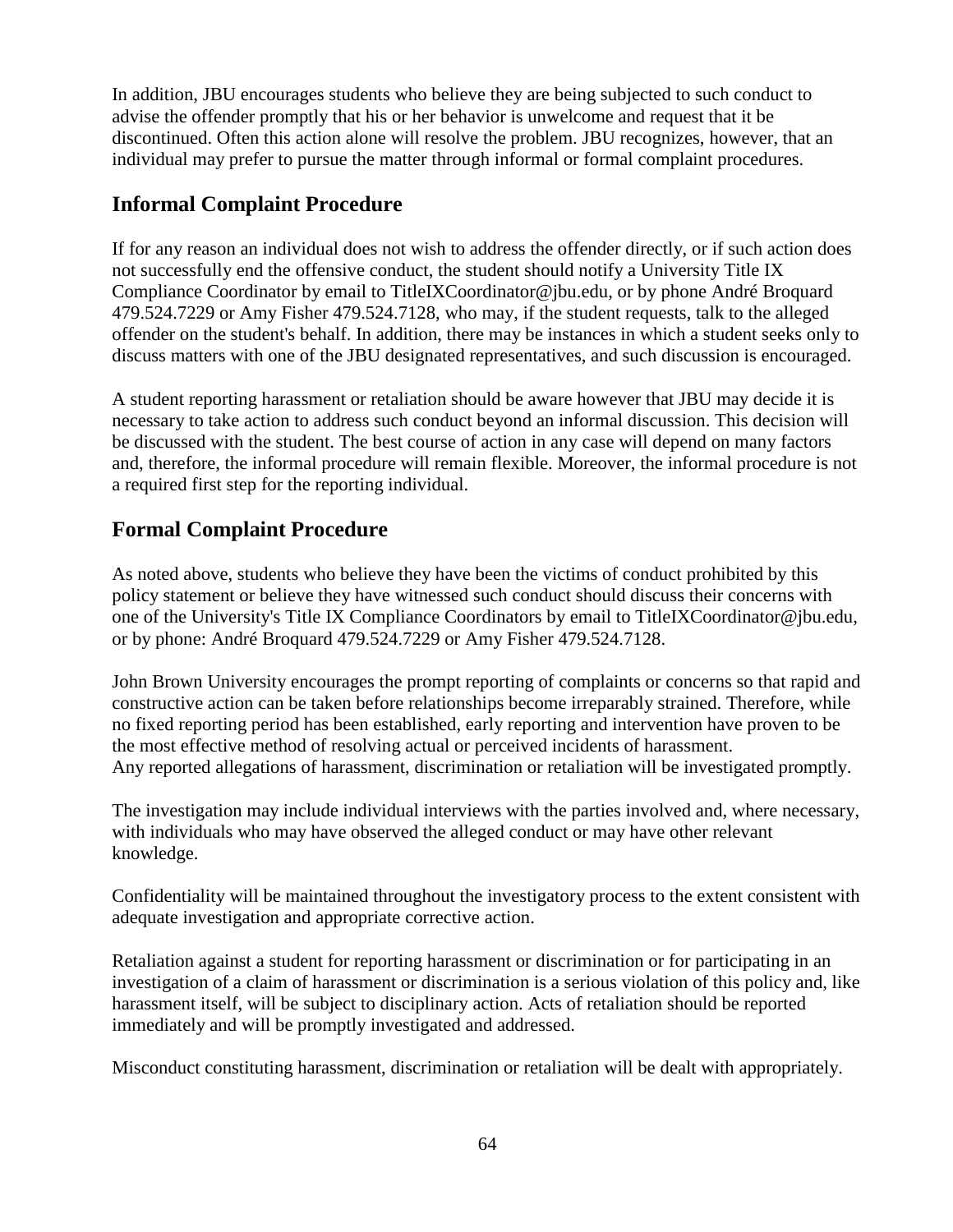In addition, JBU encourages students who believe they are being subjected to such conduct to advise the offender promptly that his or her behavior is unwelcome and request that it be discontinued. Often this action alone will resolve the problem. JBU recognizes, however, that an individual may prefer to pursue the matter through informal or formal complaint procedures.

## **Informal Complaint Procedure**

If for any reason an individual does not wish to address the offender directly, or if such action does not successfully end the offensive conduct, the student should notify a University Title IX Compliance Coordinator by email to TitleIXCoordinator@jbu.edu, or by phone André Broquard 479.524.7229 or Amy Fisher 479.524.7128, who may, if the student requests, talk to the alleged offender on the student's behalf. In addition, there may be instances in which a student seeks only to discuss matters with one of the JBU designated representatives, and such discussion is encouraged.

A student reporting harassment or retaliation should be aware however that JBU may decide it is necessary to take action to address such conduct beyond an informal discussion. This decision will be discussed with the student. The best course of action in any case will depend on many factors and, therefore, the informal procedure will remain flexible. Moreover, the informal procedure is not a required first step for the reporting individual.

# **Formal Complaint Procedure**

As noted above, students who believe they have been the victims of conduct prohibited by this policy statement or believe they have witnessed such conduct should discuss their concerns with one of the University's Title IX Compliance Coordinators by email to TitleIXCoordinator@jbu.edu, or by phone: André Broquard 479.524.7229 or Amy Fisher 479.524.7128.

John Brown University encourages the prompt reporting of complaints or concerns so that rapid and constructive action can be taken before relationships become irreparably strained. Therefore, while no fixed reporting period has been established, early reporting and intervention have proven to be the most effective method of resolving actual or perceived incidents of harassment. Any reported allegations of harassment, discrimination or retaliation will be investigated promptly.

The investigation may include individual interviews with the parties involved and, where necessary, with individuals who may have observed the alleged conduct or may have other relevant knowledge.

Confidentiality will be maintained throughout the investigatory process to the extent consistent with adequate investigation and appropriate corrective action.

Retaliation against a student for reporting harassment or discrimination or for participating in an investigation of a claim of harassment or discrimination is a serious violation of this policy and, like harassment itself, will be subject to disciplinary action. Acts of retaliation should be reported immediately and will be promptly investigated and addressed.

Misconduct constituting harassment, discrimination or retaliation will be dealt with appropriately.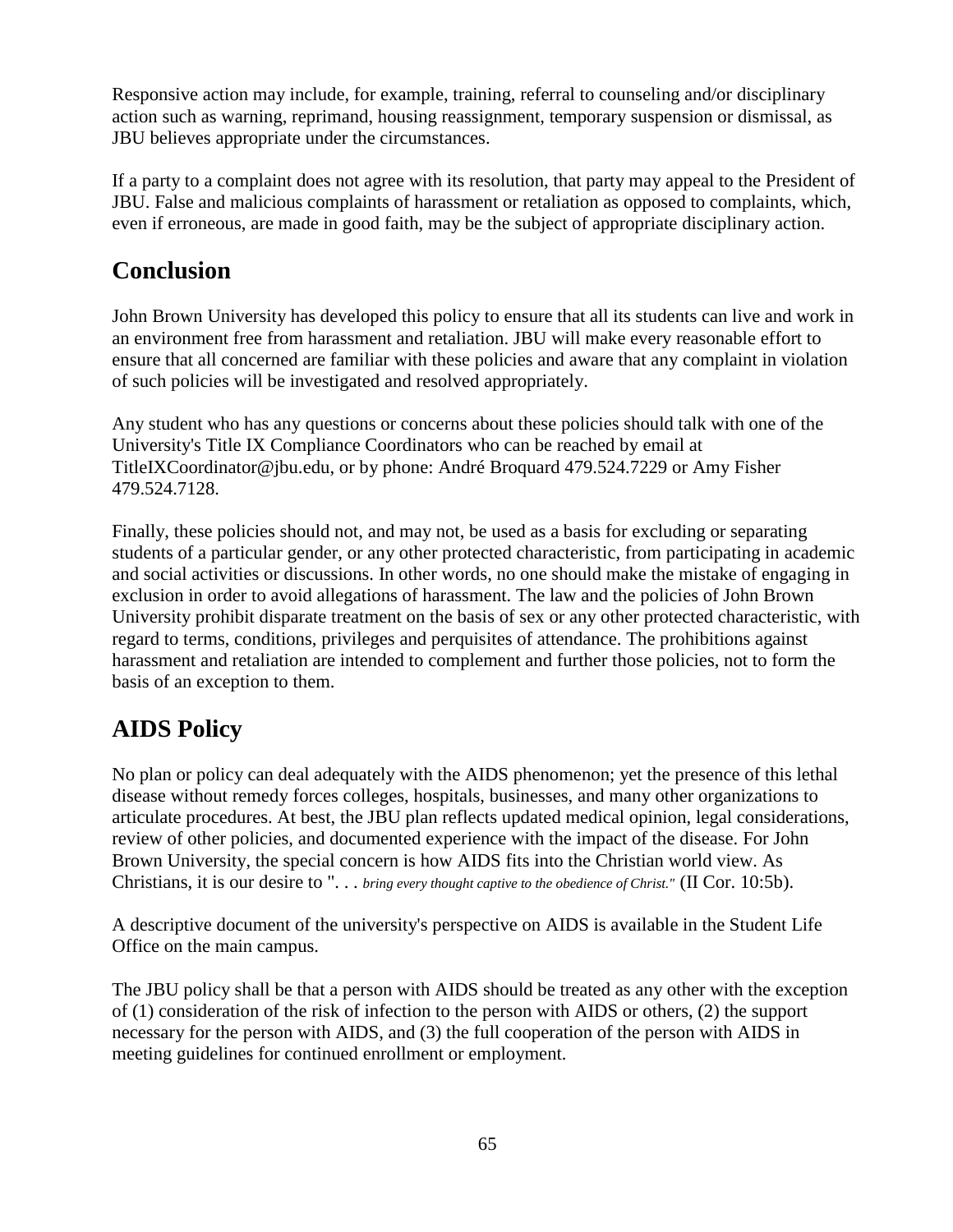Responsive action may include, for example, training, referral to counseling and/or disciplinary action such as warning, reprimand, housing reassignment, temporary suspension or dismissal, as JBU believes appropriate under the circumstances.

If a party to a complaint does not agree with its resolution, that party may appeal to the President of JBU. False and malicious complaints of harassment or retaliation as opposed to complaints, which, even if erroneous, are made in good faith, may be the subject of appropriate disciplinary action.

# **Conclusion**

John Brown University has developed this policy to ensure that all its students can live and work in an environment free from harassment and retaliation. JBU will make every reasonable effort to ensure that all concerned are familiar with these policies and aware that any complaint in violation of such policies will be investigated and resolved appropriately.

Any student who has any questions or concerns about these policies should talk with one of the University's Title IX Compliance Coordinators who can be reached by email at TitleIXCoordinator@jbu.edu, or by phone: André Broquard 479.524.7229 or Amy Fisher 479.524.7128.

Finally, these policies should not, and may not, be used as a basis for excluding or separating students of a particular gender, or any other protected characteristic, from participating in academic and social activities or discussions. In other words, no one should make the mistake of engaging in exclusion in order to avoid allegations of harassment. The law and the policies of John Brown University prohibit disparate treatment on the basis of sex or any other protected characteristic, with regard to terms, conditions, privileges and perquisites of attendance. The prohibitions against harassment and retaliation are intended to complement and further those policies, not to form the basis of an exception to them.

# **AIDS Policy**

No plan or policy can deal adequately with the AIDS phenomenon; yet the presence of this lethal disease without remedy forces colleges, hospitals, businesses, and many other organizations to articulate procedures. At best, the JBU plan reflects updated medical opinion, legal considerations, review of other policies, and documented experience with the impact of the disease. For John Brown University, the special concern is how AIDS fits into the Christian world view. As Christians, it is our desire to ". . . *bring every thought captive to the obedience of Christ."* (II Cor. 10:5b).

A descriptive document of the university's perspective on AIDS is available in the Student Life Office on the main campus.

The JBU policy shall be that a person with AIDS should be treated as any other with the exception of (1) consideration of the risk of infection to the person with AIDS or others, (2) the support necessary for the person with AIDS, and (3) the full cooperation of the person with AIDS in meeting guidelines for continued enrollment or employment.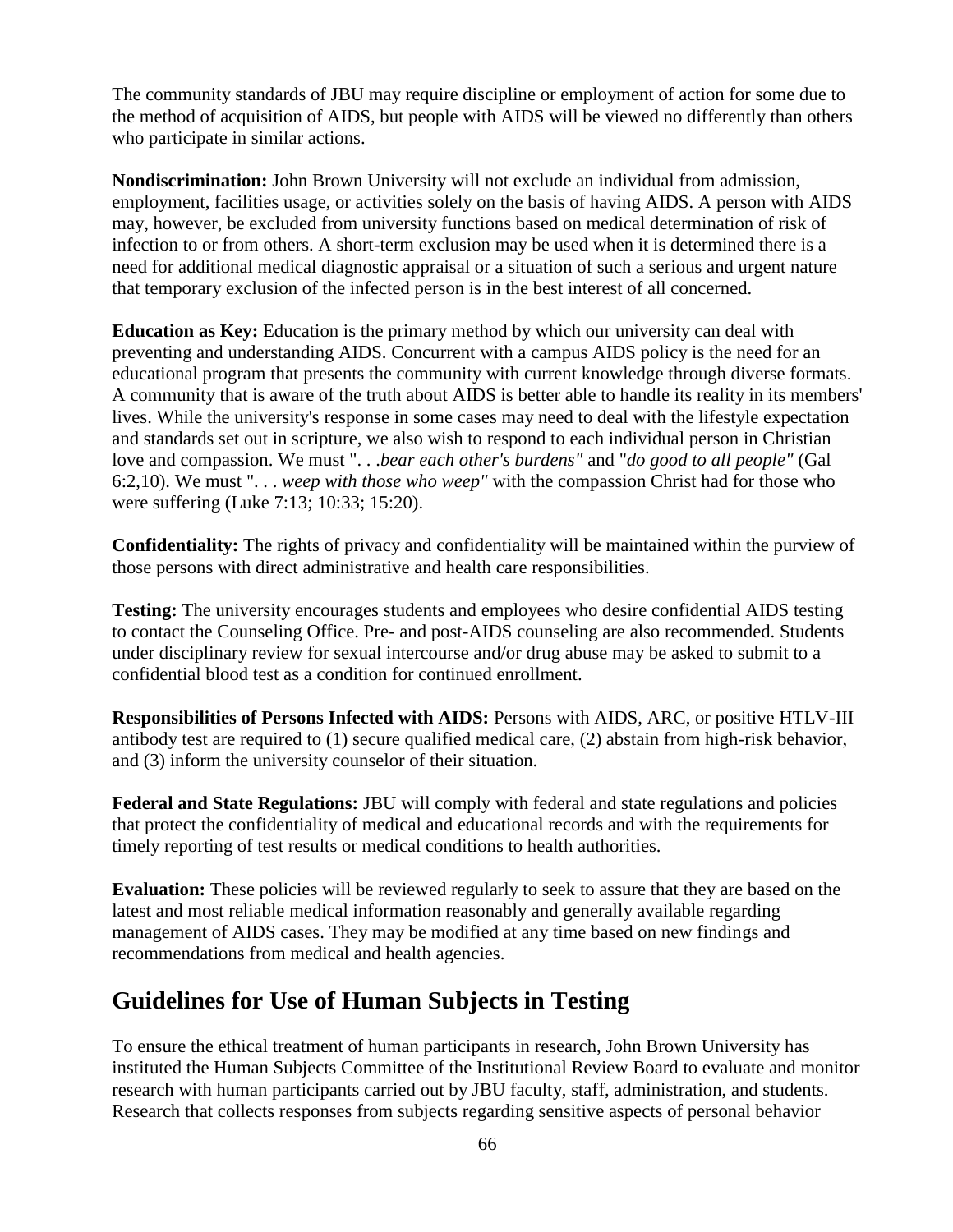The community standards of JBU may require discipline or employment of action for some due to the method of acquisition of AIDS, but people with AIDS will be viewed no differently than others who participate in similar actions.

**Nondiscrimination:** John Brown University will not exclude an individual from admission, employment, facilities usage, or activities solely on the basis of having AIDS. A person with AIDS may, however, be excluded from university functions based on medical determination of risk of infection to or from others. A short-term exclusion may be used when it is determined there is a need for additional medical diagnostic appraisal or a situation of such a serious and urgent nature that temporary exclusion of the infected person is in the best interest of all concerned.

**Education as Key:** Education is the primary method by which our university can deal with preventing and understanding AIDS. Concurrent with a campus AIDS policy is the need for an educational program that presents the community with current knowledge through diverse formats. A community that is aware of the truth about AIDS is better able to handle its reality in its members' lives. While the university's response in some cases may need to deal with the lifestyle expectation and standards set out in scripture, we also wish to respond to each individual person in Christian love and compassion. We must ". . .*bear each other's burdens"* and "*do good to all people"* (Gal 6:2,10). We must ". . . *weep with those who weep"* with the compassion Christ had for those who were suffering (Luke 7:13; 10:33; 15:20).

**Confidentiality:** The rights of privacy and confidentiality will be maintained within the purview of those persons with direct administrative and health care responsibilities.

**Testing:** The university encourages students and employees who desire confidential AIDS testing to contact the Counseling Office. Pre- and post-AIDS counseling are also recommended. Students under disciplinary review for sexual intercourse and/or drug abuse may be asked to submit to a confidential blood test as a condition for continued enrollment.

**Responsibilities of Persons Infected with AIDS:** Persons with AIDS, ARC, or positive HTLV-III antibody test are required to (1) secure qualified medical care, (2) abstain from high-risk behavior, and (3) inform the university counselor of their situation.

**Federal and State Regulations:** JBU will comply with federal and state regulations and policies that protect the confidentiality of medical and educational records and with the requirements for timely reporting of test results or medical conditions to health authorities.

**Evaluation:** These policies will be reviewed regularly to seek to assure that they are based on the latest and most reliable medical information reasonably and generally available regarding management of AIDS cases. They may be modified at any time based on new findings and recommendations from medical and health agencies.

# **Guidelines for Use of Human Subjects in Testing**

To ensure the ethical treatment of human participants in research, John Brown University has instituted the Human Subjects Committee of the Institutional Review Board to evaluate and monitor research with human participants carried out by JBU faculty, staff, administration, and students. Research that collects responses from subjects regarding sensitive aspects of personal behavior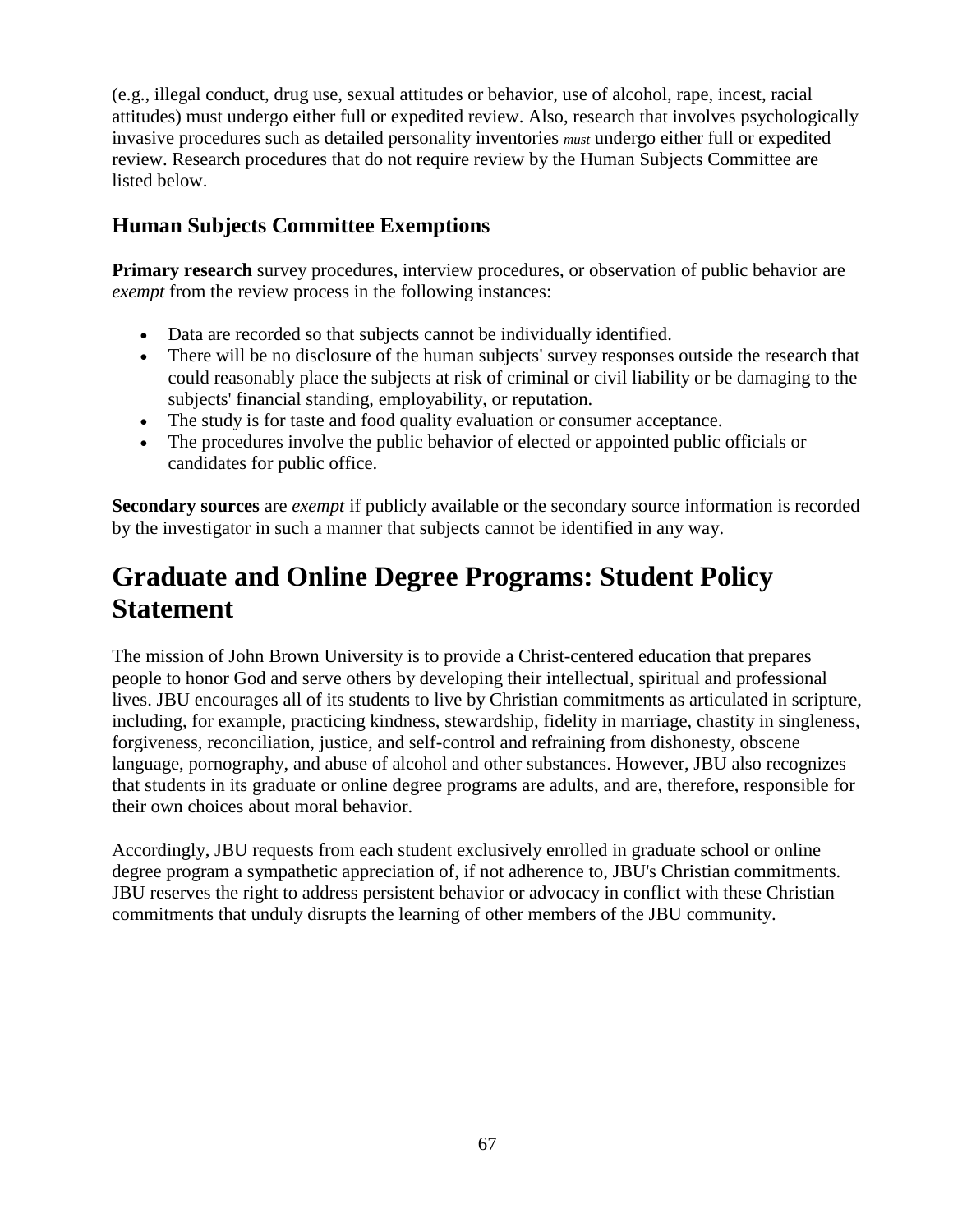(e.g., illegal conduct, drug use, sexual attitudes or behavior, use of alcohol, rape, incest, racial attitudes) must undergo either full or expedited review. Also, research that involves psychologically invasive procedures such as detailed personality inventories *must* undergo either full or expedited review. Research procedures that do not require review by the Human Subjects Committee are listed below.

# **Human Subjects Committee Exemptions**

**Primary research** survey procedures, interview procedures, or observation of public behavior are *exempt* from the review process in the following instances:

- Data are recorded so that subjects cannot be individually identified.
- There will be no disclosure of the human subjects' survey responses outside the research that could reasonably place the subjects at risk of criminal or civil liability or be damaging to the subjects' financial standing, employability, or reputation.
- The study is for taste and food quality evaluation or consumer acceptance.
- The procedures involve the public behavior of elected or appointed public officials or candidates for public office.

**Secondary sources** are *exempt* if publicly available or the secondary source information is recorded by the investigator in such a manner that subjects cannot be identified in any way.

# **Graduate and Online Degree Programs: Student Policy Statement**

The mission of John Brown University is to provide a Christ-centered education that prepares people to honor God and serve others by developing their intellectual, spiritual and professional lives. JBU encourages all of its students to live by Christian commitments as articulated in scripture, including, for example, practicing kindness, stewardship, fidelity in marriage, chastity in singleness, forgiveness, reconciliation, justice, and self-control and refraining from dishonesty, obscene language, pornography, and abuse of alcohol and other substances. However, JBU also recognizes that students in its graduate or online degree programs are adults, and are, therefore, responsible for their own choices about moral behavior.

Accordingly, JBU requests from each student exclusively enrolled in graduate school or online degree program a sympathetic appreciation of, if not adherence to, JBU's Christian commitments. JBU reserves the right to address persistent behavior or advocacy in conflict with these Christian commitments that unduly disrupts the learning of other members of the JBU community.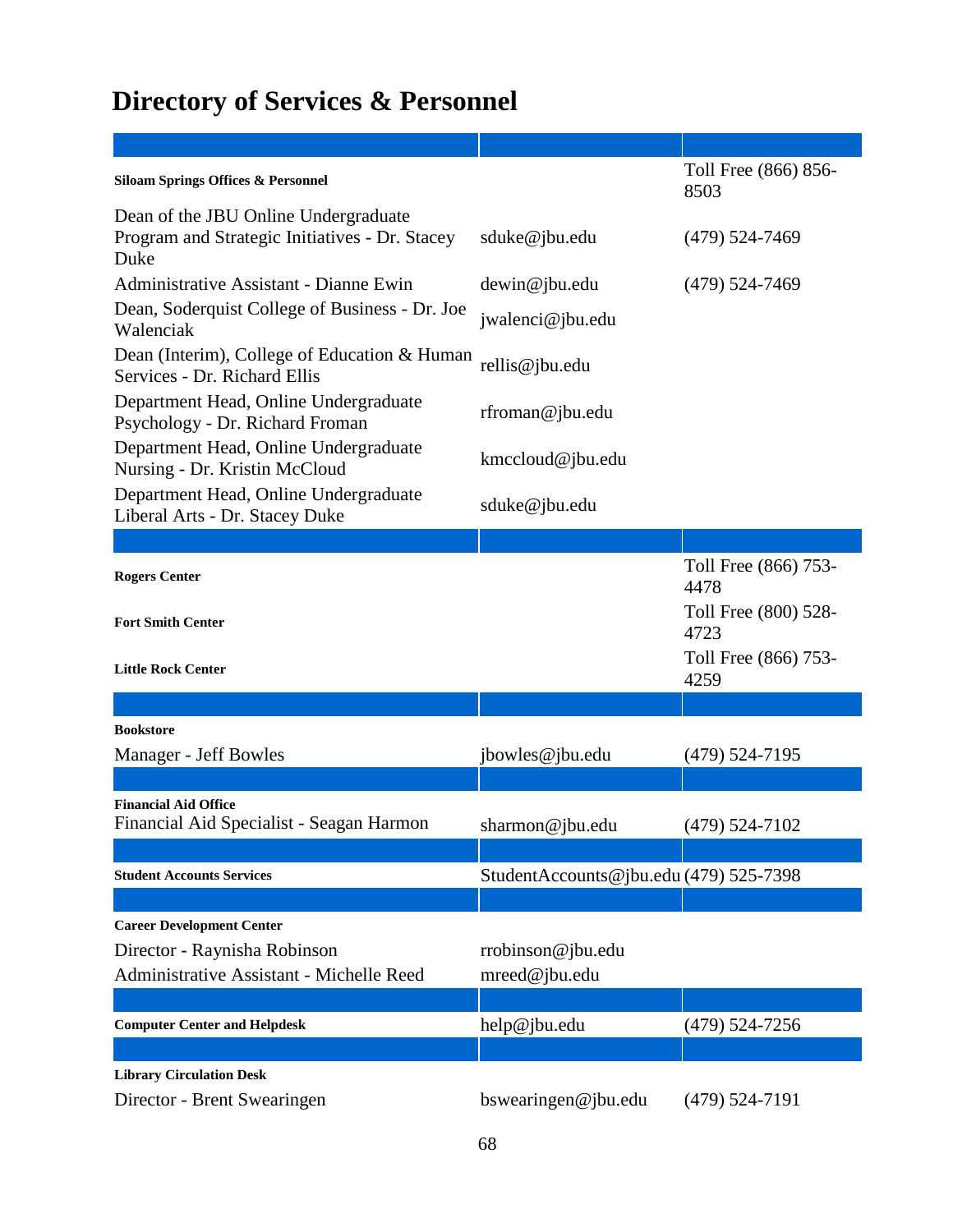# **Directory of Services & Personnel**

| <b>Siloam Springs Offices &amp; Personnel</b>                                                  |                                        | Toll Free (866) 856-<br>8503 |
|------------------------------------------------------------------------------------------------|----------------------------------------|------------------------------|
| Dean of the JBU Online Undergraduate<br>Program and Strategic Initiatives - Dr. Stacey<br>Duke | sduke@jbu.edu                          | $(479)$ 524-7469             |
| <b>Administrative Assistant - Dianne Ewin</b>                                                  | dewin@jbu.edu                          | $(479)$ 524-7469             |
| Dean, Soderquist College of Business - Dr. Joe<br>Walenciak                                    | jwalenci@jbu.edu                       |                              |
| Dean (Interim), College of Education & Human<br>Services - Dr. Richard Ellis                   | rellis@jbu.edu                         |                              |
| Department Head, Online Undergraduate<br>Psychology - Dr. Richard Froman                       | rfroman@jbu.edu                        |                              |
| Department Head, Online Undergraduate<br>Nursing - Dr. Kristin McCloud                         | kmccloud@jbu.edu                       |                              |
| Department Head, Online Undergraduate<br>Liberal Arts - Dr. Stacey Duke                        | sduke@jbu.edu                          |                              |
|                                                                                                |                                        |                              |
| <b>Rogers Center</b>                                                                           |                                        | Toll Free (866) 753-<br>4478 |
| <b>Fort Smith Center</b>                                                                       |                                        | Toll Free (800) 528-<br>4723 |
| <b>Little Rock Center</b>                                                                      |                                        | Toll Free (866) 753-<br>4259 |
|                                                                                                |                                        |                              |
| <b>Bookstore</b>                                                                               |                                        |                              |
| Manager - Jeff Bowles                                                                          | jbowles@jbu.edu                        | $(479)$ 524-7195             |
|                                                                                                |                                        |                              |
| <b>Financial Aid Office</b><br>Financial Aid Specialist - Seagan Harmon                        | sharmon@jbu.edu                        | $(479)$ 524-7102             |
|                                                                                                |                                        |                              |
| <b>Student Accounts Services</b>                                                               | StudentAccounts@jbu.edu (479) 525-7398 |                              |
|                                                                                                |                                        |                              |
| <b>Career Development Center</b>                                                               |                                        |                              |
| Director - Raynisha Robinson                                                                   | rrobinson@jbu.edu                      |                              |
| Administrative Assistant - Michelle Reed                                                       | mreed@jbu.edu                          |                              |
|                                                                                                |                                        |                              |
| <b>Computer Center and Helpdesk</b>                                                            | help@jbu.edu                           | $(479)$ 524-7256             |
|                                                                                                |                                        |                              |
| <b>Library Circulation Desk</b>                                                                |                                        |                              |
| Director - Brent Swearingen                                                                    | bswearingen@jbu.edu                    | $(479)$ 524-7191             |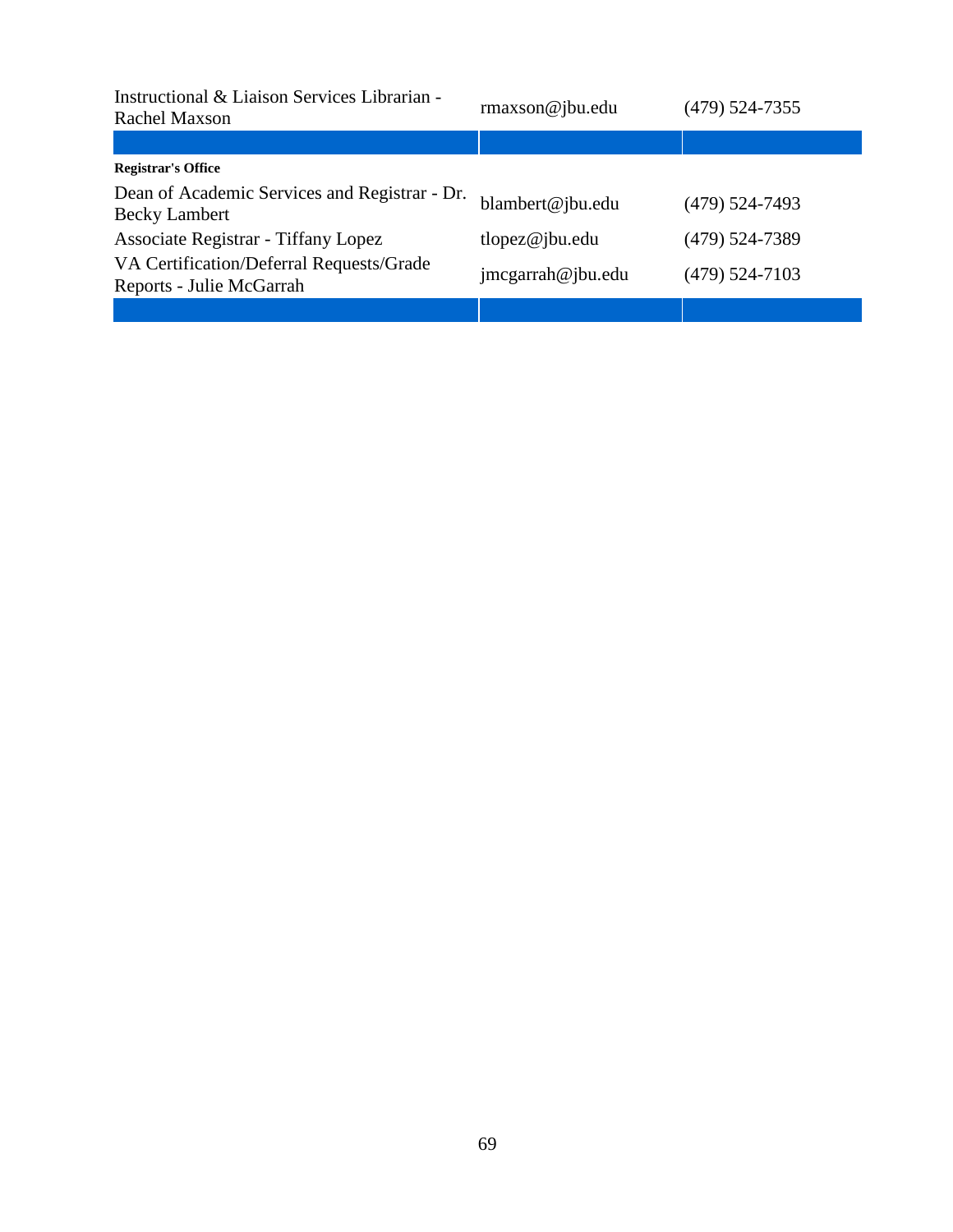| Instructional & Liaison Services Librarian -<br>Rachel Maxson         | $r$ maxson@jbu.edu | $(479)$ 524-7355 |
|-----------------------------------------------------------------------|--------------------|------------------|
|                                                                       |                    |                  |
| <b>Registrar's Office</b>                                             |                    |                  |
| Dean of Academic Services and Registrar - Dr.<br><b>Becky Lambert</b> | blambert@jbu.edu   | $(479)$ 524-7493 |
| Associate Registrar - Tiffany Lopez                                   | tlopez@jbu.edu     | $(479)$ 524-7389 |
| VA Certification/Deferral Requests/Grade<br>Reports - Julie McGarrah  | jmcgarrah@jbu.edu  | $(479)$ 524-7103 |
|                                                                       |                    |                  |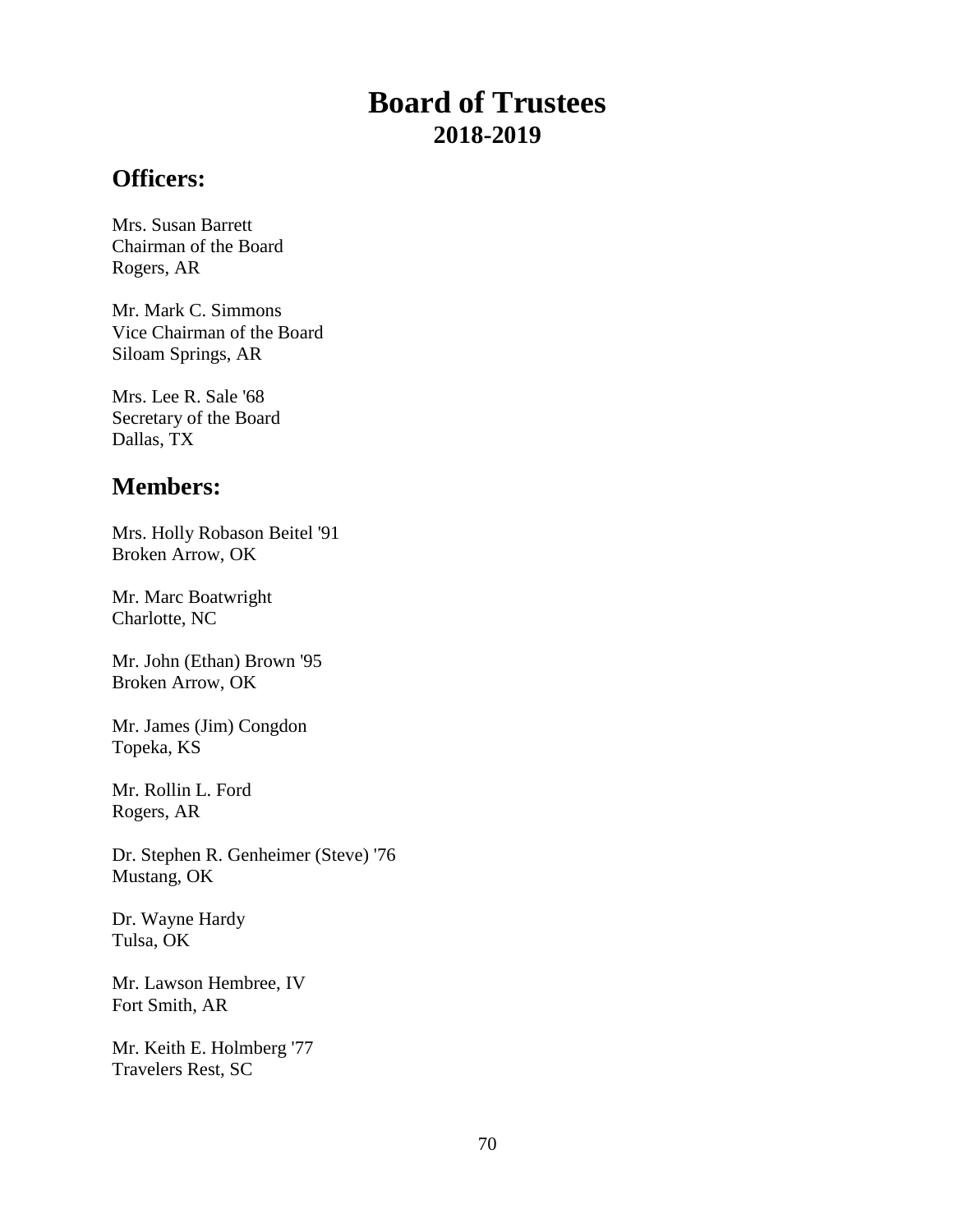# **Board of Trustees 2018-2019**

# **Officers:**

Mrs. Susan Barrett Chairman of the Board Rogers, AR

Mr. Mark C. Simmons Vice Chairman of the Board Siloam Springs, AR

Mrs. Lee R. Sale '68 Secretary of the Board Dallas, TX

# **Members:**

Mrs. Holly Robason Beitel '91 Broken Arrow, OK

Mr. Marc Boatwright Charlotte, NC

Mr. John (Ethan) Brown '95 Broken Arrow, OK

Mr. James (Jim) Congdon Topeka, KS

Mr. Rollin L. Ford Rogers, AR

Dr. Stephen R. Genheimer (Steve) '76 Mustang, OK

Dr. Wayne Hardy Tulsa, OK

Mr. Lawson Hembree, IV Fort Smith, AR

Mr. Keith E. Holmberg '77 Travelers Rest, SC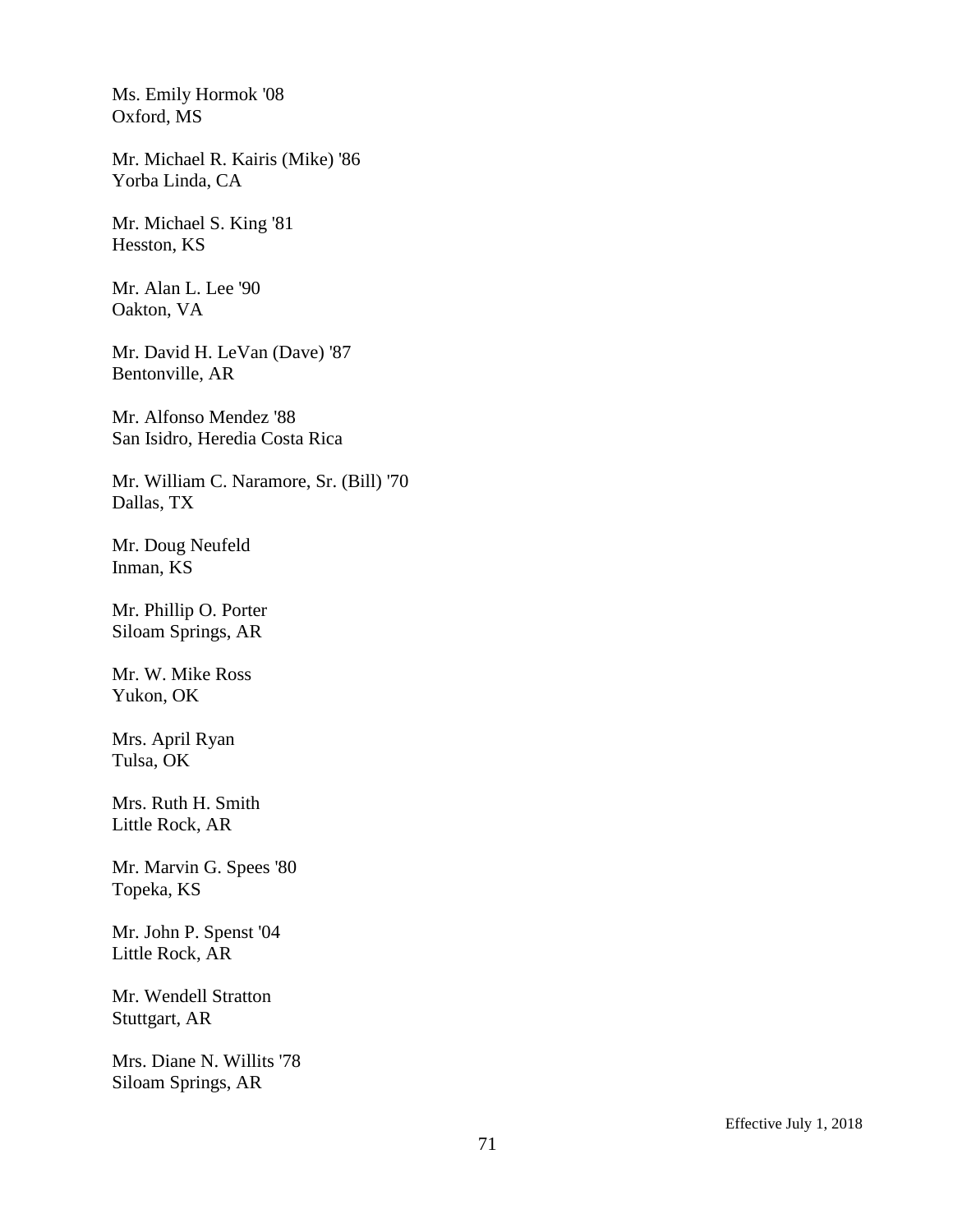Ms. Emily Hormok '08 Oxford, MS

Mr. Michael R. Kairis (Mike) '86 Yorba Linda, CA

Mr. Michael S. King '81 Hesston, KS

Mr. Alan L. Lee '90 Oakton, VA

Mr. David H. LeVan (Dave) '87 Bentonville, AR

Mr. Alfonso Mendez '88 San Isidro, Heredia Costa Rica

Mr. William C. Naramore, Sr. (Bill) '70 Dallas, TX

Mr. Doug Neufeld Inman, KS

Mr. Phillip O. Porter Siloam Springs, AR

Mr. W. Mike Ross Yukon, OK

Mrs. April Ryan Tulsa, OK

Mrs. Ruth H. Smith Little Rock, AR

Mr. Marvin G. Spees '80 Topeka, KS

Mr. John P. Spenst '04 Little Rock, AR

Mr. Wendell Stratton Stuttgart, AR

Mrs. Diane N. Willits '78 Siloam Springs, AR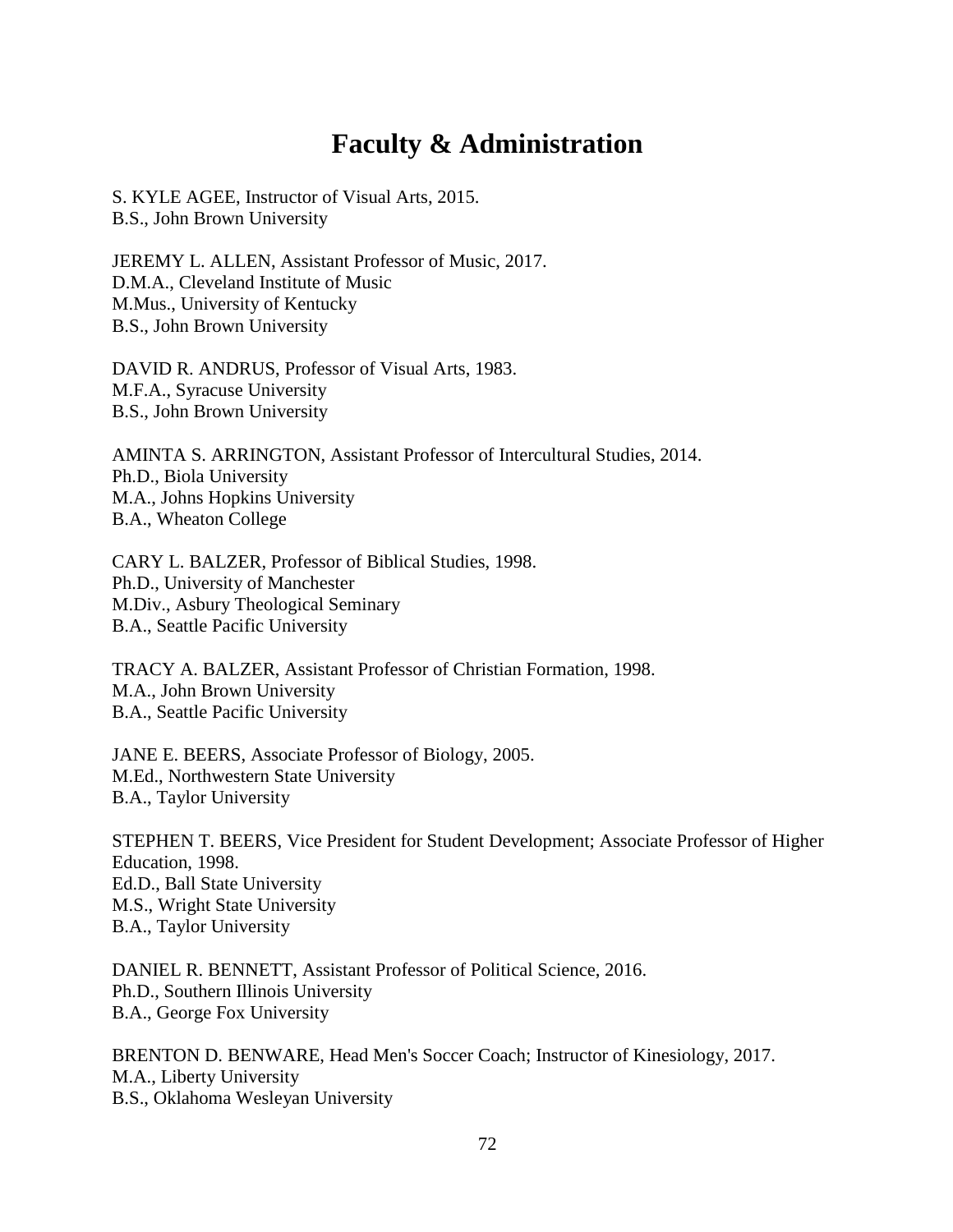# **Faculty & Administration**

S. KYLE AGEE, Instructor of Visual Arts, 2015. B.S., John Brown University

JEREMY L. ALLEN, Assistant Professor of Music, 2017. D.M.A., Cleveland Institute of Music M.Mus., University of Kentucky B.S., John Brown University

DAVID R. ANDRUS, Professor of Visual Arts, 1983. M.F.A., Syracuse University B.S., John Brown University

AMINTA S. ARRINGTON, Assistant Professor of Intercultural Studies, 2014. Ph.D., Biola University M.A., Johns Hopkins University B.A., Wheaton College

CARY L. BALZER, Professor of Biblical Studies, 1998. Ph.D., University of Manchester M.Div., Asbury Theological Seminary B.A., Seattle Pacific University

TRACY A. BALZER, Assistant Professor of Christian Formation, 1998. M.A., John Brown University B.A., Seattle Pacific University

JANE E. BEERS, Associate Professor of Biology, 2005. M.Ed., Northwestern State University B.A., Taylor University

STEPHEN T. BEERS, Vice President for Student Development; Associate Professor of Higher Education, 1998. Ed.D., Ball State University M.S., Wright State University B.A., Taylor University

DANIEL R. BENNETT, Assistant Professor of Political Science, 2016. Ph.D., Southern Illinois University B.A., George Fox University

BRENTON D. BENWARE, Head Men's Soccer Coach; Instructor of Kinesiology, 2017. M.A., Liberty University B.S., Oklahoma Wesleyan University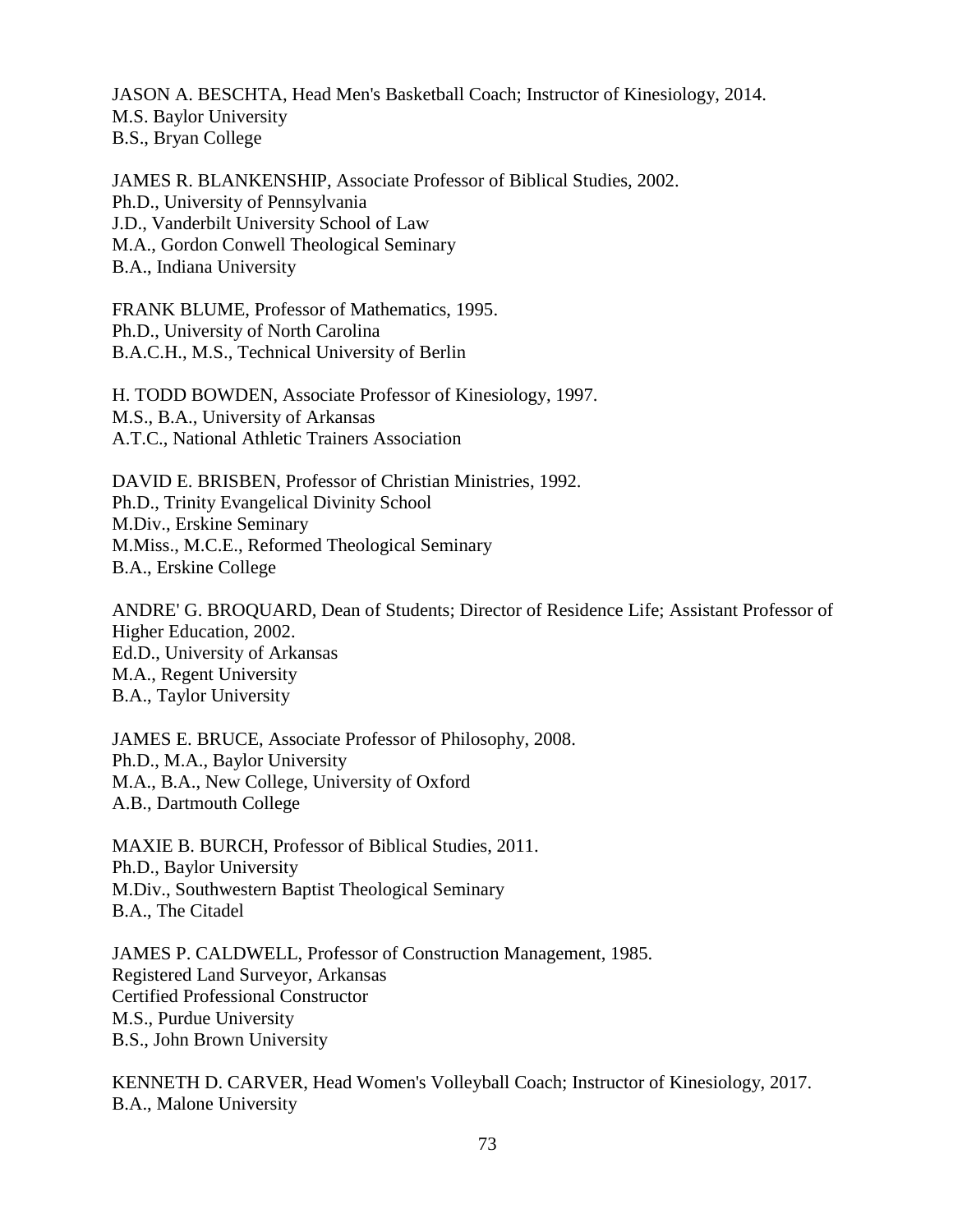JASON A. BESCHTA, Head Men's Basketball Coach; Instructor of Kinesiology, 2014. M.S. Baylor University B.S., Bryan College

JAMES R. BLANKENSHIP, Associate Professor of Biblical Studies, 2002. Ph.D., University of Pennsylvania J.D., Vanderbilt University School of Law M.A., Gordon Conwell Theological Seminary B.A., Indiana University

FRANK BLUME, Professor of Mathematics, 1995. Ph.D., University of North Carolina B.A.C.H., M.S., Technical University of Berlin

H. TODD BOWDEN, Associate Professor of Kinesiology, 1997. M.S., B.A., University of Arkansas A.T.C., National Athletic Trainers Association

DAVID E. BRISBEN, Professor of Christian Ministries, 1992. Ph.D., Trinity Evangelical Divinity School M.Div., Erskine Seminary M.Miss., M.C.E., Reformed Theological Seminary B.A., Erskine College

ANDRE' G. BROQUARD, Dean of Students; Director of Residence Life; Assistant Professor of Higher Education, 2002. Ed.D., University of Arkansas M.A., Regent University B.A., Taylor University

JAMES E. BRUCE, Associate Professor of Philosophy, 2008. Ph.D., M.A., Baylor University M.A., B.A., New College, University of Oxford A.B., Dartmouth College

MAXIE B. BURCH, Professor of Biblical Studies, 2011. Ph.D., Baylor University M.Div., Southwestern Baptist Theological Seminary B.A., The Citadel

JAMES P. CALDWELL, Professor of Construction Management, 1985. Registered Land Surveyor, Arkansas Certified Professional Constructor M.S., Purdue University B.S., John Brown University

KENNETH D. CARVER, Head Women's Volleyball Coach; Instructor of Kinesiology, 2017. B.A., Malone University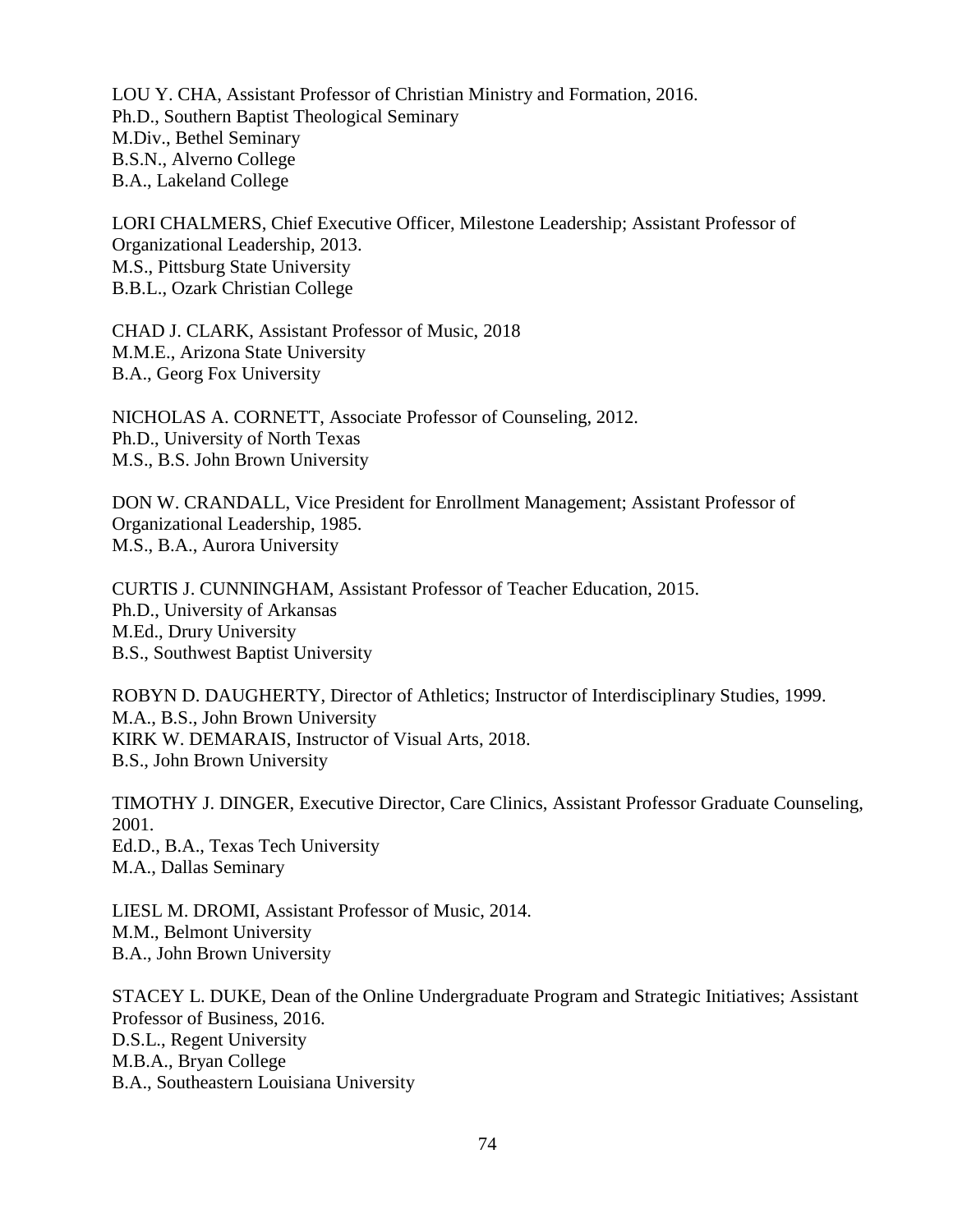LOU Y. CHA, Assistant Professor of Christian Ministry and Formation, 2016. Ph.D., Southern Baptist Theological Seminary M.Div., Bethel Seminary B.S.N., Alverno College B.A., Lakeland College

LORI CHALMERS, Chief Executive Officer, Milestone Leadership; Assistant Professor of Organizational Leadership, 2013. M.S., Pittsburg State University B.B.L., Ozark Christian College

CHAD J. CLARK, Assistant Professor of Music, 2018 M.M.E., Arizona State University B.A., Georg Fox University

NICHOLAS A. CORNETT, Associate Professor of Counseling, 2012. Ph.D., University of North Texas M.S., B.S. John Brown University

DON W. CRANDALL, Vice President for Enrollment Management; Assistant Professor of Organizational Leadership, 1985. M.S., B.A., Aurora University

CURTIS J. CUNNINGHAM, Assistant Professor of Teacher Education, 2015. Ph.D., University of Arkansas M.Ed., Drury University B.S., Southwest Baptist University

ROBYN D. DAUGHERTY, Director of Athletics; Instructor of Interdisciplinary Studies, 1999. M.A., B.S., John Brown University KIRK W. DEMARAIS, Instructor of Visual Arts, 2018. B.S., John Brown University

TIMOTHY J. DINGER, Executive Director, Care Clinics, Assistant Professor Graduate Counseling, 2001. Ed.D., B.A., Texas Tech University M.A., Dallas Seminary

LIESL M. DROMI, Assistant Professor of Music, 2014. M.M., Belmont University B.A., John Brown University

STACEY L. DUKE, Dean of the Online Undergraduate Program and Strategic Initiatives; Assistant Professor of Business, 2016. D.S.L., Regent University M.B.A., Bryan College B.A., Southeastern Louisiana University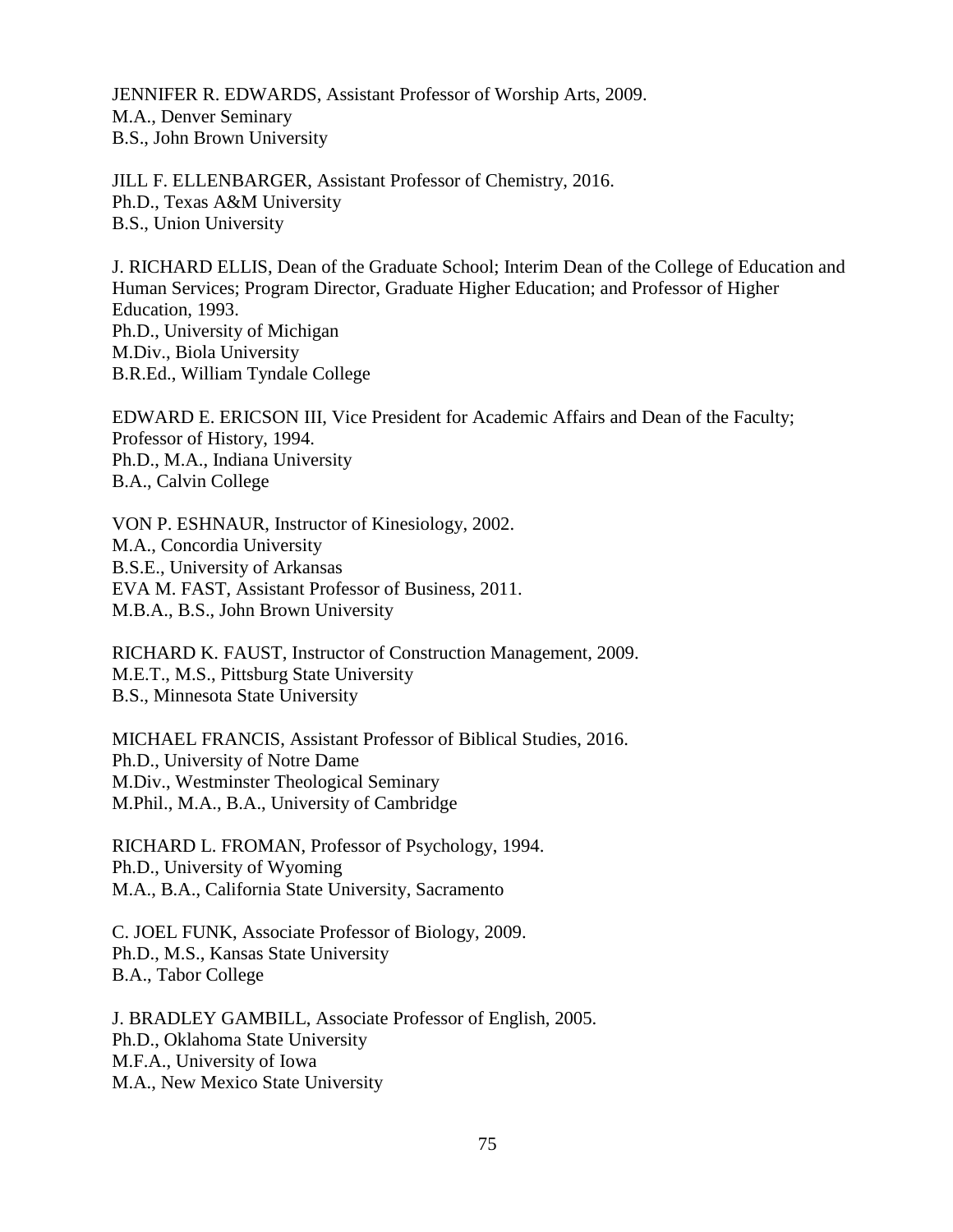JENNIFER R. EDWARDS, Assistant Professor of Worship Arts, 2009. M.A., Denver Seminary B.S., John Brown University

JILL F. ELLENBARGER, Assistant Professor of Chemistry, 2016. Ph.D., Texas A&M University B.S., Union University

J. RICHARD ELLIS, Dean of the Graduate School; Interim Dean of the College of Education and Human Services; Program Director, Graduate Higher Education; and Professor of Higher Education, 1993. Ph.D., University of Michigan M.Div., Biola University B.R.Ed., William Tyndale College

EDWARD E. ERICSON III, Vice President for Academic Affairs and Dean of the Faculty; Professor of History, 1994. Ph.D., M.A., Indiana University B.A., Calvin College

VON P. ESHNAUR, Instructor of Kinesiology, 2002. M.A., Concordia University B.S.E., University of Arkansas EVA M. FAST, Assistant Professor of Business, 2011. M.B.A., B.S., John Brown University

RICHARD K. FAUST, Instructor of Construction Management, 2009. M.E.T., M.S., Pittsburg State University B.S., Minnesota State University

MICHAEL FRANCIS, Assistant Professor of Biblical Studies, 2016. Ph.D., University of Notre Dame M.Div., Westminster Theological Seminary M.Phil., M.A., B.A., University of Cambridge

RICHARD L. FROMAN, Professor of Psychology, 1994. Ph.D., University of Wyoming M.A., B.A., California State University, Sacramento

C. JOEL FUNK, Associate Professor of Biology, 2009. Ph.D., M.S., Kansas State University B.A., Tabor College

J. BRADLEY GAMBILL, Associate Professor of English, 2005. Ph.D., Oklahoma State University M.F.A., University of Iowa M.A., New Mexico State University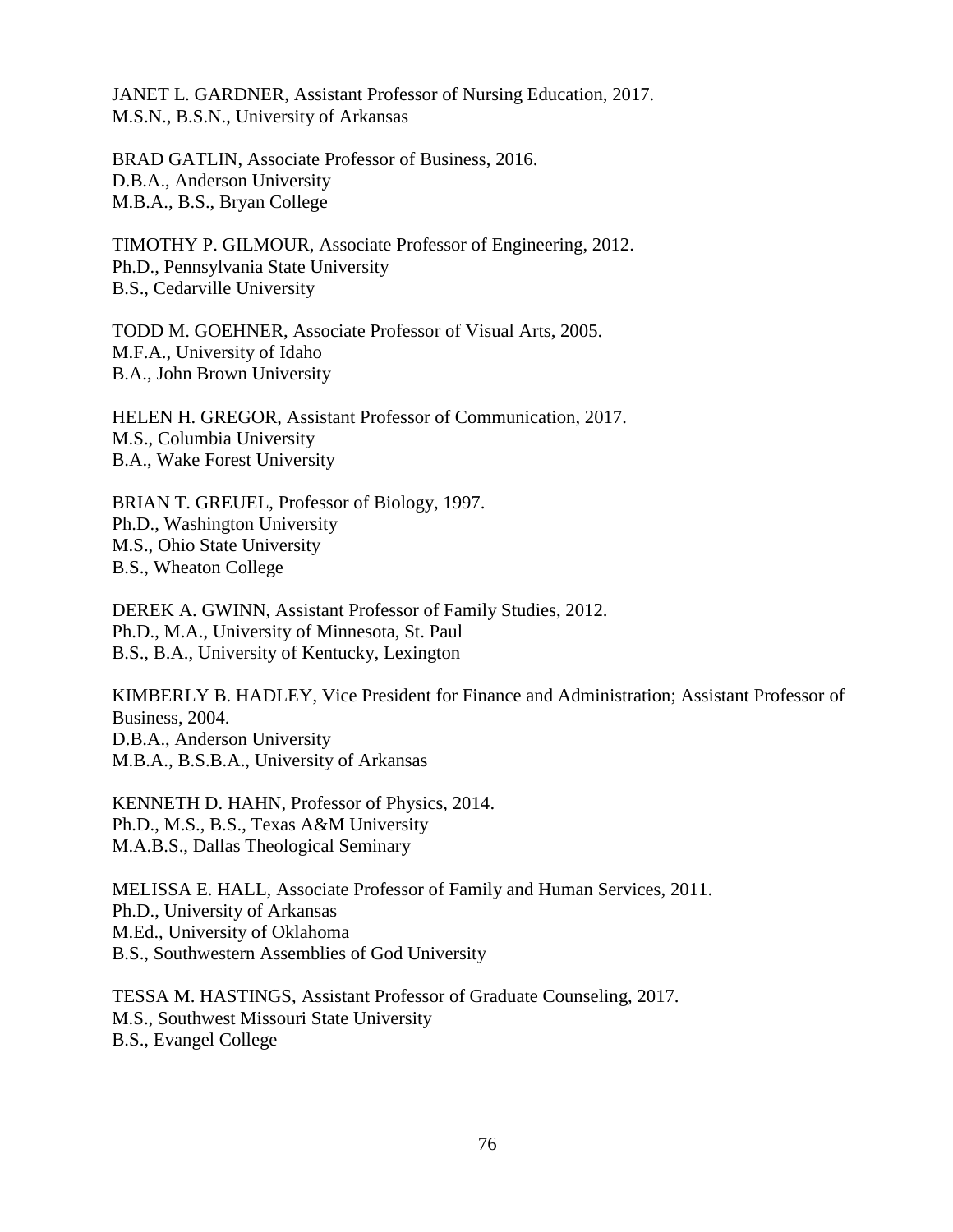JANET L. GARDNER, Assistant Professor of Nursing Education, 2017. M.S.N., B.S.N., University of Arkansas

BRAD GATLIN, Associate Professor of Business, 2016. D.B.A., Anderson University M.B.A., B.S., Bryan College

TIMOTHY P. GILMOUR, Associate Professor of Engineering, 2012. Ph.D., Pennsylvania State University B.S., Cedarville University

TODD M. GOEHNER, Associate Professor of Visual Arts, 2005. M.F.A., University of Idaho B.A., John Brown University

HELEN H. GREGOR, Assistant Professor of Communication, 2017. M.S., Columbia University B.A., Wake Forest University

BRIAN T. GREUEL, Professor of Biology, 1997. Ph.D., Washington University M.S., Ohio State University B.S., Wheaton College

DEREK A. GWINN, Assistant Professor of Family Studies, 2012. Ph.D., M.A., University of Minnesota, St. Paul B.S., B.A., University of Kentucky, Lexington

KIMBERLY B. HADLEY, Vice President for Finance and Administration; Assistant Professor of Business, 2004. D.B.A., Anderson University M.B.A., B.S.B.A., University of Arkansas

KENNETH D. HAHN, Professor of Physics, 2014. Ph.D., M.S., B.S., Texas A&M University M.A.B.S., Dallas Theological Seminary

MELISSA E. HALL, Associate Professor of Family and Human Services, 2011. Ph.D., University of Arkansas M.Ed., University of Oklahoma B.S., Southwestern Assemblies of God University

TESSA M. HASTINGS, Assistant Professor of Graduate Counseling, 2017. M.S., Southwest Missouri State University B.S., Evangel College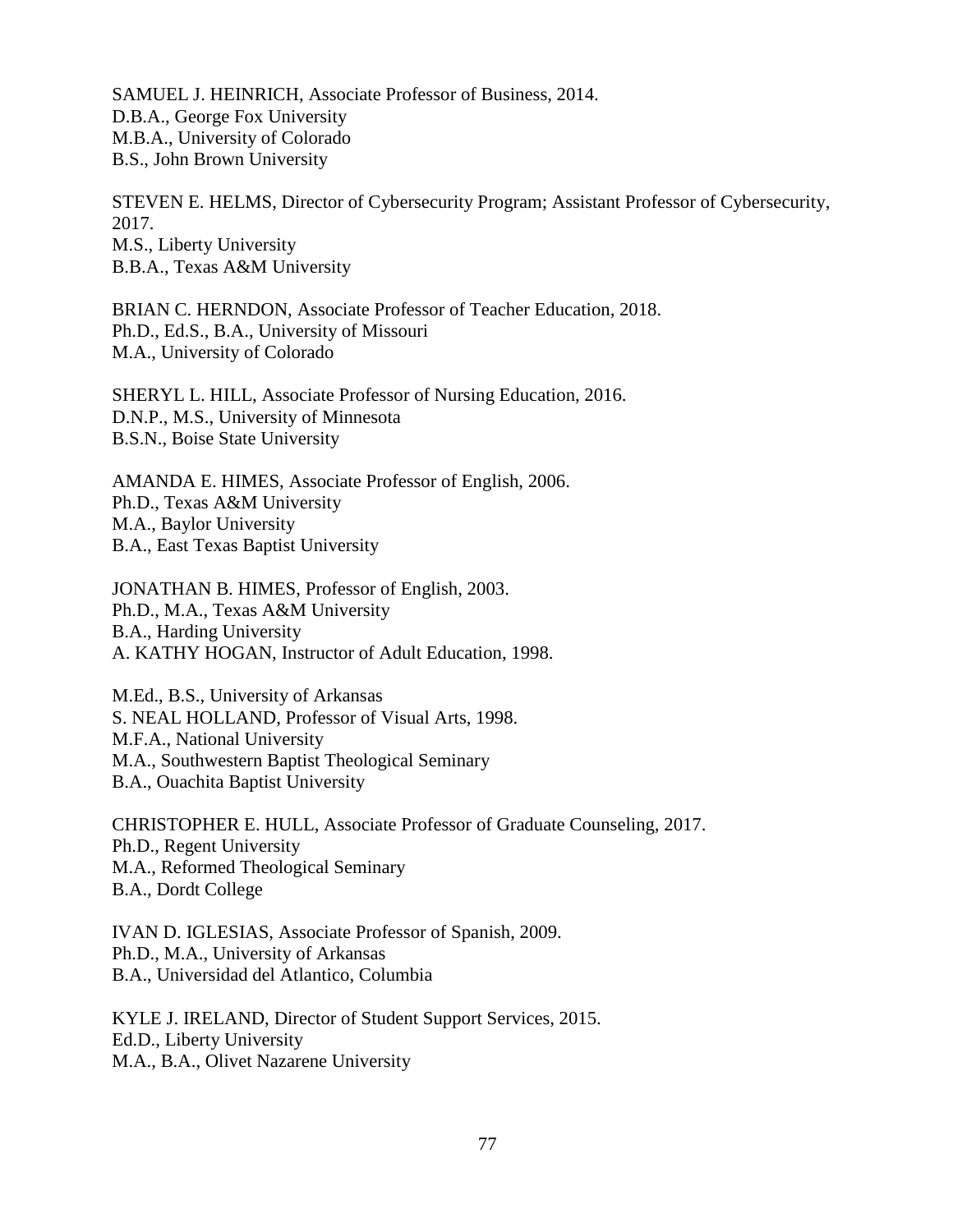SAMUEL J. HEINRICH, Associate Professor of Business, 2014. D.B.A., George Fox University M.B.A., University of Colorado B.S., John Brown University

STEVEN E. HELMS, Director of Cybersecurity Program; Assistant Professor of Cybersecurity, 2017. M.S., Liberty University B.B.A., Texas A&M University

BRIAN C. HERNDON, Associate Professor of Teacher Education, 2018. Ph.D., Ed.S., B.A., University of Missouri M.A., University of Colorado

SHERYL L. HILL, Associate Professor of Nursing Education, 2016. D.N.P., M.S., University of Minnesota B.S.N., Boise State University

AMANDA E. HIMES, Associate Professor of English, 2006. Ph.D., Texas A&M University M.A., Baylor University B.A., East Texas Baptist University

JONATHAN B. HIMES, Professor of English, 2003. Ph.D., M.A., Texas A&M University B.A., Harding University A. KATHY HOGAN, Instructor of Adult Education, 1998.

M.Ed., B.S., University of Arkansas S. NEAL HOLLAND, Professor of Visual Arts, 1998. M.F.A., National University M.A., Southwestern Baptist Theological Seminary B.A., Ouachita Baptist University

CHRISTOPHER E. HULL, Associate Professor of Graduate Counseling, 2017. Ph.D., Regent University M.A., Reformed Theological Seminary B.A., Dordt College

IVAN D. IGLESIAS, Associate Professor of Spanish, 2009. Ph.D., M.A., University of Arkansas B.A., Universidad del Atlantico, Columbia

KYLE J. IRELAND, Director of Student Support Services, 2015. Ed.D., Liberty University M.A., B.A., Olivet Nazarene University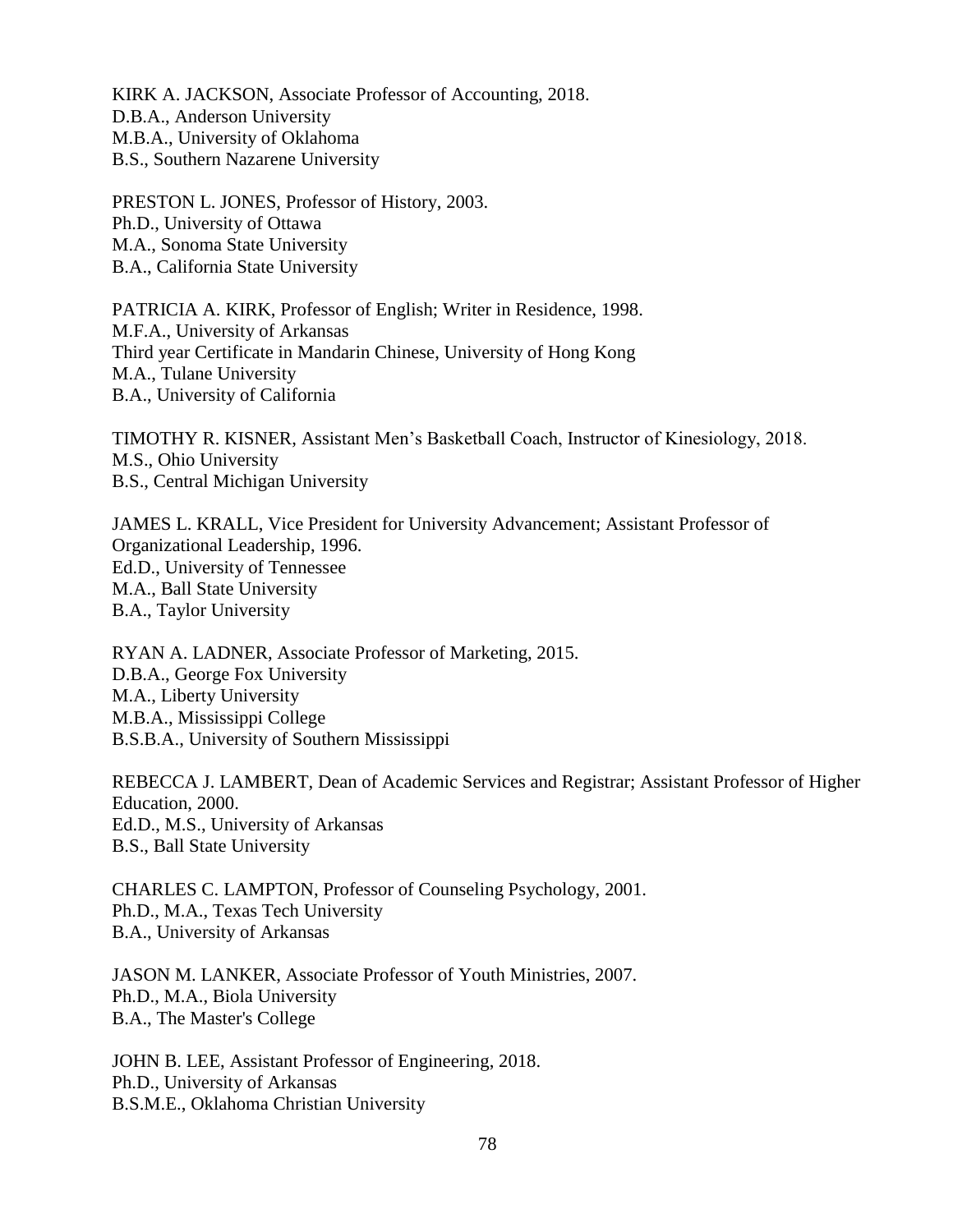KIRK A. JACKSON, Associate Professor of Accounting, 2018. D.B.A., Anderson University M.B.A., University of Oklahoma B.S., Southern Nazarene University

PRESTON L. JONES, Professor of History, 2003. Ph.D., University of Ottawa M.A., Sonoma State University B.A., California State University

PATRICIA A. KIRK, Professor of English; Writer in Residence, 1998. M.F.A., University of Arkansas Third year Certificate in Mandarin Chinese, University of Hong Kong M.A., Tulane University B.A., University of California

TIMOTHY R. KISNER, Assistant Men's Basketball Coach, Instructor of Kinesiology, 2018. M.S., Ohio University B.S., Central Michigan University

JAMES L. KRALL, Vice President for University Advancement; Assistant Professor of Organizational Leadership, 1996. Ed.D., University of Tennessee M.A., Ball State University B.A., Taylor University

RYAN A. LADNER, Associate Professor of Marketing, 2015. D.B.A., George Fox University M.A., Liberty University M.B.A., Mississippi College B.S.B.A., University of Southern Mississippi

REBECCA J. LAMBERT, Dean of Academic Services and Registrar; Assistant Professor of Higher Education, 2000. Ed.D., M.S., University of Arkansas B.S., Ball State University

CHARLES C. LAMPTON, Professor of Counseling Psychology, 2001. Ph.D., M.A., Texas Tech University B.A., University of Arkansas

JASON M. LANKER, Associate Professor of Youth Ministries, 2007. Ph.D., M.A., Biola University B.A., The Master's College

JOHN B. LEE, Assistant Professor of Engineering, 2018. Ph.D., University of Arkansas B.S.M.E., Oklahoma Christian University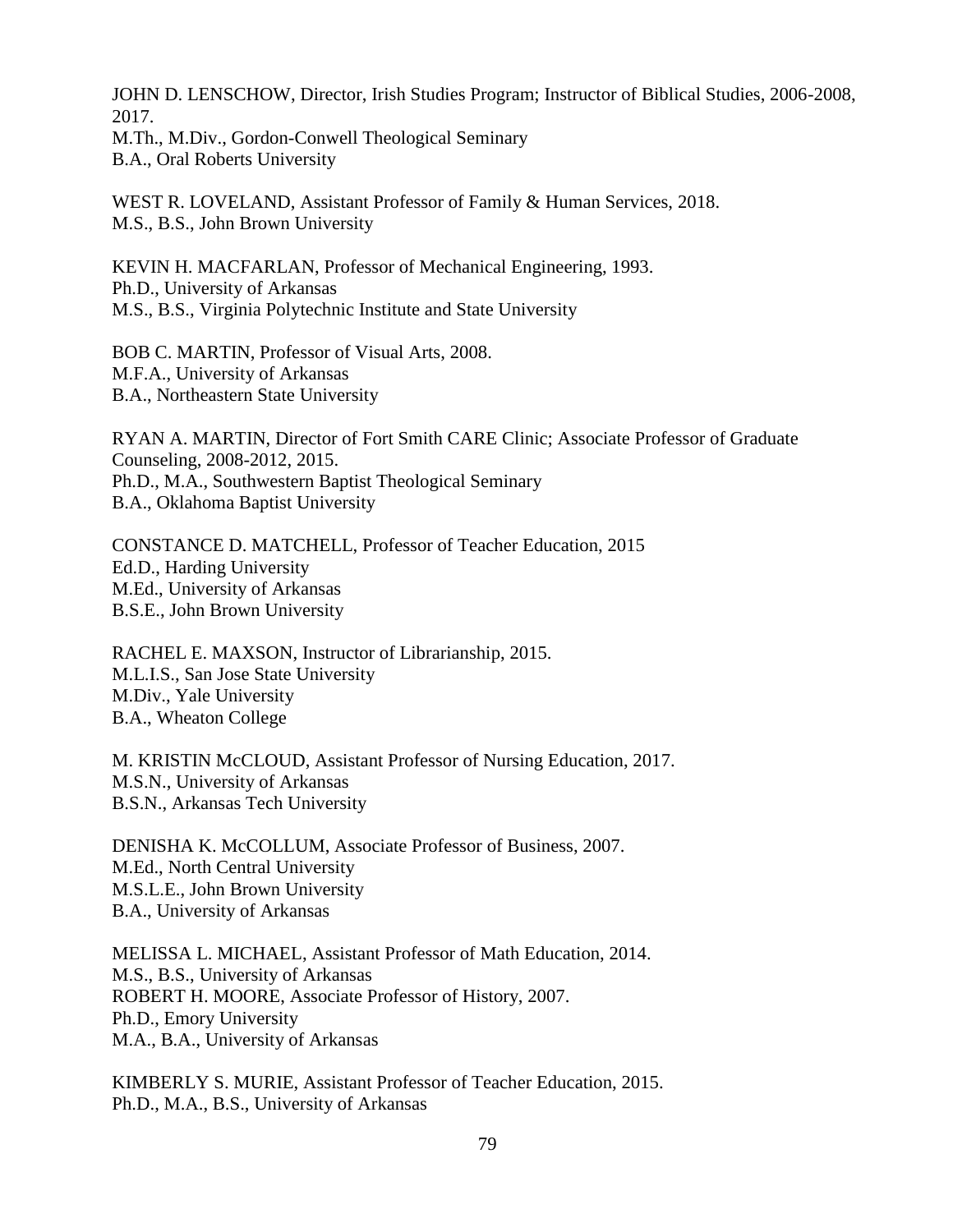JOHN D. LENSCHOW, Director, Irish Studies Program; Instructor of Biblical Studies, 2006-2008, 2017. M.Th., M.Div., Gordon-Conwell Theological Seminary

B.A., Oral Roberts University

WEST R. LOVELAND, Assistant Professor of Family & Human Services, 2018. M.S., B.S., John Brown University

KEVIN H. MACFARLAN, Professor of Mechanical Engineering, 1993. Ph.D., University of Arkansas M.S., B.S., Virginia Polytechnic Institute and State University

BOB C. MARTIN, Professor of Visual Arts, 2008. M.F.A., University of Arkansas B.A., Northeastern State University

RYAN A. MARTIN, Director of Fort Smith CARE Clinic; Associate Professor of Graduate Counseling, 2008-2012, 2015. Ph.D., M.A., Southwestern Baptist Theological Seminary B.A., Oklahoma Baptist University

CONSTANCE D. MATCHELL, Professor of Teacher Education, 2015 Ed.D., Harding University M.Ed., University of Arkansas B.S.E., John Brown University

RACHEL E. MAXSON, Instructor of Librarianship, 2015. M.L.I.S., San Jose State University M.Div., Yale University B.A., Wheaton College

M. KRISTIN McCLOUD, Assistant Professor of Nursing Education, 2017. M.S.N., University of Arkansas B.S.N., Arkansas Tech University

DENISHA K. McCOLLUM, Associate Professor of Business, 2007. M.Ed., North Central University M.S.L.E., John Brown University B.A., University of Arkansas

MELISSA L. MICHAEL, Assistant Professor of Math Education, 2014. M.S., B.S., University of Arkansas ROBERT H. MOORE, Associate Professor of History, 2007. Ph.D., Emory University M.A., B.A., University of Arkansas

KIMBERLY S. MURIE, Assistant Professor of Teacher Education, 2015. Ph.D., M.A., B.S., University of Arkansas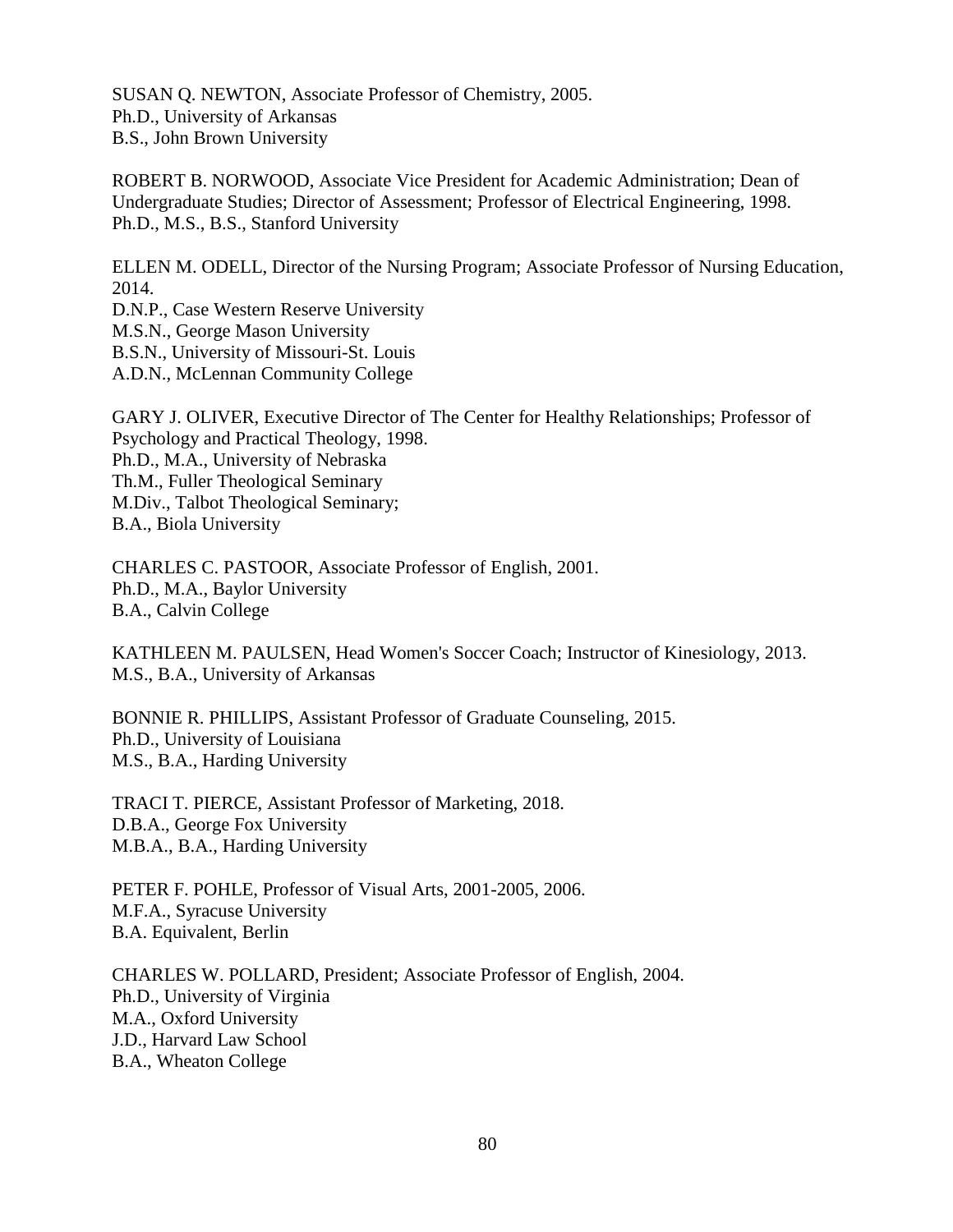SUSAN Q. NEWTON, Associate Professor of Chemistry, 2005. Ph.D., University of Arkansas B.S., John Brown University

ROBERT B. NORWOOD, Associate Vice President for Academic Administration; Dean of Undergraduate Studies; Director of Assessment; Professor of Electrical Engineering, 1998. Ph.D., M.S., B.S., Stanford University

ELLEN M. ODELL, Director of the Nursing Program; Associate Professor of Nursing Education, 2014.

D.N.P., Case Western Reserve University M.S.N., George Mason University B.S.N., University of Missouri-St. Louis A.D.N., McLennan Community College

GARY J. OLIVER, Executive Director of The Center for Healthy Relationships; Professor of Psychology and Practical Theology, 1998. Ph.D., M.A., University of Nebraska Th.M., Fuller Theological Seminary M.Div., Talbot Theological Seminary; B.A., Biola University

CHARLES C. PASTOOR, Associate Professor of English, 2001. Ph.D., M.A., Baylor University B.A., Calvin College

KATHLEEN M. PAULSEN, Head Women's Soccer Coach; Instructor of Kinesiology, 2013. M.S., B.A., University of Arkansas

BONNIE R. PHILLIPS, Assistant Professor of Graduate Counseling, 2015. Ph.D., University of Louisiana M.S., B.A., Harding University

TRACI T. PIERCE, Assistant Professor of Marketing, 2018. D.B.A., George Fox University M.B.A., B.A., Harding University

PETER F. POHLE, Professor of Visual Arts, 2001-2005, 2006. M.F.A., Syracuse University B.A. Equivalent, Berlin

CHARLES W. POLLARD, President; Associate Professor of English, 2004. Ph.D., University of Virginia M.A., Oxford University J.D., Harvard Law School B.A., Wheaton College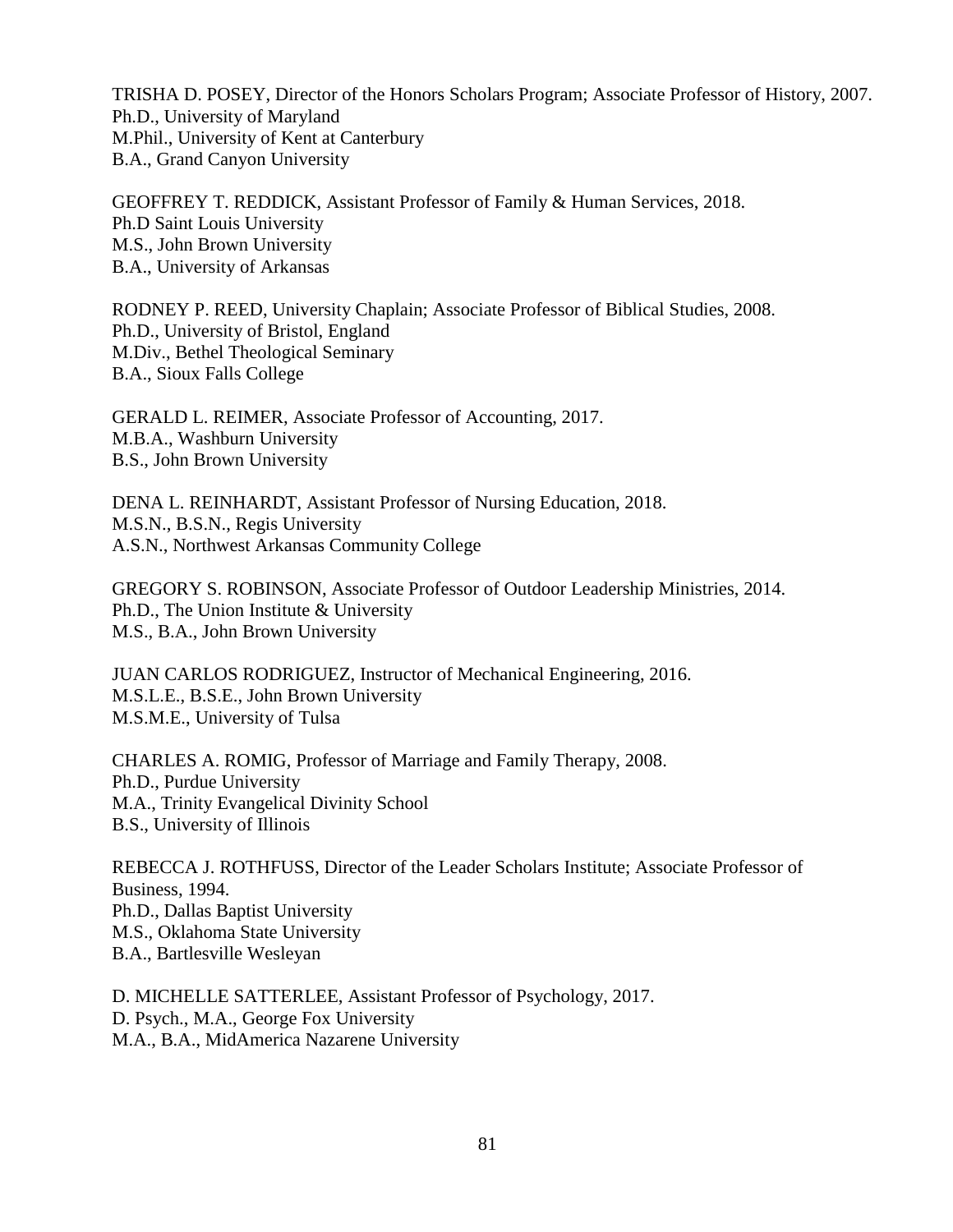TRISHA D. POSEY, Director of the Honors Scholars Program; Associate Professor of History, 2007. Ph.D., University of Maryland M.Phil., University of Kent at Canterbury B.A., Grand Canyon University

GEOFFREY T. REDDICK, Assistant Professor of Family & Human Services, 2018. Ph.D Saint Louis University M.S., John Brown University B.A., University of Arkansas

RODNEY P. REED, University Chaplain; Associate Professor of Biblical Studies, 2008. Ph.D., University of Bristol, England M.Div., Bethel Theological Seminary B.A., Sioux Falls College

GERALD L. REIMER, Associate Professor of Accounting, 2017. M.B.A., Washburn University B.S., John Brown University

DENA L. REINHARDT, Assistant Professor of Nursing Education, 2018. M.S.N., B.S.N., Regis University A.S.N., Northwest Arkansas Community College

GREGORY S. ROBINSON, Associate Professor of Outdoor Leadership Ministries, 2014. Ph.D., The Union Institute & University M.S., B.A., John Brown University

JUAN CARLOS RODRIGUEZ, Instructor of Mechanical Engineering, 2016. M.S.L.E., B.S.E., John Brown University M.S.M.E., University of Tulsa

CHARLES A. ROMIG, Professor of Marriage and Family Therapy, 2008. Ph.D., Purdue University M.A., Trinity Evangelical Divinity School B.S., University of Illinois

REBECCA J. ROTHFUSS, Director of the Leader Scholars Institute; Associate Professor of Business, 1994. Ph.D., Dallas Baptist University M.S., Oklahoma State University B.A., Bartlesville Wesleyan

D. MICHELLE SATTERLEE, Assistant Professor of Psychology, 2017. D. Psych., M.A., George Fox University M.A., B.A., MidAmerica Nazarene University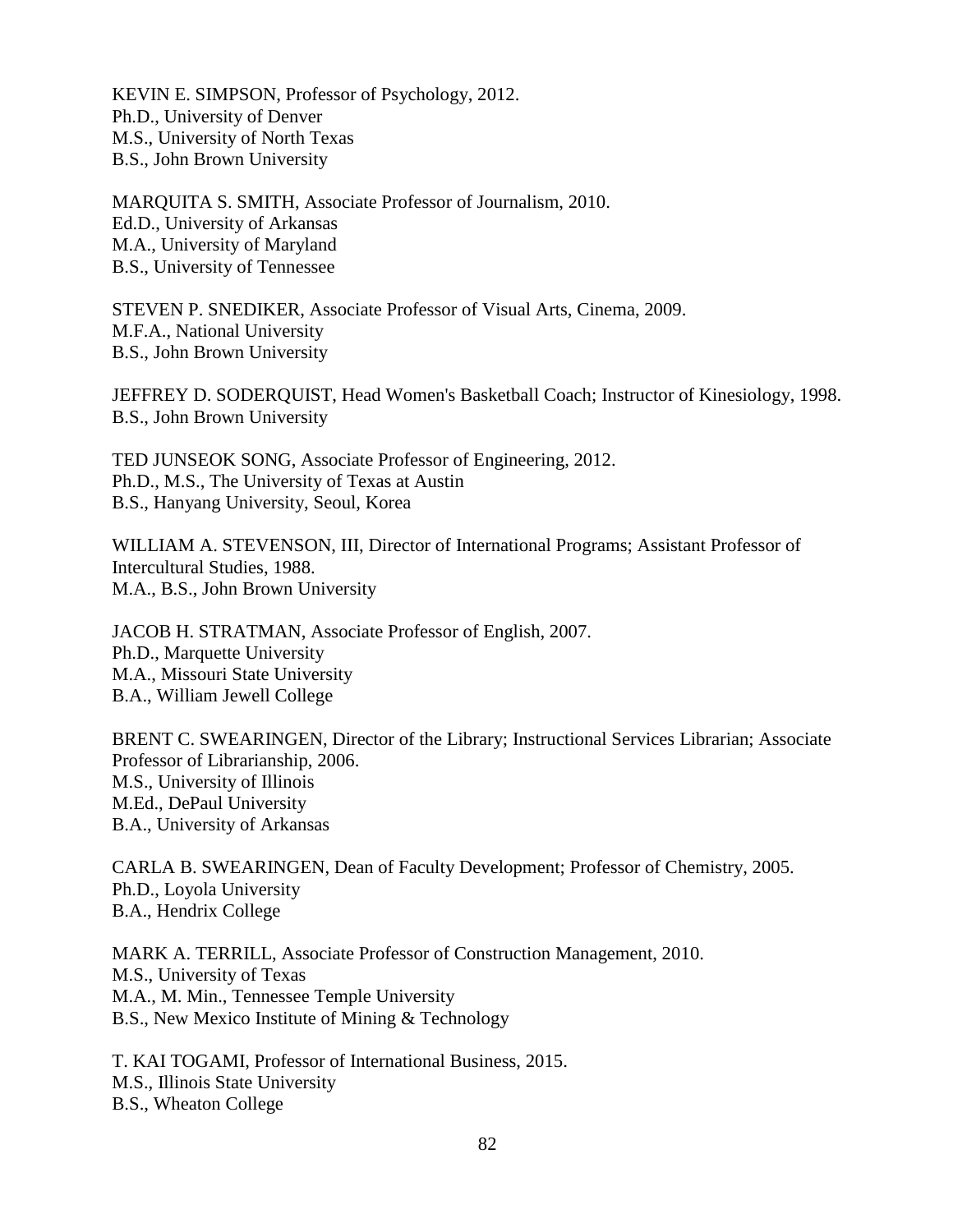KEVIN E. SIMPSON, Professor of Psychology, 2012. Ph.D., University of Denver M.S., University of North Texas B.S., John Brown University

MARQUITA S. SMITH, Associate Professor of Journalism, 2010. Ed.D., University of Arkansas M.A., University of Maryland B.S., University of Tennessee

STEVEN P. SNEDIKER, Associate Professor of Visual Arts, Cinema, 2009. M.F.A., National University B.S., John Brown University

JEFFREY D. SODERQUIST, Head Women's Basketball Coach; Instructor of Kinesiology, 1998. B.S., John Brown University

TED JUNSEOK SONG, Associate Professor of Engineering, 2012. Ph.D., M.S., The University of Texas at Austin B.S., Hanyang University, Seoul, Korea

WILLIAM A. STEVENSON, III, Director of International Programs; Assistant Professor of Intercultural Studies, 1988. M.A., B.S., John Brown University

JACOB H. STRATMAN, Associate Professor of English, 2007. Ph.D., Marquette University M.A., Missouri State University B.A., William Jewell College

BRENT C. SWEARINGEN, Director of the Library; Instructional Services Librarian; Associate Professor of Librarianship, 2006. M.S., University of Illinois M.Ed., DePaul University B.A., University of Arkansas

CARLA B. SWEARINGEN, Dean of Faculty Development; Professor of Chemistry, 2005. Ph.D., Loyola University B.A., Hendrix College

MARK A. TERRILL, Associate Professor of Construction Management, 2010. M.S., University of Texas M.A., M. Min., Tennessee Temple University B.S., New Mexico Institute of Mining & Technology

T. KAI TOGAMI, Professor of International Business, 2015. M.S., Illinois State University B.S., Wheaton College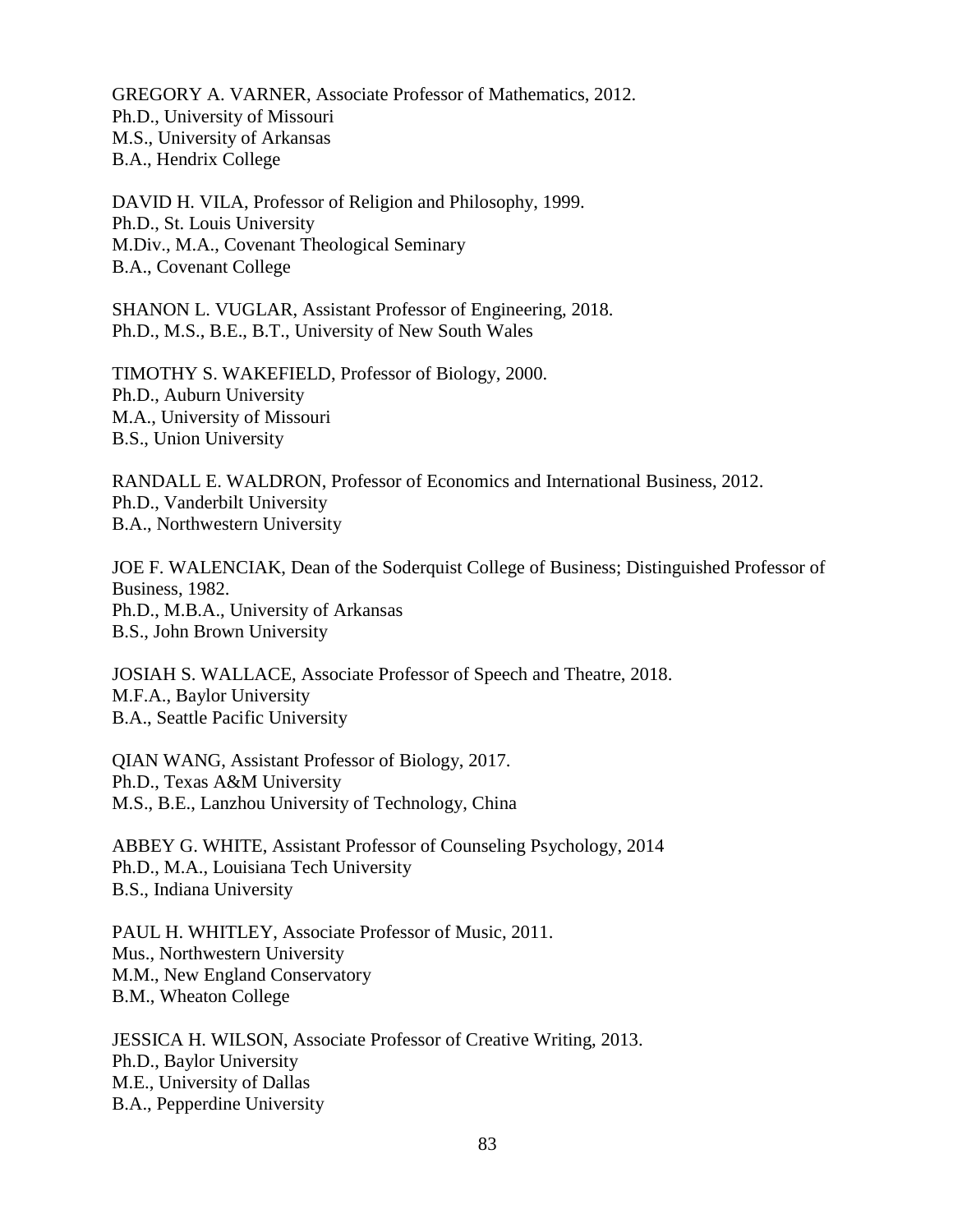GREGORY A. VARNER, Associate Professor of Mathematics, 2012. Ph.D., University of Missouri M.S., University of Arkansas B.A., Hendrix College

DAVID H. VILA, Professor of Religion and Philosophy, 1999. Ph.D., St. Louis University M.Div., M.A., Covenant Theological Seminary B.A., Covenant College

SHANON L. VUGLAR, Assistant Professor of Engineering, 2018. Ph.D., M.S., B.E., B.T., University of New South Wales

TIMOTHY S. WAKEFIELD, Professor of Biology, 2000. Ph.D., Auburn University M.A., University of Missouri B.S., Union University

RANDALL E. WALDRON, Professor of Economics and International Business, 2012. Ph.D., Vanderbilt University B.A., Northwestern University

JOE F. WALENCIAK, Dean of the Soderquist College of Business; Distinguished Professor of Business, 1982. Ph.D., M.B.A., University of Arkansas B.S., John Brown University

JOSIAH S. WALLACE, Associate Professor of Speech and Theatre, 2018. M.F.A., Baylor University B.A., Seattle Pacific University

QIAN WANG, Assistant Professor of Biology, 2017. Ph.D., Texas A&M University M.S., B.E., Lanzhou University of Technology, China

ABBEY G. WHITE, Assistant Professor of Counseling Psychology, 2014 Ph.D., M.A., Louisiana Tech University B.S., Indiana University

PAUL H. WHITLEY, Associate Professor of Music, 2011. Mus., Northwestern University M.M., New England Conservatory B.M., Wheaton College

JESSICA H. WILSON, Associate Professor of Creative Writing, 2013. Ph.D., Baylor University M.E., University of Dallas B.A., Pepperdine University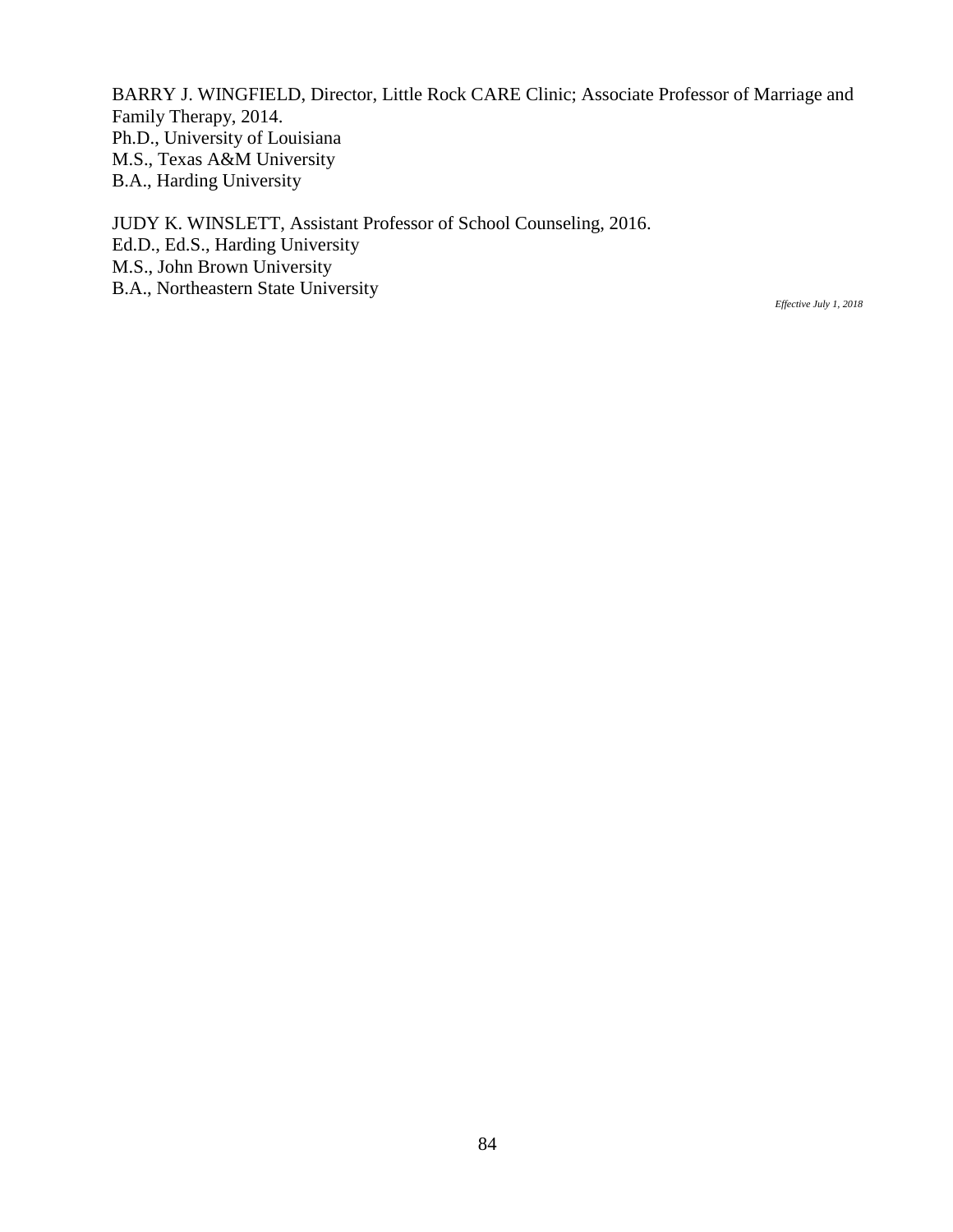BARRY J. WINGFIELD, Director, Little Rock CARE Clinic; Associate Professor of Marriage and Family Therapy, 2014. Ph.D., University of Louisiana M.S., Texas A&M University B.A., Harding University

JUDY K. WINSLETT, Assistant Professor of School Counseling, 2016. Ed.D., Ed.S., Harding University M.S., John Brown University B.A., Northeastern State University

*Effective July 1, 2018*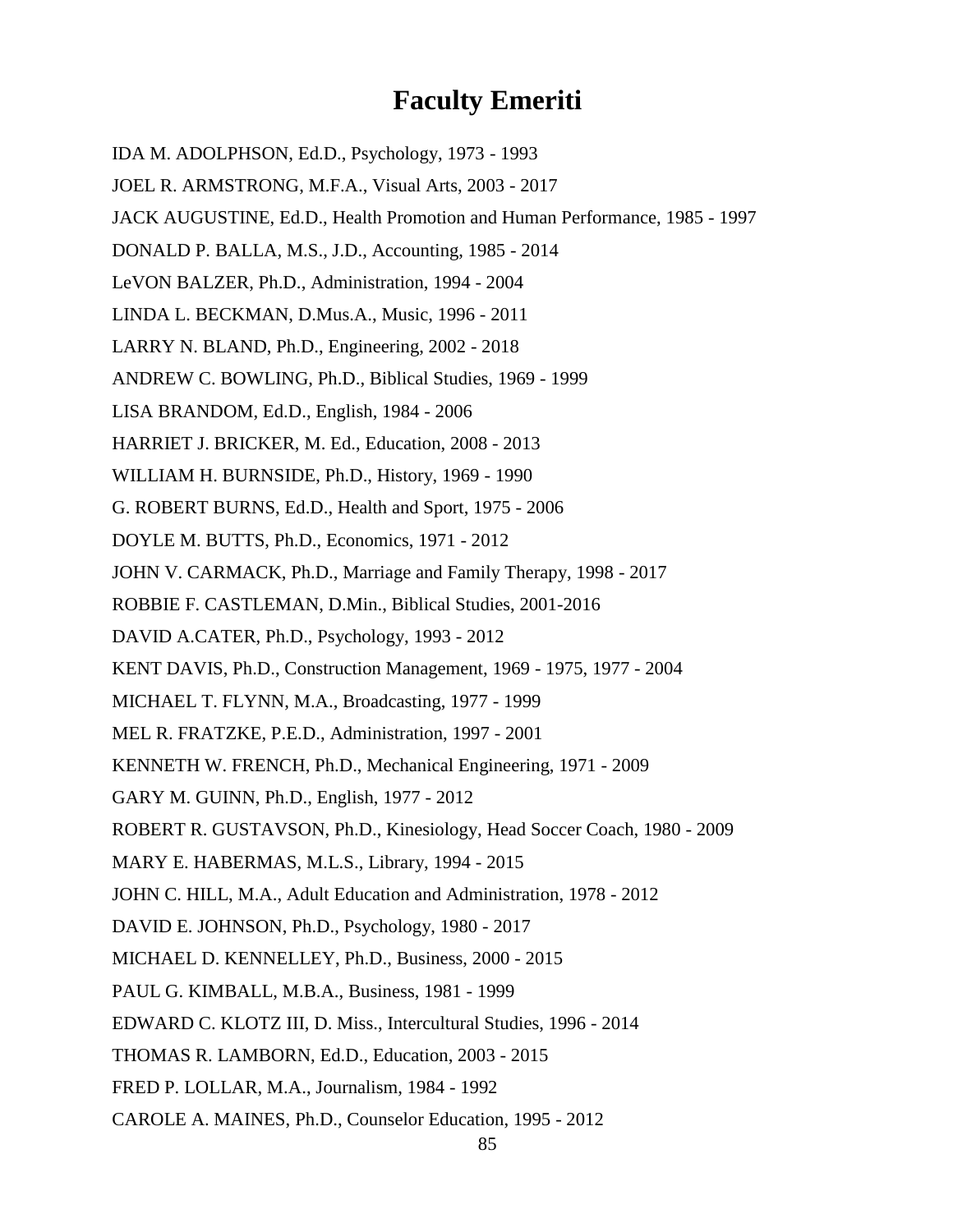## **Faculty Emeriti**

IDA M. ADOLPHSON, Ed.D., Psychology, 1973 - 1993

- JOEL R. ARMSTRONG, M.F.A., Visual Arts, 2003 2017
- JACK AUGUSTINE, Ed.D., Health Promotion and Human Performance, 1985 1997
- DONALD P. BALLA, M.S., J.D., Accounting, 1985 2014
- LeVON BALZER, Ph.D., Administration, 1994 2004
- LINDA L. BECKMAN, D.Mus.A., Music, 1996 2011
- LARRY N. BLAND, Ph.D., Engineering, 2002 2018
- ANDREW C. BOWLING, Ph.D., Biblical Studies, 1969 1999
- LISA BRANDOM, Ed.D., English, 1984 2006
- HARRIET J. BRICKER, M. Ed., Education, 2008 2013
- WILLIAM H. BURNSIDE, Ph.D., History, 1969 1990
- G. ROBERT BURNS, Ed.D., Health and Sport, 1975 2006
- DOYLE M. BUTTS, Ph.D., Economics, 1971 2012
- JOHN V. CARMACK, Ph.D., Marriage and Family Therapy, 1998 2017
- ROBBIE F. CASTLEMAN, D.Min., Biblical Studies, 2001-2016
- DAVID A.CATER, Ph.D., Psychology, 1993 2012
- KENT DAVIS, Ph.D., Construction Management, 1969 1975, 1977 2004
- MICHAEL T. FLYNN, M.A., Broadcasting, 1977 1999
- MEL R. FRATZKE, P.E.D., Administration, 1997 2001
- KENNETH W. FRENCH, Ph.D., Mechanical Engineering, 1971 2009
- GARY M. GUINN, Ph.D., English, 1977 2012
- ROBERT R. GUSTAVSON, Ph.D., Kinesiology, Head Soccer Coach, 1980 2009
- MARY E. HABERMAS, M.L.S., Library, 1994 2015
- JOHN C. HILL, M.A., Adult Education and Administration, 1978 2012
- DAVID E. JOHNSON, Ph.D., Psychology, 1980 2017
- MICHAEL D. KENNELLEY, Ph.D., Business, 2000 2015
- PAUL G. KIMBALL, M.B.A., Business, 1981 1999
- EDWARD C. KLOTZ III, D. Miss., Intercultural Studies, 1996 2014
- THOMAS R. LAMBORN, Ed.D., Education, 2003 2015
- FRED P. LOLLAR, M.A., Journalism, 1984 1992
- CAROLE A. MAINES, Ph.D., Counselor Education, 1995 2012